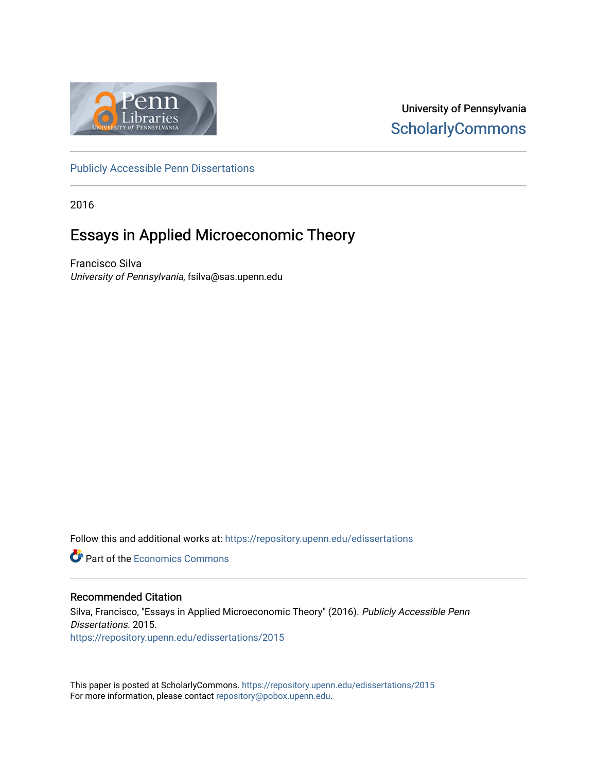

University of Pennsylvania **ScholarlyCommons** 

[Publicly Accessible Penn Dissertations](https://repository.upenn.edu/edissertations)

2016

# Essays in Applied Microeconomic Theory

Francisco Silva University of Pennsylvania, fsilva@sas.upenn.edu

Follow this and additional works at: [https://repository.upenn.edu/edissertations](https://repository.upenn.edu/edissertations?utm_source=repository.upenn.edu%2Fedissertations%2F2015&utm_medium=PDF&utm_campaign=PDFCoverPages) 

**C** Part of the [Economics Commons](http://network.bepress.com/hgg/discipline/340?utm_source=repository.upenn.edu%2Fedissertations%2F2015&utm_medium=PDF&utm_campaign=PDFCoverPages)

### Recommended Citation

Silva, Francisco, "Essays in Applied Microeconomic Theory" (2016). Publicly Accessible Penn Dissertations. 2015. [https://repository.upenn.edu/edissertations/2015](https://repository.upenn.edu/edissertations/2015?utm_source=repository.upenn.edu%2Fedissertations%2F2015&utm_medium=PDF&utm_campaign=PDFCoverPages) 

This paper is posted at ScholarlyCommons.<https://repository.upenn.edu/edissertations/2015> For more information, please contact [repository@pobox.upenn.edu.](mailto:repository@pobox.upenn.edu)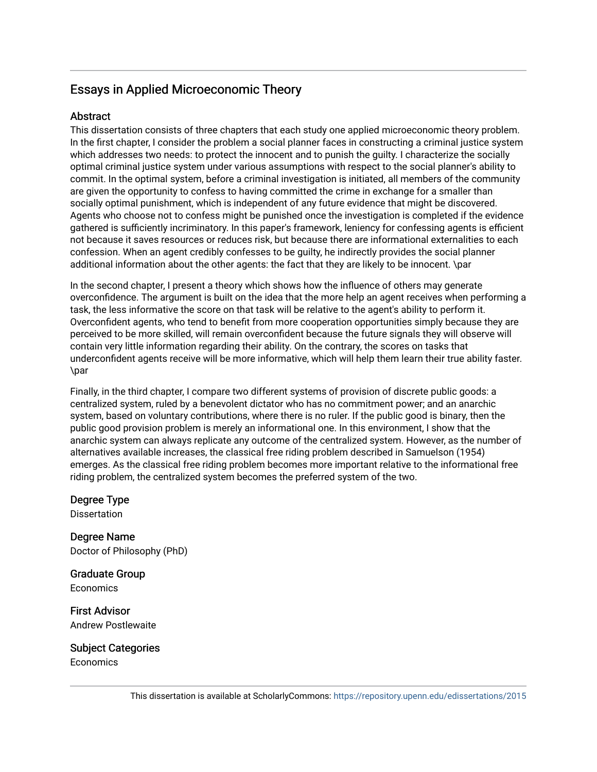## Essays in Applied Microeconomic Theory

## **Abstract**

This dissertation consists of three chapters that each study one applied microeconomic theory problem. In the first chapter, I consider the problem a social planner faces in constructing a criminal justice system which addresses two needs: to protect the innocent and to punish the guilty. I characterize the socially optimal criminal justice system under various assumptions with respect to the social planner's ability to commit. In the optimal system, before a criminal investigation is initiated, all members of the community are given the opportunity to confess to having committed the crime in exchange for a smaller than socially optimal punishment, which is independent of any future evidence that might be discovered. Agents who choose not to confess might be punished once the investigation is completed if the evidence gathered is sufficiently incriminatory. In this paper's framework, leniency for confessing agents is efficient not because it saves resources or reduces risk, but because there are informational externalities to each confession. When an agent credibly confesses to be guilty, he indirectly provides the social planner additional information about the other agents: the fact that they are likely to be innocent. \par

In the second chapter, I present a theory which shows how the influence of others may generate overconfidence. The argument is built on the idea that the more help an agent receives when performing a task, the less informative the score on that task will be relative to the agent's ability to perform it. Overconfident agents, who tend to benefit from more cooperation opportunities simply because they are perceived to be more skilled, will remain overconfident because the future signals they will observe will contain very little information regarding their ability. On the contrary, the scores on tasks that underconfident agents receive will be more informative, which will help them learn their true ability faster. \par

Finally, in the third chapter, I compare two different systems of provision of discrete public goods: a centralized system, ruled by a benevolent dictator who has no commitment power; and an anarchic system, based on voluntary contributions, where there is no ruler. If the public good is binary, then the public good provision problem is merely an informational one. In this environment, I show that the anarchic system can always replicate any outcome of the centralized system. However, as the number of alternatives available increases, the classical free riding problem described in Samuelson (1954) emerges. As the classical free riding problem becomes more important relative to the informational free riding problem, the centralized system becomes the preferred system of the two.

## Degree Type

Dissertation

Degree Name Doctor of Philosophy (PhD)

Graduate Group **Economics** 

First Advisor Andrew Postlewaite

Subject Categories Economics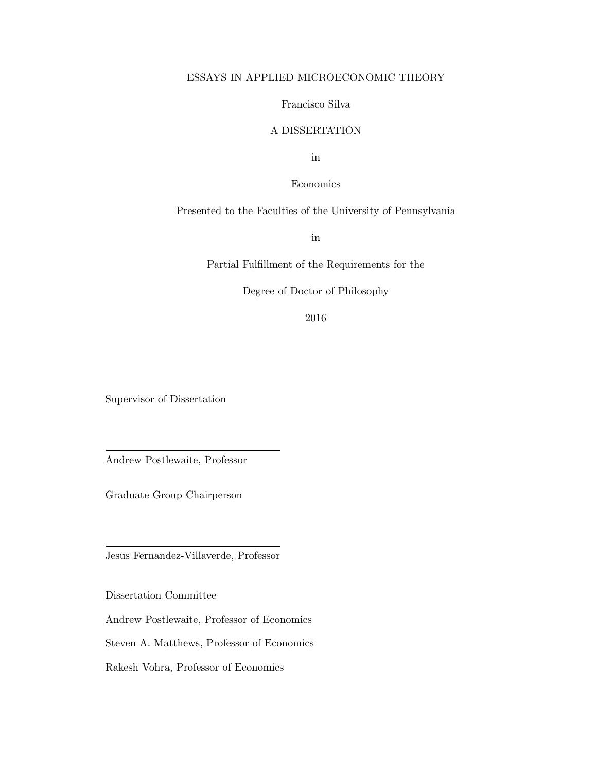### ESSAYS IN APPLIED MICROECONOMIC THEORY

Francisco Silva

### A DISSERTATION

in

Economics

Presented to the Faculties of the University of Pennsylvania

in

Partial Fulfillment of the Requirements for the

Degree of Doctor of Philosophy

2016

Supervisor of Dissertation

Andrew Postlewaite, Professor

Graduate Group Chairperson

Jesus Fernandez-Villaverde, Professor

Dissertation Committee

Andrew Postlewaite, Professor of Economics

Steven A. Matthews, Professor of Economics

Rakesh Vohra, Professor of Economics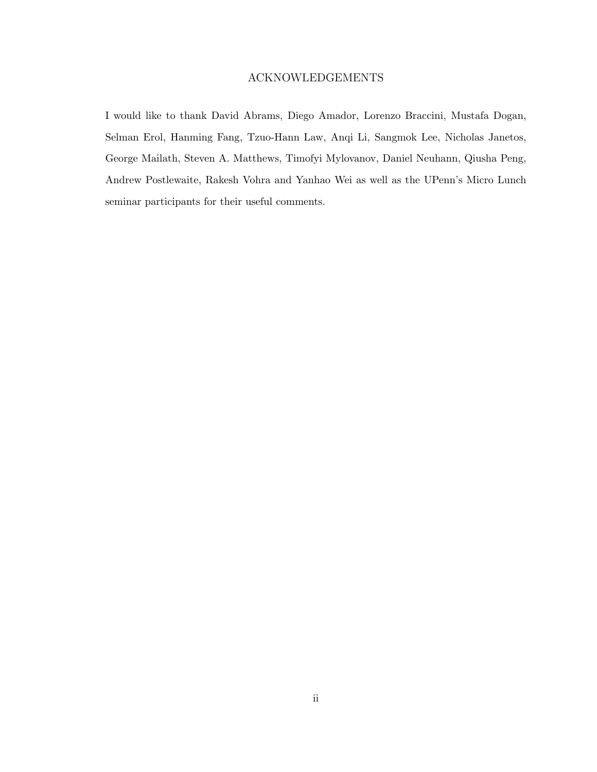### ACKNOWLEDGEMENTS

I would like to thank David Abrams, Diego Amador, Lorenzo Braccini, Mustafa Dogan, Selman Erol, Hanming Fang, Tzuo-Hann Law, Anqi Li, Sangmok Lee, Nicholas Janetos, George Mailath, Steven A. Matthews, Timofyi Mylovanov, Daniel Neuhann, Qiusha Peng, Andrew Postlewaite, Rakesh Vohra and Yanhao Wei as well as the UPenn's Micro Lunch seminar participants for their useful comments.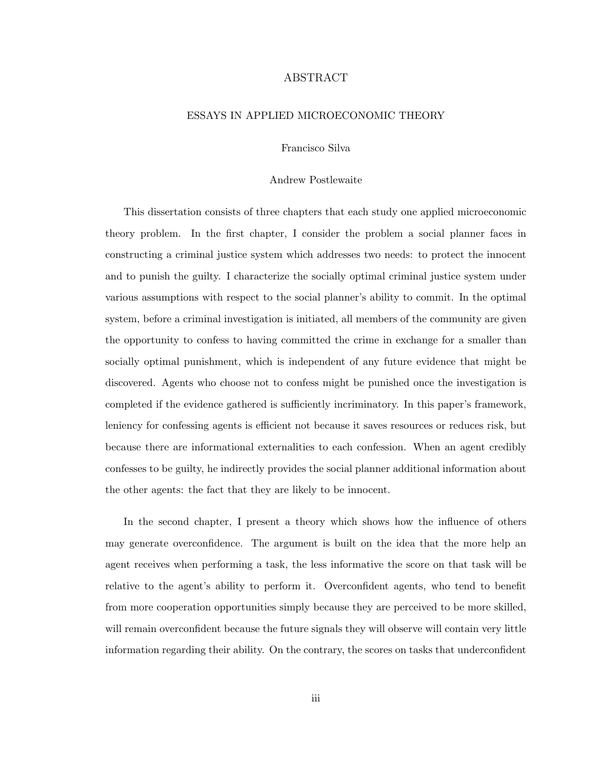### ABSTRACT

#### ESSAYS IN APPLIED MICROECONOMIC THEORY

Francisco Silva

#### Andrew Postlewaite

This dissertation consists of three chapters that each study one applied microeconomic theory problem. In the first chapter, I consider the problem a social planner faces in constructing a criminal justice system which addresses two needs: to protect the innocent and to punish the guilty. I characterize the socially optimal criminal justice system under various assumptions with respect to the social planner's ability to commit. In the optimal system, before a criminal investigation is initiated, all members of the community are given the opportunity to confess to having committed the crime in exchange for a smaller than socially optimal punishment, which is independent of any future evidence that might be discovered. Agents who choose not to confess might be punished once the investigation is completed if the evidence gathered is sufficiently incriminatory. In this paper's framework, leniency for confessing agents is efficient not because it saves resources or reduces risk, but because there are informational externalities to each confession. When an agent credibly confesses to be guilty, he indirectly provides the social planner additional information about the other agents: the fact that they are likely to be innocent.

In the second chapter, I present a theory which shows how the influence of others may generate overconfidence. The argument is built on the idea that the more help an agent receives when performing a task, the less informative the score on that task will be relative to the agent's ability to perform it. Overconfident agents, who tend to benefit from more cooperation opportunities simply because they are perceived to be more skilled, will remain overconfident because the future signals they will observe will contain very little information regarding their ability. On the contrary, the scores on tasks that underconfident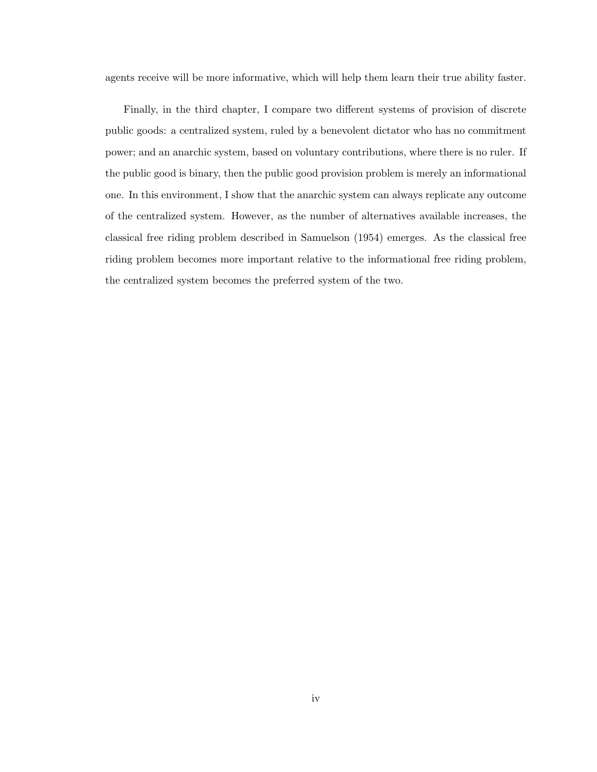agents receive will be more informative, which will help them learn their true ability faster.

Finally, in the third chapter, I compare two different systems of provision of discrete public goods: a centralized system, ruled by a benevolent dictator who has no commitment power; and an anarchic system, based on voluntary contributions, where there is no ruler. If the public good is binary, then the public good provision problem is merely an informational one. In this environment, I show that the anarchic system can always replicate any outcome of the centralized system. However, as the number of alternatives available increases, the classical free riding problem described in Samuelson (1954) emerges. As the classical free riding problem becomes more important relative to the informational free riding problem, the centralized system becomes the preferred system of the two.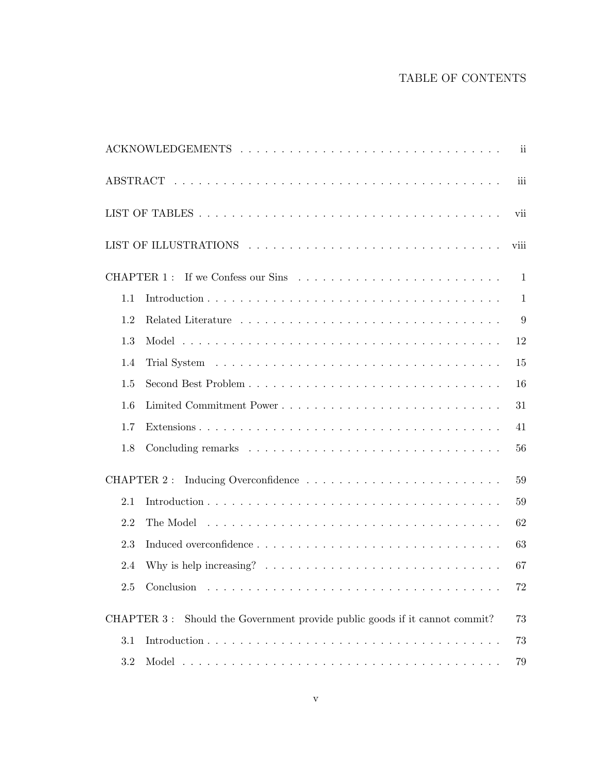## TABLE OF CONTENTS

|                   |                                                                                          | ii           |
|-------------------|------------------------------------------------------------------------------------------|--------------|
|                   |                                                                                          | iii          |
|                   |                                                                                          | vii          |
|                   |                                                                                          | viii         |
|                   |                                                                                          | 1            |
| 1.1               |                                                                                          | $\mathbf{1}$ |
| 1.2               |                                                                                          | 9            |
| 1.3               |                                                                                          | 12           |
| 1.4               |                                                                                          | 15           |
| 1.5               |                                                                                          | 16           |
| 1.6               |                                                                                          | 31           |
| 1.7               |                                                                                          | 41           |
| 1.8               |                                                                                          | 56           |
|                   |                                                                                          | 59           |
| 2.1               |                                                                                          | 59           |
| 2.2               |                                                                                          | 62           |
| 2.3               |                                                                                          | 63           |
| 2.4               | Why is help increasing? $\ldots \ldots \ldots \ldots \ldots \ldots \ldots \ldots \ldots$ | 67           |
| 2.5               | Conclusion                                                                               | 72           |
| <b>CHAPTER 3:</b> | Should the Government provide public goods if it cannot commit?                          | 73           |
| 3.1               |                                                                                          | 73           |
| $3.2\,$           |                                                                                          | 79           |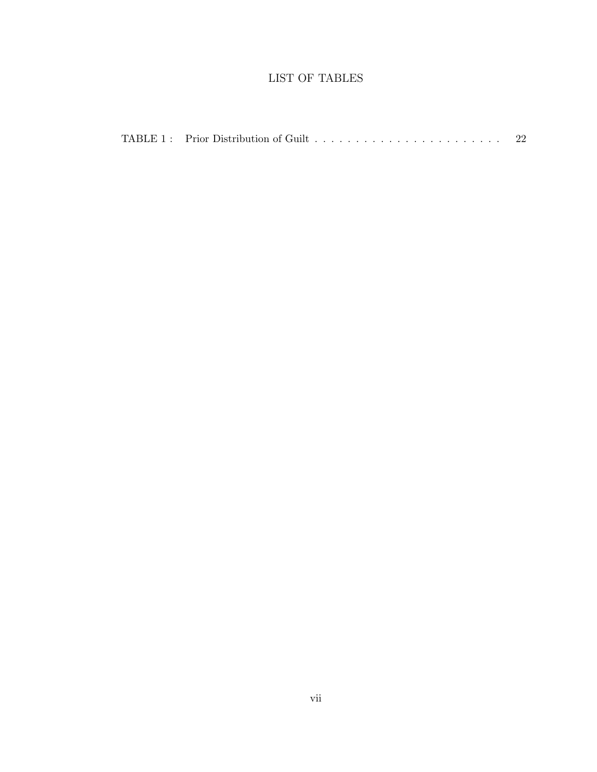## LIST OF TABLES

|--|--|--|--|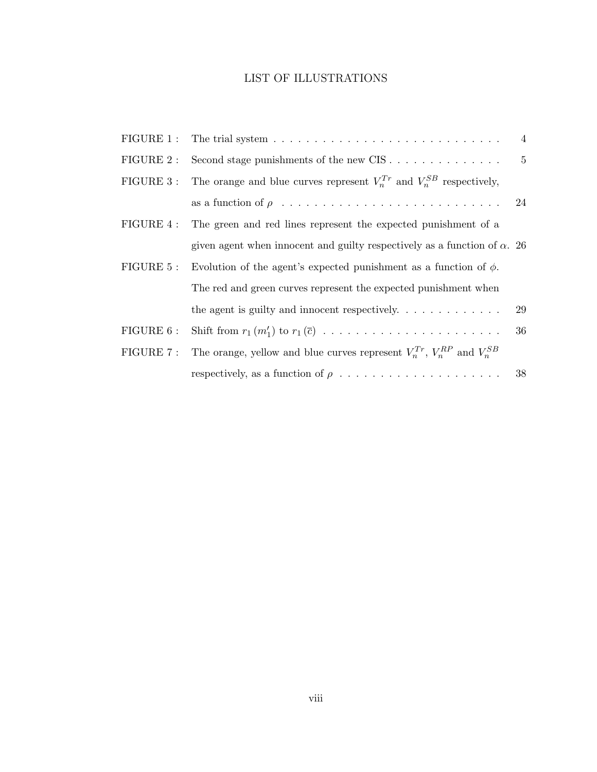## LIST OF ILLUSTRATIONS

| FIGURE 1 : | The trial system $\dots \dots \dots \dots \dots \dots \dots \dots \dots \dots \dots$ | $\overline{4}$  |
|------------|--------------------------------------------------------------------------------------|-----------------|
| FIGURE 2 : |                                                                                      | $5\overline{)}$ |
| FIGURE 3 : | The orange and blue curves represent $V_n^{Tr}$ and $V_n^{SB}$ respectively,         |                 |
|            |                                                                                      |                 |
| FIGURE 4 : | The green and red lines represent the expected punishment of a                       |                 |
|            | given agent when innocent and guilty respectively as a function of $\alpha$ . 26     |                 |
| FIGURE 5 : | Evolution of the agent's expected punishment as a function of $\phi$ .               |                 |
|            | The red and green curves represent the expected punishment when                      |                 |
|            | the agent is guilty and innocent respectively. $\dots \dots \dots \dots$             | 29              |
| FIGURE 6 : |                                                                                      | 36              |
| FIGURE 7 : | The orange, yellow and blue curves represent $V_n^{Tr}$ , $V_n^{RP}$ and $V_n^{SB}$  |                 |
|            |                                                                                      | 38              |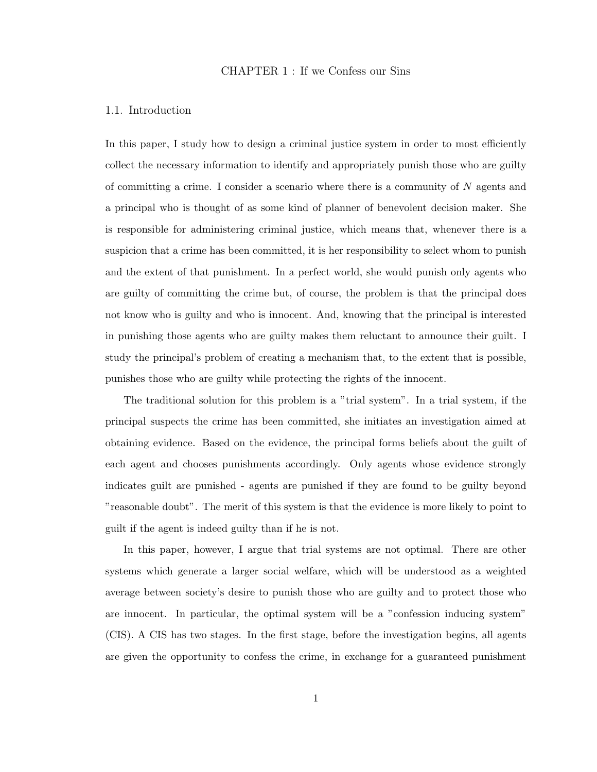### CHAPTER 1 : If we Confess our Sins

### 1.1. Introduction

In this paper, I study how to design a criminal justice system in order to most efficiently collect the necessary information to identify and appropriately punish those who are guilty of committing a crime. I consider a scenario where there is a community of N agents and a principal who is thought of as some kind of planner of benevolent decision maker. She is responsible for administering criminal justice, which means that, whenever there is a suspicion that a crime has been committed, it is her responsibility to select whom to punish and the extent of that punishment. In a perfect world, she would punish only agents who are guilty of committing the crime but, of course, the problem is that the principal does not know who is guilty and who is innocent. And, knowing that the principal is interested in punishing those agents who are guilty makes them reluctant to announce their guilt. I study the principal's problem of creating a mechanism that, to the extent that is possible, punishes those who are guilty while protecting the rights of the innocent.

The traditional solution for this problem is a "trial system". In a trial system, if the principal suspects the crime has been committed, she initiates an investigation aimed at obtaining evidence. Based on the evidence, the principal forms beliefs about the guilt of each agent and chooses punishments accordingly. Only agents whose evidence strongly indicates guilt are punished - agents are punished if they are found to be guilty beyond "reasonable doubt". The merit of this system is that the evidence is more likely to point to guilt if the agent is indeed guilty than if he is not.

In this paper, however, I argue that trial systems are not optimal. There are other systems which generate a larger social welfare, which will be understood as a weighted average between society's desire to punish those who are guilty and to protect those who are innocent. In particular, the optimal system will be a "confession inducing system" (CIS). A CIS has two stages. In the first stage, before the investigation begins, all agents are given the opportunity to confess the crime, in exchange for a guaranteed punishment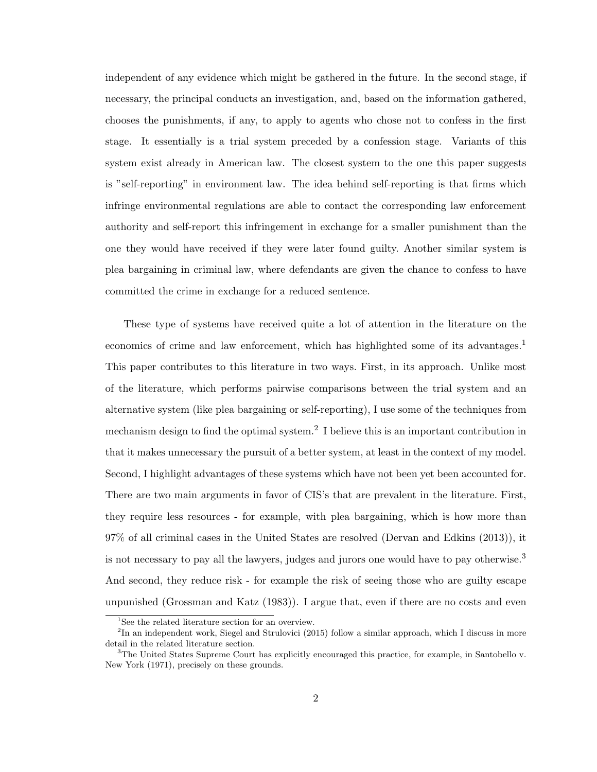independent of any evidence which might be gathered in the future. In the second stage, if necessary, the principal conducts an investigation, and, based on the information gathered, chooses the punishments, if any, to apply to agents who chose not to confess in the first stage. It essentially is a trial system preceded by a confession stage. Variants of this system exist already in American law. The closest system to the one this paper suggests is "self-reporting" in environment law. The idea behind self-reporting is that firms which infringe environmental regulations are able to contact the corresponding law enforcement authority and self-report this infringement in exchange for a smaller punishment than the one they would have received if they were later found guilty. Another similar system is plea bargaining in criminal law, where defendants are given the chance to confess to have committed the crime in exchange for a reduced sentence.

These type of systems have received quite a lot of attention in the literature on the economics of crime and law enforcement, which has highlighted some of its advantages.<sup>1</sup> This paper contributes to this literature in two ways. First, in its approach. Unlike most of the literature, which performs pairwise comparisons between the trial system and an alternative system (like plea bargaining or self-reporting), I use some of the techniques from mechanism design to find the optimal system.<sup>2</sup> I believe this is an important contribution in that it makes unnecessary the pursuit of a better system, at least in the context of my model. Second, I highlight advantages of these systems which have not been yet been accounted for. There are two main arguments in favor of CIS's that are prevalent in the literature. First, they require less resources - for example, with plea bargaining, which is how more than 97% of all criminal cases in the United States are resolved (Dervan and Edkins (2013)), it is not necessary to pay all the lawyers, judges and jurors one would have to pay otherwise.<sup>3</sup> And second, they reduce risk - for example the risk of seeing those who are guilty escape unpunished (Grossman and Katz (1983)). I argue that, even if there are no costs and even

<sup>&</sup>lt;sup>1</sup>See the related literature section for an overview.

<sup>&</sup>lt;sup>2</sup>In an independent work, Siegel and Strulovici (2015) follow a similar approach, which I discuss in more detail in the related literature section.

 $3$ The United States Supreme Court has explicitly encouraged this practice, for example, in Santobello v. New York (1971), precisely on these grounds.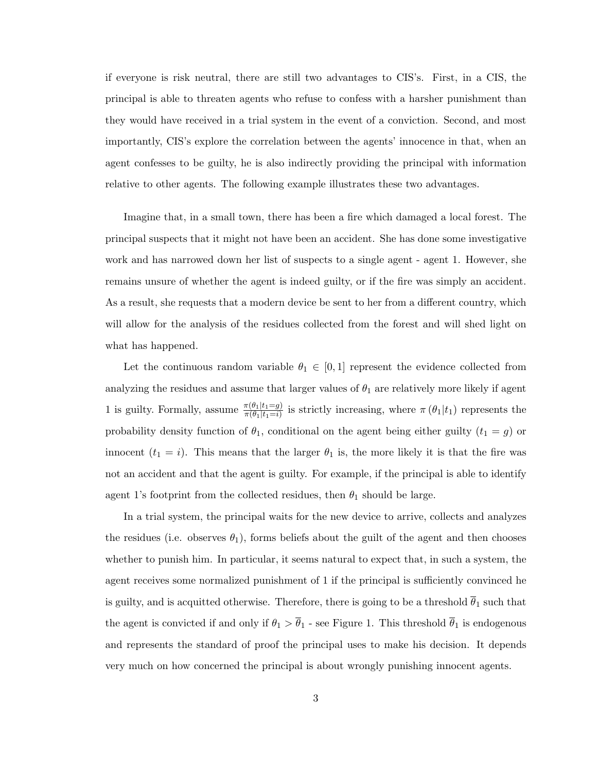if everyone is risk neutral, there are still two advantages to CIS's. First, in a CIS, the principal is able to threaten agents who refuse to confess with a harsher punishment than they would have received in a trial system in the event of a conviction. Second, and most importantly, CIS's explore the correlation between the agents' innocence in that, when an agent confesses to be guilty, he is also indirectly providing the principal with information relative to other agents. The following example illustrates these two advantages.

Imagine that, in a small town, there has been a fire which damaged a local forest. The principal suspects that it might not have been an accident. She has done some investigative work and has narrowed down her list of suspects to a single agent - agent 1. However, she remains unsure of whether the agent is indeed guilty, or if the fire was simply an accident. As a result, she requests that a modern device be sent to her from a different country, which will allow for the analysis of the residues collected from the forest and will shed light on what has happened.

Let the continuous random variable  $\theta_1 \in [0,1]$  represent the evidence collected from analyzing the residues and assume that larger values of  $\theta_1$  are relatively more likely if agent 1 is guilty. Formally, assume  $\frac{\pi(\theta_1|t_1=g)}{\pi(\theta_1|t_1=i)}$  is strictly increasing, where  $\pi(\theta_1|t_1)$  represents the probability density function of  $\theta_1$ , conditional on the agent being either guilty  $(t_1 = g)$  or innocent  $(t_1 = i)$ . This means that the larger  $\theta_1$  is, the more likely it is that the fire was not an accident and that the agent is guilty. For example, if the principal is able to identify agent 1's footprint from the collected residues, then  $\theta_1$  should be large.

In a trial system, the principal waits for the new device to arrive, collects and analyzes the residues (i.e. observes  $\theta_1$ ), forms beliefs about the guilt of the agent and then chooses whether to punish him. In particular, it seems natural to expect that, in such a system, the agent receives some normalized punishment of 1 if the principal is sufficiently convinced he is guilty, and is acquitted otherwise. Therefore, there is going to be a threshold  $\bar{\theta}_1$  such that the agent is convicted if and only if  $\theta_1 > \overline{\theta}_1$  - see Figure 1. This threshold  $\overline{\theta}_1$  is endogenous and represents the standard of proof the principal uses to make his decision. It depends very much on how concerned the principal is about wrongly punishing innocent agents.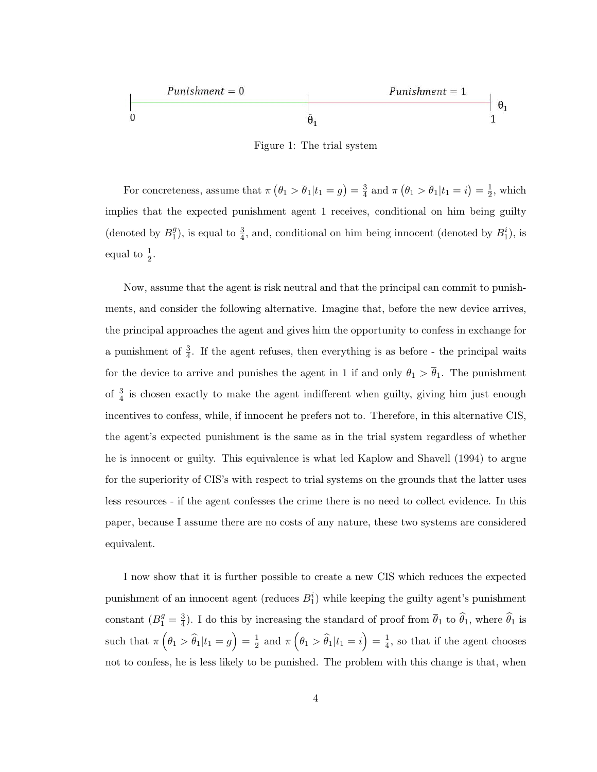

Figure 1: The trial system

For concreteness, assume that  $\pi \left( \theta_1 > \overline{\theta}_1 | t_1 = g \right) = \frac{3}{4}$  $\frac{3}{4}$  and  $\pi\left(\theta_1 > \overline{\theta}_1 | t_1 = i\right) = \frac{1}{2}$  $\frac{1}{2}$ , which implies that the expected punishment agent 1 receives, conditional on him being guilty (denoted by  $B_1^g$ )  $\binom{g}{1}$ , is equal to  $\frac{3}{4}$ , and, conditional on him being innocent (denoted by  $B_1^i$ ), is equal to  $\frac{1}{2}$ .

Now, assume that the agent is risk neutral and that the principal can commit to punishments, and consider the following alternative. Imagine that, before the new device arrives, the principal approaches the agent and gives him the opportunity to confess in exchange for a punishment of  $\frac{3}{4}$ . If the agent refuses, then everything is as before - the principal waits for the device to arrive and punishes the agent in 1 if and only  $\theta_1 > \overline{\theta}_1$ . The punishment of  $\frac{3}{4}$  is chosen exactly to make the agent indifferent when guilty, giving him just enough incentives to confess, while, if innocent he prefers not to. Therefore, in this alternative CIS, the agent's expected punishment is the same as in the trial system regardless of whether he is innocent or guilty. This equivalence is what led Kaplow and Shavell (1994) to argue for the superiority of CIS's with respect to trial systems on the grounds that the latter uses less resources - if the agent confesses the crime there is no need to collect evidence. In this paper, because I assume there are no costs of any nature, these two systems are considered equivalent.

I now show that it is further possible to create a new CIS which reduces the expected punishment of an innocent agent (reduces  $B_1^i$ ) while keeping the guilty agent's punishment constant  $(B_1^g = \frac{3}{4})$  $\frac{3}{4}$ ). I do this by increasing the standard of proof from  $\theta_1$  to  $\theta_1$ , where  $\theta_1$  is such that  $\pi\left(\theta_1 > \hat{\theta}_1 | t_1 = g\right) = \frac{1}{2}$  $\frac{1}{2}$  and  $\pi\left(\theta_1 > \hat{\theta}_1 | t_1 = i\right) = \frac{1}{4}$  $\frac{1}{4}$ , so that if the agent chooses not to confess, he is less likely to be punished. The problem with this change is that, when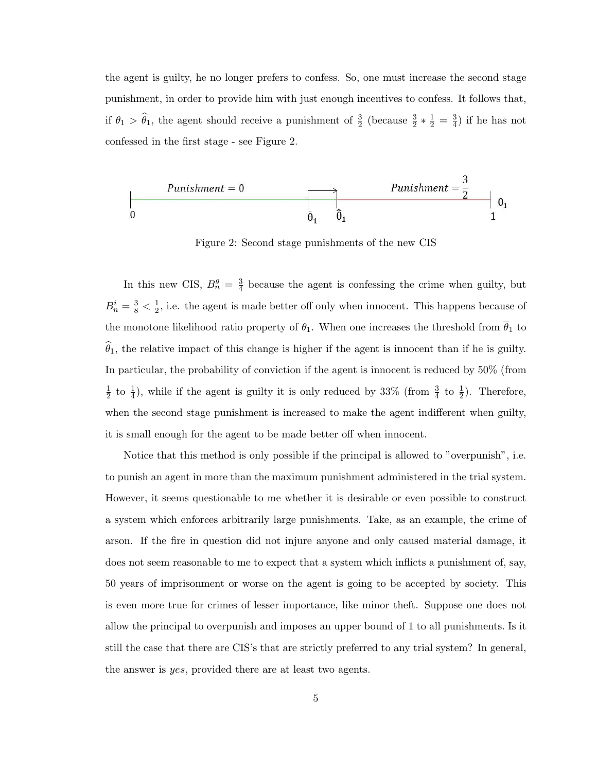the agent is guilty, he no longer prefers to confess. So, one must increase the second stage punishment, in order to provide him with just enough incentives to confess. It follows that, if  $\theta_1 > \hat{\theta}_1$ , the agent should receive a punishment of  $\frac{3}{2}$  (because  $\frac{3}{2} * \frac{1}{2} = \frac{3}{4}$  $\frac{3}{4}$ ) if he has not confessed in the first stage - see Figure 2.



Figure 2: Second stage punishments of the new CIS

In this new CIS,  $B_n^g = \frac{3}{4}$  $\frac{3}{4}$  because the agent is confessing the crime when guilty, but  $B_n^i = \frac{3}{8} < \frac{1}{2}$  $\frac{1}{2}$ , i.e. the agent is made better off only when innocent. This happens because of the monotone likelihood ratio property of  $\theta_1$ . When one increases the threshold from  $\overline{\theta}_1$  to  $\widehat{\theta}_1$ , the relative impact of this change is higher if the agent is innocent than if he is guilty. In particular, the probability of conviction if the agent is innocent is reduced by 50% (from 1  $\frac{1}{2}$  to  $\frac{1}{4}$ ), while if the agent is guilty it is only reduced by 33% (from  $\frac{3}{4}$  to  $\frac{1}{2}$ ). Therefore, when the second stage punishment is increased to make the agent indifferent when guilty, it is small enough for the agent to be made better off when innocent.

Notice that this method is only possible if the principal is allowed to "overpunish", i.e. to punish an agent in more than the maximum punishment administered in the trial system. However, it seems questionable to me whether it is desirable or even possible to construct a system which enforces arbitrarily large punishments. Take, as an example, the crime of arson. If the fire in question did not injure anyone and only caused material damage, it does not seem reasonable to me to expect that a system which inflicts a punishment of, say, 50 years of imprisonment or worse on the agent is going to be accepted by society. This is even more true for crimes of lesser importance, like minor theft. Suppose one does not allow the principal to overpunish and imposes an upper bound of 1 to all punishments. Is it still the case that there are CIS's that are strictly preferred to any trial system? In general, the answer is yes, provided there are at least two agents.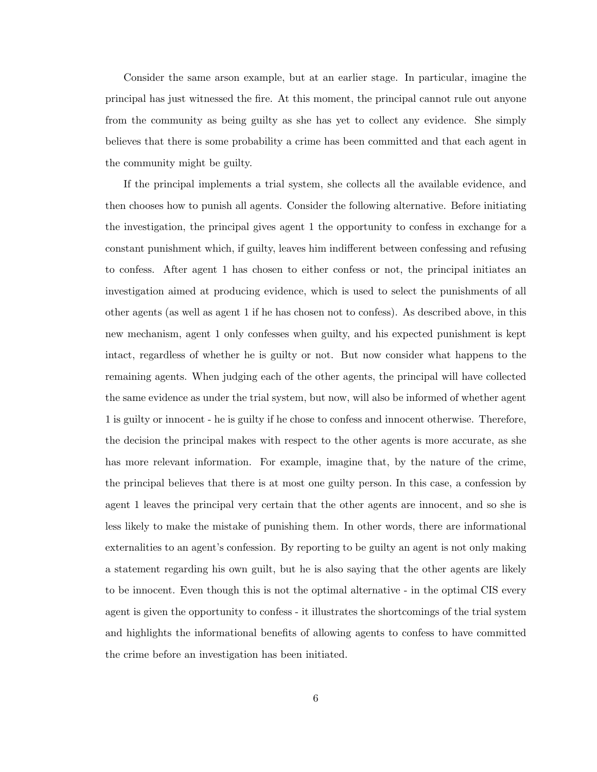Consider the same arson example, but at an earlier stage. In particular, imagine the principal has just witnessed the fire. At this moment, the principal cannot rule out anyone from the community as being guilty as she has yet to collect any evidence. She simply believes that there is some probability a crime has been committed and that each agent in the community might be guilty.

If the principal implements a trial system, she collects all the available evidence, and then chooses how to punish all agents. Consider the following alternative. Before initiating the investigation, the principal gives agent 1 the opportunity to confess in exchange for a constant punishment which, if guilty, leaves him indifferent between confessing and refusing to confess. After agent 1 has chosen to either confess or not, the principal initiates an investigation aimed at producing evidence, which is used to select the punishments of all other agents (as well as agent 1 if he has chosen not to confess). As described above, in this new mechanism, agent 1 only confesses when guilty, and his expected punishment is kept intact, regardless of whether he is guilty or not. But now consider what happens to the remaining agents. When judging each of the other agents, the principal will have collected the same evidence as under the trial system, but now, will also be informed of whether agent 1 is guilty or innocent - he is guilty if he chose to confess and innocent otherwise. Therefore, the decision the principal makes with respect to the other agents is more accurate, as she has more relevant information. For example, imagine that, by the nature of the crime, the principal believes that there is at most one guilty person. In this case, a confession by agent 1 leaves the principal very certain that the other agents are innocent, and so she is less likely to make the mistake of punishing them. In other words, there are informational externalities to an agent's confession. By reporting to be guilty an agent is not only making a statement regarding his own guilt, but he is also saying that the other agents are likely to be innocent. Even though this is not the optimal alternative - in the optimal CIS every agent is given the opportunity to confess - it illustrates the shortcomings of the trial system and highlights the informational benefits of allowing agents to confess to have committed the crime before an investigation has been initiated.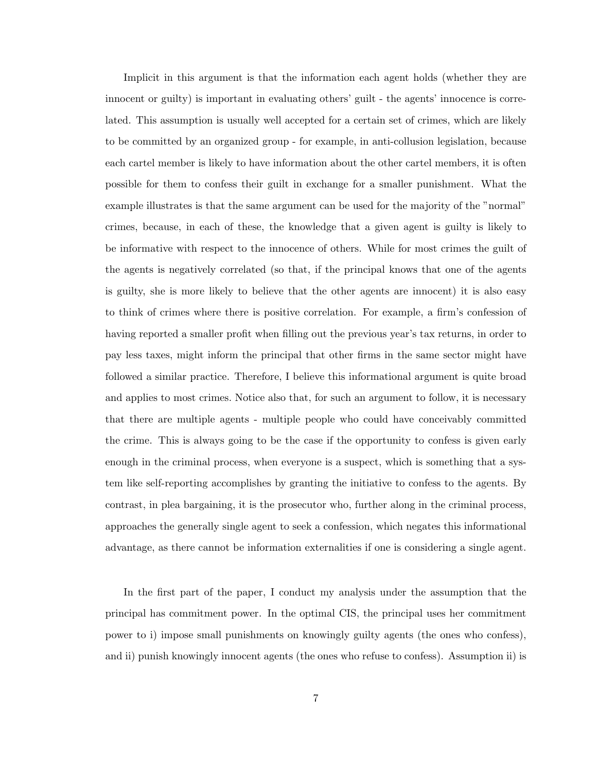Implicit in this argument is that the information each agent holds (whether they are innocent or guilty) is important in evaluating others' guilt - the agents' innocence is correlated. This assumption is usually well accepted for a certain set of crimes, which are likely to be committed by an organized group - for example, in anti-collusion legislation, because each cartel member is likely to have information about the other cartel members, it is often possible for them to confess their guilt in exchange for a smaller punishment. What the example illustrates is that the same argument can be used for the majority of the "normal" crimes, because, in each of these, the knowledge that a given agent is guilty is likely to be informative with respect to the innocence of others. While for most crimes the guilt of the agents is negatively correlated (so that, if the principal knows that one of the agents is guilty, she is more likely to believe that the other agents are innocent) it is also easy to think of crimes where there is positive correlation. For example, a firm's confession of having reported a smaller profit when filling out the previous year's tax returns, in order to pay less taxes, might inform the principal that other firms in the same sector might have followed a similar practice. Therefore, I believe this informational argument is quite broad and applies to most crimes. Notice also that, for such an argument to follow, it is necessary that there are multiple agents - multiple people who could have conceivably committed the crime. This is always going to be the case if the opportunity to confess is given early enough in the criminal process, when everyone is a suspect, which is something that a system like self-reporting accomplishes by granting the initiative to confess to the agents. By contrast, in plea bargaining, it is the prosecutor who, further along in the criminal process, approaches the generally single agent to seek a confession, which negates this informational advantage, as there cannot be information externalities if one is considering a single agent.

In the first part of the paper, I conduct my analysis under the assumption that the principal has commitment power. In the optimal CIS, the principal uses her commitment power to i) impose small punishments on knowingly guilty agents (the ones who confess), and ii) punish knowingly innocent agents (the ones who refuse to confess). Assumption ii) is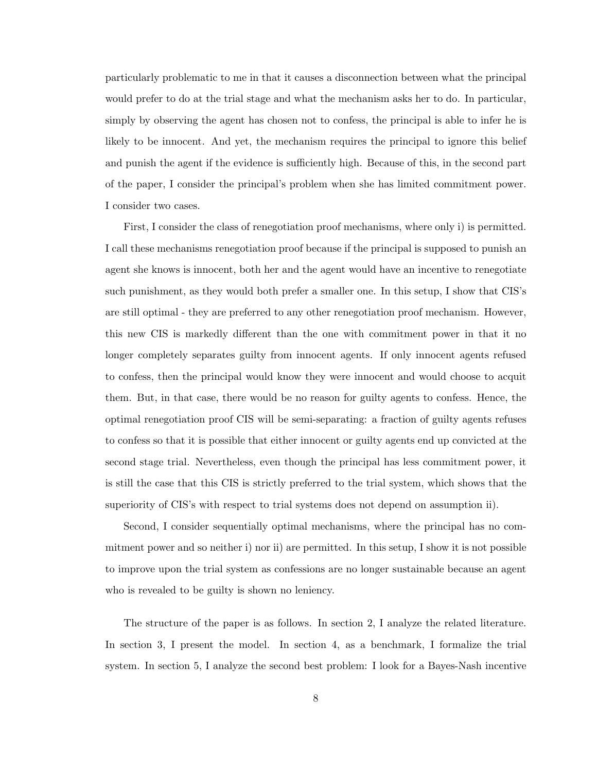particularly problematic to me in that it causes a disconnection between what the principal would prefer to do at the trial stage and what the mechanism asks her to do. In particular, simply by observing the agent has chosen not to confess, the principal is able to infer he is likely to be innocent. And yet, the mechanism requires the principal to ignore this belief and punish the agent if the evidence is sufficiently high. Because of this, in the second part of the paper, I consider the principal's problem when she has limited commitment power. I consider two cases.

First, I consider the class of renegotiation proof mechanisms, where only i) is permitted. I call these mechanisms renegotiation proof because if the principal is supposed to punish an agent she knows is innocent, both her and the agent would have an incentive to renegotiate such punishment, as they would both prefer a smaller one. In this setup, I show that CIS's are still optimal - they are preferred to any other renegotiation proof mechanism. However, this new CIS is markedly different than the one with commitment power in that it no longer completely separates guilty from innocent agents. If only innocent agents refused to confess, then the principal would know they were innocent and would choose to acquit them. But, in that case, there would be no reason for guilty agents to confess. Hence, the optimal renegotiation proof CIS will be semi-separating: a fraction of guilty agents refuses to confess so that it is possible that either innocent or guilty agents end up convicted at the second stage trial. Nevertheless, even though the principal has less commitment power, it is still the case that this CIS is strictly preferred to the trial system, which shows that the superiority of CIS's with respect to trial systems does not depend on assumption ii).

Second, I consider sequentially optimal mechanisms, where the principal has no commitment power and so neither i) nor ii) are permitted. In this setup, I show it is not possible to improve upon the trial system as confessions are no longer sustainable because an agent who is revealed to be guilty is shown no leniency.

The structure of the paper is as follows. In section 2, I analyze the related literature. In section 3, I present the model. In section 4, as a benchmark, I formalize the trial system. In section 5, I analyze the second best problem: I look for a Bayes-Nash incentive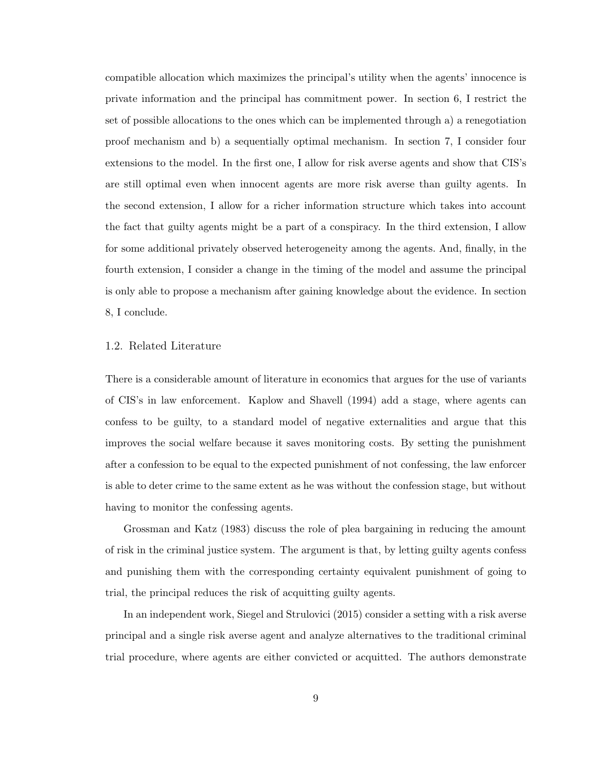compatible allocation which maximizes the principal's utility when the agents' innocence is private information and the principal has commitment power. In section 6, I restrict the set of possible allocations to the ones which can be implemented through a) a renegotiation proof mechanism and b) a sequentially optimal mechanism. In section 7, I consider four extensions to the model. In the first one, I allow for risk averse agents and show that CIS's are still optimal even when innocent agents are more risk averse than guilty agents. In the second extension, I allow for a richer information structure which takes into account the fact that guilty agents might be a part of a conspiracy. In the third extension, I allow for some additional privately observed heterogeneity among the agents. And, finally, in the fourth extension, I consider a change in the timing of the model and assume the principal is only able to propose a mechanism after gaining knowledge about the evidence. In section 8, I conclude.

### 1.2. Related Literature

There is a considerable amount of literature in economics that argues for the use of variants of CIS's in law enforcement. Kaplow and Shavell (1994) add a stage, where agents can confess to be guilty, to a standard model of negative externalities and argue that this improves the social welfare because it saves monitoring costs. By setting the punishment after a confession to be equal to the expected punishment of not confessing, the law enforcer is able to deter crime to the same extent as he was without the confession stage, but without having to monitor the confessing agents.

Grossman and Katz (1983) discuss the role of plea bargaining in reducing the amount of risk in the criminal justice system. The argument is that, by letting guilty agents confess and punishing them with the corresponding certainty equivalent punishment of going to trial, the principal reduces the risk of acquitting guilty agents.

In an independent work, Siegel and Strulovici (2015) consider a setting with a risk averse principal and a single risk averse agent and analyze alternatives to the traditional criminal trial procedure, where agents are either convicted or acquitted. The authors demonstrate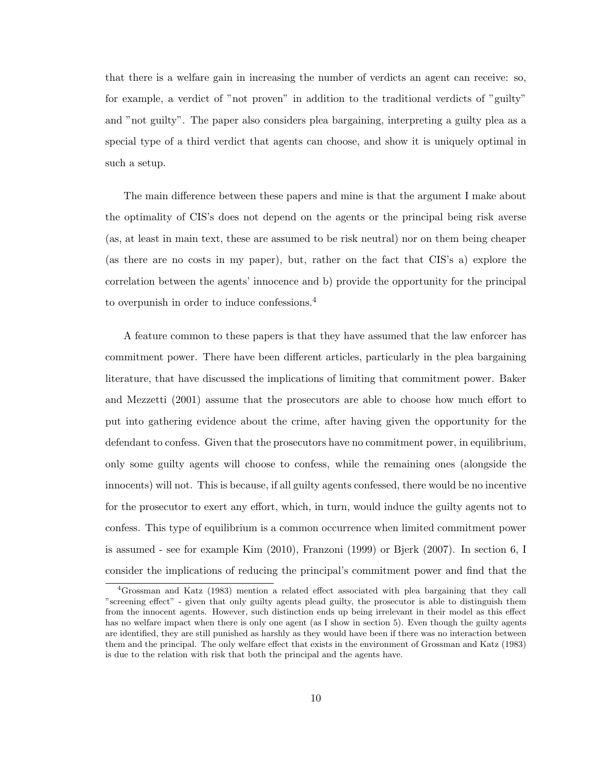that there is a welfare gain in increasing the number of verdicts an agent can receive: so, for example, a verdict of "not proven" in addition to the traditional verdicts of "guilty" and "not guilty". The paper also considers plea bargaining, interpreting a guilty plea as a special type of a third verdict that agents can choose, and show it is uniquely optimal in such a setup.

The main difference between these papers and mine is that the argument I make about the optimality of CIS's does not depend on the agents or the principal being risk averse (as, at least in main text, these are assumed to be risk neutral) nor on them being cheaper (as there are no costs in my paper), but, rather on the fact that CIS's a) explore the correlation between the agents' innocence and b) provide the opportunity for the principal to overpunish in order to induce confessions.<sup>4</sup>

A feature common to these papers is that they have assumed that the law enforcer has commitment power. There have been different articles, particularly in the plea bargaining literature, that have discussed the implications of limiting that commitment power. Baker and Mezzetti (2001) assume that the prosecutors are able to choose how much effort to put into gathering evidence about the crime, after having given the opportunity for the defendant to confess. Given that the prosecutors have no commitment power, in equilibrium, only some guilty agents will choose to confess, while the remaining ones (alongside the innocents) will not. This is because, if all guilty agents confessed, there would be no incentive for the prosecutor to exert any effort, which, in turn, would induce the guilty agents not to confess. This type of equilibrium is a common occurrence when limited commitment power is assumed - see for example Kim (2010), Franzoni (1999) or Bjerk (2007). In section 6, I consider the implications of reducing the principal's commitment power and find that the

<sup>4</sup>Grossman and Katz (1983) mention a related effect associated with plea bargaining that they call "screening effect" - given that only guilty agents plead guilty, the prosecutor is able to distinguish them from the innocent agents. However, such distinction ends up being irrelevant in their model as this effect has no welfare impact when there is only one agent (as I show in section 5). Even though the guilty agents are identified, they are still punished as harshly as they would have been if there was no interaction between them and the principal. The only welfare effect that exists in the environment of Grossman and Katz (1983) is due to the relation with risk that both the principal and the agents have.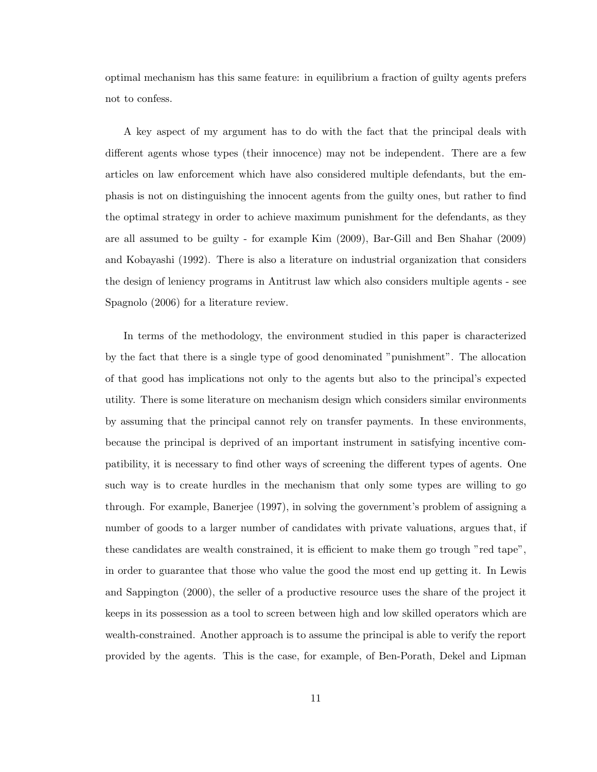optimal mechanism has this same feature: in equilibrium a fraction of guilty agents prefers not to confess.

A key aspect of my argument has to do with the fact that the principal deals with different agents whose types (their innocence) may not be independent. There are a few articles on law enforcement which have also considered multiple defendants, but the emphasis is not on distinguishing the innocent agents from the guilty ones, but rather to find the optimal strategy in order to achieve maximum punishment for the defendants, as they are all assumed to be guilty - for example Kim (2009), Bar-Gill and Ben Shahar (2009) and Kobayashi (1992). There is also a literature on industrial organization that considers the design of leniency programs in Antitrust law which also considers multiple agents - see Spagnolo (2006) for a literature review.

In terms of the methodology, the environment studied in this paper is characterized by the fact that there is a single type of good denominated "punishment". The allocation of that good has implications not only to the agents but also to the principal's expected utility. There is some literature on mechanism design which considers similar environments by assuming that the principal cannot rely on transfer payments. In these environments, because the principal is deprived of an important instrument in satisfying incentive compatibility, it is necessary to find other ways of screening the different types of agents. One such way is to create hurdles in the mechanism that only some types are willing to go through. For example, Banerjee (1997), in solving the government's problem of assigning a number of goods to a larger number of candidates with private valuations, argues that, if these candidates are wealth constrained, it is efficient to make them go trough "red tape", in order to guarantee that those who value the good the most end up getting it. In Lewis and Sappington (2000), the seller of a productive resource uses the share of the project it keeps in its possession as a tool to screen between high and low skilled operators which are wealth-constrained. Another approach is to assume the principal is able to verify the report provided by the agents. This is the case, for example, of Ben-Porath, Dekel and Lipman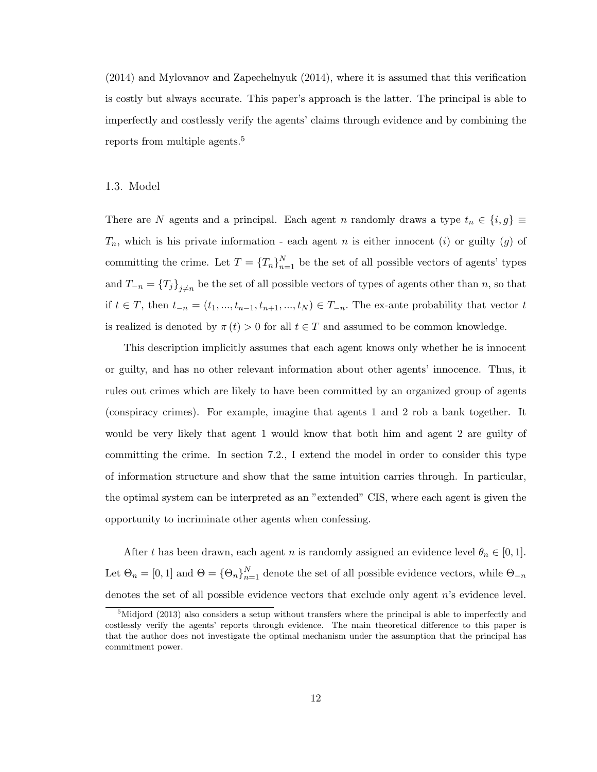(2014) and Mylovanov and Zapechelnyuk (2014), where it is assumed that this verification is costly but always accurate. This paper's approach is the latter. The principal is able to imperfectly and costlessly verify the agents' claims through evidence and by combining the reports from multiple agents.<sup>5</sup>

### 1.3. Model

There are N agents and a principal. Each agent n randomly draws a type  $t_n \in \{i, g\} \equiv$  $T_n$ , which is his private information - each agent n is either innocent (i) or guilty (g) of committing the crime. Let  $T = \{T_n\}_{n=1}^N$  be the set of all possible vectors of agents' types and  $T_{-n} = {T_j}_{j \neq n}$  be the set of all possible vectors of types of agents other than n, so that if  $t \in T$ , then  $t_{-n} = (t_1, ..., t_{n-1}, t_{n+1}, ..., t_N) \in T_{-n}$ . The ex-ante probability that vector t is realized is denoted by  $\pi(t) > 0$  for all  $t \in T$  and assumed to be common knowledge.

This description implicitly assumes that each agent knows only whether he is innocent or guilty, and has no other relevant information about other agents' innocence. Thus, it rules out crimes which are likely to have been committed by an organized group of agents (conspiracy crimes). For example, imagine that agents 1 and 2 rob a bank together. It would be very likely that agent 1 would know that both him and agent 2 are guilty of committing the crime. In section 7.2., I extend the model in order to consider this type of information structure and show that the same intuition carries through. In particular, the optimal system can be interpreted as an "extended" CIS, where each agent is given the opportunity to incriminate other agents when confessing.

After t has been drawn, each agent n is randomly assigned an evidence level  $\theta_n \in [0,1]$ . Let  $\Theta_n = [0,1]$  and  $\Theta = {\Theta_n}_{n=1}^N$  denote the set of all possible evidence vectors, while  $\Theta_{-n}$ denotes the set of all possible evidence vectors that exclude only agent n's evidence level.

<sup>&</sup>lt;sup>5</sup>Midjord (2013) also considers a setup without transfers where the principal is able to imperfectly and costlessly verify the agents' reports through evidence. The main theoretical difference to this paper is that the author does not investigate the optimal mechanism under the assumption that the principal has commitment power.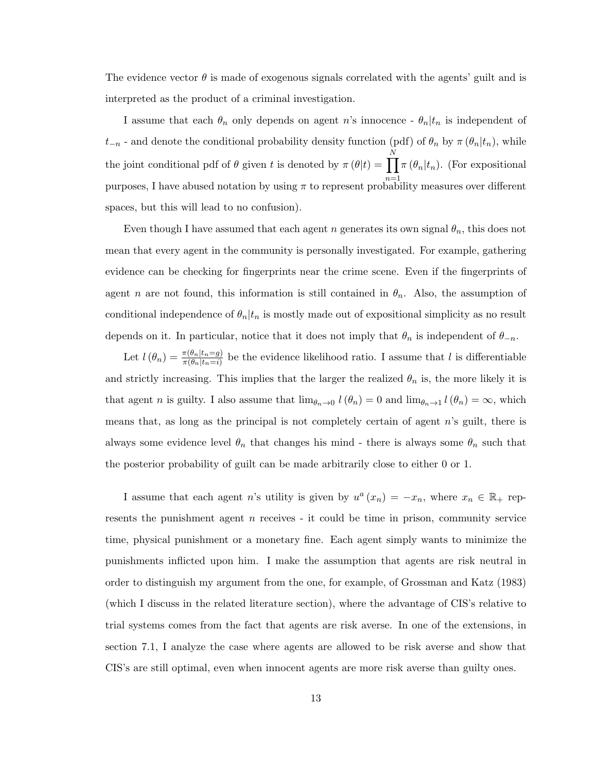The evidence vector  $\theta$  is made of exogenous signals correlated with the agents' guilt and is interpreted as the product of a criminal investigation.

I assume that each  $\theta_n$  only depends on agent n's innocence -  $\theta_n | t_n$  is independent of  $t_{-n}$  - and denote the conditional probability density function (pdf) of  $\theta_n$  by  $\pi(\theta_n|t_n)$ , while the joint conditional pdf of  $\theta$  given t is denoted by  $\pi(\theta|t) = \prod$ N  $n=1$  $\pi(\theta_n|t_n)$ . (For expositional purposes, I have abused notation by using  $\pi$  to represent probability measures over different spaces, but this will lead to no confusion).

Even though I have assumed that each agent n generates its own signal  $\theta_n$ , this does not mean that every agent in the community is personally investigated. For example, gathering evidence can be checking for fingerprints near the crime scene. Even if the fingerprints of agent n are not found, this information is still contained in  $\theta_n$ . Also, the assumption of conditional independence of  $\theta_n|t_n$  is mostly made out of expositional simplicity as no result depends on it. In particular, notice that it does not imply that  $\theta_n$  is independent of  $\theta_{-n}$ .

Let  $l(\theta_n) = \frac{\pi(\theta_n|t_n=j)}{\pi(\theta_n|t_n=i)}$  be the evidence likelihood ratio. I assume that l is differentiable and strictly increasing. This implies that the larger the realized  $\theta_n$  is, the more likely it is that agent *n* is guilty. I also assume that  $\lim_{\theta_n\to 0} l(\theta_n) = 0$  and  $\lim_{\theta_n\to 1} l(\theta_n) = \infty$ , which means that, as long as the principal is not completely certain of agent n's guilt, there is always some evidence level  $\theta_n$  that changes his mind - there is always some  $\theta_n$  such that the posterior probability of guilt can be made arbitrarily close to either 0 or 1.

I assume that each agent n's utility is given by  $u^a(x_n) = -x_n$ , where  $x_n \in \mathbb{R}_+$  represents the punishment agent n receives - it could be time in prison, community service time, physical punishment or a monetary fine. Each agent simply wants to minimize the punishments inflicted upon him. I make the assumption that agents are risk neutral in order to distinguish my argument from the one, for example, of Grossman and Katz (1983) (which I discuss in the related literature section), where the advantage of CIS's relative to trial systems comes from the fact that agents are risk averse. In one of the extensions, in section 7.1, I analyze the case where agents are allowed to be risk averse and show that CIS's are still optimal, even when innocent agents are more risk averse than guilty ones.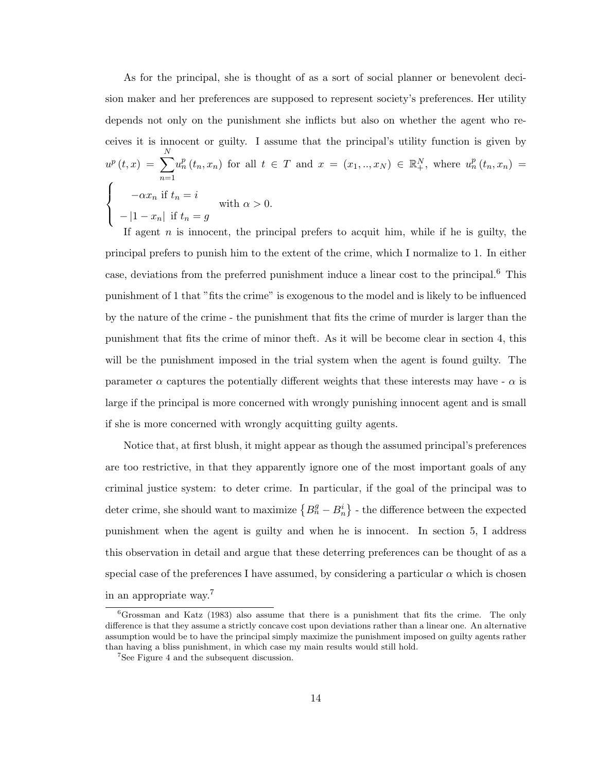As for the principal, she is thought of as a sort of social planner or benevolent decision maker and her preferences are supposed to represent society's preferences. Her utility depends not only on the punishment she inflicts but also on whether the agent who receives it is innocent or guilty. I assume that the principal's utility function is given by  $u^p(t,x) = \sum$ N  $n=1$  $u_n^p(t_n, x_n)$  for all  $t \in T$  and  $x = (x_1, ..., x_N) \in \mathbb{R}^N_+$ , where  $u_n^p(t_n, x_n) =$  $\sqrt{ }$  $\int$  $\overline{\mathcal{L}}$  $-\alpha x_n$  if  $t_n = i$  $- |1 - x_n|$  if  $t_n = g$ with  $\alpha > 0$ .

if an is guilty, the principal prefers to acquit him, while if he is guilty, the principal prefers to punish him to the extent of the crime, which I normalize to 1. In either case, deviations from the preferred punishment induce a linear cost to the principal.<sup>6</sup> This punishment of 1 that "fits the crime" is exogenous to the model and is likely to be influenced by the nature of the crime - the punishment that fits the crime of murder is larger than the punishment that fits the crime of minor theft. As it will be become clear in section 4, this will be the punishment imposed in the trial system when the agent is found guilty. The parameter  $\alpha$  captures the potentially different weights that these interests may have -  $\alpha$  is large if the principal is more concerned with wrongly punishing innocent agent and is small if she is more concerned with wrongly acquitting guilty agents.

Notice that, at first blush, it might appear as though the assumed principal's preferences are too restrictive, in that they apparently ignore one of the most important goals of any criminal justice system: to deter crime. In particular, if the goal of the principal was to deter crime, she should want to maximize  $\{B_n^g - B_n^i\}$  - the difference between the expected punishment when the agent is guilty and when he is innocent. In section 5, I address this observation in detail and argue that these deterring preferences can be thought of as a special case of the preferences I have assumed, by considering a particular  $\alpha$  which is chosen in an appropriate way.<sup>7</sup>

<sup>6</sup>Grossman and Katz (1983) also assume that there is a punishment that fits the crime. The only difference is that they assume a strictly concave cost upon deviations rather than a linear one. An alternative assumption would be to have the principal simply maximize the punishment imposed on guilty agents rather than having a bliss punishment, in which case my main results would still hold.

<sup>7</sup>See Figure 4 and the subsequent discussion.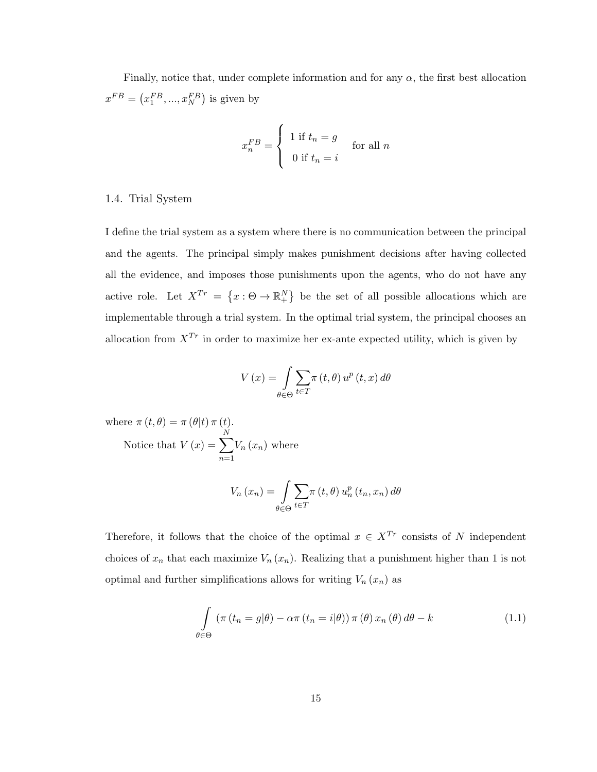Finally, notice that, under complete information and for any  $\alpha$ , the first best allocation  $x^{FB} = (x_1^{FB}, ..., x_N^{FB})$  is given by

$$
x_n^{FB} = \begin{cases} 1 \text{ if } t_n = g \\ 0 \text{ if } t_n = i \end{cases} \text{ for all } n
$$

### 1.4. Trial System

I define the trial system as a system where there is no communication between the principal and the agents. The principal simply makes punishment decisions after having collected all the evidence, and imposes those punishments upon the agents, who do not have any active role. Let  $X^{Tr} = \{x : \Theta \to \mathbb{R}^N_+\}$  be the set of all possible allocations which are implementable through a trial system. In the optimal trial system, the principal chooses an allocation from  $X^{Tr}$  in order to maximize her ex-ante expected utility, which is given by

$$
V(x) = \int_{\theta \in \Theta} \sum_{t \in T} \pi(t, \theta) u^{p}(t, x) d\theta
$$

where  $\pi(t, \theta) = \pi(\theta | t) \pi(t)$ . Notice that  $V(x) = \sum$ N  $n=1$  $V_n(x_n)$  where

$$
V_n(x_n) = \int\limits_{\theta \in \Theta} \sum_{t \in T} \pi(t, \theta) u_n^p(t_n, x_n) d\theta
$$

Therefore, it follows that the choice of the optimal  $x \in X^{Tr}$  consists of N independent choices of  $x_n$  that each maximize  $V_n(x_n)$ . Realizing that a punishment higher than 1 is not optimal and further simplifications allows for writing  $V_n(x_n)$  as

$$
\int_{\theta \in \Theta} \left( \pi \left( t_n = g | \theta \right) - \alpha \pi \left( t_n = i | \theta \right) \right) \pi \left( \theta \right) x_n \left( \theta \right) d\theta - k \tag{1.1}
$$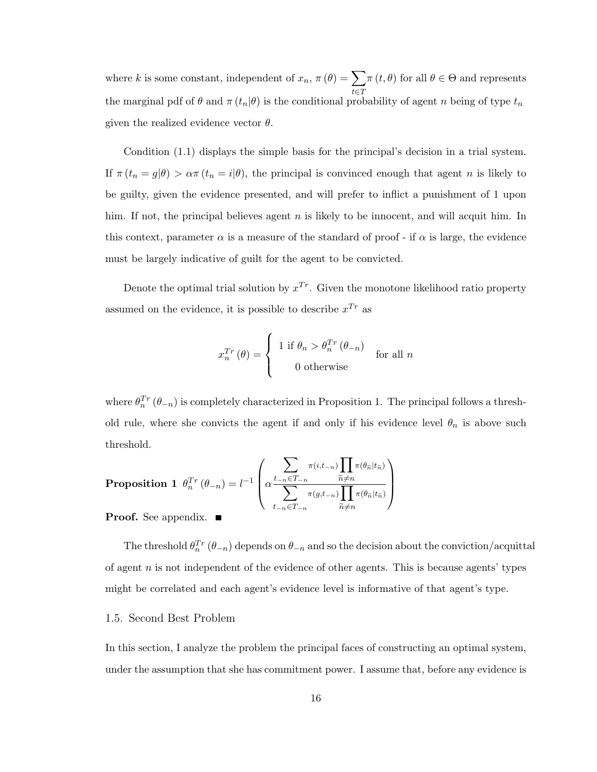where k is some constant, independent of  $x_n$ ,  $\pi(\theta) = \sum$ t∈T  $\pi(t, \theta)$  for all  $\theta \in \Theta$  and represents the marginal pdf of  $\theta$  and  $\pi(t_n|\theta)$  is the conditional probability of agent n being of type  $t_n$ given the realized evidence vector  $\theta$ .

Condition (1.1) displays the simple basis for the principal's decision in a trial system. If  $\pi(t_n = g|\theta) > \alpha \pi(t_n = i|\theta)$ , the principal is convinced enough that agent n is likely to be guilty, given the evidence presented, and will prefer to inflict a punishment of 1 upon him. If not, the principal believes agent  $n$  is likely to be innocent, and will acquit him. In this context, parameter  $\alpha$  is a measure of the standard of proof - if  $\alpha$  is large, the evidence must be largely indicative of guilt for the agent to be convicted.

Denote the optimal trial solution by  $x^{Tr}$ . Given the monotone likelihood ratio property assumed on the evidence, it is possible to describe  $x^{Tr}$  as

$$
x_n^{Tr}(\theta) = \begin{cases} 1 & \text{if } \theta_n > \theta_n^{Tr}(\theta_{-n}) \\ 0 & \text{otherwise} \end{cases}
$$
 for all  $n$ 

where  $\theta_n^{Tr}(\theta_{-n})$  is completely characterized in Proposition 1. The principal follows a threshold rule, where she convicts the agent if and only if his evidence level  $\theta_n$  is above such threshold.

**Proposition 1** 
$$
\theta_n^{Tr}(\theta_{-n}) = l^{-1} \left( \alpha \frac{\sum_{t=n \in T_{-n}} \pi(i, t_{-n}) \prod_{\widetilde{n} \neq n} \pi(\theta_{\widetilde{n}} | t_{\widetilde{n}})}{\sum_{t=n \in T_{-n}} \pi(g, t_{-n}) \prod_{\widetilde{n} \neq n} \pi(\theta_{\widetilde{n}} | t_{\widetilde{n}})} \right)
$$

**Proof.** See appendix. **I** 

The threshold  $\theta_n^{Tr}(\theta_{-n})$  depends on  $\theta_{-n}$  and so the decision about the conviction/acquittal of agent  $n$  is not independent of the evidence of other agents. This is because agents' types might be correlated and each agent's evidence level is informative of that agent's type.

### 1.5. Second Best Problem

In this section, I analyze the problem the principal faces of constructing an optimal system, under the assumption that she has commitment power. I assume that, before any evidence is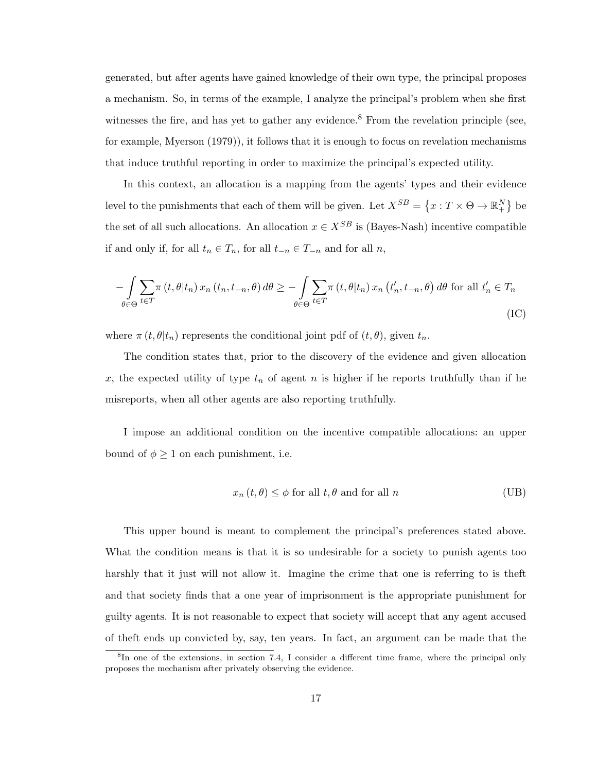generated, but after agents have gained knowledge of their own type, the principal proposes a mechanism. So, in terms of the example, I analyze the principal's problem when she first witnesses the fire, and has yet to gather any evidence.<sup>8</sup> From the revelation principle (see. for example, Myerson (1979)), it follows that it is enough to focus on revelation mechanisms that induce truthful reporting in order to maximize the principal's expected utility.

In this context, an allocation is a mapping from the agents' types and their evidence level to the punishments that each of them will be given. Let  $X^{SB} = \left\{ x : T \times \Theta \to \mathbb{R}^N_+ \right\}$  be the set of all such allocations. An allocation  $x \in X^{SB}$  is (Bayes-Nash) incentive compatible if and only if, for all  $t_n \in T_n$ , for all  $t_{-n} \in T_{-n}$  and for all n,

$$
-\int_{\theta \in \Theta} \sum_{t \in T} \pi(t, \theta | t_n) x_n(t_n, t_{-n}, \theta) d\theta \ge -\int_{\theta \in \Theta} \sum_{t \in T} \pi(t, \theta | t_n) x_n(t'_n, t_{-n}, \theta) d\theta \text{ for all } t'_n \in T_n
$$
\n(IC)

where  $\pi(t, \theta | t_n)$  represents the conditional joint pdf of  $(t, \theta)$ , given  $t_n$ .

The condition states that, prior to the discovery of the evidence and given allocation x, the expected utility of type  $t_n$  of agent n is higher if he reports truthfully than if he misreports, when all other agents are also reporting truthfully.

I impose an additional condition on the incentive compatible allocations: an upper bound of  $\phi \geq 1$  on each punishment, i.e.

$$
x_n(t, \theta) \le \phi \text{ for all } t, \theta \text{ and for all } n \tag{UB}
$$

This upper bound is meant to complement the principal's preferences stated above. What the condition means is that it is so undesirable for a society to punish agents too harshly that it just will not allow it. Imagine the crime that one is referring to is theft and that society finds that a one year of imprisonment is the appropriate punishment for guilty agents. It is not reasonable to expect that society will accept that any agent accused of theft ends up convicted by, say, ten years. In fact, an argument can be made that the

<sup>8</sup> In one of the extensions, in section 7.4, I consider a different time frame, where the principal only proposes the mechanism after privately observing the evidence.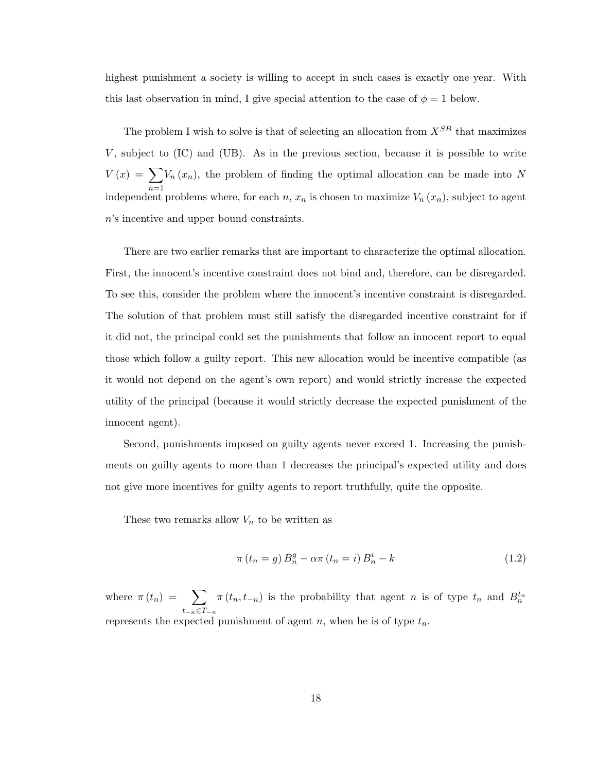highest punishment a society is willing to accept in such cases is exactly one year. With this last observation in mind, I give special attention to the case of  $\phi = 1$  below.

The problem I wish to solve is that of selecting an allocation from  $X^{SB}$  that maximizes V, subject to  $(IC)$  and  $(UB)$ . As in the previous section, because it is possible to write  $V(x) = \sum$  $n=1$  $V_n(x_n)$ , the problem of finding the optimal allocation can be made into N independent problems where, for each n,  $x_n$  is chosen to maximize  $V_n(x_n)$ , subject to agent n's incentive and upper bound constraints.

There are two earlier remarks that are important to characterize the optimal allocation. First, the innocent's incentive constraint does not bind and, therefore, can be disregarded. To see this, consider the problem where the innocent's incentive constraint is disregarded. The solution of that problem must still satisfy the disregarded incentive constraint for if it did not, the principal could set the punishments that follow an innocent report to equal those which follow a guilty report. This new allocation would be incentive compatible (as it would not depend on the agent's own report) and would strictly increase the expected utility of the principal (because it would strictly decrease the expected punishment of the innocent agent).

Second, punishments imposed on guilty agents never exceed 1. Increasing the punishments on guilty agents to more than 1 decreases the principal's expected utility and does not give more incentives for guilty agents to report truthfully, quite the opposite.

These two remarks allow  $V_n$  to be written as

$$
\pi(t_n = g) B_n^g - \alpha \pi(t_n = i) B_n^i - k \tag{1.2}
$$

where  $\pi(t_n) = \sum$  $t_{-n} \in T_{-n}$  $\pi(t_n, t_{-n})$  is the probability that agent n is of type  $t_n$  and  $B_n^{t_n}$ represents the expected punishment of agent  $n$ , when he is of type  $t_n$ .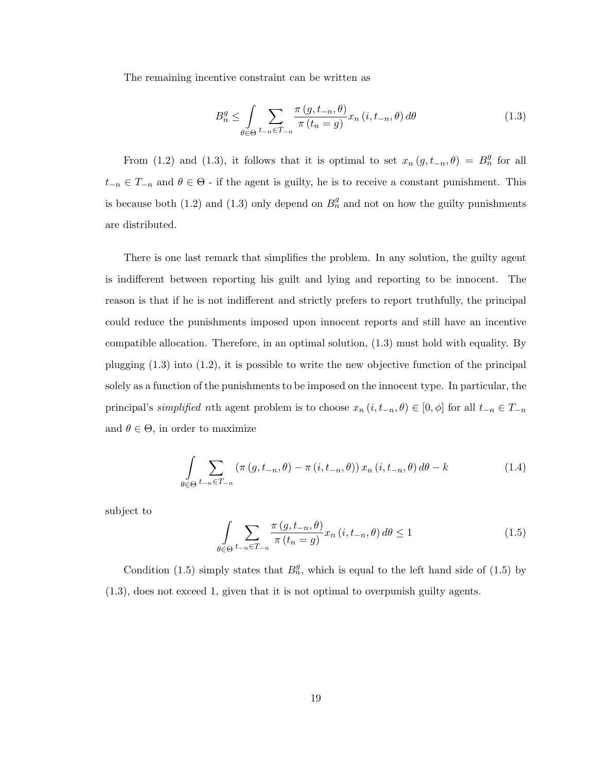The remaining incentive constraint can be written as

$$
B_n^g \le \int_{\theta \in \Theta} \sum_{t-n \in T_{-n}} \frac{\pi (g, t_{-n}, \theta)}{\pi (t_n = g)} x_n (i, t_{-n}, \theta) d\theta \qquad (1.3)
$$

From (1.2) and (1.3), it follows that it is optimal to set  $x_n(g, t_{-n}, \theta) = B_n^g$  for all  $t_{-n}$  ∈  $T_{-n}$  and  $\theta \in \Theta$  - if the agent is guilty, he is to receive a constant punishment. This is because both (1.2) and (1.3) only depend on  $B_n^g$  and not on how the guilty punishments are distributed.

There is one last remark that simplifies the problem. In any solution, the guilty agent is indifferent between reporting his guilt and lying and reporting to be innocent. The reason is that if he is not indifferent and strictly prefers to report truthfully, the principal could reduce the punishments imposed upon innocent reports and still have an incentive compatible allocation. Therefore, in an optimal solution, (1.3) must hold with equality. By plugging  $(1.3)$  into  $(1.2)$ , it is possible to write the new objective function of the principal solely as a function of the punishments to be imposed on the innocent type. In particular, the principal's *simplified nth* agent problem is to choose  $x_n$   $(i, t_{-n}, \theta) \in [0, \phi]$  for all  $t_{-n} \in T_{-n}$ and  $\theta \in \Theta$ , in order to maximize

$$
\int_{\theta \in \Theta} \sum_{t=n \in T_{-n}} \left( \pi \left( g, t_{-n}, \theta \right) - \pi \left( i, t_{-n}, \theta \right) \right) x_n \left( i, t_{-n}, \theta \right) d\theta - k \tag{1.4}
$$

subject to

$$
\int_{\theta \in \Theta} \sum_{t-n \in T_{-n}} \frac{\pi (g, t_{-n}, \theta)}{\pi (t_n = g)} x_n (i, t_{-n}, \theta) d\theta \le 1
$$
\n(1.5)

Condition (1.5) simply states that  $B_n^g$ , which is equal to the left hand side of (1.5) by (1.3), does not exceed 1, given that it is not optimal to overpunish guilty agents.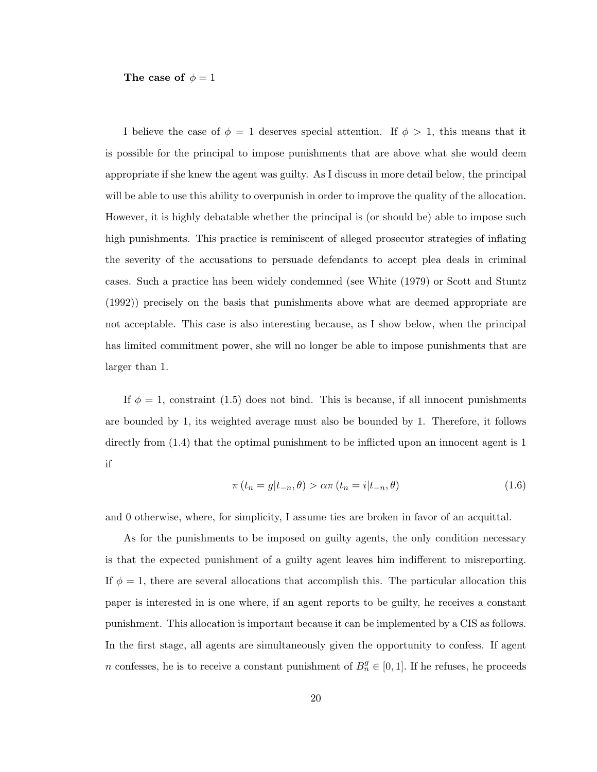#### The case of  $\phi = 1$

I believe the case of  $\phi = 1$  deserves special attention. If  $\phi > 1$ , this means that it is possible for the principal to impose punishments that are above what she would deem appropriate if she knew the agent was guilty. As I discuss in more detail below, the principal will be able to use this ability to overpunish in order to improve the quality of the allocation. However, it is highly debatable whether the principal is (or should be) able to impose such high punishments. This practice is reminiscent of alleged prosecutor strategies of inflating the severity of the accusations to persuade defendants to accept plea deals in criminal cases. Such a practice has been widely condemned (see White (1979) or Scott and Stuntz (1992)) precisely on the basis that punishments above what are deemed appropriate are not acceptable. This case is also interesting because, as I show below, when the principal has limited commitment power, she will no longer be able to impose punishments that are larger than 1.

If  $\phi = 1$ , constraint (1.5) does not bind. This is because, if all innocent punishments are bounded by 1, its weighted average must also be bounded by 1. Therefore, it follows directly from  $(1.4)$  that the optimal punishment to be inflicted upon an innocent agent is 1 if

$$
\pi(t_n = g|t_{-n}, \theta) > \alpha \pi(t_n = i|t_{-n}, \theta)
$$
\n(1.6)

and 0 otherwise, where, for simplicity, I assume ties are broken in favor of an acquittal.

As for the punishments to be imposed on guilty agents, the only condition necessary is that the expected punishment of a guilty agent leaves him indifferent to misreporting. If  $\phi = 1$ , there are several allocations that accomplish this. The particular allocation this paper is interested in is one where, if an agent reports to be guilty, he receives a constant punishment. This allocation is important because it can be implemented by a CIS as follows. In the first stage, all agents are simultaneously given the opportunity to confess. If agent *n* confesses, he is to receive a constant punishment of  $B_n^g \in [0,1]$ . If he refuses, he proceeds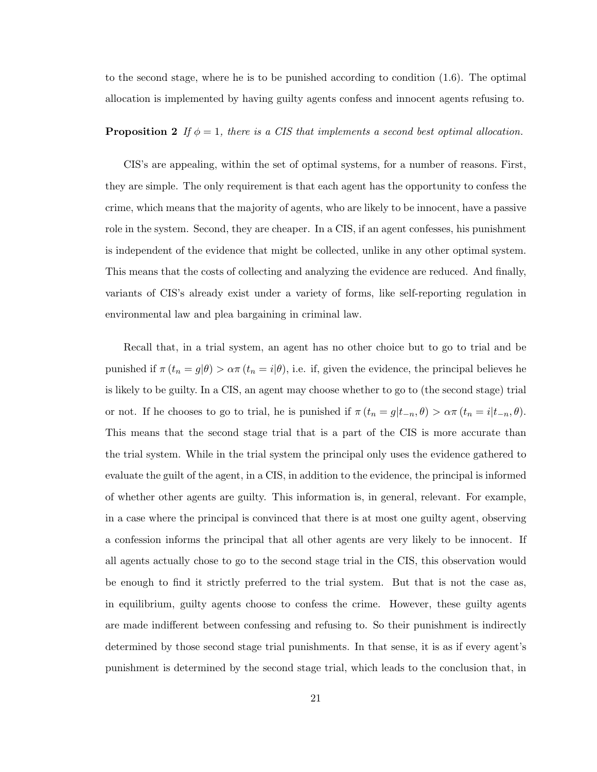to the second stage, where he is to be punished according to condition (1.6). The optimal allocation is implemented by having guilty agents confess and innocent agents refusing to.

## **Proposition 2** If  $\phi = 1$ , there is a CIS that implements a second best optimal allocation.

CIS's are appealing, within the set of optimal systems, for a number of reasons. First, they are simple. The only requirement is that each agent has the opportunity to confess the crime, which means that the majority of agents, who are likely to be innocent, have a passive role in the system. Second, they are cheaper. In a CIS, if an agent confesses, his punishment is independent of the evidence that might be collected, unlike in any other optimal system. This means that the costs of collecting and analyzing the evidence are reduced. And finally, variants of CIS's already exist under a variety of forms, like self-reporting regulation in environmental law and plea bargaining in criminal law.

Recall that, in a trial system, an agent has no other choice but to go to trial and be punished if  $\pi(t_n = g|\theta) > \alpha \pi(t_n = i|\theta)$ , i.e. if, given the evidence, the principal believes he is likely to be guilty. In a CIS, an agent may choose whether to go to (the second stage) trial or not. If he chooses to go to trial, he is punished if  $\pi(t_n = g|t_{-n}, \theta) > \alpha \pi(t_n = i|t_{-n}, \theta)$ . This means that the second stage trial that is a part of the CIS is more accurate than the trial system. While in the trial system the principal only uses the evidence gathered to evaluate the guilt of the agent, in a CIS, in addition to the evidence, the principal is informed of whether other agents are guilty. This information is, in general, relevant. For example, in a case where the principal is convinced that there is at most one guilty agent, observing a confession informs the principal that all other agents are very likely to be innocent. If all agents actually chose to go to the second stage trial in the CIS, this observation would be enough to find it strictly preferred to the trial system. But that is not the case as, in equilibrium, guilty agents choose to confess the crime. However, these guilty agents are made indifferent between confessing and refusing to. So their punishment is indirectly determined by those second stage trial punishments. In that sense, it is as if every agent's punishment is determined by the second stage trial, which leads to the conclusion that, in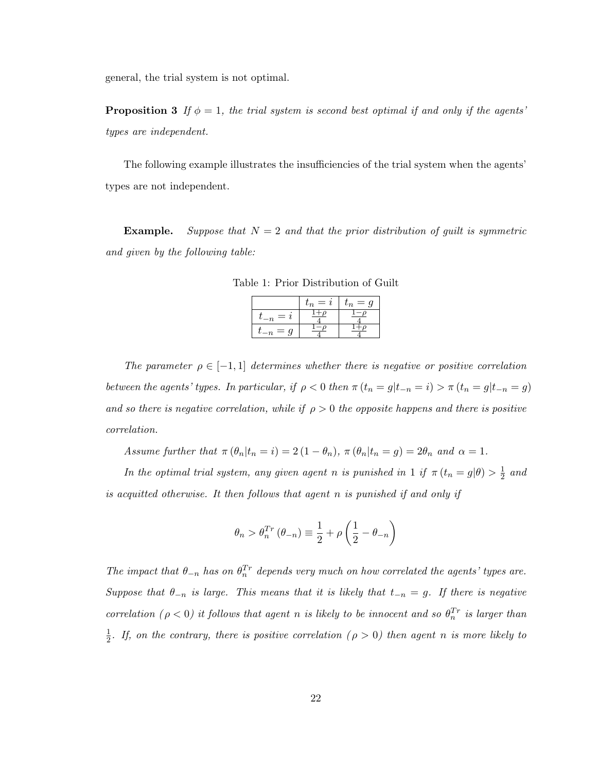general, the trial system is not optimal.

**Proposition 3** If  $\phi = 1$ , the trial system is second best optimal if and only if the agents' types are independent.

The following example illustrates the insufficiencies of the trial system when the agents' types are not independent.

**Example.** Suppose that  $N = 2$  and that the prior distribution of guilt is symmetric and given by the following table:

Table 1: Prior Distribution of Guilt

|              | $t_n = i$ | $=$ $\theta$ |
|--------------|-----------|--------------|
| $=$ .        |           |              |
| $=$ $\prime$ |           |              |

The parameter  $\rho \in [-1,1]$  determines whether there is negative or positive correlation between the agents' types. In particular, if  $\rho < 0$  then  $\pi(t_n = g|t_{-n} = i) > \pi(t_n = g|t_{-n} = g)$ and so there is negative correlation, while if  $\rho > 0$  the opposite happens and there is positive correlation.

Assume further that  $\pi(\theta_n|t_n=i) = 2(1-\theta_n)$ ,  $\pi(\theta_n|t_n=g) = 2\theta_n$  and  $\alpha=1$ .

In the optimal trial system, any given agent n is punished in 1 if  $\pi(t_n = g | \theta) > \frac{1}{2}$  $rac{1}{2}$  and is acquitted otherwise. It then follows that agent n is punished if and only if

$$
\theta_n > \theta_n^{Tr} (\theta_{-n}) \equiv \frac{1}{2} + \rho \left( \frac{1}{2} - \theta_{-n} \right)
$$

The impact that  $\theta_{-n}$  has on  $\theta_n^{Tr}$  depends very much on how correlated the agents' types are. Suppose that  $\theta_{-n}$  is large. This means that it is likely that  $t_{-n} = g$ . If there is negative correlation ( $\rho < 0$ ) it follows that agent n is likely to be innocent and so  $\theta_n^{Tr}$  is larger than 1  $\frac{1}{2}$ . If, on the contrary, there is positive correlation ( $\rho > 0$ ) then agent n is more likely to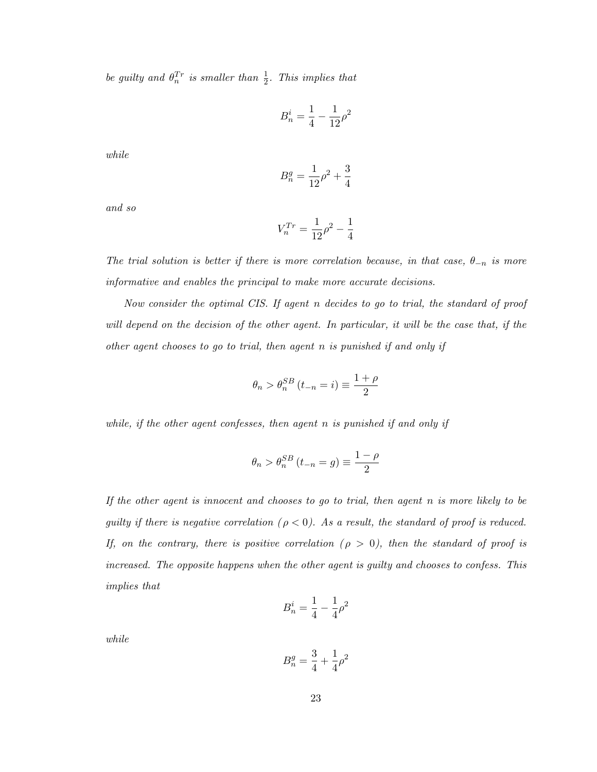be guilty and  $\theta_n^{Tr}$  is smaller than  $\frac{1}{2}$ . This implies that

$$
B_n^i = \frac{1}{4} - \frac{1}{12}\rho^2
$$

while

$$
B_n^g = \frac{1}{12}\rho^2 + \frac{3}{4}
$$

and so

$$
V_n^{Tr} = \frac{1}{12}\rho^2 - \frac{1}{4}
$$

The trial solution is better if there is more correlation because, in that case,  $\theta_{-n}$  is more informative and enables the principal to make more accurate decisions.

Now consider the optimal CIS. If agent n decides to go to trial, the standard of proof will depend on the decision of the other agent. In particular, it will be the case that, if the other agent chooses to go to trial, then agent n is punished if and only if

$$
\theta_n > \theta_n^{SB} \left( t_{-n} = i \right) \equiv \frac{1+\rho}{2}
$$

while, if the other agent confesses, then agent  $n$  is punished if and only if

$$
\theta_n > \theta_n^{SB} (t_{-n} = g) \equiv \frac{1 - \rho}{2}
$$

If the other agent is innocent and chooses to go to trial, then agent n is more likely to be guilty if there is negative correlation ( $\rho < 0$ ). As a result, the standard of proof is reduced. If, on the contrary, there is positive correlation  $(\rho > 0)$ , then the standard of proof is increased. The opposite happens when the other agent is guilty and chooses to confess. This implies that

$$
B_n^i=\frac{1}{4}-\frac{1}{4}\rho^2
$$

while

$$
B_n^g = \frac{3}{4} + \frac{1}{4}\rho^2
$$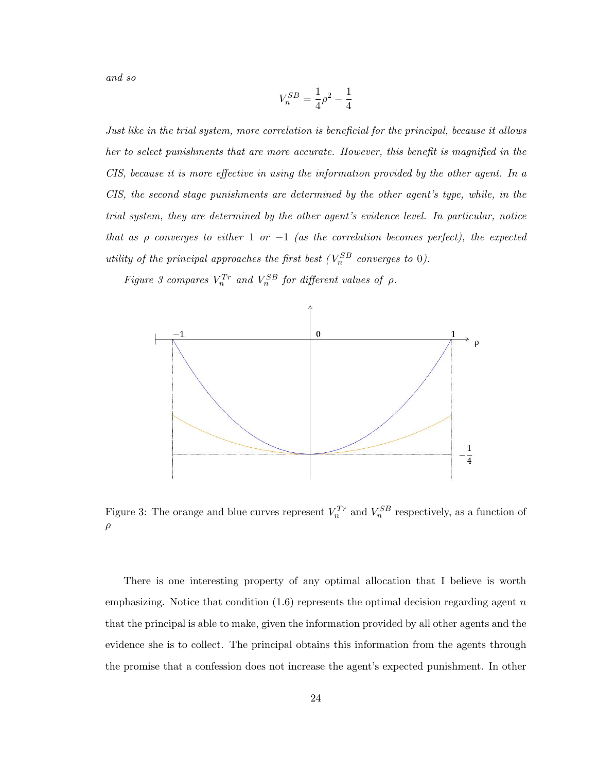and so

$$
V_n^{SB}=\frac{1}{4}\rho^2-\frac{1}{4}
$$

Just like in the trial system, more correlation is beneficial for the principal, because it allows her to select punishments that are more accurate. However, this benefit is magnified in the CIS, because it is more effective in using the information provided by the other agent. In a CIS, the second stage punishments are determined by the other agent's type, while, in the trial system, they are determined by the other agent's evidence level. In particular, notice that as  $\rho$  converges to either 1 or  $-1$  (as the correlation becomes perfect), the expected utility of the principal approaches the first best  $(V_n^{SB}$  converges to 0).

Figure 3 compares  $V_n^{Tr}$  and  $V_n^{SB}$  for different values of  $\rho$ .



Figure 3: The orange and blue curves represent  $V_n^{Tr}$  and  $V_n^{SB}$  respectively, as a function of ρ

There is one interesting property of any optimal allocation that I believe is worth emphasizing. Notice that condition  $(1.6)$  represents the optimal decision regarding agent n that the principal is able to make, given the information provided by all other agents and the evidence she is to collect. The principal obtains this information from the agents through the promise that a confession does not increase the agent's expected punishment. In other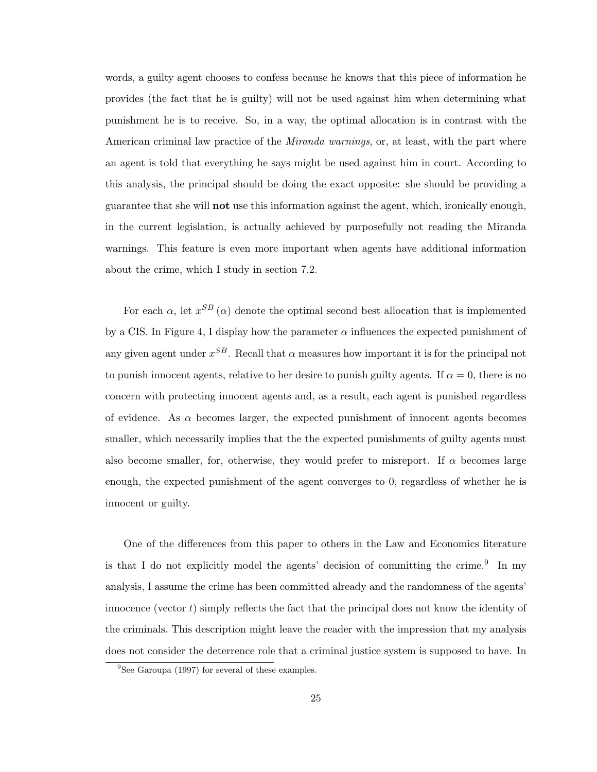words, a guilty agent chooses to confess because he knows that this piece of information he provides (the fact that he is guilty) will not be used against him when determining what punishment he is to receive. So, in a way, the optimal allocation is in contrast with the American criminal law practice of the *Miranda warnings*, or, at least, with the part where an agent is told that everything he says might be used against him in court. According to this analysis, the principal should be doing the exact opposite: she should be providing a guarantee that she will not use this information against the agent, which, ironically enough, in the current legislation, is actually achieved by purposefully not reading the Miranda warnings. This feature is even more important when agents have additional information about the crime, which I study in section 7.2.

For each  $\alpha$ , let  $x^{SB}(\alpha)$  denote the optimal second best allocation that is implemented by a CIS. In Figure 4, I display how the parameter  $\alpha$  influences the expected punishment of any given agent under  $x^{SB}$ . Recall that  $\alpha$  measures how important it is for the principal not to punish innocent agents, relative to her desire to punish guilty agents. If  $\alpha = 0$ , there is no concern with protecting innocent agents and, as a result, each agent is punished regardless of evidence. As  $\alpha$  becomes larger, the expected punishment of innocent agents becomes smaller, which necessarily implies that the the expected punishments of guilty agents must also become smaller, for, otherwise, they would prefer to misreport. If  $\alpha$  becomes large enough, the expected punishment of the agent converges to 0, regardless of whether he is innocent or guilty.

One of the differences from this paper to others in the Law and Economics literature is that I do not explicitly model the agents' decision of committing the crime.<sup>9</sup> In my analysis, I assume the crime has been committed already and the randomness of the agents' innocence (vector  $t$ ) simply reflects the fact that the principal does not know the identity of the criminals. This description might leave the reader with the impression that my analysis does not consider the deterrence role that a criminal justice system is supposed to have. In

<sup>&</sup>lt;sup>9</sup>See Garoupa (1997) for several of these examples.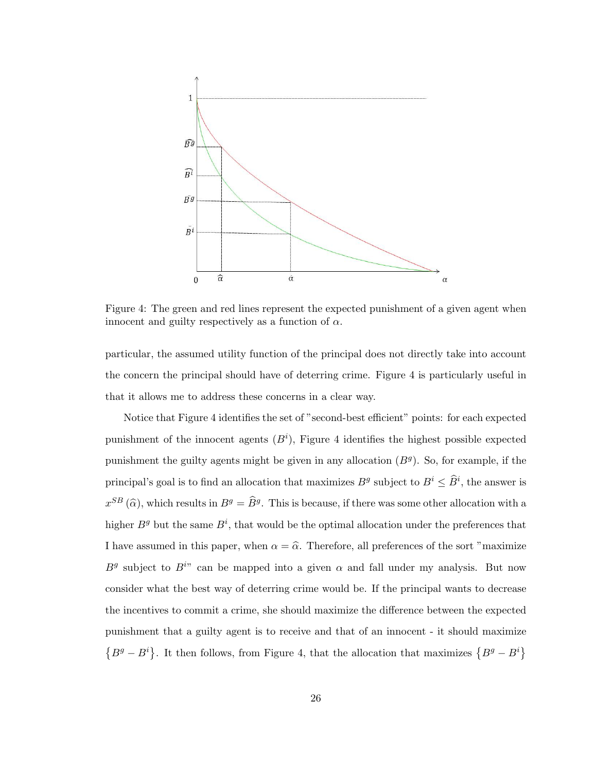

Figure 4: The green and red lines represent the expected punishment of a given agent when innocent and guilty respectively as a function of  $\alpha$ .

particular, the assumed utility function of the principal does not directly take into account the concern the principal should have of deterring crime. Figure 4 is particularly useful in that it allows me to address these concerns in a clear way.

Notice that Figure 4 identifies the set of "second-best efficient" points: for each expected punishment of the innocent agents  $(B<sup>i</sup>)$ , Figure 4 identifies the highest possible expected punishment the guilty agents might be given in any allocation  $(B<sup>g</sup>)$ . So, for example, if the principal's goal is to find an allocation that maximizes  $B<sup>g</sup>$  subject to  $B<sup>i</sup> \leq \widehat{B}$ <sup>*i*</sup>, the answer is  $x^{SB}(\hat{\alpha})$ , which results in  $B^g = \hat{B}^g$ . This is because, if there was some other allocation with a higher  $B<sup>g</sup>$  but the same  $B<sup>i</sup>$ , that would be the optimal allocation under the preferences that I have assumed in this paper, when  $\alpha = \hat{\alpha}$ . Therefore, all preferences of the sort "maximize"  $B<sup>g</sup>$  subject to  $B<sup>iv</sup>$  can be mapped into a given  $\alpha$  and fall under my analysis. But now consider what the best way of deterring crime would be. If the principal wants to decrease the incentives to commit a crime, she should maximize the difference between the expected punishment that a guilty agent is to receive and that of an innocent - it should maximize  $\{B^g - B^i\}$ . It then follows, from Figure 4, that the allocation that maximizes  $\{B^g - B^i\}$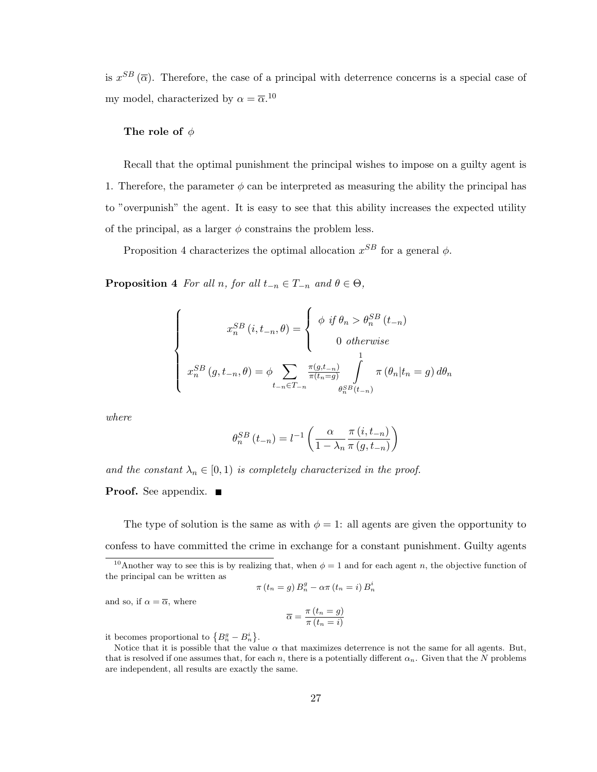is  $x^{SB}(\overline{\alpha})$ . Therefore, the case of a principal with deterrence concerns is a special case of my model, characterized by  $\alpha = \overline{\alpha}$ .<sup>10</sup>

# The role of  $\phi$

Recall that the optimal punishment the principal wishes to impose on a guilty agent is 1. Therefore, the parameter  $\phi$  can be interpreted as measuring the ability the principal has to "overpunish" the agent. It is easy to see that this ability increases the expected utility of the principal, as a larger  $\phi$  constrains the problem less.

Proposition 4 characterizes the optimal allocation  $x^{SB}$  for a general  $\phi$ .

**Proposition 4** For all n, for all  $t_{-n} \in T_{-n}$  and  $\theta \in \Theta$ ,

$$
\begin{cases}\nx_n^{SB}(i, t_{-n}, \theta) = \begin{cases}\n\phi & \text{if } \theta_n > \theta_n^{SB}(t_{-n}) \\
0 & \text{otherwise}\n\end{cases} \\
x_n^{SB}(g, t_{-n}, \theta) = \phi \sum_{t_{-n} \in T_{-n}} \frac{\pi(g, t_{-n})}{\pi(t_{n} = g)} \int_{\theta_n^{SB}(t_{-n})} \pi(\theta_n | t_n = g) d\theta_n\n\end{cases}
$$

where

$$
\theta_n^{SB}(t_{-n}) = l^{-1} \left( \frac{\alpha}{1 - \lambda_n} \frac{\pi(i, t_{-n})}{\pi(g, t_{-n})} \right)
$$

and the constant  $\lambda_n \in [0,1)$  is completely characterized in the proof.

#### **Proof.** See appendix.  $\blacksquare$

The type of solution is the same as with  $\phi = 1$ : all agents are given the opportunity to confess to have committed the crime in exchange for a constant punishment. Guilty agents

$$
\pi(t_n = g) B_n^g - \alpha \pi(t_n = i) B_n^i
$$

and so, if  $\alpha = \overline{\alpha}$ , where

$$
\overline{\alpha} = \frac{\pi (t_n = g)}{\pi (t_n = i)}
$$

it becomes proportional to  $\{B_n^g - B_n^i\}.$ 

Notice that it is possible that the value  $\alpha$  that maximizes deterrence is not the same for all agents. But, that is resolved if one assumes that, for each n, there is a potentially different  $\alpha_n$ . Given that the N problems are independent, all results are exactly the same.

<sup>&</sup>lt;sup>10</sup>Another way to see this is by realizing that, when  $\phi = 1$  and for each agent n, the objective function of the principal can be written as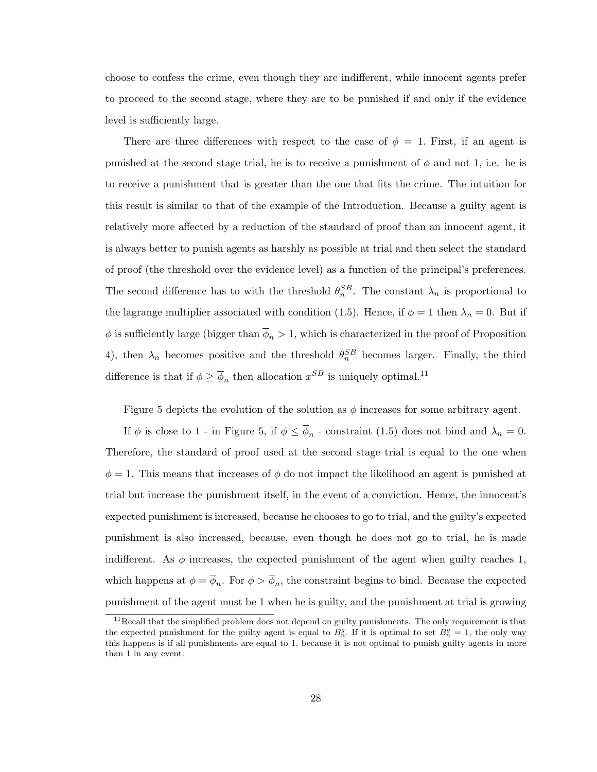choose to confess the crime, even though they are indifferent, while innocent agents prefer to proceed to the second stage, where they are to be punished if and only if the evidence level is sufficiently large.

There are three differences with respect to the case of  $\phi = 1$ . First, if an agent is punished at the second stage trial, he is to receive a punishment of  $\phi$  and not 1, i.e. he is to receive a punishment that is greater than the one that fits the crime. The intuition for this result is similar to that of the example of the Introduction. Because a guilty agent is relatively more affected by a reduction of the standard of proof than an innocent agent, it is always better to punish agents as harshly as possible at trial and then select the standard of proof (the threshold over the evidence level) as a function of the principal's preferences. The second difference has to with the threshold  $\theta_n^{SB}$ . The constant  $\lambda_n$  is proportional to the lagrange multiplier associated with condition (1.5). Hence, if  $\phi = 1$  then  $\lambda_n = 0$ . But if  $\phi$  is sufficiently large (bigger than  $\overline{\phi}_n > 1$ , which is characterized in the proof of Proposition 4), then  $\lambda_n$  becomes positive and the threshold  $\theta_n^{SB}$  becomes larger. Finally, the third difference is that if  $\phi \geq \overline{\phi}_n$  then allocation  $x^{SB}$  is uniquely optimal.<sup>11</sup>

Figure 5 depicts the evolution of the solution as  $\phi$  increases for some arbitrary agent.

If  $\phi$  is close to 1 - in Figure 5, if  $\phi \leq \phi_n$  - constraint (1.5) does not bind and  $\lambda_n = 0$ . Therefore, the standard of proof used at the second stage trial is equal to the one when  $\phi = 1$ . This means that increases of  $\phi$  do not impact the likelihood an agent is punished at trial but increase the punishment itself, in the event of a conviction. Hence, the innocent's expected punishment is increased, because he chooses to go to trial, and the guilty's expected punishment is also increased, because, even though he does not go to trial, he is made indifferent. As  $\phi$  increases, the expected punishment of the agent when guilty reaches 1, which happens at  $\phi = \phi_n$ . For  $\phi > \phi_n$ , the constraint begins to bind. Because the expected punishment of the agent must be 1 when he is guilty, and the punishment at trial is growing

 $11$ Recall that the simplified problem does not depend on guilty punishments. The only requirement is that the expected punishment for the guilty agent is equal to  $B_n^g$ . If it is optimal to set  $B_n^g = 1$ , the only way this happens is if all punishments are equal to 1, because it is not optimal to punish guilty agents in more than 1 in any event.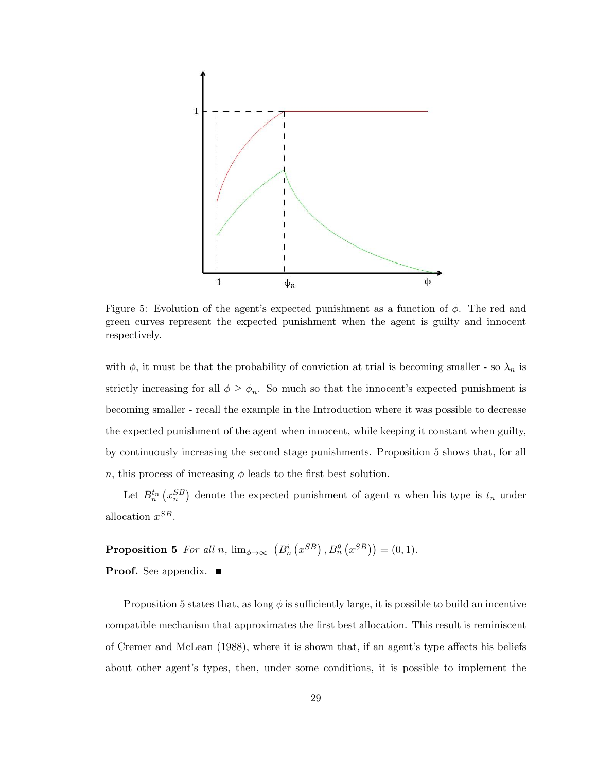

Figure 5: Evolution of the agent's expected punishment as a function of  $\phi$ . The red and green curves represent the expected punishment when the agent is guilty and innocent respectively.

with  $\phi$ , it must be that the probability of conviction at trial is becoming smaller - so  $\lambda_n$  is strictly increasing for all  $\phi \geq \overline{\phi}_n$ . So much so that the innocent's expected punishment is becoming smaller - recall the example in the Introduction where it was possible to decrease the expected punishment of the agent when innocent, while keeping it constant when guilty, by continuously increasing the second stage punishments. Proposition 5 shows that, for all n, this process of increasing  $\phi$  leads to the first best solution.

Let  $B_n^{t_n}(x_n^{SB})$  denote the expected punishment of agent n when his type is  $t_n$  under allocation  $x^{SB}$ .

**Proposition 5** For all n,  $\lim_{\phi \to \infty} (B_n^i(x^{SB}), B_n^g(x^{SB})) = (0, 1).$ **Proof.** See appendix.  $\blacksquare$ 

Proposition 5 states that, as long  $\phi$  is sufficiently large, it is possible to build an incentive compatible mechanism that approximates the first best allocation. This result is reminiscent of Cremer and McLean (1988), where it is shown that, if an agent's type affects his beliefs about other agent's types, then, under some conditions, it is possible to implement the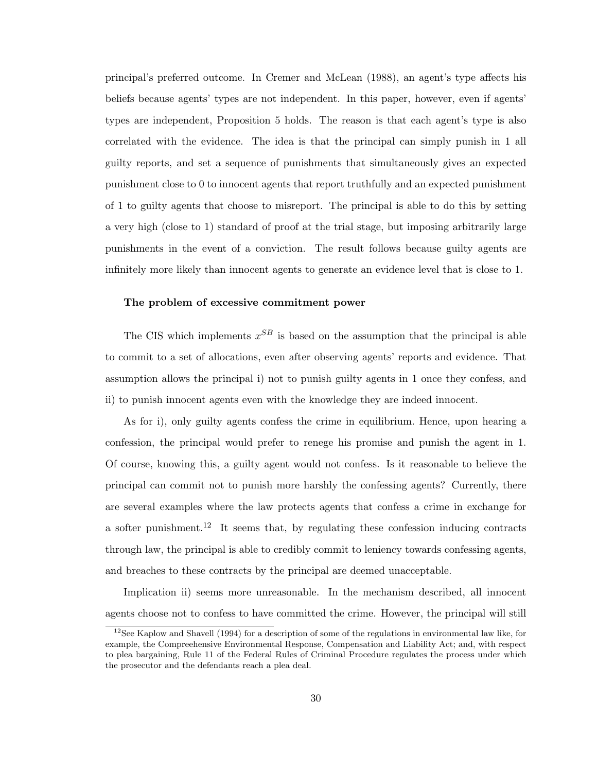principal's preferred outcome. In Cremer and McLean (1988), an agent's type affects his beliefs because agents' types are not independent. In this paper, however, even if agents' types are independent, Proposition 5 holds. The reason is that each agent's type is also correlated with the evidence. The idea is that the principal can simply punish in 1 all guilty reports, and set a sequence of punishments that simultaneously gives an expected punishment close to 0 to innocent agents that report truthfully and an expected punishment of 1 to guilty agents that choose to misreport. The principal is able to do this by setting a very high (close to 1) standard of proof at the trial stage, but imposing arbitrarily large punishments in the event of a conviction. The result follows because guilty agents are infinitely more likely than innocent agents to generate an evidence level that is close to 1.

#### The problem of excessive commitment power

The CIS which implements  $x^{SB}$  is based on the assumption that the principal is able to commit to a set of allocations, even after observing agents' reports and evidence. That assumption allows the principal i) not to punish guilty agents in 1 once they confess, and ii) to punish innocent agents even with the knowledge they are indeed innocent.

As for i), only guilty agents confess the crime in equilibrium. Hence, upon hearing a confession, the principal would prefer to renege his promise and punish the agent in 1. Of course, knowing this, a guilty agent would not confess. Is it reasonable to believe the principal can commit not to punish more harshly the confessing agents? Currently, there are several examples where the law protects agents that confess a crime in exchange for a softer punishment.<sup>12</sup> It seems that, by regulating these confession inducing contracts through law, the principal is able to credibly commit to leniency towards confessing agents, and breaches to these contracts by the principal are deemed unacceptable.

Implication ii) seems more unreasonable. In the mechanism described, all innocent agents choose not to confess to have committed the crime. However, the principal will still

<sup>&</sup>lt;sup>12</sup>See Kaplow and Shavell (1994) for a description of some of the regulations in environmental law like, for example, the Compreehensive Environmental Response, Compensation and Liability Act; and, with respect to plea bargaining, Rule 11 of the Federal Rules of Criminal Procedure regulates the process under which the prosecutor and the defendants reach a plea deal.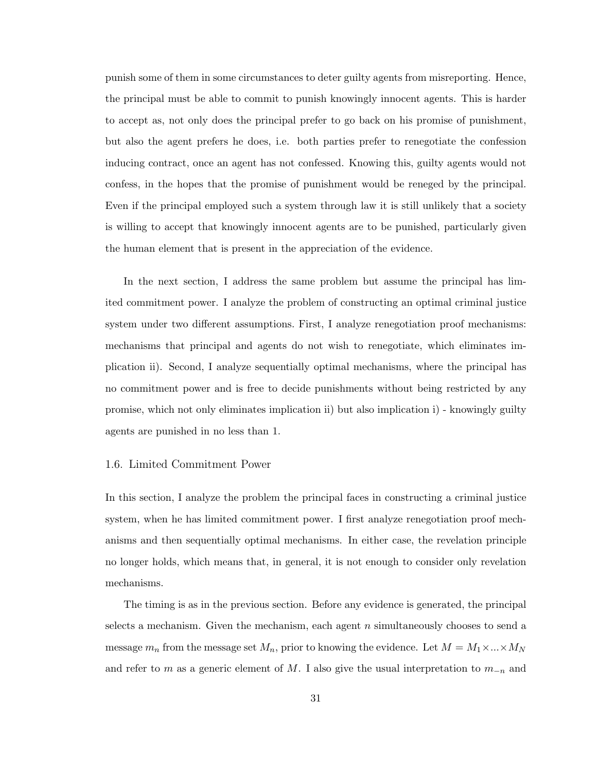punish some of them in some circumstances to deter guilty agents from misreporting. Hence, the principal must be able to commit to punish knowingly innocent agents. This is harder to accept as, not only does the principal prefer to go back on his promise of punishment, but also the agent prefers he does, i.e. both parties prefer to renegotiate the confession inducing contract, once an agent has not confessed. Knowing this, guilty agents would not confess, in the hopes that the promise of punishment would be reneged by the principal. Even if the principal employed such a system through law it is still unlikely that a society is willing to accept that knowingly innocent agents are to be punished, particularly given the human element that is present in the appreciation of the evidence.

In the next section, I address the same problem but assume the principal has limited commitment power. I analyze the problem of constructing an optimal criminal justice system under two different assumptions. First, I analyze renegotiation proof mechanisms: mechanisms that principal and agents do not wish to renegotiate, which eliminates implication ii). Second, I analyze sequentially optimal mechanisms, where the principal has no commitment power and is free to decide punishments without being restricted by any promise, which not only eliminates implication ii) but also implication i) - knowingly guilty agents are punished in no less than 1.

#### 1.6. Limited Commitment Power

In this section, I analyze the problem the principal faces in constructing a criminal justice system, when he has limited commitment power. I first analyze renegotiation proof mechanisms and then sequentially optimal mechanisms. In either case, the revelation principle no longer holds, which means that, in general, it is not enough to consider only revelation mechanisms.

The timing is as in the previous section. Before any evidence is generated, the principal selects a mechanism. Given the mechanism, each agent  $n$  simultaneously chooses to send a message  $m_n$  from the message set  $M_n$ , prior to knowing the evidence. Let  $M = M_1 \times ... \times M_N$ and refer to m as a generic element of M. I also give the usual interpretation to  $m_{-n}$  and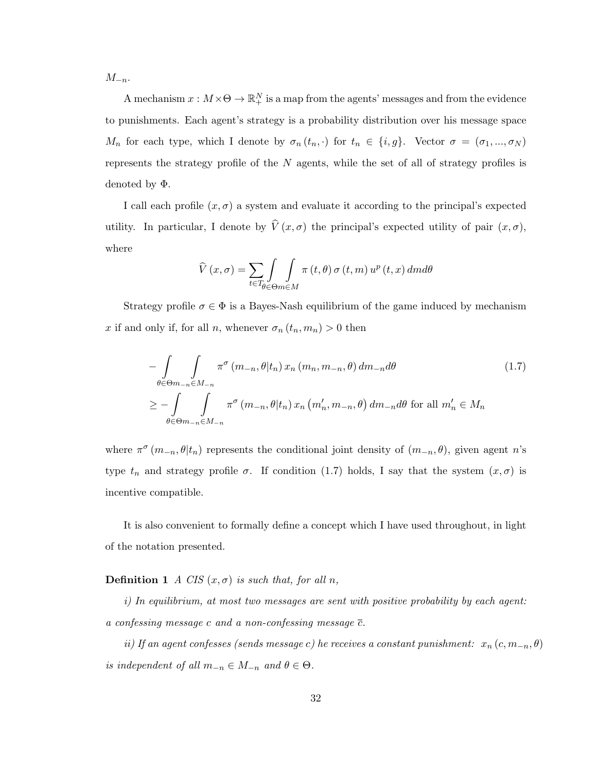$M_{-n}$ .

A mechanism  $x : M \times \Theta \to \mathbb{R}^N_+$  is a map from the agents' messages and from the evidence to punishments. Each agent's strategy is a probability distribution over his message space  $M_n$  for each type, which I denote by  $\sigma_n(t_n, \cdot)$  for  $t_n \in \{i, g\}$ . Vector  $\sigma = (\sigma_1, ..., \sigma_N)$ represents the strategy profile of the  $N$  agents, while the set of all of strategy profiles is denoted by Φ.

I call each profile  $(x, \sigma)$  a system and evaluate it according to the principal's expected utility. In particular, I denote by  $\hat{V}(x, \sigma)$  the principal's expected utility of pair  $(x, \sigma)$ , where

$$
\widehat{V}(x,\sigma) = \sum_{t \in T_{\theta \in \Theta}} \int_{\mathbf{m} \in M} \pi(t,\theta) \sigma(t,m) u^{p}(t,x) dm d\theta
$$

Strategy profile  $\sigma \in \Phi$  is a Bayes-Nash equilibrium of the game induced by mechanism x if and only if, for all n, whenever  $\sigma_n(t_n, m_n) > 0$  then

$$
-\int_{\theta \in \Theta_{m_{-n}} \in M_{-n}} \int_{\theta \in \Theta_{m_{-n}} \in M_{-n}} \pi^{\sigma} (m_{-n}, \theta | t_n) x_n (m_n, m_{-n}, \theta) dm_{-n} d\theta
$$
\n
$$
\geq -\int_{\theta \in \Theta_{m_{-n}} \in M_{-n}} \int_{\theta \in \Theta_{m_{-n}} \in M_{-n}} \pi^{\sigma} (m_{-n}, \theta | t_n) x_n (m'_n, m_{-n}, \theta) dm_{-n} d\theta \text{ for all } m'_n \in M_n
$$
\n
$$
(1.7)
$$

where  $\pi^{\sigma}(m_{-n},\theta|t_n)$  represents the conditional joint density of  $(m_{-n},\theta)$ , given agent n's type  $t_n$  and strategy profile  $\sigma$ . If condition (1.7) holds, I say that the system  $(x, \sigma)$  is incentive compatible.

It is also convenient to formally define a concept which I have used throughout, in light of the notation presented.

# **Definition 1** A CIS  $(x, \sigma)$  is such that, for all n,

i) In equilibrium, at most two messages are sent with positive probability by each agent: a confessing message c and a non-confessing message  $\bar{c}$ .

ii) If an agent confesses (sends message c) he receives a constant punishment:  $x_n(c, m_{-n}, \theta)$ is independent of all  $m_{-n} \in M_{-n}$  and  $\theta \in \Theta$ .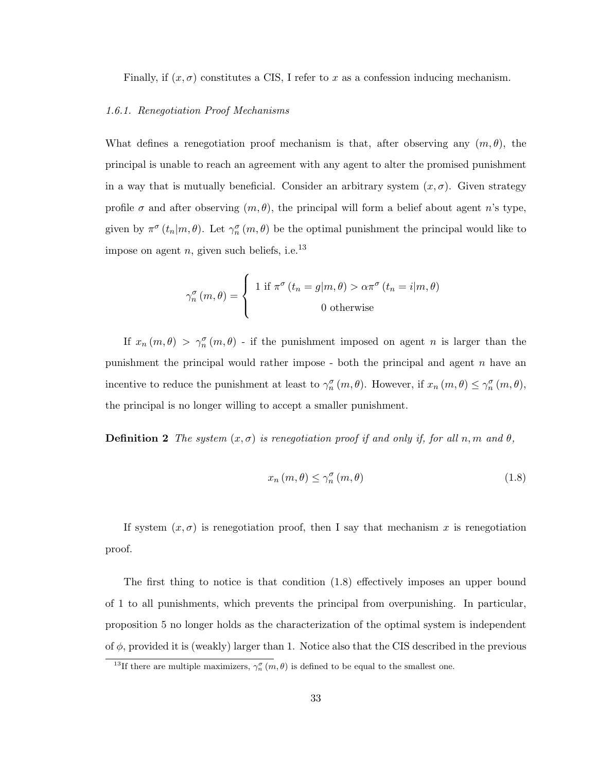Finally, if  $(x, \sigma)$  constitutes a CIS, I refer to x as a confession inducing mechanism.

#### 1.6.1. Renegotiation Proof Mechanisms

What defines a renegotiation proof mechanism is that, after observing any  $(m, \theta)$ , the principal is unable to reach an agreement with any agent to alter the promised punishment in a way that is mutually beneficial. Consider an arbitrary system  $(x, \sigma)$ . Given strategy profile  $\sigma$  and after observing  $(m, \theta)$ , the principal will form a belief about agent n's type, given by  $\pi^{\sigma}(t_n|m,\theta)$ . Let  $\gamma_n^{\sigma}(m,\theta)$  be the optimal punishment the principal would like to impose on agent *n*, given such beliefs, i.e.<sup>13</sup>

$$
\gamma_n^{\sigma}(m,\theta) = \begin{cases} 1 \text{ if } \pi^{\sigma}(t_n = g|m,\theta) > \alpha \pi^{\sigma}(t_n = i|m,\theta) \\ 0 \text{ otherwise} \end{cases}
$$

If  $x_n(m, \theta) > \gamma_n^{\sigma}(m, \theta)$  - if the punishment imposed on agent n is larger than the punishment the principal would rather impose  $\overline{\phantom{a}}$  both the principal and agent n have an incentive to reduce the punishment at least to  $\gamma_n^{\sigma}(m, \theta)$ . However, if  $x_n(m, \theta) \leq \gamma_n^{\sigma}(m, \theta)$ , the principal is no longer willing to accept a smaller punishment.

**Definition 2** The system  $(x, \sigma)$  is renegotiation proof if and only if, for all n, m and  $\theta$ ,

$$
x_n(m,\theta) \le \gamma_n^{\sigma}(m,\theta) \tag{1.8}
$$

If system  $(x, \sigma)$  is renegotiation proof, then I say that mechanism x is renegotiation proof.

The first thing to notice is that condition (1.8) effectively imposes an upper bound of 1 to all punishments, which prevents the principal from overpunishing. In particular, proposition 5 no longer holds as the characterization of the optimal system is independent of  $\phi$ , provided it is (weakly) larger than 1. Notice also that the CIS described in the previous

<sup>&</sup>lt;sup>13</sup>If there are multiple maximizers,  $\gamma_n^{\sigma}(m,\theta)$  is defined to be equal to the smallest one.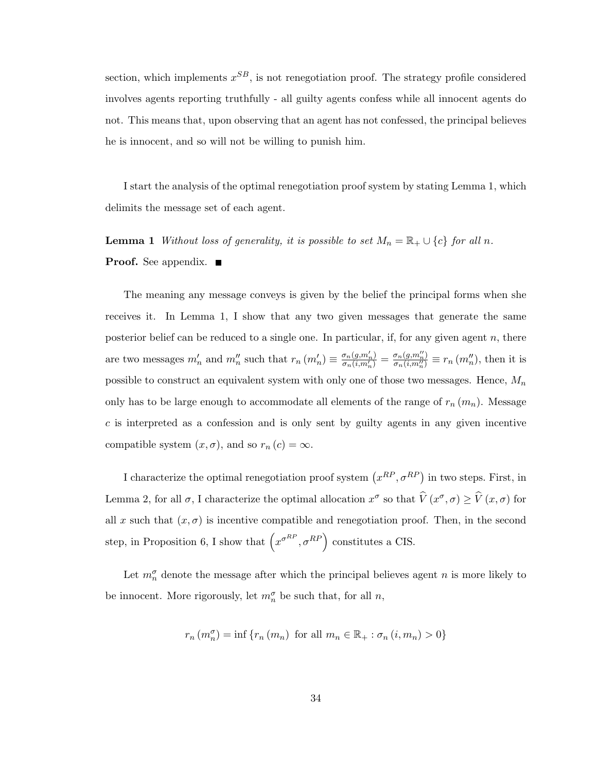section, which implements  $x^{SB}$ , is not renegotiation proof. The strategy profile considered involves agents reporting truthfully - all guilty agents confess while all innocent agents do not. This means that, upon observing that an agent has not confessed, the principal believes he is innocent, and so will not be willing to punish him.

I start the analysis of the optimal renegotiation proof system by stating Lemma 1, which delimits the message set of each agent.

**Lemma 1** Without loss of generality, it is possible to set  $M_n = \mathbb{R}_+ \cup \{c\}$  for all n. **Proof.** See appendix. ■

The meaning any message conveys is given by the belief the principal forms when she receives it. In Lemma 1, I show that any two given messages that generate the same posterior belief can be reduced to a single one. In particular, if, for any given agent  $n$ , there are two messages  $m'_n$  and  $m''_n$  such that  $r_n(m'_n) \equiv \frac{\sigma_n(g, m'_n)}{\sigma_n(i, m'_n)}$  $\frac{\sigma_n(g,m_n')}{\sigma_n(i,m_n')}=\frac{\sigma_n(g,m_n'')}{\sigma_n(i,m_n'')}$  $\frac{\sigma_n(g, m''_n)}{\sigma_n(i, m''_n)} \equiv r_n(m''_n)$ , then it is possible to construct an equivalent system with only one of those two messages. Hence,  $M_n$ only has to be large enough to accommodate all elements of the range of  $r_n(m_n)$ . Message  $c$  is interpreted as a confession and is only sent by guilty agents in any given incentive compatible system  $(x, \sigma)$ , and so  $r_n(c) = \infty$ .

I characterize the optimal renegotiation proof system  $(x^{RP}, \sigma^{RP})$  in two steps. First, in Lemma 2, for all  $\sigma$ , I characterize the optimal allocation  $x^{\sigma}$  so that  $\hat{V}(x^{\sigma}, \sigma) \ge \hat{V}(x, \sigma)$  for all x such that  $(x, \sigma)$  is incentive compatible and renegotiation proof. Then, in the second step, in Proposition 6, I show that  $(x^{\sigma^{RP}}, \sigma^{RP})$  constitutes a CIS.

Let  $m_n^{\sigma}$  denote the message after which the principal believes agent n is more likely to be innocent. More rigorously, let  $m_n^{\sigma}$  be such that, for all  $n$ ,

$$
r_n(m_n^{\sigma}) = \inf \{ r_n(m_n) \text{ for all } m_n \in \mathbb{R}_+ : \sigma_n(i, m_n) > 0 \}
$$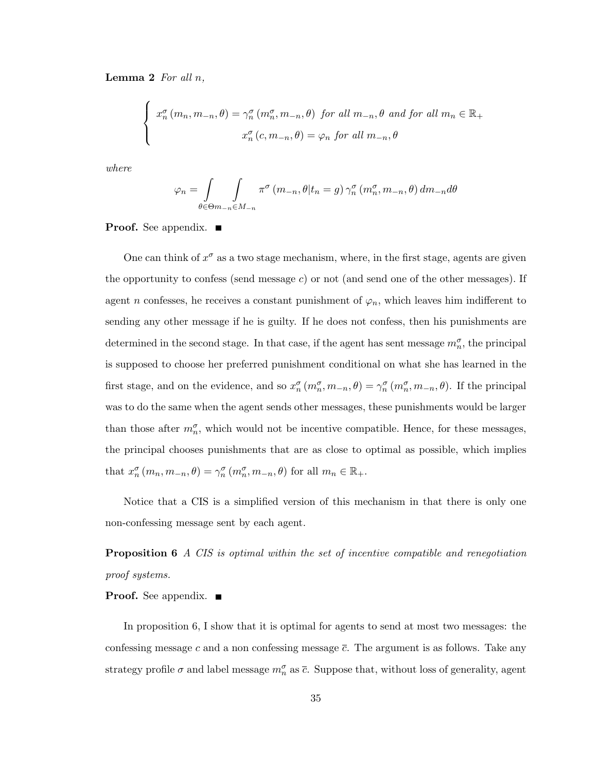**Lemma 2** For all  $n$ ,

$$
\begin{cases}\nx_n^{\sigma}(m_n, m_{-n}, \theta) = \gamma_n^{\sigma}(m_n^{\sigma}, m_{-n}, \theta) \text{ for all } m_{-n}, \theta \text{ and for all } m_n \in \mathbb{R}_+ \\
x_n^{\sigma}(c, m_{-n}, \theta) = \varphi_n \text{ for all } m_{-n}, \theta\n\end{cases}
$$

where

$$
\varphi_n = \int_{\theta \in \Theta m_{-n} \in M_{-n}} \int_{\theta \in \Theta m_{-n}} \pi^{\sigma} (m_{-n}, \theta | t_n = g) \gamma_n^{\sigma} (m_n^{\sigma}, m_{-n}, \theta) dm_{-n} d\theta
$$

**Proof.** See appendix.  $\blacksquare$ 

One can think of  $x^{\sigma}$  as a two stage mechanism, where, in the first stage, agents are given the opportunity to confess (send message  $c$ ) or not (and send one of the other messages). If agent n confesses, he receives a constant punishment of  $\varphi_n$ , which leaves him indifferent to sending any other message if he is guilty. If he does not confess, then his punishments are determined in the second stage. In that case, if the agent has sent message  $m_n^{\sigma}$ , the principal is supposed to choose her preferred punishment conditional on what she has learned in the first stage, and on the evidence, and so  $x_n^{\sigma}(m_n^{\sigma}, m_{-n}, \theta) = \gamma_n^{\sigma}(m_n^{\sigma}, m_{-n}, \theta)$ . If the principal was to do the same when the agent sends other messages, these punishments would be larger than those after  $m_n^{\sigma}$ , which would not be incentive compatible. Hence, for these messages, the principal chooses punishments that are as close to optimal as possible, which implies that  $x_n^{\sigma}(m_n, m_{-n}, \theta) = \gamma_n^{\sigma}(m_n^{\sigma}, m_{-n}, \theta)$  for all  $m_n \in \mathbb{R}_+$ .

Notice that a CIS is a simplified version of this mechanism in that there is only one non-confessing message sent by each agent.

**Proposition 6** A CIS is optimal within the set of incentive compatible and renegotiation proof systems.

**Proof.** See appendix.  $\blacksquare$ 

In proposition 6, I show that it is optimal for agents to send at most two messages: the confessing message c and a non confessing message  $\bar{c}$ . The argument is as follows. Take any strategy profile  $\sigma$  and label message  $m_n^{\sigma}$  as  $\bar{c}$ . Suppose that, without loss of generality, agent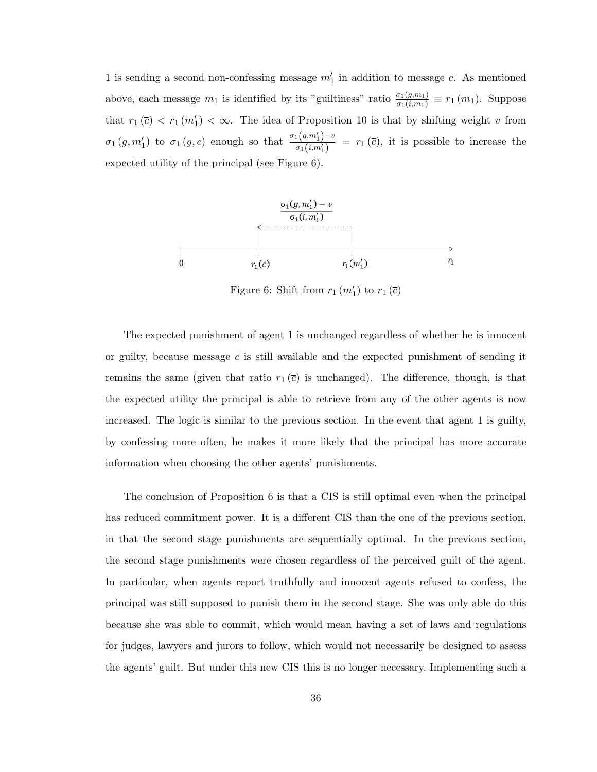1 is sending a second non-confessing message  $m'_1$  in addition to message  $\bar{c}$ . As mentioned above, each message  $m_1$  is identified by its "guiltiness" ratio  $\frac{\sigma_1(g,m_1)}{\sigma_1(i,m_1)} \equiv r_1(m_1)$ . Suppose that  $r_1(\bar{c}) < r_1(m_1') < \infty$ . The idea of Proposition 10 is that by shifting weight v from  $\sigma_1(g, m'_1)$  to  $\sigma_1(g, c)$  enough so that  $\frac{\sigma_1(g, m'_1) - v}{\sigma_1(i, m'_1)}$  $\frac{\Gamma(y,m_1)-\sigma}{\sigma_1(i,m_1')}$  =  $r_1(\bar{c})$ , it is possible to increase the expected utility of the principal (see Figure 6).



Figure 6: Shift from  $r_1(m'_1)$  to  $r_1(\overline{c})$ 

The expected punishment of agent 1 is unchanged regardless of whether he is innocent or guilty, because message  $\bar{c}$  is still available and the expected punishment of sending it remains the same (given that ratio  $r_1(\bar{c})$  is unchanged). The difference, though, is that the expected utility the principal is able to retrieve from any of the other agents is now increased. The logic is similar to the previous section. In the event that agent 1 is guilty, by confessing more often, he makes it more likely that the principal has more accurate information when choosing the other agents' punishments.

The conclusion of Proposition 6 is that a CIS is still optimal even when the principal has reduced commitment power. It is a different CIS than the one of the previous section, in that the second stage punishments are sequentially optimal. In the previous section, the second stage punishments were chosen regardless of the perceived guilt of the agent. In particular, when agents report truthfully and innocent agents refused to confess, the principal was still supposed to punish them in the second stage. She was only able do this because she was able to commit, which would mean having a set of laws and regulations for judges, lawyers and jurors to follow, which would not necessarily be designed to assess the agents' guilt. But under this new CIS this is no longer necessary. Implementing such a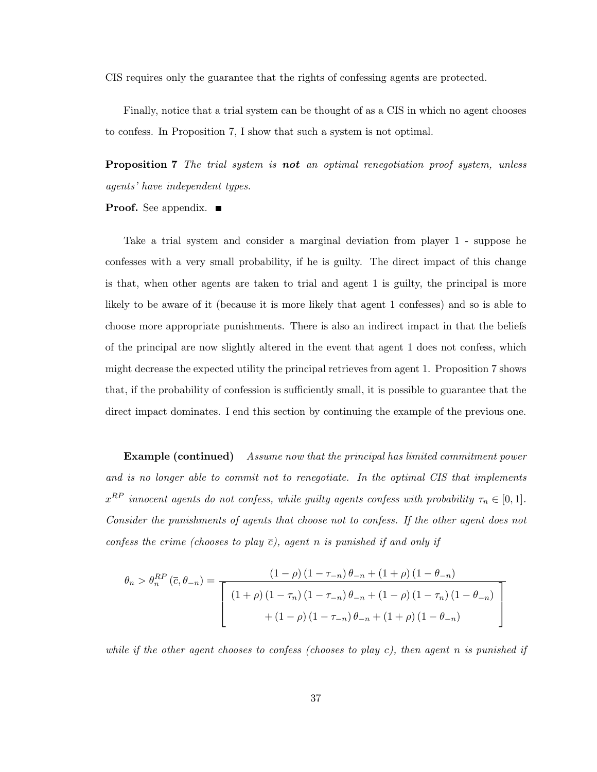CIS requires only the guarantee that the rights of confessing agents are protected.

Finally, notice that a trial system can be thought of as a CIS in which no agent chooses to confess. In Proposition 7, I show that such a system is not optimal.

**Proposition 7** The trial system is **not** an optimal renegotiation proof system, unless agents' have independent types.

**Proof.** See appendix. ■

Take a trial system and consider a marginal deviation from player 1 - suppose he confesses with a very small probability, if he is guilty. The direct impact of this change is that, when other agents are taken to trial and agent 1 is guilty, the principal is more likely to be aware of it (because it is more likely that agent 1 confesses) and so is able to choose more appropriate punishments. There is also an indirect impact in that the beliefs of the principal are now slightly altered in the event that agent 1 does not confess, which might decrease the expected utility the principal retrieves from agent 1. Proposition 7 shows that, if the probability of confession is sufficiently small, it is possible to guarantee that the direct impact dominates. I end this section by continuing the example of the previous one.

Example (continued) Assume now that the principal has limited commitment power and is no longer able to commit not to renegotiate. In the optimal CIS that implements  $x^{RP}$  innocent agents do not confess, while guilty agents confess with probability  $\tau_n \in [0,1]$ . Consider the punishments of agents that choose not to confess. If the other agent does not confess the crime (chooses to play  $\bar{c}$ ), agent n is punished if and only if

$$
\theta_n > \theta_n^{RP} (\bar{c}, \theta_{-n}) = \frac{(1 - \rho) (1 - \tau_{-n}) \theta_{-n} + (1 + \rho) (1 - \theta_{-n})}{\left[ (1 + \rho) (1 - \tau_n) (1 - \tau_{-n}) \theta_{-n} + (1 - \rho) (1 - \tau_n) (1 - \theta_{-n}) \right] + (1 - \rho) (1 - \tau_{-n}) \theta_{-n} + (1 + \rho) (1 - \theta_{-n})}
$$

while if the other agent chooses to confess (chooses to play  $c$ ), then agent n is punished if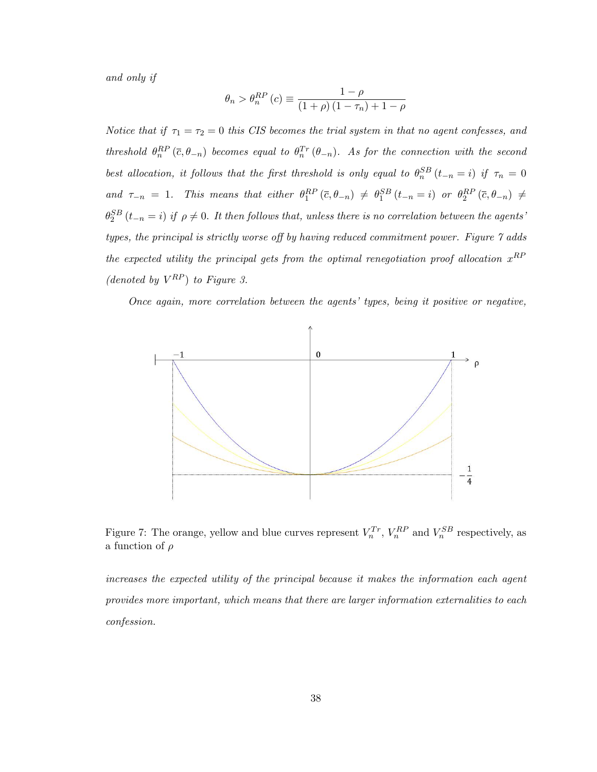and only if

$$
\theta_n > \theta_n^{RP} (c) \equiv \frac{1 - \rho}{(1 + \rho)(1 - \tau_n) + 1 - \rho}
$$

Notice that if  $\tau_1 = \tau_2 = 0$  this CIS becomes the trial system in that no agent confesses, and threshold  $\theta_n^{RP}(\bar{c},\theta_{-n})$  becomes equal to  $\theta_n^{Tr}(\theta_{-n})$ . As for the connection with the second best allocation, it follows that the first threshold is only equal to  $\theta_n^{SB}(t_{-n} = i)$  if  $\tau_n = 0$ and  $\tau_{-n} = 1$ . This means that either  $\theta_1^{RP}(\bar{c}, \theta_{-n}) \neq \theta_1^{SB}(t_{-n} = i)$  or  $\theta_2^{RP}(\bar{c}, \theta_{-n}) \neq$  $\theta_2^{SB}\left(t_{-n}=i\right)$  if  $\rho\neq 0$ . It then follows that, unless there is no correlation between the agents' types, the principal is strictly worse off by having reduced commitment power. Figure 7 adds the expected utility the principal gets from the optimal renegotiation proof allocation  $x^{RF}$ (denoted by  $V^{RP}$ ) to Figure 3.

Once again, more correlation between the agents' types, being it positive or negative,



Figure 7: The orange, yellow and blue curves represent  $V_n^{Tr}$ ,  $V_n^{RP}$  and  $V_n^{SB}$  respectively, as a function of  $\rho$ 

increases the expected utility of the principal because it makes the information each agent provides more important, which means that there are larger information externalities to each confession.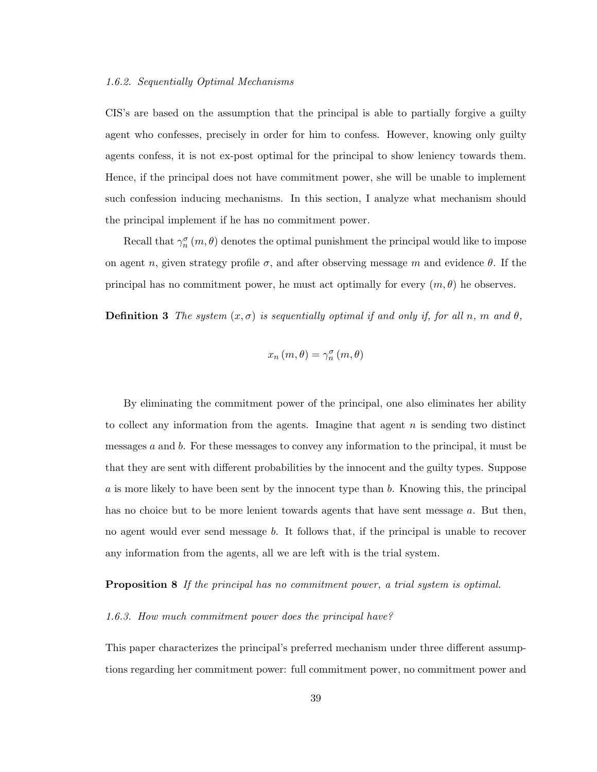#### 1.6.2. Sequentially Optimal Mechanisms

CIS's are based on the assumption that the principal is able to partially forgive a guilty agent who confesses, precisely in order for him to confess. However, knowing only guilty agents confess, it is not ex-post optimal for the principal to show leniency towards them. Hence, if the principal does not have commitment power, she will be unable to implement such confession inducing mechanisms. In this section, I analyze what mechanism should the principal implement if he has no commitment power.

Recall that  $\gamma_n^{\sigma}(m, \theta)$  denotes the optimal punishment the principal would like to impose on agent n, given strategy profile  $\sigma$ , and after observing message m and evidence  $\theta$ . If the principal has no commitment power, he must act optimally for every  $(m, \theta)$  he observes.

**Definition 3** The system  $(x, \sigma)$  is sequentially optimal if and only if, for all n, m and  $\theta$ ,

$$
x_{n}\left(m,\theta\right)=\gamma_{n}^{\sigma}\left(m,\theta\right)
$$

By eliminating the commitment power of the principal, one also eliminates her ability to collect any information from the agents. Imagine that agent  $n$  is sending two distinct messages  $a$  and  $b$ . For these messages to convey any information to the principal, it must be that they are sent with different probabilities by the innocent and the guilty types. Suppose a is more likely to have been sent by the innocent type than b. Knowing this, the principal has no choice but to be more lenient towards agents that have sent message a. But then, no agent would ever send message b. It follows that, if the principal is unable to recover any information from the agents, all we are left with is the trial system.

# **Proposition 8** If the principal has no commitment power, a trial system is optimal.

# 1.6.3. How much commitment power does the principal have?

This paper characterizes the principal's preferred mechanism under three different assumptions regarding her commitment power: full commitment power, no commitment power and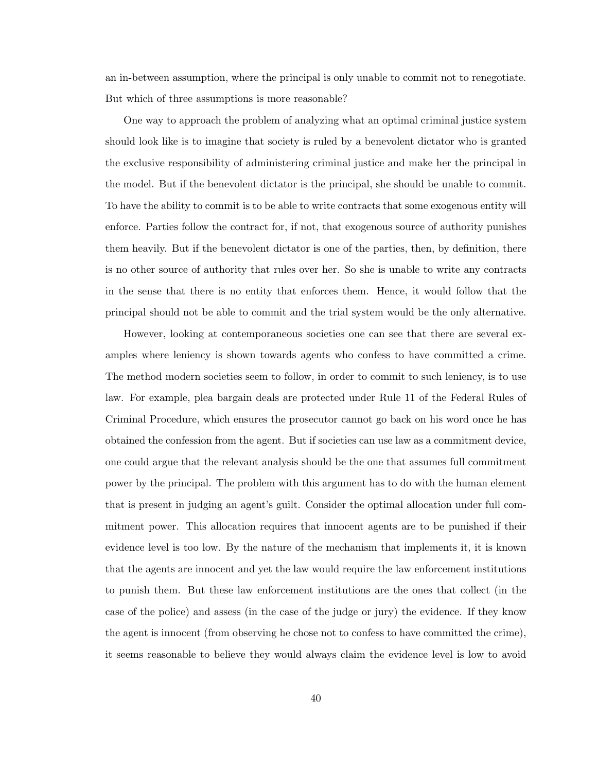an in-between assumption, where the principal is only unable to commit not to renegotiate. But which of three assumptions is more reasonable?

One way to approach the problem of analyzing what an optimal criminal justice system should look like is to imagine that society is ruled by a benevolent dictator who is granted the exclusive responsibility of administering criminal justice and make her the principal in the model. But if the benevolent dictator is the principal, she should be unable to commit. To have the ability to commit is to be able to write contracts that some exogenous entity will enforce. Parties follow the contract for, if not, that exogenous source of authority punishes them heavily. But if the benevolent dictator is one of the parties, then, by definition, there is no other source of authority that rules over her. So she is unable to write any contracts in the sense that there is no entity that enforces them. Hence, it would follow that the principal should not be able to commit and the trial system would be the only alternative.

However, looking at contemporaneous societies one can see that there are several examples where leniency is shown towards agents who confess to have committed a crime. The method modern societies seem to follow, in order to commit to such leniency, is to use law. For example, plea bargain deals are protected under Rule 11 of the Federal Rules of Criminal Procedure, which ensures the prosecutor cannot go back on his word once he has obtained the confession from the agent. But if societies can use law as a commitment device, one could argue that the relevant analysis should be the one that assumes full commitment power by the principal. The problem with this argument has to do with the human element that is present in judging an agent's guilt. Consider the optimal allocation under full commitment power. This allocation requires that innocent agents are to be punished if their evidence level is too low. By the nature of the mechanism that implements it, it is known that the agents are innocent and yet the law would require the law enforcement institutions to punish them. But these law enforcement institutions are the ones that collect (in the case of the police) and assess (in the case of the judge or jury) the evidence. If they know the agent is innocent (from observing he chose not to confess to have committed the crime), it seems reasonable to believe they would always claim the evidence level is low to avoid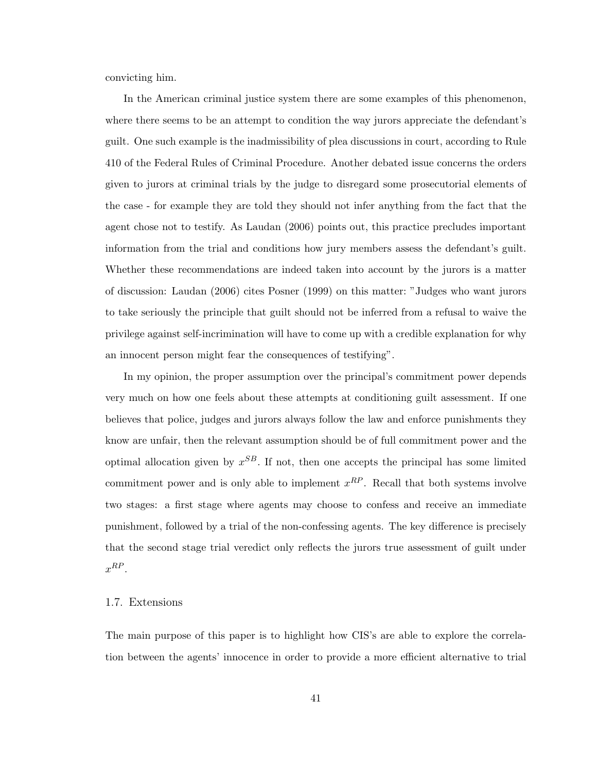convicting him.

In the American criminal justice system there are some examples of this phenomenon, where there seems to be an attempt to condition the way jurors appreciate the defendant's guilt. One such example is the inadmissibility of plea discussions in court, according to Rule 410 of the Federal Rules of Criminal Procedure. Another debated issue concerns the orders given to jurors at criminal trials by the judge to disregard some prosecutorial elements of the case - for example they are told they should not infer anything from the fact that the agent chose not to testify. As Laudan (2006) points out, this practice precludes important information from the trial and conditions how jury members assess the defendant's guilt. Whether these recommendations are indeed taken into account by the jurors is a matter of discussion: Laudan (2006) cites Posner (1999) on this matter: "Judges who want jurors to take seriously the principle that guilt should not be inferred from a refusal to waive the privilege against self-incrimination will have to come up with a credible explanation for why an innocent person might fear the consequences of testifying".

In my opinion, the proper assumption over the principal's commitment power depends very much on how one feels about these attempts at conditioning guilt assessment. If one believes that police, judges and jurors always follow the law and enforce punishments they know are unfair, then the relevant assumption should be of full commitment power and the optimal allocation given by  $x^{SB}$ . If not, then one accepts the principal has some limited commitment power and is only able to implement  $x^{RP}$ . Recall that both systems involve two stages: a first stage where agents may choose to confess and receive an immediate punishment, followed by a trial of the non-confessing agents. The key difference is precisely that the second stage trial veredict only reflects the jurors true assessment of guilt under  $x^{RP}$ .

## 1.7. Extensions

The main purpose of this paper is to highlight how CIS's are able to explore the correlation between the agents' innocence in order to provide a more efficient alternative to trial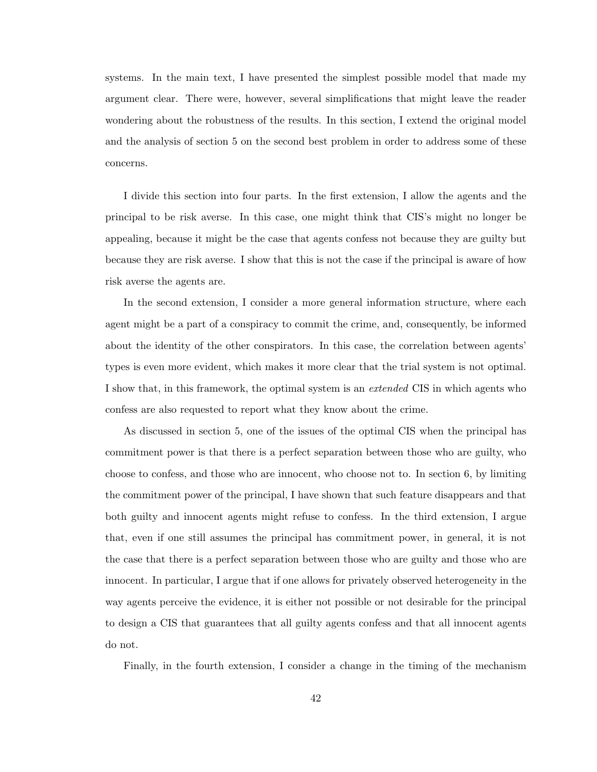systems. In the main text, I have presented the simplest possible model that made my argument clear. There were, however, several simplifications that might leave the reader wondering about the robustness of the results. In this section, I extend the original model and the analysis of section 5 on the second best problem in order to address some of these concerns.

I divide this section into four parts. In the first extension, I allow the agents and the principal to be risk averse. In this case, one might think that CIS's might no longer be appealing, because it might be the case that agents confess not because they are guilty but because they are risk averse. I show that this is not the case if the principal is aware of how risk averse the agents are.

In the second extension, I consider a more general information structure, where each agent might be a part of a conspiracy to commit the crime, and, consequently, be informed about the identity of the other conspirators. In this case, the correlation between agents' types is even more evident, which makes it more clear that the trial system is not optimal. I show that, in this framework, the optimal system is an *extended* CIS in which agents who confess are also requested to report what they know about the crime.

As discussed in section 5, one of the issues of the optimal CIS when the principal has commitment power is that there is a perfect separation between those who are guilty, who choose to confess, and those who are innocent, who choose not to. In section 6, by limiting the commitment power of the principal, I have shown that such feature disappears and that both guilty and innocent agents might refuse to confess. In the third extension, I argue that, even if one still assumes the principal has commitment power, in general, it is not the case that there is a perfect separation between those who are guilty and those who are innocent. In particular, I argue that if one allows for privately observed heterogeneity in the way agents perceive the evidence, it is either not possible or not desirable for the principal to design a CIS that guarantees that all guilty agents confess and that all innocent agents do not.

Finally, in the fourth extension, I consider a change in the timing of the mechanism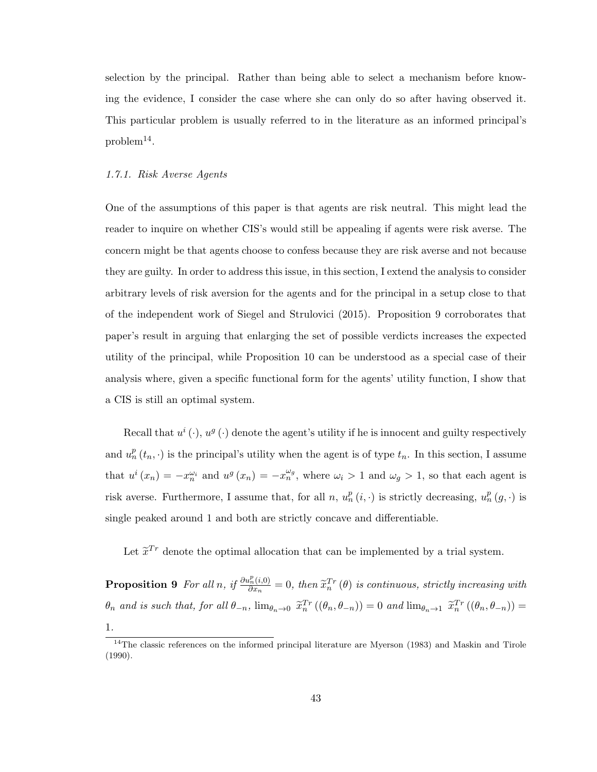selection by the principal. Rather than being able to select a mechanism before knowing the evidence, I consider the case where she can only do so after having observed it. This particular problem is usually referred to in the literature as an informed principal's  $problem<sup>14</sup>$ .

#### 1.7.1. Risk Averse Agents

One of the assumptions of this paper is that agents are risk neutral. This might lead the reader to inquire on whether CIS's would still be appealing if agents were risk averse. The concern might be that agents choose to confess because they are risk averse and not because they are guilty. In order to address this issue, in this section, I extend the analysis to consider arbitrary levels of risk aversion for the agents and for the principal in a setup close to that of the independent work of Siegel and Strulovici (2015). Proposition 9 corroborates that paper's result in arguing that enlarging the set of possible verdicts increases the expected utility of the principal, while Proposition 10 can be understood as a special case of their analysis where, given a specific functional form for the agents' utility function, I show that a CIS is still an optimal system.

Recall that  $u^i(\cdot), u^g(\cdot)$  denote the agent's utility if he is innocent and guilty respectively and  $u_n^p(t_n, \cdot)$  is the principal's utility when the agent is of type  $t_n$ . In this section, I assume that  $u^i(x_n) = -x_n^{\omega_i}$  and  $u^g(x_n) = -x_n^{\omega_g}$ , where  $\omega_i > 1$  and  $\omega_g > 1$ , so that each agent is risk averse. Furthermore, I assume that, for all  $n, u_n^p(i, \cdot)$  is strictly decreasing,  $u_n^p(g, \cdot)$  is single peaked around 1 and both are strictly concave and differentiable.

Let  $\tilde{x}^{Tr}$  denote the optimal allocation that can be implemented by a trial system.

**Proposition 9** For all n, if  $\frac{\partial u_n^p(i,0)}{\partial x}$  $\frac{d_n^L(i,0)}{\partial x_n} = 0$ , then  $\widetilde{x}_n^{Tr}(\theta)$  is continuous, strictly increasing with  $\theta_n$  and is such that, for all  $\theta_{-n}$ ,  $\lim_{\theta_n \to 0} \tilde{x}_n^{Tr}((\theta_n, \theta_{-n})) = 0$  and  $\lim_{\theta_n \to 1} \tilde{x}_n^{Tr}((\theta_n, \theta_{-n})) =$ 

<sup>1</sup>.

<sup>&</sup>lt;sup>14</sup>The classic references on the informed principal literature are Myerson (1983) and Maskin and Tirole (1990).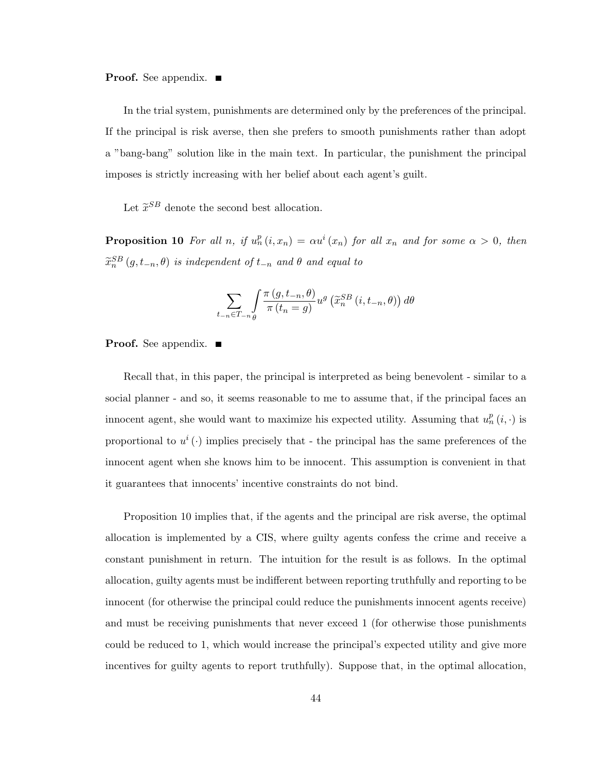#### **Proof.** See appendix. ■

In the trial system, punishments are determined only by the preferences of the principal. If the principal is risk averse, then she prefers to smooth punishments rather than adopt a "bang-bang" solution like in the main text. In particular, the punishment the principal imposes is strictly increasing with her belief about each agent's guilt.

Let  $\tilde{x}^{SB}$  denote the second best allocation.

**Proposition 10** For all n, if  $u_n^p(i, x_n) = \alpha u^i(x_n)$  for all  $x_n$  and for some  $\alpha > 0$ , then  $\widetilde{x}_n^{SB}\left(g,t_{-n},\theta\right)$  is independent of  $t_{-n}$  and  $\theta$  and equal to

$$
\sum_{t=n\in T_{-n}} \int \frac{\pi\left(g, t_{-n}, \theta\right)}{\pi\left(t_{n} = g\right)} u^{g} \left(\widetilde{x}_{n}^{SB}\left(i, t_{-n}, \theta\right)\right) d\theta
$$

**Proof.** See appendix.  $\blacksquare$ 

Recall that, in this paper, the principal is interpreted as being benevolent - similar to a social planner - and so, it seems reasonable to me to assume that, if the principal faces an innocent agent, she would want to maximize his expected utility. Assuming that  $u_n^p(i, \cdot)$  is proportional to  $u^i(\cdot)$  implies precisely that - the principal has the same preferences of the innocent agent when she knows him to be innocent. This assumption is convenient in that it guarantees that innocents' incentive constraints do not bind.

Proposition 10 implies that, if the agents and the principal are risk averse, the optimal allocation is implemented by a CIS, where guilty agents confess the crime and receive a constant punishment in return. The intuition for the result is as follows. In the optimal allocation, guilty agents must be indifferent between reporting truthfully and reporting to be innocent (for otherwise the principal could reduce the punishments innocent agents receive) and must be receiving punishments that never exceed 1 (for otherwise those punishments could be reduced to 1, which would increase the principal's expected utility and give more incentives for guilty agents to report truthfully). Suppose that, in the optimal allocation,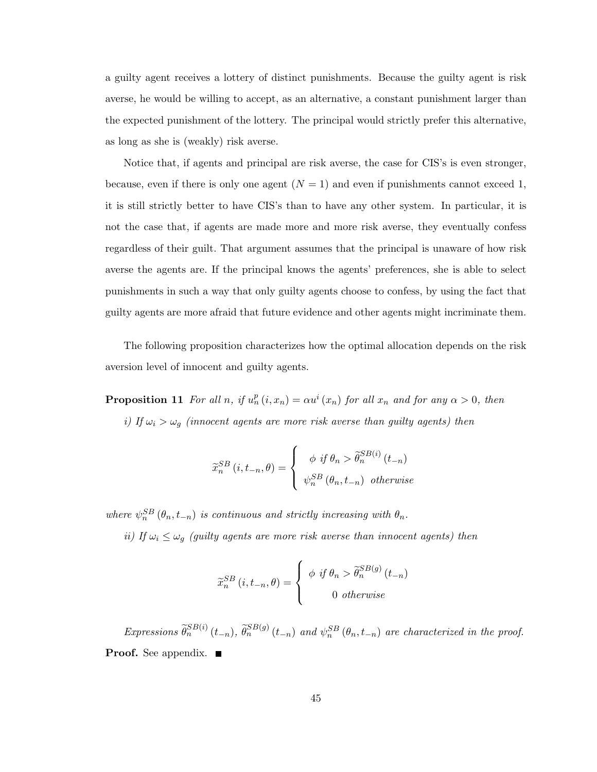a guilty agent receives a lottery of distinct punishments. Because the guilty agent is risk averse, he would be willing to accept, as an alternative, a constant punishment larger than the expected punishment of the lottery. The principal would strictly prefer this alternative, as long as she is (weakly) risk averse.

Notice that, if agents and principal are risk averse, the case for CIS's is even stronger, because, even if there is only one agent  $(N = 1)$  and even if punishments cannot exceed 1, it is still strictly better to have CIS's than to have any other system. In particular, it is not the case that, if agents are made more and more risk averse, they eventually confess regardless of their guilt. That argument assumes that the principal is unaware of how risk averse the agents are. If the principal knows the agents' preferences, she is able to select punishments in such a way that only guilty agents choose to confess, by using the fact that guilty agents are more afraid that future evidence and other agents might incriminate them.

The following proposition characterizes how the optimal allocation depends on the risk aversion level of innocent and guilty agents.

**Proposition 11** For all n, if  $u_n^p(i, x_n) = \alpha u^i(x_n)$  for all  $x_n$  and for any  $\alpha > 0$ , then i) If  $\omega_i > \omega_g$  (innocent agents are more risk averse than guilty agents) then

$$
\widetilde{x}_n^{SB}(i, t_{-n}, \theta) = \begin{cases} \phi & \text{if } \theta_n > \widetilde{\theta}_n^{SB(i)}(t_{-n}) \\ \psi_n^{SB}(\theta_n, t_{-n}) & otherwise \end{cases}
$$

where  $\psi_n^{SB}(\theta_n, t_{-n})$  is continuous and strictly increasing with  $\theta_n$ .

ii) If  $\omega_i \leq \omega_g$  (guilty agents are more risk averse than innocent agents) then

$$
\widetilde{x}_n^{SB}(i, t_{-n}, \theta) = \begin{cases} \phi & \text{if } \theta_n > \widetilde{\theta}_n^{SB(g)}(t_{-n}) \\ 0 & \text{otherwise} \end{cases}
$$

Expressions  $\tilde{\theta}_n^{SB(i)}(t_{-n})$ ,  $\tilde{\theta}_n^{SB(g)}(t_{-n})$  and  $\psi_n^{SB}(\theta_n,t_{-n})$  are characterized in the proof. **Proof.** See appendix.  $\blacksquare$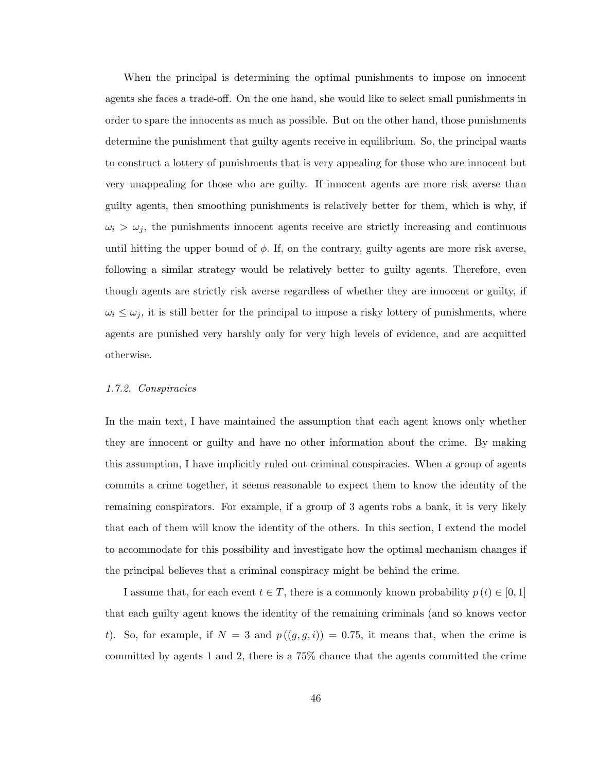When the principal is determining the optimal punishments to impose on innocent agents she faces a trade-off. On the one hand, she would like to select small punishments in order to spare the innocents as much as possible. But on the other hand, those punishments determine the punishment that guilty agents receive in equilibrium. So, the principal wants to construct a lottery of punishments that is very appealing for those who are innocent but very unappealing for those who are guilty. If innocent agents are more risk averse than guilty agents, then smoothing punishments is relatively better for them, which is why, if  $\omega_i > \omega_j$ , the punishments innocent agents receive are strictly increasing and continuous until hitting the upper bound of  $\phi$ . If, on the contrary, guilty agents are more risk averse, following a similar strategy would be relatively better to guilty agents. Therefore, even though agents are strictly risk averse regardless of whether they are innocent or guilty, if  $\omega_i \leq \omega_j$ , it is still better for the principal to impose a risky lottery of punishments, where agents are punished very harshly only for very high levels of evidence, and are acquitted otherwise.

#### 1.7.2. Conspiracies

In the main text, I have maintained the assumption that each agent knows only whether they are innocent or guilty and have no other information about the crime. By making this assumption, I have implicitly ruled out criminal conspiracies. When a group of agents commits a crime together, it seems reasonable to expect them to know the identity of the remaining conspirators. For example, if a group of 3 agents robs a bank, it is very likely that each of them will know the identity of the others. In this section, I extend the model to accommodate for this possibility and investigate how the optimal mechanism changes if the principal believes that a criminal conspiracy might be behind the crime.

I assume that, for each event  $t \in T$ , there is a commonly known probability  $p(t) \in [0, 1]$ that each guilty agent knows the identity of the remaining criminals (and so knows vector t). So, for example, if  $N = 3$  and  $p((g, g, i)) = 0.75$ , it means that, when the crime is committed by agents 1 and 2, there is a 75% chance that the agents committed the crime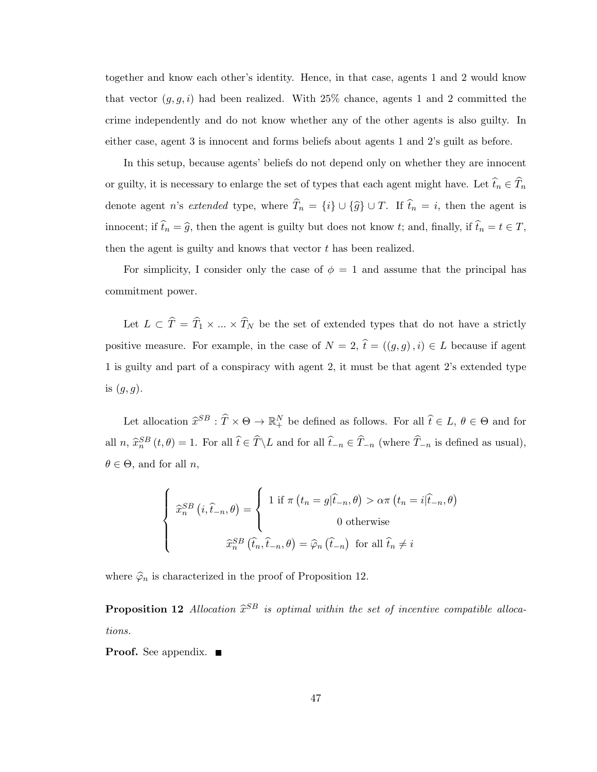together and know each other's identity. Hence, in that case, agents 1 and 2 would know that vector  $(g, g, i)$  had been realized. With 25% chance, agents 1 and 2 committed the crime independently and do not know whether any of the other agents is also guilty. In either case, agent 3 is innocent and forms beliefs about agents 1 and 2's guilt as before.

In this setup, because agents' beliefs do not depend only on whether they are innocent or guilty, it is necessary to enlarge the set of types that each agent might have. Let  $\hat{t}_n \in \hat{T}_n$ denote agent n's extended type, where  $\widehat{T}_n = \{i\} \cup \{\widehat{g}\} \cup T$ . If  $\widehat{t}_n = i$ , then the agent is innocent; if  $\hat{t}_n = \hat{g}$ , then the agent is guilty but does not know t; and, finally, if  $\hat{t}_n = t \in T$ , then the agent is guilty and knows that vector t has been realized.

For simplicity, I consider only the case of  $\phi = 1$  and assume that the principal has commitment power.

Let  $L \subset \widehat{T} = \widehat{T}_1 \times ... \times \widehat{T}_N$  be the set of extended types that do not have a strictly positive measure. For example, in the case of  $N = 2$ ,  $\hat{t} = ((g, g), i) \in L$  because if agent 1 is guilty and part of a conspiracy with agent 2, it must be that agent 2's extended type is  $(g, g)$ .

Let allocation  $\hat{x}^{SB} : \hat{T} \times \Theta \to \mathbb{R}^N_+$  be defined as follows. For all  $\hat{t} \in L$ ,  $\theta \in \Theta$  and for all  $n, \hat{x}_n^{SB}(t, \theta) = 1$ . For all  $\hat{t} \in \hat{T} \backslash L$  and for all  $\hat{t}_{-n} \in \hat{T}_{-n}$  (where  $\hat{T}_{-n}$  is defined as usual),  $\theta \in \Theta$ , and for all  $n$ ,

$$
\begin{cases}\n\widehat{x}_n^{SB}(i,\widehat{t}_{-n},\theta) = \begin{cases}\n1 \text{ if } \pi(t_n = g | \widehat{t}_{-n}, \theta) > \alpha \pi(t_n = i | \widehat{t}_{-n}, \theta) \\
0 \text{ otherwise} \\
\widehat{x}_n^{SB}(\widehat{t}_n, \widehat{t}_{-n}, \theta) = \widehat{\varphi}_n(\widehat{t}_{-n}) \text{ for all } \widehat{t}_n \neq i\n\end{cases}\n\end{cases}
$$

where  $\hat{\varphi}_n$  is characterized in the proof of Proposition 12.

**Proposition 12** Allocation  $\hat{x}^{SB}$  is optimal within the set of incentive compatible allocations.

**Proof.** See appendix.  $\blacksquare$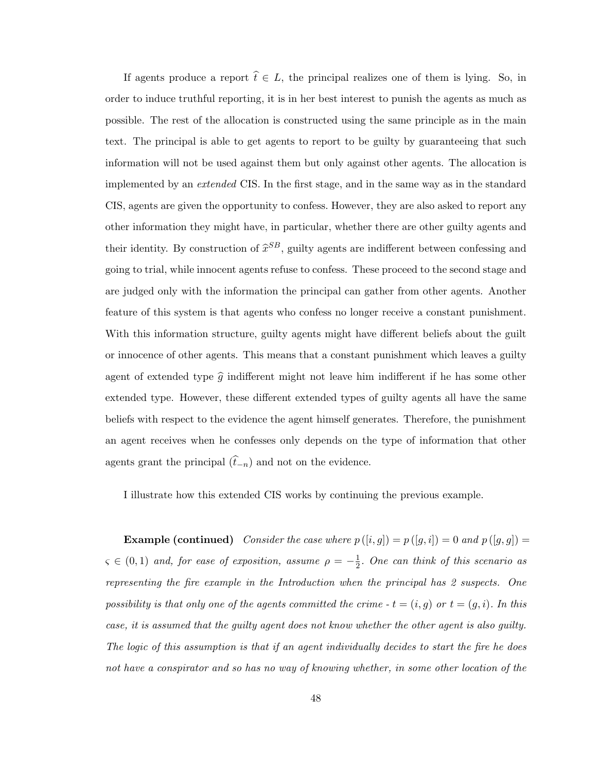If agents produce a report  $\hat{t} \in L$ , the principal realizes one of them is lying. So, in order to induce truthful reporting, it is in her best interest to punish the agents as much as possible. The rest of the allocation is constructed using the same principle as in the main text. The principal is able to get agents to report to be guilty by guaranteeing that such information will not be used against them but only against other agents. The allocation is implemented by an extended CIS. In the first stage, and in the same way as in the standard CIS, agents are given the opportunity to confess. However, they are also asked to report any other information they might have, in particular, whether there are other guilty agents and their identity. By construction of  $\hat{x}^{SB}$ , guilty agents are indifferent between confessing and going to trial, while innocent agents refuse to confess. These proceed to the second stage and are judged only with the information the principal can gather from other agents. Another feature of this system is that agents who confess no longer receive a constant punishment. With this information structure, guilty agents might have different beliefs about the guilt or innocence of other agents. This means that a constant punishment which leaves a guilty agent of extended type  $\hat{g}$  indifferent might not leave him indifferent if he has some other extended type. However, these different extended types of guilty agents all have the same beliefs with respect to the evidence the agent himself generates. Therefore, the punishment an agent receives when he confesses only depends on the type of information that other agents grant the principal  $(\hat{t}_{-n})$  and not on the evidence.

I illustrate how this extended CIS works by continuing the previous example.

**Example (continued)** Consider the case where  $p([i, g]) = p([g, i]) = 0$  and  $p([g, g]) =$  $\varsigma \in (0,1)$  and, for ease of exposition, assume  $\rho = -\frac{1}{2}$  $\frac{1}{2}$ . One can think of this scenario as representing the fire example in the Introduction when the principal has 2 suspects. One possibility is that only one of the agents committed the crime  $-t = (i, g)$  or  $t = (g, i)$ . In this case, it is assumed that the guilty agent does not know whether the other agent is also guilty. The logic of this assumption is that if an agent individually decides to start the fire he does not have a conspirator and so has no way of knowing whether, in some other location of the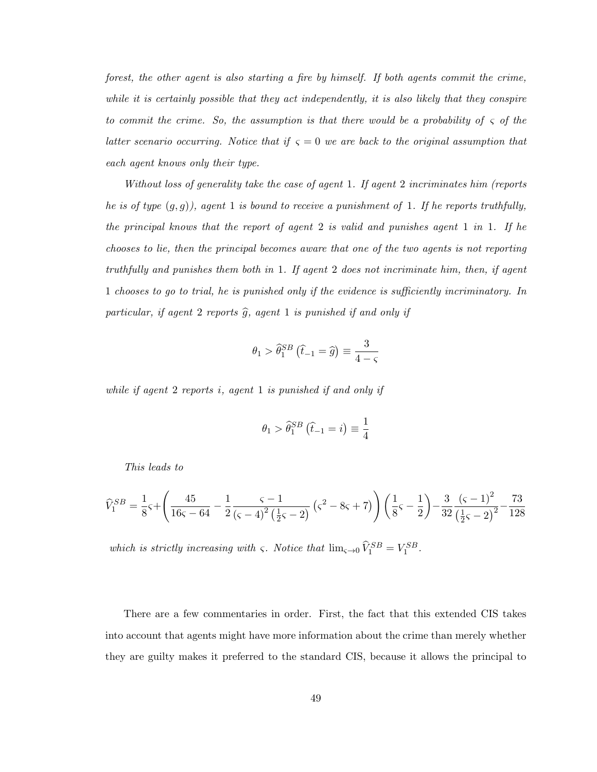forest, the other agent is also starting a fire by himself. If both agents commit the crime, while it is certainly possible that they act independently, it is also likely that they conspire to commit the crime. So, the assumption is that there would be a probability of  $\varsigma$  of the latter scenario occurring. Notice that if  $\varsigma = 0$  we are back to the original assumption that each agent knows only their type.

Without loss of generality take the case of agent 1. If agent 2 incriminates him (reports he is of type  $(g, g)$ ), agent 1 is bound to receive a punishment of 1. If he reports truthfully, the principal knows that the report of agent 2 is valid and punishes agent 1 in 1. If he chooses to lie, then the principal becomes aware that one of the two agents is not reporting truthfully and punishes them both in 1. If agent 2 does not incriminate him, then, if agent 1 chooses to go to trial, he is punished only if the evidence is sufficiently incriminatory. In particular, if agent 2 reports  $\widehat{g}$ , agent 1 is punished if and only if

$$
\theta_1 > \hat{\theta}_1^{SB} \left( \hat{t}_{-1} = \hat{g} \right) \equiv \frac{3}{4 - \varsigma}
$$

while if agent 2 reports i, agent 1 is punished if and only if

$$
\theta_1 > \hat{\theta}_1^{SB} \left( \hat{t}_{-1} = i \right) \equiv \frac{1}{4}
$$

This leads to

$$
\widehat{V}_1^{SB} = \frac{1}{8}\varsigma + \left(\frac{45}{16\varsigma - 64} - \frac{1}{2}\frac{\varsigma - 1}{(\varsigma - 4)^2\left(\frac{1}{2}\varsigma - 2\right)}\left(\varsigma^2 - 8\varsigma + 7\right)\right)\left(\frac{1}{8}\varsigma - \frac{1}{2}\right) - \frac{3}{32}\frac{(\varsigma - 1)^2}{\left(\frac{1}{2}\varsigma - 2\right)^2} - \frac{73}{128}
$$

which is strictly increasing with  $\varsigma$ . Notice that  $\lim_{\varsigma \to 0} \widehat{V}_1^{SB} = V_1^{SB}$ .

There are a few commentaries in order. First, the fact that this extended CIS takes into account that agents might have more information about the crime than merely whether they are guilty makes it preferred to the standard CIS, because it allows the principal to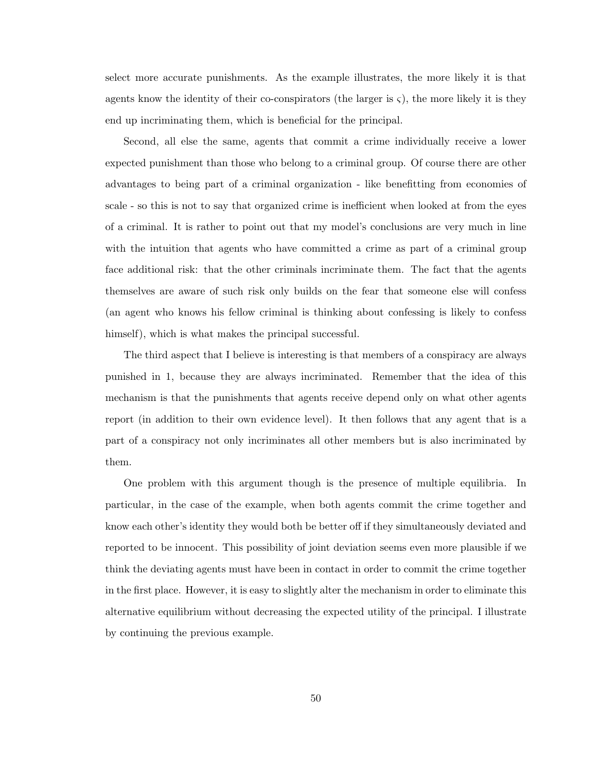select more accurate punishments. As the example illustrates, the more likely it is that agents know the identity of their co-conspirators (the larger is  $\varsigma$ ), the more likely it is they end up incriminating them, which is beneficial for the principal.

Second, all else the same, agents that commit a crime individually receive a lower expected punishment than those who belong to a criminal group. Of course there are other advantages to being part of a criminal organization - like benefitting from economies of scale - so this is not to say that organized crime is inefficient when looked at from the eyes of a criminal. It is rather to point out that my model's conclusions are very much in line with the intuition that agents who have committed a crime as part of a criminal group face additional risk: that the other criminals incriminate them. The fact that the agents themselves are aware of such risk only builds on the fear that someone else will confess (an agent who knows his fellow criminal is thinking about confessing is likely to confess himself), which is what makes the principal successful.

The third aspect that I believe is interesting is that members of a conspiracy are always punished in 1, because they are always incriminated. Remember that the idea of this mechanism is that the punishments that agents receive depend only on what other agents report (in addition to their own evidence level). It then follows that any agent that is a part of a conspiracy not only incriminates all other members but is also incriminated by them.

One problem with this argument though is the presence of multiple equilibria. In particular, in the case of the example, when both agents commit the crime together and know each other's identity they would both be better off if they simultaneously deviated and reported to be innocent. This possibility of joint deviation seems even more plausible if we think the deviating agents must have been in contact in order to commit the crime together in the first place. However, it is easy to slightly alter the mechanism in order to eliminate this alternative equilibrium without decreasing the expected utility of the principal. I illustrate by continuing the previous example.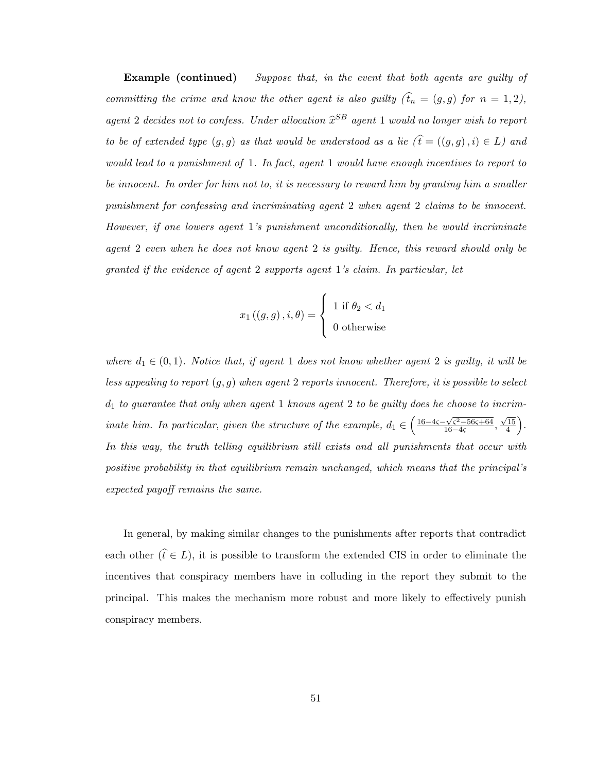**Example (continued)** Suppose that, in the event that both agents are guilty of committing the crime and know the other agent is also guilty  $(\hat{t}_n = (g, g)$  for  $n = 1, 2)$ , agent 2 decides not to confess. Under allocation  $\widehat{x}^{SB}$  agent 1 would no longer wish to report to be of extended type  $(g, g)$  as that would be understood as a lie  $(\hat{t} = ((g, g), i) \in L)$  and would lead to a punishment of 1. In fact, agent 1 would have enough incentives to report to be innocent. In order for him not to, it is necessary to reward him by granting him a smaller punishment for confessing and incriminating agent 2 when agent 2 claims to be innocent. However, if one lowers agent 1's punishment unconditionally, then he would incriminate agent 2 even when he does not know agent 2 is guilty. Hence, this reward should only be granted if the evidence of agent 2 supports agent 1's claim. In particular, let

$$
x_1((g,g),i,\theta) = \begin{cases} 1 \text{ if } \theta_2 < d_1 \\ 0 \text{ otherwise} \end{cases}
$$

where  $d_1 \in (0,1)$ . Notice that, if agent 1 does not know whether agent 2 is guilty, it will be less appealing to report  $(g, g)$  when agent 2 reports innocent. Therefore, it is possible to select  $d_1$  to guarantee that only when agent 1 knows agent 2 to be guilty does he choose to incriminate him. In particular, given the structure of the example,  $d_1 \in \left( \frac{16-4\varsigma-\sqrt{\varsigma^2-56\varsigma+64}}{16-4\varsigma} \right)$  $\frac{-\sqrt{\varsigma^2-56\varsigma+64}}{16-4\varsigma},$  $\sqrt{15}$  $\sqrt{\frac{15}{4}}$ . In this way, the truth telling equilibrium still exists and all punishments that occur with positive probability in that equilibrium remain unchanged, which means that the principal's expected payoff remains the same.

In general, by making similar changes to the punishments after reports that contradict each other  $(\hat{t} \in L)$ , it is possible to transform the extended CIS in order to eliminate the incentives that conspiracy members have in colluding in the report they submit to the principal. This makes the mechanism more robust and more likely to effectively punish conspiracy members.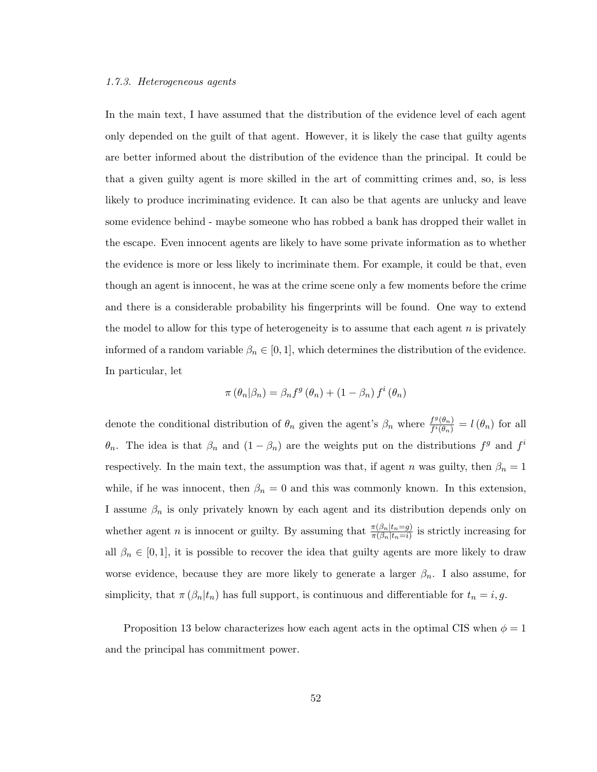In the main text, I have assumed that the distribution of the evidence level of each agent only depended on the guilt of that agent. However, it is likely the case that guilty agents are better informed about the distribution of the evidence than the principal. It could be that a given guilty agent is more skilled in the art of committing crimes and, so, is less likely to produce incriminating evidence. It can also be that agents are unlucky and leave some evidence behind - maybe someone who has robbed a bank has dropped their wallet in the escape. Even innocent agents are likely to have some private information as to whether the evidence is more or less likely to incriminate them. For example, it could be that, even though an agent is innocent, he was at the crime scene only a few moments before the crime and there is a considerable probability his fingerprints will be found. One way to extend the model to allow for this type of heterogeneity is to assume that each agent  $n$  is privately informed of a random variable  $\beta_n \in [0,1]$ , which determines the distribution of the evidence. In particular, let

$$
\pi\left(\theta_n|\beta_n\right) = \beta_n f^g\left(\theta_n\right) + \left(1 - \beta_n\right) f^i\left(\theta_n\right)
$$

denote the conditional distribution of  $\theta_n$  given the agent's  $\beta_n$  where  $\frac{f^g(\theta_n)}{f^i(\theta_n)}$  $\frac{J^{\beta}(\theta_n)}{f^i(\theta_n)}=l(\theta_n)$  for all  $\theta_n$ . The idea is that  $\beta_n$  and  $(1 - \beta_n)$  are the weights put on the distributions  $f^g$  and  $f^i$ respectively. In the main text, the assumption was that, if agent n was guilty, then  $\beta_n = 1$ while, if he was innocent, then  $\beta_n = 0$  and this was commonly known. In this extension, I assume  $\beta_n$  is only privately known by each agent and its distribution depends only on whether agent *n* is innocent or guilty. By assuming that  $\frac{\pi(\beta_n|t_n=g)}{\pi(\beta_n|t_n=i)}$  is strictly increasing for all  $\beta_n \in [0,1]$ , it is possible to recover the idea that guilty agents are more likely to draw worse evidence, because they are more likely to generate a larger  $\beta_n$ . I also assume, for simplicity, that  $\pi(\beta_n|t_n)$  has full support, is continuous and differentiable for  $t_n = i, g$ .

Proposition 13 below characterizes how each agent acts in the optimal CIS when  $\phi = 1$ and the principal has commitment power.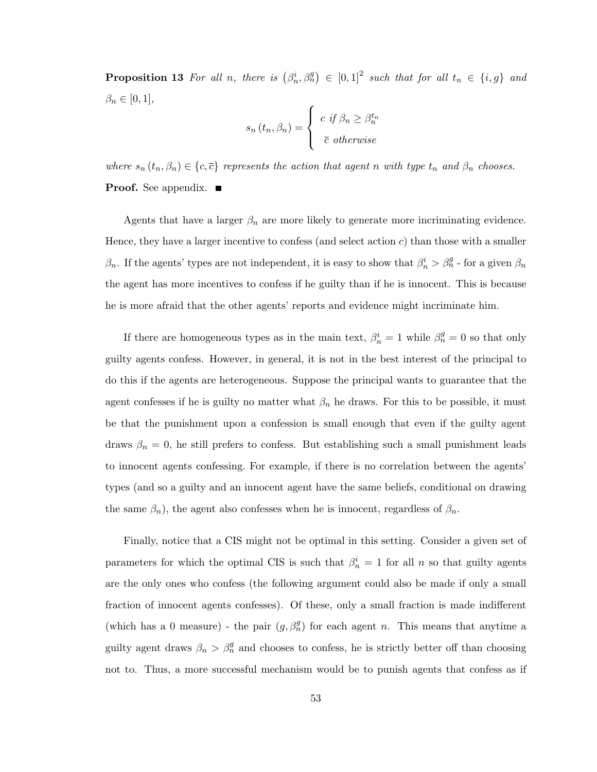**Proposition 13** For all n, there is  $(\beta_n^i, \beta_n^g) \in [0,1]^2$  such that for all  $t_n \in \{i,g\}$  and  $\beta_n \in [0,1],$ 

$$
s_n(t_n, \beta_n) = \begin{cases} c & \text{if } \beta_n \ge \beta_n^{t_n} \\ \bar{c} & \text{otherwise} \end{cases}
$$

where  $s_n(t_n, \beta_n) \in \{c, \overline{c}\}\$  represents the action that agent n with type  $t_n$  and  $\beta_n$  chooses. **Proof.** See appendix.  $\blacksquare$ 

Agents that have a larger  $\beta_n$  are more likely to generate more incriminating evidence. Hence, they have a larger incentive to confess (and select action  $c$ ) than those with a smaller  $\beta_n$ . If the agents' types are not independent, it is easy to show that  $\beta_n^i > \beta_n^g$  - for a given  $\beta_n$ the agent has more incentives to confess if he guilty than if he is innocent. This is because he is more afraid that the other agents' reports and evidence might incriminate him.

If there are homogeneous types as in the main text,  $\beta_n^i = 1$  while  $\beta_n^g = 0$  so that only guilty agents confess. However, in general, it is not in the best interest of the principal to do this if the agents are heterogeneous. Suppose the principal wants to guarantee that the agent confesses if he is guilty no matter what  $\beta_n$  he draws. For this to be possible, it must be that the punishment upon a confession is small enough that even if the guilty agent draws  $\beta_n = 0$ , he still prefers to confess. But establishing such a small punishment leads to innocent agents confessing. For example, if there is no correlation between the agents' types (and so a guilty and an innocent agent have the same beliefs, conditional on drawing the same  $\beta_n$ ), the agent also confesses when he is innocent, regardless of  $\beta_n$ .

Finally, notice that a CIS might not be optimal in this setting. Consider a given set of parameters for which the optimal CIS is such that  $\beta_n^i = 1$  for all n so that guilty agents are the only ones who confess (the following argument could also be made if only a small fraction of innocent agents confesses). Of these, only a small fraction is made indifferent (which has a 0 measure) - the pair  $(g, \beta_n^g)$  for each agent n. This means that anytime a guilty agent draws  $\beta_n > \beta_n^g$  and chooses to confess, he is strictly better off than choosing not to. Thus, a more successful mechanism would be to punish agents that confess as if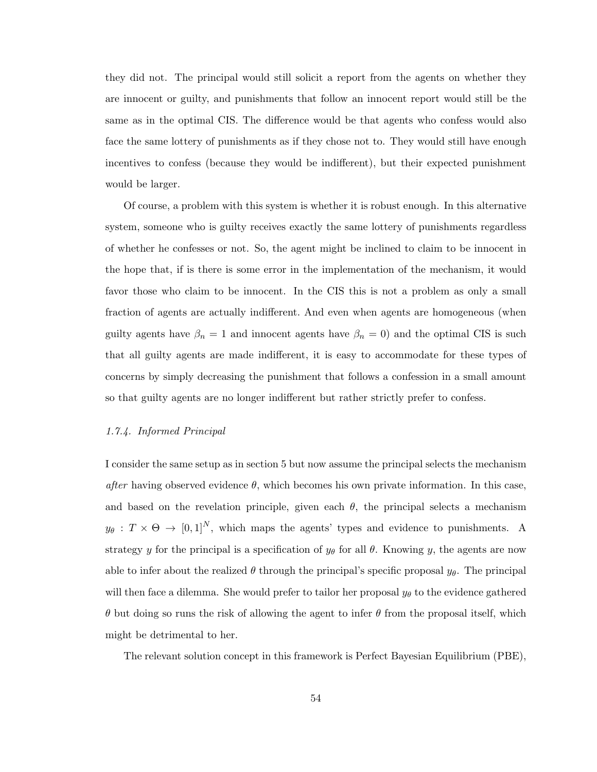they did not. The principal would still solicit a report from the agents on whether they are innocent or guilty, and punishments that follow an innocent report would still be the same as in the optimal CIS. The difference would be that agents who confess would also face the same lottery of punishments as if they chose not to. They would still have enough incentives to confess (because they would be indifferent), but their expected punishment would be larger.

Of course, a problem with this system is whether it is robust enough. In this alternative system, someone who is guilty receives exactly the same lottery of punishments regardless of whether he confesses or not. So, the agent might be inclined to claim to be innocent in the hope that, if is there is some error in the implementation of the mechanism, it would favor those who claim to be innocent. In the CIS this is not a problem as only a small fraction of agents are actually indifferent. And even when agents are homogeneous (when guilty agents have  $\beta_n = 1$  and innocent agents have  $\beta_n = 0$ ) and the optimal CIS is such that all guilty agents are made indifferent, it is easy to accommodate for these types of concerns by simply decreasing the punishment that follows a confession in a small amount so that guilty agents are no longer indifferent but rather strictly prefer to confess.

#### 1.7.4. Informed Principal

I consider the same setup as in section 5 but now assume the principal selects the mechanism after having observed evidence  $\theta$ , which becomes his own private information. In this case, and based on the revelation principle, given each  $\theta$ , the principal selects a mechanism  $y_{\theta}$  :  $T \times \Theta \rightarrow [0, 1]^N$ , which maps the agents' types and evidence to punishments. A strategy y for the principal is a specification of  $y_\theta$  for all  $\theta$ . Knowing y, the agents are now able to infer about the realized  $\theta$  through the principal's specific proposal  $y_{\theta}$ . The principal will then face a dilemma. She would prefer to tailor her proposal  $y_{\theta}$  to the evidence gathered θ but doing so runs the risk of allowing the agent to infer θ from the proposal itself, which might be detrimental to her.

The relevant solution concept in this framework is Perfect Bayesian Equilibrium (PBE),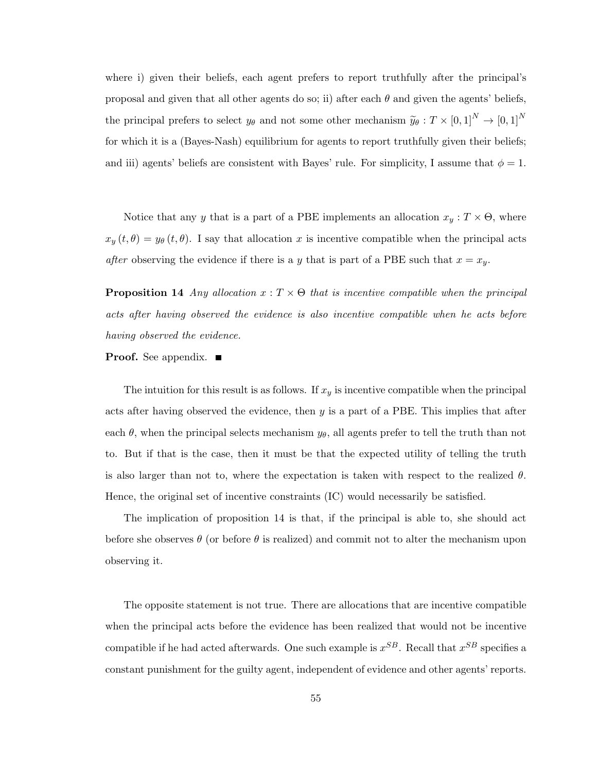where i) given their beliefs, each agent prefers to report truthfully after the principal's proposal and given that all other agents do so; ii) after each  $\theta$  and given the agents' beliefs, the principal prefers to select  $y_{\theta}$  and not some other mechanism  $\tilde{y}_{\theta}: T \times [0,1]^N \to [0,1]^N$ for which it is a (Bayes-Nash) equilibrium for agents to report truthfully given their beliefs; and iii) agents' beliefs are consistent with Bayes' rule. For simplicity, I assume that  $\phi = 1$ .

Notice that any y that is a part of a PBE implements an allocation  $x_y : T \times \Theta$ , where  $x_y(t, \theta) = y_\theta(t, \theta)$ . I say that allocation x is incentive compatible when the principal acts after observing the evidence if there is a y that is part of a PBE such that  $x = x_y$ .

**Proposition 14** Any allocation  $x : T \times \Theta$  that is incentive compatible when the principal acts after having observed the evidence is also incentive compatible when he acts before having observed the evidence.

**Proof.** See appendix.  $\blacksquare$ 

The intuition for this result is as follows. If  $x_y$  is incentive compatible when the principal acts after having observed the evidence, then y is a part of a PBE. This implies that after each  $\theta$ , when the principal selects mechanism  $y_{\theta}$ , all agents prefer to tell the truth than not to. But if that is the case, then it must be that the expected utility of telling the truth is also larger than not to, where the expectation is taken with respect to the realized  $\theta$ . Hence, the original set of incentive constraints (IC) would necessarily be satisfied.

The implication of proposition 14 is that, if the principal is able to, she should act before she observes  $\theta$  (or before  $\theta$  is realized) and commit not to alter the mechanism upon observing it.

The opposite statement is not true. There are allocations that are incentive compatible when the principal acts before the evidence has been realized that would not be incentive compatible if he had acted afterwards. One such example is  $x^{SB}$ . Recall that  $x^{SB}$  specifies a constant punishment for the guilty agent, independent of evidence and other agents' reports.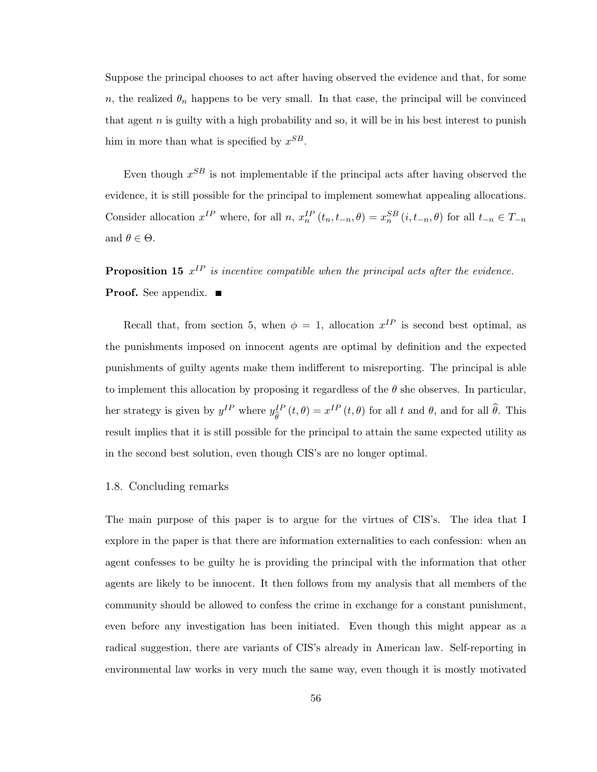Suppose the principal chooses to act after having observed the evidence and that, for some n, the realized  $\theta_n$  happens to be very small. In that case, the principal will be convinced that agent  $n$  is guilty with a high probability and so, it will be in his best interest to punish him in more than what is specified by  $x^{SB}$ .

Even though  $x^{SB}$  is not implementable if the principal acts after having observed the evidence, it is still possible for the principal to implement somewhat appealing allocations. Consider allocation  $x^{IP}$  where, for all n,  $x_n^{IP}(t_n, t_{-n}, \theta) = x_n^{SB}(i, t_{-n}, \theta)$  for all  $t_{-n} \in T_{-n}$ and  $\theta \in \Theta$ .

# **Proposition 15**  $x^{IP}$  is incentive compatible when the principal acts after the evidence. **Proof.** See appendix.  $\blacksquare$

Recall that, from section 5, when  $\phi = 1$ , allocation  $x^{IP}$  is second best optimal, as the punishments imposed on innocent agents are optimal by definition and the expected punishments of guilty agents make them indifferent to misreporting. The principal is able to implement this allocation by proposing it regardless of the  $\theta$  she observes. In particular, her strategy is given by  $y^{IP}$  where  $y^{IP}_{\hat{\sigma}}$  $\widehat{d}^{IP}_{\widehat{\theta}}(t,\theta) = x^{IP}(t,\theta)$  for all  $t$  and  $\theta$ , and for all  $\widehat{\theta}$ . This result implies that it is still possible for the principal to attain the same expected utility as in the second best solution, even though CIS's are no longer optimal.

# 1.8. Concluding remarks

The main purpose of this paper is to argue for the virtues of CIS's. The idea that I explore in the paper is that there are information externalities to each confession: when an agent confesses to be guilty he is providing the principal with the information that other agents are likely to be innocent. It then follows from my analysis that all members of the community should be allowed to confess the crime in exchange for a constant punishment, even before any investigation has been initiated. Even though this might appear as a radical suggestion, there are variants of CIS's already in American law. Self-reporting in environmental law works in very much the same way, even though it is mostly motivated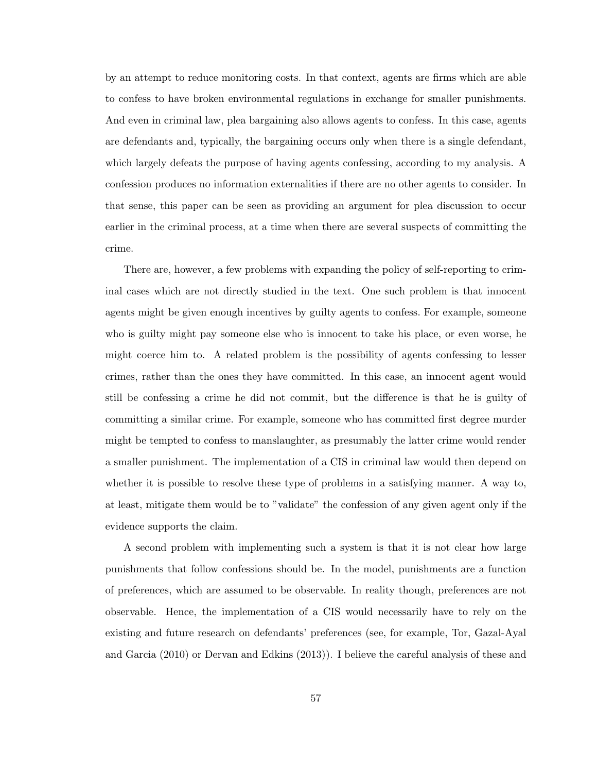by an attempt to reduce monitoring costs. In that context, agents are firms which are able to confess to have broken environmental regulations in exchange for smaller punishments. And even in criminal law, plea bargaining also allows agents to confess. In this case, agents are defendants and, typically, the bargaining occurs only when there is a single defendant, which largely defeats the purpose of having agents confessing, according to my analysis. A confession produces no information externalities if there are no other agents to consider. In that sense, this paper can be seen as providing an argument for plea discussion to occur earlier in the criminal process, at a time when there are several suspects of committing the crime.

There are, however, a few problems with expanding the policy of self-reporting to criminal cases which are not directly studied in the text. One such problem is that innocent agents might be given enough incentives by guilty agents to confess. For example, someone who is guilty might pay someone else who is innocent to take his place, or even worse, he might coerce him to. A related problem is the possibility of agents confessing to lesser crimes, rather than the ones they have committed. In this case, an innocent agent would still be confessing a crime he did not commit, but the difference is that he is guilty of committing a similar crime. For example, someone who has committed first degree murder might be tempted to confess to manslaughter, as presumably the latter crime would render a smaller punishment. The implementation of a CIS in criminal law would then depend on whether it is possible to resolve these type of problems in a satisfying manner. A way to, at least, mitigate them would be to "validate" the confession of any given agent only if the evidence supports the claim.

A second problem with implementing such a system is that it is not clear how large punishments that follow confessions should be. In the model, punishments are a function of preferences, which are assumed to be observable. In reality though, preferences are not observable. Hence, the implementation of a CIS would necessarily have to rely on the existing and future research on defendants' preferences (see, for example, Tor, Gazal-Ayal and Garcia (2010) or Dervan and Edkins (2013)). I believe the careful analysis of these and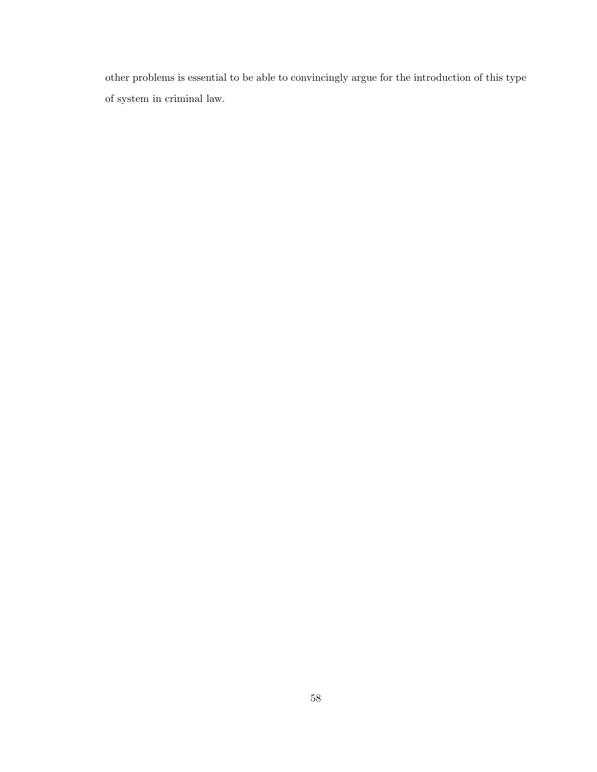other problems is essential to be able to convincingly argue for the introduction of this type of system in criminal law.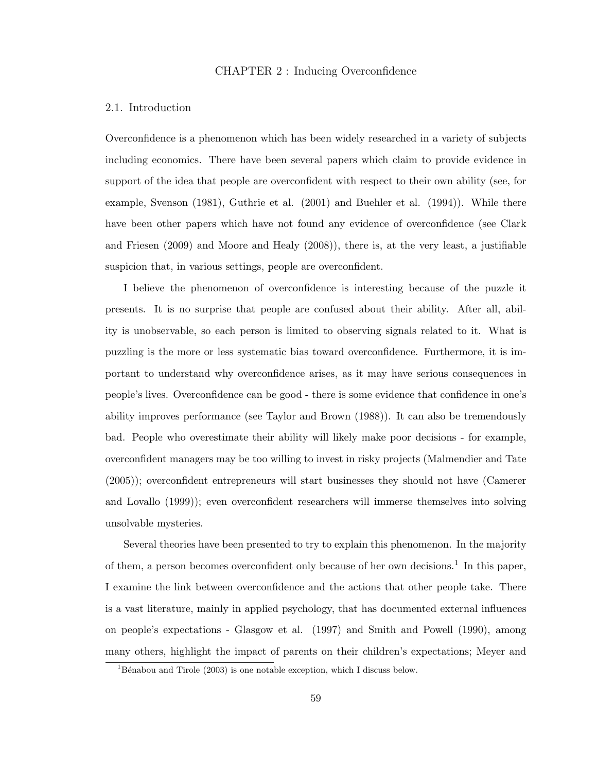## CHAPTER 2 : Inducing Overconfidence

#### 2.1. Introduction

Overconfidence is a phenomenon which has been widely researched in a variety of subjects including economics. There have been several papers which claim to provide evidence in support of the idea that people are overconfident with respect to their own ability (see, for example, Svenson (1981), Guthrie et al. (2001) and Buehler et al. (1994)). While there have been other papers which have not found any evidence of overconfidence (see Clark and Friesen (2009) and Moore and Healy (2008)), there is, at the very least, a justifiable suspicion that, in various settings, people are overconfident.

I believe the phenomenon of overconfidence is interesting because of the puzzle it presents. It is no surprise that people are confused about their ability. After all, ability is unobservable, so each person is limited to observing signals related to it. What is puzzling is the more or less systematic bias toward overconfidence. Furthermore, it is important to understand why overconfidence arises, as it may have serious consequences in people's lives. Overconfidence can be good - there is some evidence that confidence in one's ability improves performance (see Taylor and Brown (1988)). It can also be tremendously bad. People who overestimate their ability will likely make poor decisions - for example, overconfident managers may be too willing to invest in risky projects (Malmendier and Tate (2005)); overconfident entrepreneurs will start businesses they should not have (Camerer and Lovallo (1999)); even overconfident researchers will immerse themselves into solving unsolvable mysteries.

Several theories have been presented to try to explain this phenomenon. In the majority of them, a person becomes overconfident only because of her own decisions.<sup>1</sup> In this paper, I examine the link between overconfidence and the actions that other people take. There is a vast literature, mainly in applied psychology, that has documented external influences on people's expectations - Glasgow et al. (1997) and Smith and Powell (1990), among many others, highlight the impact of parents on their children's expectations; Meyer and

<sup>&</sup>lt;sup>1</sup>Bénabou and Tirole (2003) is one notable exception, which I discuss below.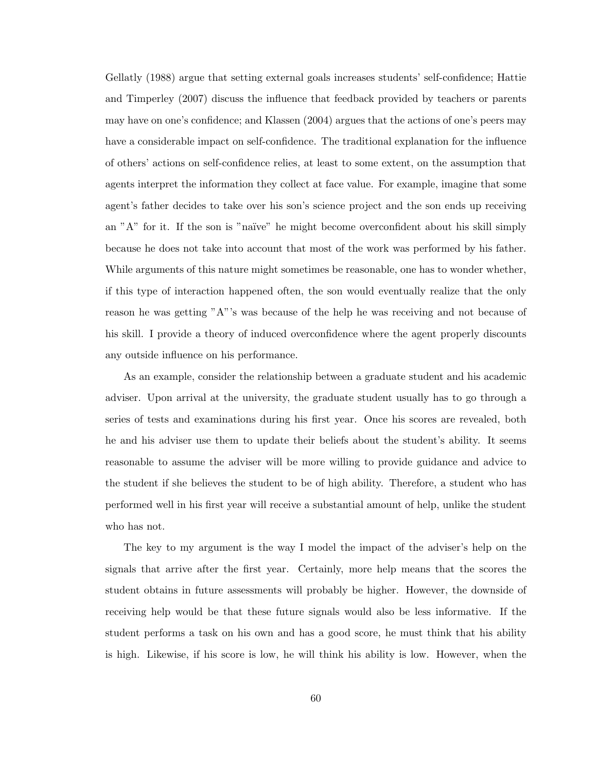Gellatly (1988) argue that setting external goals increases students' self-confidence; Hattie and Timperley (2007) discuss the influence that feedback provided by teachers or parents may have on one's confidence; and Klassen (2004) argues that the actions of one's peers may have a considerable impact on self-confidence. The traditional explanation for the influence of others' actions on self-confidence relies, at least to some extent, on the assumption that agents interpret the information they collect at face value. For example, imagine that some agent's father decides to take over his son's science project and the son ends up receiving an "A" for it. If the son is "naïve" he might become overconfident about his skill simply because he does not take into account that most of the work was performed by his father. While arguments of this nature might sometimes be reasonable, one has to wonder whether, if this type of interaction happened often, the son would eventually realize that the only reason he was getting "A"'s was because of the help he was receiving and not because of his skill. I provide a theory of induced overconfidence where the agent properly discounts any outside influence on his performance.

As an example, consider the relationship between a graduate student and his academic adviser. Upon arrival at the university, the graduate student usually has to go through a series of tests and examinations during his first year. Once his scores are revealed, both he and his adviser use them to update their beliefs about the student's ability. It seems reasonable to assume the adviser will be more willing to provide guidance and advice to the student if she believes the student to be of high ability. Therefore, a student who has performed well in his first year will receive a substantial amount of help, unlike the student who has not.

The key to my argument is the way I model the impact of the adviser's help on the signals that arrive after the first year. Certainly, more help means that the scores the student obtains in future assessments will probably be higher. However, the downside of receiving help would be that these future signals would also be less informative. If the student performs a task on his own and has a good score, he must think that his ability is high. Likewise, if his score is low, he will think his ability is low. However, when the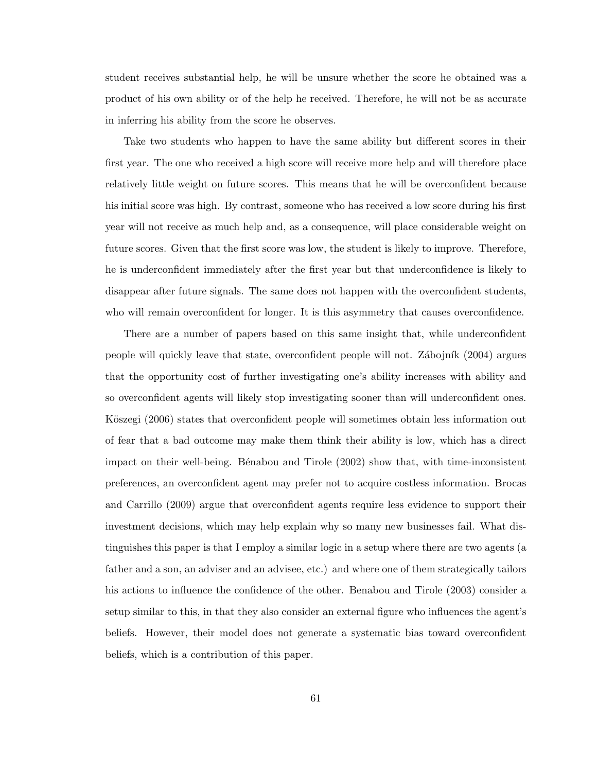student receives substantial help, he will be unsure whether the score he obtained was a product of his own ability or of the help he received. Therefore, he will not be as accurate in inferring his ability from the score he observes.

Take two students who happen to have the same ability but different scores in their first year. The one who received a high score will receive more help and will therefore place relatively little weight on future scores. This means that he will be overconfident because his initial score was high. By contrast, someone who has received a low score during his first year will not receive as much help and, as a consequence, will place considerable weight on future scores. Given that the first score was low, the student is likely to improve. Therefore, he is underconfident immediately after the first year but that underconfidence is likely to disappear after future signals. The same does not happen with the overconfident students, who will remain overconfident for longer. It is this asymmetry that causes overconfidence.

There are a number of papers based on this same insight that, while underconfident people will quickly leave that state, overconfident people will not. Z´abojn´ık (2004) argues that the opportunity cost of further investigating one's ability increases with ability and so overconfident agents will likely stop investigating sooner than will underconfident ones. Köszegi (2006) states that overconfident people will sometimes obtain less information out of fear that a bad outcome may make them think their ability is low, which has a direct impact on their well-being. Bénabou and Tirole (2002) show that, with time-inconsistent preferences, an overconfident agent may prefer not to acquire costless information. Brocas and Carrillo (2009) argue that overconfident agents require less evidence to support their investment decisions, which may help explain why so many new businesses fail. What distinguishes this paper is that I employ a similar logic in a setup where there are two agents (a father and a son, an adviser and an advisee, etc.) and where one of them strategically tailors his actions to influence the confidence of the other. Benabou and Tirole (2003) consider a setup similar to this, in that they also consider an external figure who influences the agent's beliefs. However, their model does not generate a systematic bias toward overconfident beliefs, which is a contribution of this paper.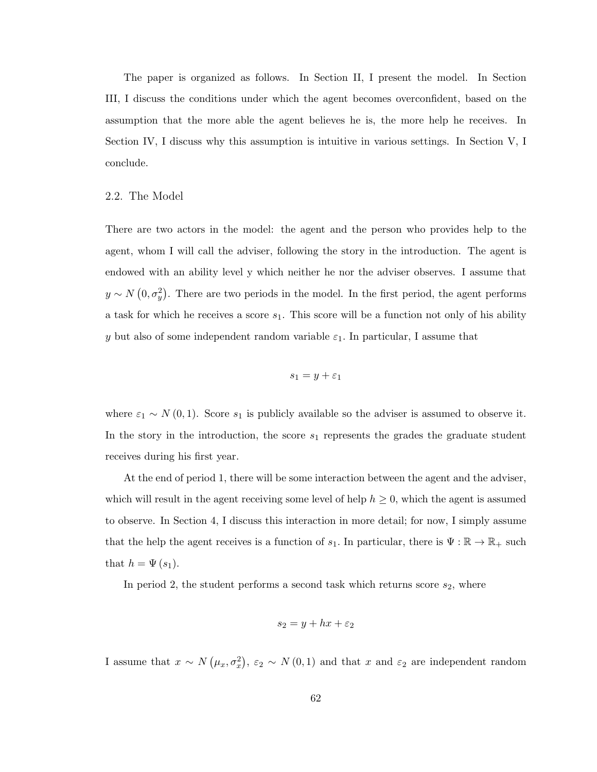The paper is organized as follows. In Section II, I present the model. In Section III, I discuss the conditions under which the agent becomes overconfident, based on the assumption that the more able the agent believes he is, the more help he receives. In Section IV, I discuss why this assumption is intuitive in various settings. In Section V, I conclude.

#### 2.2. The Model

There are two actors in the model: the agent and the person who provides help to the agent, whom I will call the adviser, following the story in the introduction. The agent is endowed with an ability level y which neither he nor the adviser observes. I assume that  $y \sim N(0, \sigma_y^2)$ . There are two periods in the model. In the first period, the agent performs a task for which he receives a score  $s_1$ . This score will be a function not only of his ability y but also of some independent random variable  $\varepsilon_1$ . In particular, I assume that

$$
s_1=y+\varepsilon_1
$$

where  $\varepsilon_1 \sim N(0, 1)$ . Score  $s_1$  is publicly available so the adviser is assumed to observe it. In the story in the introduction, the score  $s_1$  represents the grades the graduate student receives during his first year.

At the end of period 1, there will be some interaction between the agent and the adviser, which will result in the agent receiving some level of help  $h \geq 0$ , which the agent is assumed to observe. In Section 4, I discuss this interaction in more detail; for now, I simply assume that the help the agent receives is a function of  $s_1$ . In particular, there is  $\Psi : \mathbb{R} \to \mathbb{R}_+$  such that  $h = \Psi(s_1)$ .

In period 2, the student performs a second task which returns score  $s_2$ , where

$$
s_2 = y + hx + \varepsilon_2
$$

I assume that  $x \sim N(\mu_x, \sigma_x^2)$ ,  $\varepsilon_2 \sim N(0, 1)$  and that x and  $\varepsilon_2$  are independent random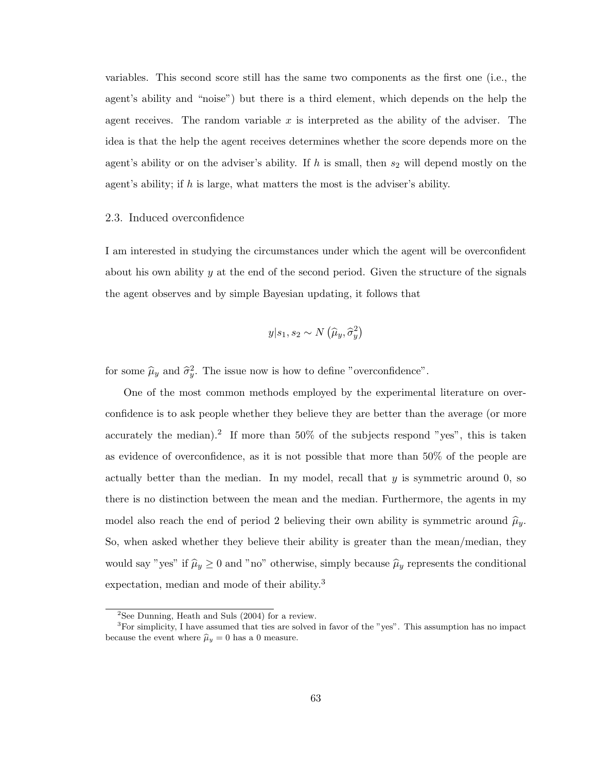variables. This second score still has the same two components as the first one (i.e., the agent's ability and "noise") but there is a third element, which depends on the help the agent receives. The random variable x is interpreted as the ability of the adviser. The idea is that the help the agent receives determines whether the score depends more on the agent's ability or on the adviser's ability. If h is small, then  $s_2$  will depend mostly on the agent's ability; if  $h$  is large, what matters the most is the adviser's ability.

#### 2.3. Induced overconfidence

I am interested in studying the circumstances under which the agent will be overconfident about his own ability  $y$  at the end of the second period. Given the structure of the signals the agent observes and by simple Bayesian updating, it follows that

$$
y|s_1, s_2 \sim N(\widehat{\mu}_y, \widehat{\sigma}_y^2)
$$

for some  $\hat{\mu}_y$  and  $\hat{\sigma}_y^2$ . The issue now is how to define "overconfidence".

One of the most common methods employed by the experimental literature on overconfidence is to ask people whether they believe they are better than the average (or more accurately the median).<sup>2</sup> If more than  $50\%$  of the subjects respond "yes", this is taken as evidence of overconfidence, as it is not possible that more than 50% of the people are actually better than the median. In my model, recall that  $y$  is symmetric around 0, so there is no distinction between the mean and the median. Furthermore, the agents in my model also reach the end of period 2 believing their own ability is symmetric around  $\hat{\mu}_y$ . So, when asked whether they believe their ability is greater than the mean/median, they would say "yes" if  $\hat{\mu}_y \ge 0$  and "no" otherwise, simply because  $\hat{\mu}_y$  represents the conditional expectation, median and mode of their ability.<sup>3</sup>

 $2$ See Dunning, Heath and Suls (2004) for a review.

<sup>&</sup>lt;sup>3</sup>For simplicity, I have assumed that ties are solved in favor of the "yes". This assumption has no impact because the event where  $\hat{\mu}_y = 0$  has a 0 measure.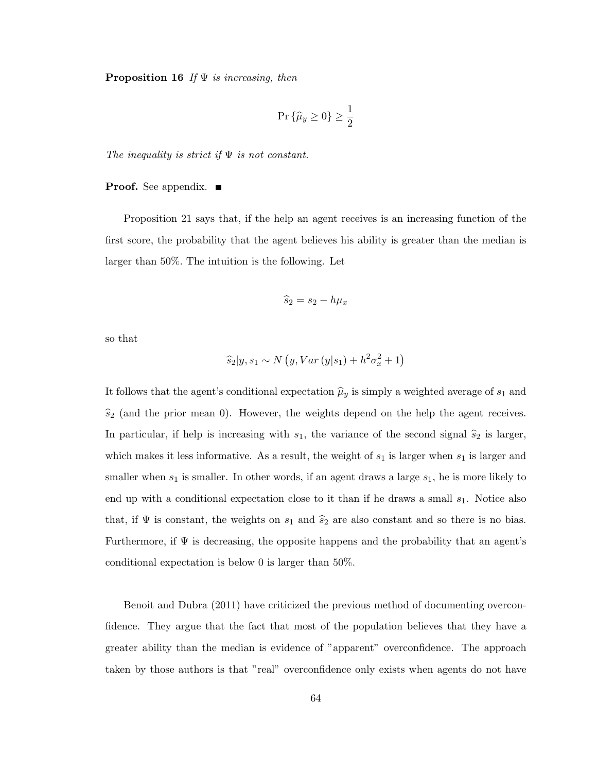**Proposition 16** If  $\Psi$  is increasing, then

$$
\Pr\left\{\widehat{\mu}_y \ge 0\right\} \ge \frac{1}{2}
$$

The inequality is strict if  $\Psi$  is not constant.

**Proof.** See appendix.  $\blacksquare$ 

Proposition 21 says that, if the help an agent receives is an increasing function of the first score, the probability that the agent believes his ability is greater than the median is larger than 50%. The intuition is the following. Let

$$
\widehat{s}_2 = s_2 - h\mu_x
$$

so that

$$
\widehat{s}_2|y, s_1 \sim N(y, Var(y|s_1) + h^2 \sigma_x^2 + 1)
$$

It follows that the agent's conditional expectation  $\hat{\mu}_y$  is simply a weighted average of  $s_1$  and  $\hat{s}_2$  (and the prior mean 0). However, the weights depend on the help the agent receives. In particular, if help is increasing with  $s_1$ , the variance of the second signal  $\hat{s}_2$  is larger, which makes it less informative. As a result, the weight of  $s_1$  is larger when  $s_1$  is larger and smaller when  $s_1$  is smaller. In other words, if an agent draws a large  $s_1$ , he is more likely to end up with a conditional expectation close to it than if he draws a small  $s_1$ . Notice also that, if  $\Psi$  is constant, the weights on  $s_1$  and  $\hat{s}_2$  are also constant and so there is no bias. Furthermore, if  $\Psi$  is decreasing, the opposite happens and the probability that an agent's conditional expectation is below 0 is larger than 50%.

Benoit and Dubra (2011) have criticized the previous method of documenting overconfidence. They argue that the fact that most of the population believes that they have a greater ability than the median is evidence of "apparent" overconfidence. The approach taken by those authors is that "real" overconfidence only exists when agents do not have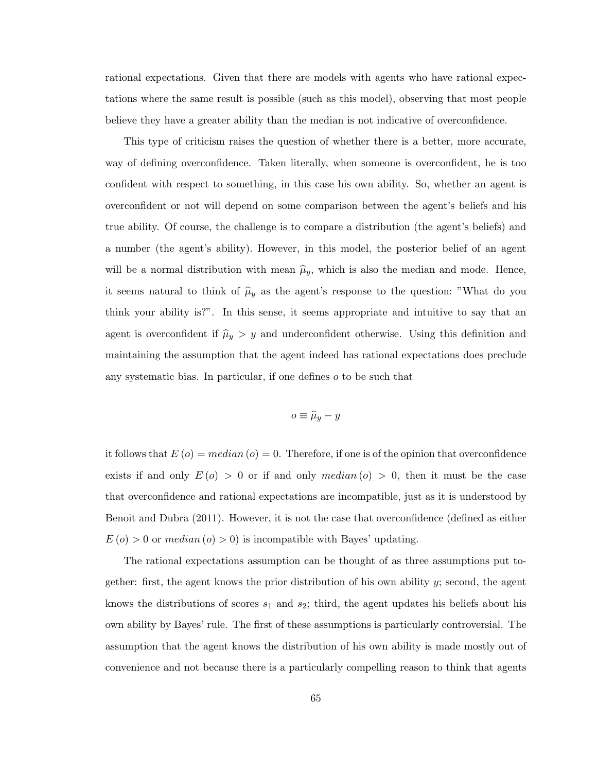rational expectations. Given that there are models with agents who have rational expectations where the same result is possible (such as this model), observing that most people believe they have a greater ability than the median is not indicative of overconfidence.

This type of criticism raises the question of whether there is a better, more accurate, way of defining overconfidence. Taken literally, when someone is overconfident, he is too confident with respect to something, in this case his own ability. So, whether an agent is overconfident or not will depend on some comparison between the agent's beliefs and his true ability. Of course, the challenge is to compare a distribution (the agent's beliefs) and a number (the agent's ability). However, in this model, the posterior belief of an agent will be a normal distribution with mean  $\hat{\mu}_y$ , which is also the median and mode. Hence, it seems natural to think of  $\hat{\mu}_y$  as the agent's response to the question: "What do you think your ability is?". In this sense, it seems appropriate and intuitive to say that an agent is overconfident if  $\hat{\mu}_y > y$  and underconfident otherwise. Using this definition and maintaining the assumption that the agent indeed has rational expectations does preclude any systematic bias. In particular, if one defines o to be such that

$$
o \equiv \widehat{\mu}_y - y
$$

it follows that  $E(o) = median(o) = 0$ . Therefore, if one is of the opinion that overconfidence exists if and only  $E(0) > 0$  or if and only  $median(0) > 0$ , then it must be the case that overconfidence and rational expectations are incompatible, just as it is understood by Benoit and Dubra (2011). However, it is not the case that overconfidence (defined as either  $E(o) > 0$  or  $median(o) > 0$  is incompatible with Bayes' updating.

The rational expectations assumption can be thought of as three assumptions put together: first, the agent knows the prior distribution of his own ability  $y$ ; second, the agent knows the distributions of scores  $s_1$  and  $s_2$ ; third, the agent updates his beliefs about his own ability by Bayes' rule. The first of these assumptions is particularly controversial. The assumption that the agent knows the distribution of his own ability is made mostly out of convenience and not because there is a particularly compelling reason to think that agents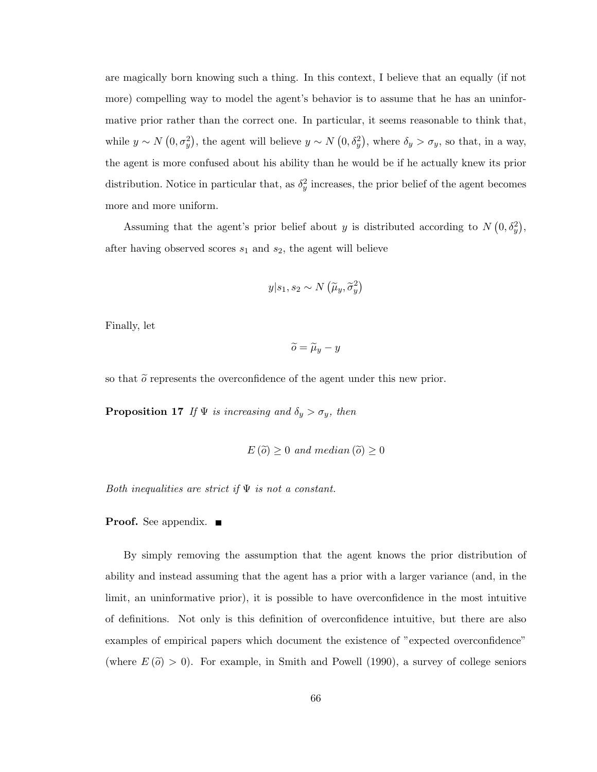are magically born knowing such a thing. In this context, I believe that an equally (if not more) compelling way to model the agent's behavior is to assume that he has an uninformative prior rather than the correct one. In particular, it seems reasonable to think that, while  $y \sim N(0, \sigma_y^2)$ , the agent will believe  $y \sim N(0, \delta_y^2)$ , where  $\delta_y > \sigma_y$ , so that, in a way, the agent is more confused about his ability than he would be if he actually knew its prior distribution. Notice in particular that, as  $\delta_y^2$  increases, the prior belief of the agent becomes more and more uniform.

Assuming that the agent's prior belief about y is distributed according to  $N(0, \delta_y^2)$ , after having observed scores  $s_1$  and  $s_2$ , the agent will believe

$$
y|s_1, s_2 \sim N(\tilde{\mu}_y, \tilde{\sigma}_y^2)
$$

Finally, let

$$
\widetilde{o} = \widetilde{\mu}_y - y
$$

so that  $\tilde{o}$  represents the overconfidence of the agent under this new prior.

**Proposition 17** If  $\Psi$  is increasing and  $\delta_y > \sigma_y$ , then

$$
E(\widetilde{o}) \ge 0 \ and \ median(\widetilde{o}) \ge 0
$$

Both inequalities are strict if  $\Psi$  is not a constant.

**Proof.** See appendix.  $\blacksquare$ 

By simply removing the assumption that the agent knows the prior distribution of ability and instead assuming that the agent has a prior with a larger variance (and, in the limit, an uninformative prior), it is possible to have overconfidence in the most intuitive of definitions. Not only is this definition of overconfidence intuitive, but there are also examples of empirical papers which document the existence of "expected overconfidence" (where  $E(\tilde{\rho}) > 0$ ). For example, in Smith and Powell (1990), a survey of college seniors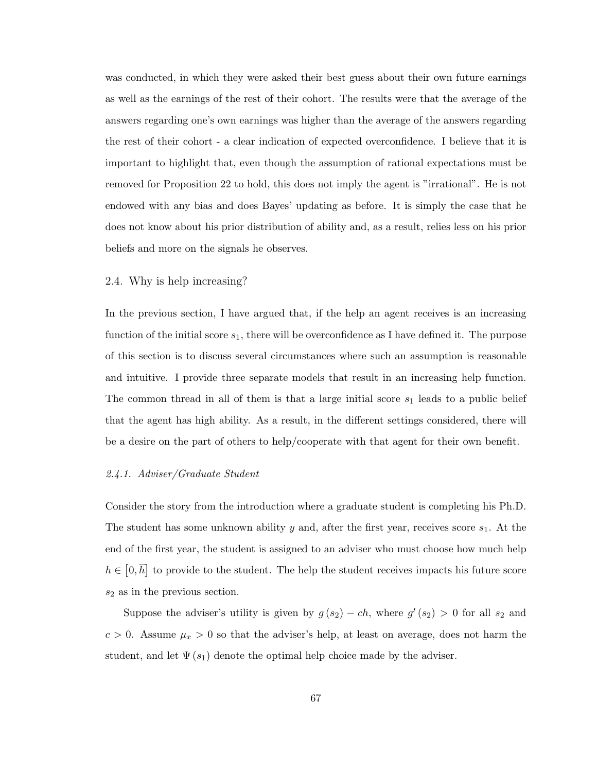was conducted, in which they were asked their best guess about their own future earnings as well as the earnings of the rest of their cohort. The results were that the average of the answers regarding one's own earnings was higher than the average of the answers regarding the rest of their cohort - a clear indication of expected overconfidence. I believe that it is important to highlight that, even though the assumption of rational expectations must be removed for Proposition 22 to hold, this does not imply the agent is "irrational". He is not endowed with any bias and does Bayes' updating as before. It is simply the case that he does not know about his prior distribution of ability and, as a result, relies less on his prior beliefs and more on the signals he observes.

## 2.4. Why is help increasing?

In the previous section, I have argued that, if the help an agent receives is an increasing function of the initial score  $s_1$ , there will be overconfidence as I have defined it. The purpose of this section is to discuss several circumstances where such an assumption is reasonable and intuitive. I provide three separate models that result in an increasing help function. The common thread in all of them is that a large initial score  $s_1$  leads to a public belief that the agent has high ability. As a result, in the different settings considered, there will be a desire on the part of others to help/cooperate with that agent for their own benefit.

#### 2.4.1. Adviser/Graduate Student

Consider the story from the introduction where a graduate student is completing his Ph.D. The student has some unknown ability  $y$  and, after the first year, receives score  $s_1$ . At the end of the first year, the student is assigned to an adviser who must choose how much help  $h \in [0, \overline{h}]$  to provide to the student. The help the student receives impacts his future score  $s_2$  as in the previous section.

Suppose the adviser's utility is given by  $g(s_2) - ch$ , where  $g'(s_2) > 0$  for all  $s_2$  and  $c > 0$ . Assume  $\mu_x > 0$  so that the adviser's help, at least on average, does not harm the student, and let  $\Psi(s_1)$  denote the optimal help choice made by the adviser.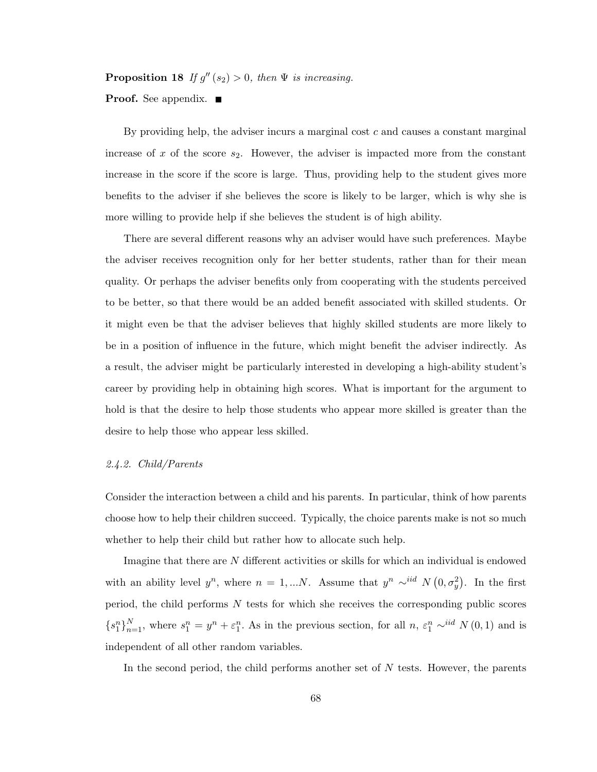# **Proposition 18** If  $g''(s_2) > 0$ , then  $\Psi$  is increasing.

#### **Proof.** See appendix.  $\blacksquare$

By providing help, the adviser incurs a marginal cost  $c$  and causes a constant marginal increase of  $x$  of the score  $s_2$ . However, the adviser is impacted more from the constant increase in the score if the score is large. Thus, providing help to the student gives more benefits to the adviser if she believes the score is likely to be larger, which is why she is more willing to provide help if she believes the student is of high ability.

There are several different reasons why an adviser would have such preferences. Maybe the adviser receives recognition only for her better students, rather than for their mean quality. Or perhaps the adviser benefits only from cooperating with the students perceived to be better, so that there would be an added benefit associated with skilled students. Or it might even be that the adviser believes that highly skilled students are more likely to be in a position of influence in the future, which might benefit the adviser indirectly. As a result, the adviser might be particularly interested in developing a high-ability student's career by providing help in obtaining high scores. What is important for the argument to hold is that the desire to help those students who appear more skilled is greater than the desire to help those who appear less skilled.

#### 2.4.2. Child/Parents

Consider the interaction between a child and his parents. In particular, think of how parents choose how to help their children succeed. Typically, the choice parents make is not so much whether to help their child but rather how to allocate such help.

Imagine that there are N different activities or skills for which an individual is endowed with an ability level  $y^n$ , where  $n = 1,...N$ . Assume that  $y^n \sim^{iid} N(0, \sigma_y^2)$ . In the first period, the child performs  $N$  tests for which she receives the corresponding public scores  ${s_1^n}_{n=1}^N$ , where  $s_1^n = y^n + \varepsilon_1^n$ . As in the previous section, for all  $n, \varepsilon_1^n \sim^{iid} N(0, 1)$  and is independent of all other random variables.

In the second period, the child performs another set of  $N$  tests. However, the parents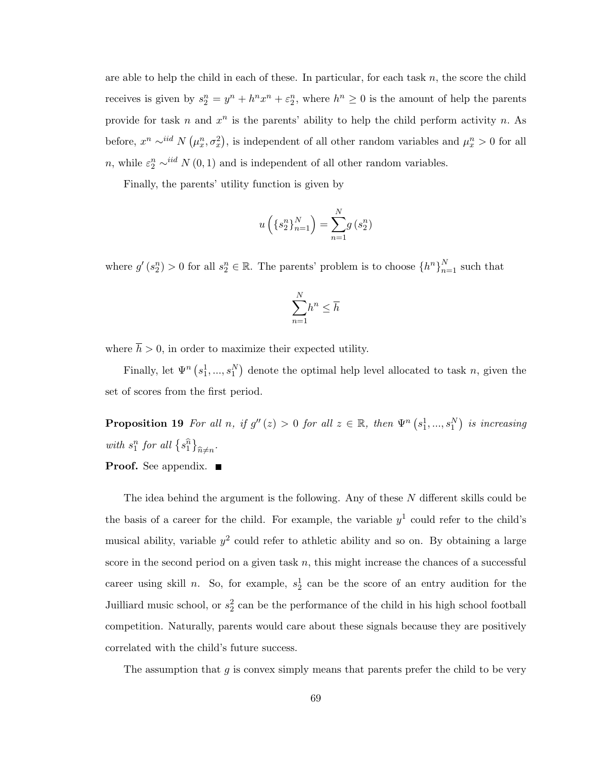are able to help the child in each of these. In particular, for each task  $n$ , the score the child receives is given by  $s_2^n = y^n + h^n x^n + \varepsilon_2^n$ , where  $h^n \geq 0$  is the amount of help the parents provide for task n and  $x^n$  is the parents' ability to help the child perform activity n. As before,  $x^n \sim^{iid} N(\mu_x^n, \sigma_x^2)$ , is independent of all other random variables and  $\mu_x^n > 0$  for all *n*, while  $\varepsilon_2^n \sim^{iid} N(0, 1)$  and is independent of all other random variables.

Finally, the parents' utility function is given by

$$
u\left(\{s_2^n\}_{n=1}^N\right) = \sum_{n=1}^N g\left(s_2^n\right)
$$

where  $g'(s_2^n) > 0$  for all  $s_2^n \in \mathbb{R}$ . The parents' problem is to choose  $\{h^n\}_{n=1}^N$  such that

$$
\sum_{n=1}^N\!h^n\leq \overline{h}
$$

where  $\bar{h} > 0$ , in order to maximize their expected utility.

Finally, let  $\Psi^{n}(s_1^1, ..., s_1^N)$  denote the optimal help level allocated to task n, given the set of scores from the first period.

**Proposition 19** For all n, if  $g''(z) > 0$  for all  $z \in \mathbb{R}$ , then  $\Psi^n(s_1^1, ..., s_1^N)$  is increasing with  $s_1^n$  for all  $\{s_1^{\hat{n}}\}_{\hat{n}\neq n}$ .

**Proof.** See appendix. ■

The idea behind the argument is the following. Any of these N different skills could be the basis of a career for the child. For example, the variable  $y^1$  could refer to the child's musical ability, variable  $y^2$  could refer to athletic ability and so on. By obtaining a large score in the second period on a given task  $n$ , this might increase the chances of a successful career using skill *n*. So, for example,  $s_2^1$  can be the score of an entry audition for the Juilliard music school, or  $s_2^2$  can be the performance of the child in his high school football competition. Naturally, parents would care about these signals because they are positively correlated with the child's future success.

The assumption that  $g$  is convex simply means that parents prefer the child to be very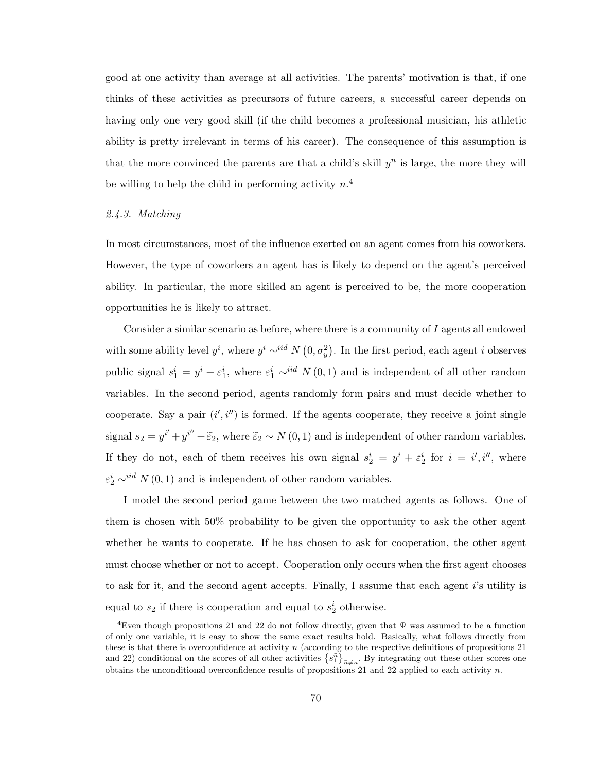good at one activity than average at all activities. The parents' motivation is that, if one thinks of these activities as precursors of future careers, a successful career depends on having only one very good skill (if the child becomes a professional musician, his athletic ability is pretty irrelevant in terms of his career). The consequence of this assumption is that the more convinced the parents are that a child's skill  $y<sup>n</sup>$  is large, the more they will be willing to help the child in performing activity  $n<sup>4</sup>$ 

# 2.4.3. Matching

In most circumstances, most of the influence exerted on an agent comes from his coworkers. However, the type of coworkers an agent has is likely to depend on the agent's perceived ability. In particular, the more skilled an agent is perceived to be, the more cooperation opportunities he is likely to attract.

Consider a similar scenario as before, where there is a community of I agents all endowed with some ability level  $y^i$ , where  $y^i \sim^{iid} N(0, \sigma_y^2)$ . In the first period, each agent *i* observes public signal  $s_1^i = y^i + \varepsilon_1^i$ , where  $\varepsilon_1^i \sim^{iid} N(0, 1)$  and is independent of all other random variables. In the second period, agents randomly form pairs and must decide whether to cooperate. Say a pair  $(i', i'')$  is formed. If the agents cooperate, they receive a joint single signal  $s_2 = y^{i'} + y^{i''} + \tilde{\epsilon}_2$ , where  $\tilde{\epsilon}_2 \sim N(0, 1)$  and is independent of other random variables. If they do not, each of them receives his own signal  $s_2^i = y^i + \varepsilon_2^i$  for  $i = i', i'',$  where  $\varepsilon_2^i \sim^{iid} N(0, 1)$  and is independent of other random variables.

I model the second period game between the two matched agents as follows. One of them is chosen with 50% probability to be given the opportunity to ask the other agent whether he wants to cooperate. If he has chosen to ask for cooperation, the other agent must choose whether or not to accept. Cooperation only occurs when the first agent chooses to ask for it, and the second agent accepts. Finally, I assume that each agent i's utility is equal to  $s_2$  if there is cooperation and equal to  $s_2^i$  otherwise.

<sup>&</sup>lt;sup>4</sup>Even though propositions 21 and 22 do not follow directly, given that  $\Psi$  was assumed to be a function of only one variable, it is easy to show the same exact results hold. Basically, what follows directly from these is that there is overconfidence at activity  $n$  (according to the respective definitions of propositions 21 and 22) conditional on the scores of all other activities  $\{s_1^{\hat{n}}\}_{\hat{n}\neq n}$ . By integrating out these other scores one obtains the unconditional overconfidence results of propositions 21 and 22 applied to each activity n.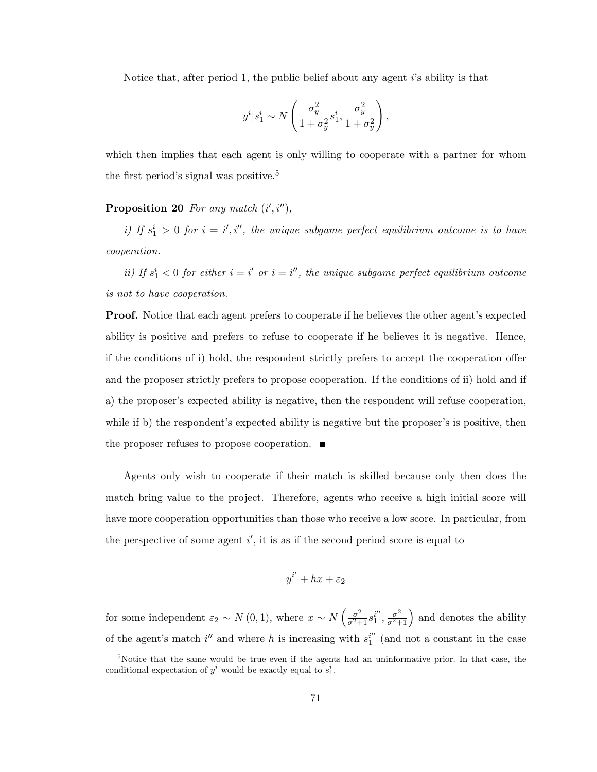Notice that, after period 1, the public belief about any agent i's ability is that

$$
y^{i}|s_1^{i} \sim N\left(\frac{\sigma_y^2}{1+\sigma_y^2}s_1^{i}, \frac{\sigma_y^2}{1+\sigma_y^2}\right),\,
$$

which then implies that each agent is only willing to cooperate with a partner for whom the first period's signal was positive.<sup>5</sup>

# Proposition 20 For any match  $(i', i'')$ ,

i) If  $s_1^i > 0$  for  $i = i', i'',$  the unique subgame perfect equilibrium outcome is to have cooperation.

ii) If  $s_1^i < 0$  for either  $i = i'$  or  $i = i''$ , the unique subgame perfect equilibrium outcome is not to have cooperation.

Proof. Notice that each agent prefers to cooperate if he believes the other agent's expected ability is positive and prefers to refuse to cooperate if he believes it is negative. Hence, if the conditions of i) hold, the respondent strictly prefers to accept the cooperation offer and the proposer strictly prefers to propose cooperation. If the conditions of ii) hold and if a) the proposer's expected ability is negative, then the respondent will refuse cooperation, while if b) the respondent's expected ability is negative but the proposer's is positive, then the proposer refuses to propose cooperation.  $\blacksquare$ 

Agents only wish to cooperate if their match is skilled because only then does the match bring value to the project. Therefore, agents who receive a high initial score will have more cooperation opportunities than those who receive a low score. In particular, from the perspective of some agent  $i'$ , it is as if the second period score is equal to

$$
y^{i'} + hx + \varepsilon_2
$$

for some independent  $\varepsilon_2 \sim N(0, 1)$ , where  $x \sim N\left(\frac{\sigma^2}{\sigma^2+1} s_1^{i''}\right)$  $\left(\frac{i''}{1}, \frac{\sigma^2}{\sigma^2 + 1}\right)$  and denotes the ability of the agent's match  $i''$  and where h is increasing with  $s_1^{i''}$  $\frac{i''}{1}$  (and not a constant in the case

 $5$ Notice that the same would be true even if the agents had an uninformative prior. In that case, the conditional expectation of  $y^i$  would be exactly equal to  $s_1^i$ .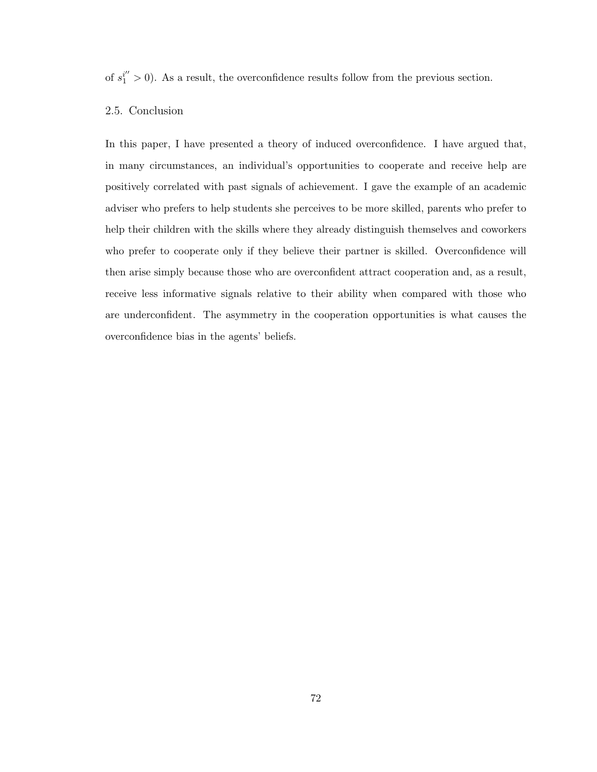of  $s_1^{i''} > 0$ ). As a result, the overconfidence results follow from the previous section.

## 2.5. Conclusion

In this paper, I have presented a theory of induced overconfidence. I have argued that, in many circumstances, an individual's opportunities to cooperate and receive help are positively correlated with past signals of achievement. I gave the example of an academic adviser who prefers to help students she perceives to be more skilled, parents who prefer to help their children with the skills where they already distinguish themselves and coworkers who prefer to cooperate only if they believe their partner is skilled. Overconfidence will then arise simply because those who are overconfident attract cooperation and, as a result, receive less informative signals relative to their ability when compared with those who are underconfident. The asymmetry in the cooperation opportunities is what causes the overconfidence bias in the agents' beliefs.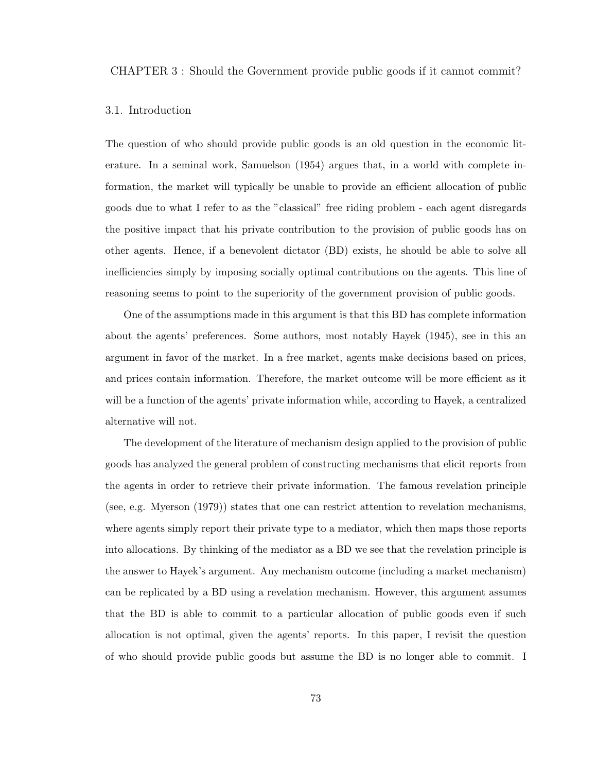CHAPTER 3 : Should the Government provide public goods if it cannot commit?

#### 3.1. Introduction

The question of who should provide public goods is an old question in the economic literature. In a seminal work, Samuelson (1954) argues that, in a world with complete information, the market will typically be unable to provide an efficient allocation of public goods due to what I refer to as the "classical" free riding problem - each agent disregards the positive impact that his private contribution to the provision of public goods has on other agents. Hence, if a benevolent dictator (BD) exists, he should be able to solve all inefficiencies simply by imposing socially optimal contributions on the agents. This line of reasoning seems to point to the superiority of the government provision of public goods.

One of the assumptions made in this argument is that this BD has complete information about the agents' preferences. Some authors, most notably Hayek (1945), see in this an argument in favor of the market. In a free market, agents make decisions based on prices, and prices contain information. Therefore, the market outcome will be more efficient as it will be a function of the agents' private information while, according to Hayek, a centralized alternative will not.

The development of the literature of mechanism design applied to the provision of public goods has analyzed the general problem of constructing mechanisms that elicit reports from the agents in order to retrieve their private information. The famous revelation principle (see, e.g. Myerson (1979)) states that one can restrict attention to revelation mechanisms, where agents simply report their private type to a mediator, which then maps those reports into allocations. By thinking of the mediator as a BD we see that the revelation principle is the answer to Hayek's argument. Any mechanism outcome (including a market mechanism) can be replicated by a BD using a revelation mechanism. However, this argument assumes that the BD is able to commit to a particular allocation of public goods even if such allocation is not optimal, given the agents' reports. In this paper, I revisit the question of who should provide public goods but assume the BD is no longer able to commit. I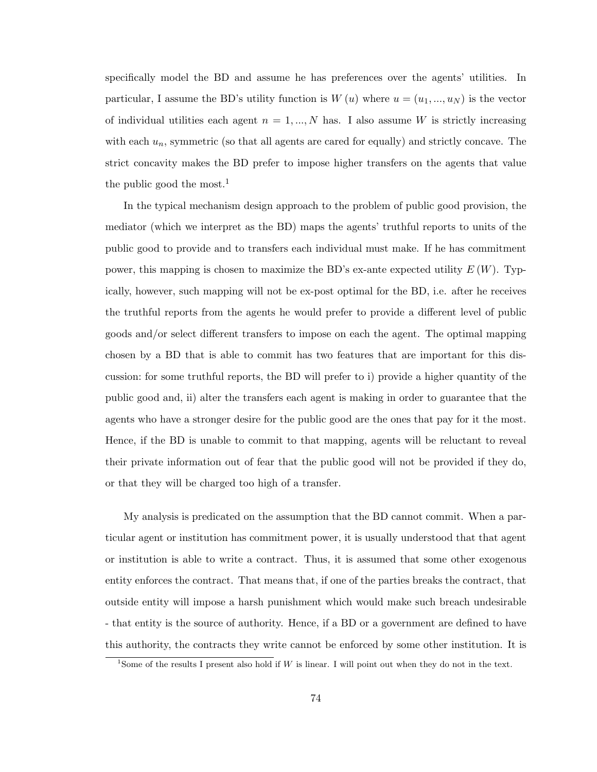specifically model the BD and assume he has preferences over the agents' utilities. In particular, I assume the BD's utility function is  $W(u)$  where  $u = (u_1, ..., u_N)$  is the vector of individual utilities each agent  $n = 1, ..., N$  has. I also assume W is strictly increasing with each  $u_n$ , symmetric (so that all agents are cared for equally) and strictly concave. The strict concavity makes the BD prefer to impose higher transfers on the agents that value the public good the most.<sup>1</sup>

In the typical mechanism design approach to the problem of public good provision, the mediator (which we interpret as the BD) maps the agents' truthful reports to units of the public good to provide and to transfers each individual must make. If he has commitment power, this mapping is chosen to maximize the BD's ex-ante expected utility  $E(W)$ . Typically, however, such mapping will not be ex-post optimal for the BD, i.e. after he receives the truthful reports from the agents he would prefer to provide a different level of public goods and/or select different transfers to impose on each the agent. The optimal mapping chosen by a BD that is able to commit has two features that are important for this discussion: for some truthful reports, the BD will prefer to i) provide a higher quantity of the public good and, ii) alter the transfers each agent is making in order to guarantee that the agents who have a stronger desire for the public good are the ones that pay for it the most. Hence, if the BD is unable to commit to that mapping, agents will be reluctant to reveal their private information out of fear that the public good will not be provided if they do, or that they will be charged too high of a transfer.

My analysis is predicated on the assumption that the BD cannot commit. When a particular agent or institution has commitment power, it is usually understood that that agent or institution is able to write a contract. Thus, it is assumed that some other exogenous entity enforces the contract. That means that, if one of the parties breaks the contract, that outside entity will impose a harsh punishment which would make such breach undesirable - that entity is the source of authority. Hence, if a BD or a government are defined to have this authority, the contracts they write cannot be enforced by some other institution. It is

<sup>&</sup>lt;sup>1</sup>Some of the results I present also hold if  $W$  is linear. I will point out when they do not in the text.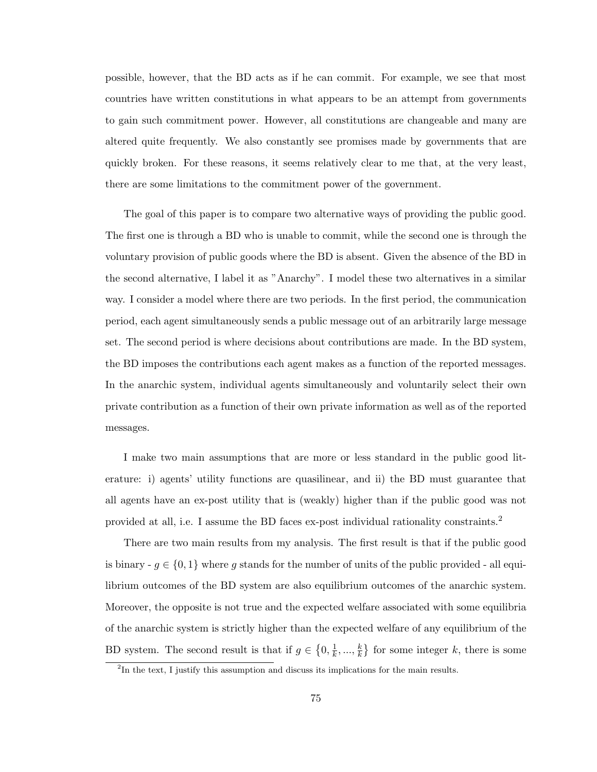possible, however, that the BD acts as if he can commit. For example, we see that most countries have written constitutions in what appears to be an attempt from governments to gain such commitment power. However, all constitutions are changeable and many are altered quite frequently. We also constantly see promises made by governments that are quickly broken. For these reasons, it seems relatively clear to me that, at the very least, there are some limitations to the commitment power of the government.

The goal of this paper is to compare two alternative ways of providing the public good. The first one is through a BD who is unable to commit, while the second one is through the voluntary provision of public goods where the BD is absent. Given the absence of the BD in the second alternative, I label it as "Anarchy". I model these two alternatives in a similar way. I consider a model where there are two periods. In the first period, the communication period, each agent simultaneously sends a public message out of an arbitrarily large message set. The second period is where decisions about contributions are made. In the BD system, the BD imposes the contributions each agent makes as a function of the reported messages. In the anarchic system, individual agents simultaneously and voluntarily select their own private contribution as a function of their own private information as well as of the reported messages.

I make two main assumptions that are more or less standard in the public good literature: i) agents' utility functions are quasilinear, and ii) the BD must guarantee that all agents have an ex-post utility that is (weakly) higher than if the public good was not provided at all, i.e. I assume the BD faces ex-post individual rationality constraints.<sup>2</sup>

There are two main results from my analysis. The first result is that if the public good is binary -  $g \in \{0,1\}$  where g stands for the number of units of the public provided - all equilibrium outcomes of the BD system are also equilibrium outcomes of the anarchic system. Moreover, the opposite is not true and the expected welfare associated with some equilibria of the anarchic system is strictly higher than the expected welfare of any equilibrium of the BD system. The second result is that if  $g \in \{0, \frac{1}{k}\}$  $\frac{1}{k}, \dots, \frac{k}{k}$  $\frac{k}{k}$  for some integer k, there is some

<sup>&</sup>lt;sup>2</sup>In the text, I justify this assumption and discuss its implications for the main results.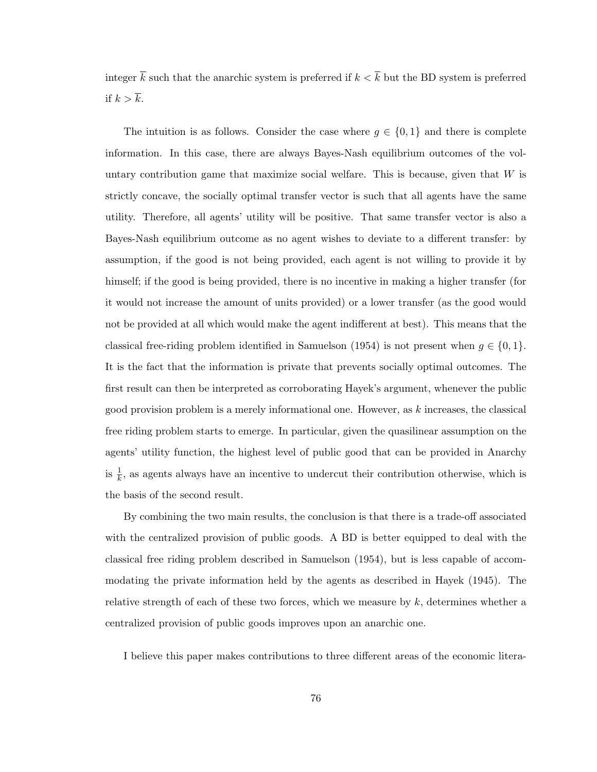integer  $\bar{k}$  such that the anarchic system is preferred if  $k < \bar{k}$  but the BD system is preferred if  $k > \overline{k}$ .

The intuition is as follows. Consider the case where  $g \in \{0,1\}$  and there is complete information. In this case, there are always Bayes-Nash equilibrium outcomes of the voluntary contribution game that maximize social welfare. This is because, given that  $W$  is strictly concave, the socially optimal transfer vector is such that all agents have the same utility. Therefore, all agents' utility will be positive. That same transfer vector is also a Bayes-Nash equilibrium outcome as no agent wishes to deviate to a different transfer: by assumption, if the good is not being provided, each agent is not willing to provide it by himself; if the good is being provided, there is no incentive in making a higher transfer (for it would not increase the amount of units provided) or a lower transfer (as the good would not be provided at all which would make the agent indifferent at best). This means that the classical free-riding problem identified in Samuelson (1954) is not present when  $g \in \{0, 1\}$ . It is the fact that the information is private that prevents socially optimal outcomes. The first result can then be interpreted as corroborating Hayek's argument, whenever the public good provision problem is a merely informational one. However, as  $k$  increases, the classical free riding problem starts to emerge. In particular, given the quasilinear assumption on the agents' utility function, the highest level of public good that can be provided in Anarchy is  $\frac{1}{k}$ , as agents always have an incentive to undercut their contribution otherwise, which is the basis of the second result.

By combining the two main results, the conclusion is that there is a trade-off associated with the centralized provision of public goods. A BD is better equipped to deal with the classical free riding problem described in Samuelson (1954), but is less capable of accommodating the private information held by the agents as described in Hayek (1945). The relative strength of each of these two forces, which we measure by  $k$ , determines whether a centralized provision of public goods improves upon an anarchic one.

I believe this paper makes contributions to three different areas of the economic litera-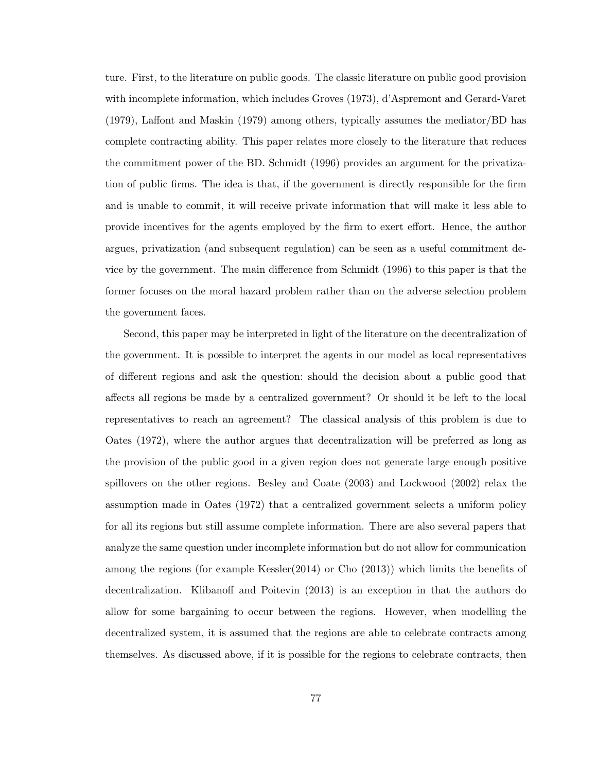ture. First, to the literature on public goods. The classic literature on public good provision with incomplete information, which includes Groves (1973), d'Aspremont and Gerard-Varet (1979), Laffont and Maskin (1979) among others, typically assumes the mediator/BD has complete contracting ability. This paper relates more closely to the literature that reduces the commitment power of the BD. Schmidt (1996) provides an argument for the privatization of public firms. The idea is that, if the government is directly responsible for the firm and is unable to commit, it will receive private information that will make it less able to provide incentives for the agents employed by the firm to exert effort. Hence, the author argues, privatization (and subsequent regulation) can be seen as a useful commitment device by the government. The main difference from Schmidt (1996) to this paper is that the former focuses on the moral hazard problem rather than on the adverse selection problem the government faces.

Second, this paper may be interpreted in light of the literature on the decentralization of the government. It is possible to interpret the agents in our model as local representatives of different regions and ask the question: should the decision about a public good that affects all regions be made by a centralized government? Or should it be left to the local representatives to reach an agreement? The classical analysis of this problem is due to Oates (1972), where the author argues that decentralization will be preferred as long as the provision of the public good in a given region does not generate large enough positive spillovers on the other regions. Besley and Coate (2003) and Lockwood (2002) relax the assumption made in Oates (1972) that a centralized government selects a uniform policy for all its regions but still assume complete information. There are also several papers that analyze the same question under incomplete information but do not allow for communication among the regions (for example Kessler(2014) or Cho (2013)) which limits the benefits of decentralization. Klibanoff and Poitevin (2013) is an exception in that the authors do allow for some bargaining to occur between the regions. However, when modelling the decentralized system, it is assumed that the regions are able to celebrate contracts among themselves. As discussed above, if it is possible for the regions to celebrate contracts, then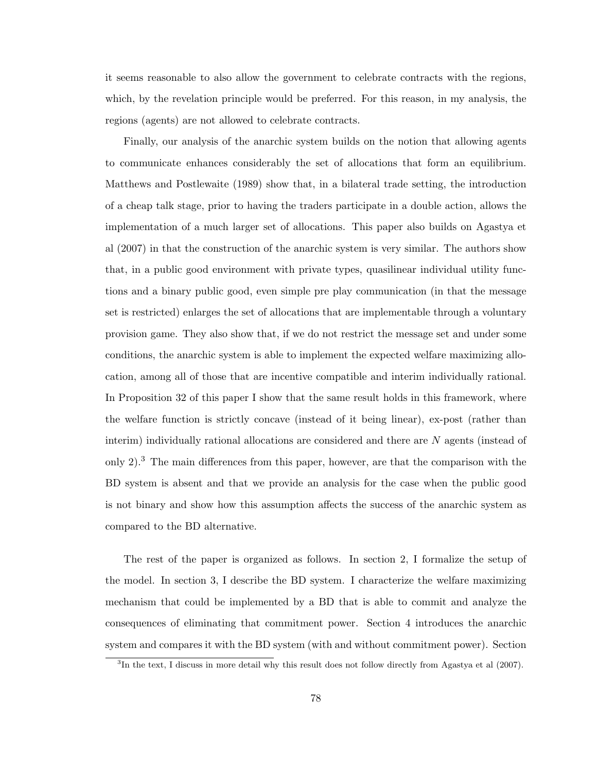it seems reasonable to also allow the government to celebrate contracts with the regions, which, by the revelation principle would be preferred. For this reason, in my analysis, the regions (agents) are not allowed to celebrate contracts.

Finally, our analysis of the anarchic system builds on the notion that allowing agents to communicate enhances considerably the set of allocations that form an equilibrium. Matthews and Postlewaite (1989) show that, in a bilateral trade setting, the introduction of a cheap talk stage, prior to having the traders participate in a double action, allows the implementation of a much larger set of allocations. This paper also builds on Agastya et al (2007) in that the construction of the anarchic system is very similar. The authors show that, in a public good environment with private types, quasilinear individual utility functions and a binary public good, even simple pre play communication (in that the message set is restricted) enlarges the set of allocations that are implementable through a voluntary provision game. They also show that, if we do not restrict the message set and under some conditions, the anarchic system is able to implement the expected welfare maximizing allocation, among all of those that are incentive compatible and interim individually rational. In Proposition 32 of this paper I show that the same result holds in this framework, where the welfare function is strictly concave (instead of it being linear), ex-post (rather than interim) individually rational allocations are considered and there are N agents (instead of only  $2$ ).<sup>3</sup> The main differences from this paper, however, are that the comparison with the BD system is absent and that we provide an analysis for the case when the public good is not binary and show how this assumption affects the success of the anarchic system as compared to the BD alternative.

The rest of the paper is organized as follows. In section 2, I formalize the setup of the model. In section 3, I describe the BD system. I characterize the welfare maximizing mechanism that could be implemented by a BD that is able to commit and analyze the consequences of eliminating that commitment power. Section 4 introduces the anarchic system and compares it with the BD system (with and without commitment power). Section

<sup>3</sup> In the text, I discuss in more detail why this result does not follow directly from Agastya et al (2007).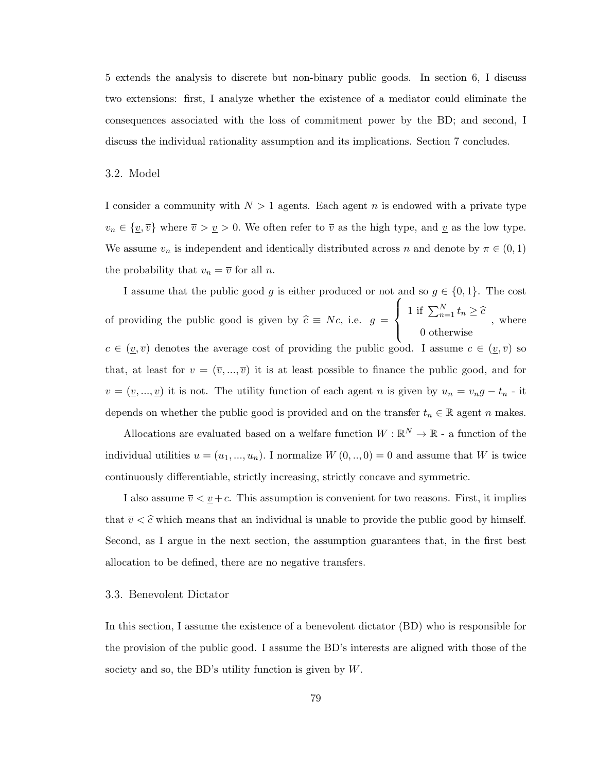5 extends the analysis to discrete but non-binary public goods. In section 6, I discuss two extensions: first, I analyze whether the existence of a mediator could eliminate the consequences associated with the loss of commitment power by the BD; and second, I discuss the individual rationality assumption and its implications. Section 7 concludes.

## 3.2. Model

I consider a community with  $N > 1$  agents. Each agent n is endowed with a private type  $v_n \in \{\underline{v}, \overline{v}\}\$  where  $\overline{v} > \underline{v} > 0$ . We often refer to  $\overline{v}$  as the high type, and  $\underline{v}$  as the low type. We assume  $v_n$  is independent and identically distributed across n and denote by  $\pi \in (0,1)$ the probability that  $v_n = \overline{v}$  for all n.

I assume that the public good g is either produced or not and so  $g \in \{0, 1\}$ . The cost of providing the public good is given by  $\hat{c} \equiv N_c$ , i.e.  $g =$  $\sqrt{ }$  $\int$  $\overline{\mathcal{L}}$ 1 if  $\sum_{n=1}^{N} t_n \geq \widehat{c}$ 0 otherwise , where  $c \in (\underline{v}, \overline{v})$  denotes the average cost of providing the public good. I assume  $c \in (\underline{v}, \overline{v})$  so that, at least for  $v = (\overline{v}, ..., \overline{v})$  it is at least possible to finance the public good, and for  $v = (\underline{v}, ..., \underline{v})$  it is not. The utility function of each agent n is given by  $u_n = v_n g - t_n$  - it depends on whether the public good is provided and on the transfer  $t_n \in \mathbb{R}$  agent n makes.

Allocations are evaluated based on a welfare function  $W:\mathbb{R}^N\to\mathbb{R}$  - a function of the individual utilities  $u = (u_1, ..., u_n)$ . I normalize  $W(0, ..., 0) = 0$  and assume that W is twice continuously differentiable, strictly increasing, strictly concave and symmetric.

I also assume  $\overline{v} < \underline{v} + c$ . This assumption is convenient for two reasons. First, it implies that  $\overline{v} < \hat{c}$  which means that an individual is unable to provide the public good by himself. Second, as I argue in the next section, the assumption guarantees that, in the first best allocation to be defined, there are no negative transfers.

## 3.3. Benevolent Dictator

In this section, I assume the existence of a benevolent dictator (BD) who is responsible for the provision of the public good. I assume the BD's interests are aligned with those of the society and so, the BD's utility function is given by W.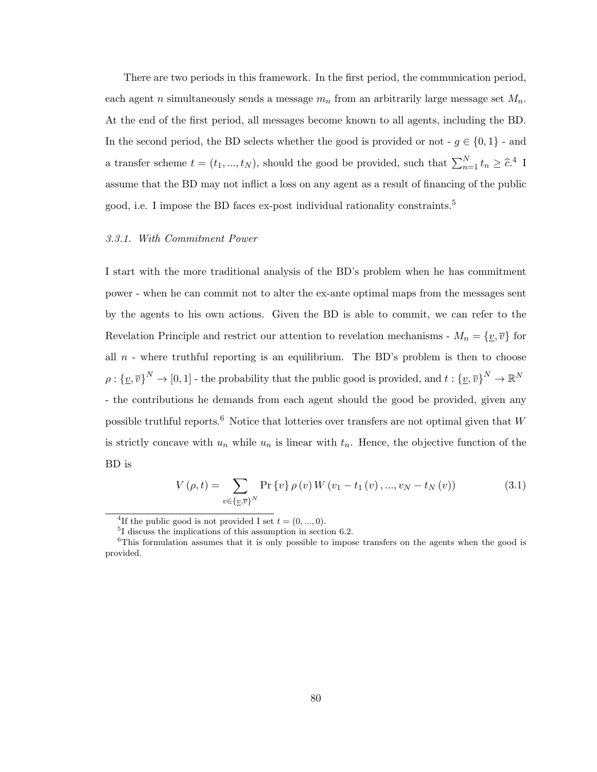There are two periods in this framework. In the first period, the communication period, each agent n simultaneously sends a message  $m_n$  from an arbitrarily large message set  $M_n$ . At the end of the first period, all messages become known to all agents, including the BD. In the second period, the BD selects whether the good is provided or not -  $g \in \{0,1\}$  - and a transfer scheme  $t = (t_1, ..., t_N)$ , should the good be provided, such that  $\sum_{n=1}^{N} t_n \geq \hat{c}^4$ . assume that the BD may not inflict a loss on any agent as a result of financing of the public good, i.e. I impose the BD faces ex-post individual rationality constraints.<sup>5</sup>

#### 3.3.1. With Commitment Power

I start with the more traditional analysis of the BD's problem when he has commitment power - when he can commit not to alter the ex-ante optimal maps from the messages sent by the agents to his own actions. Given the BD is able to commit, we can refer to the Revelation Principle and restrict our attention to revelation mechanisms -  $M_n = \{v, \overline{v}\}\)$  for all  $n$  - where truthful reporting is an equilibrium. The BD's problem is then to choose  $\rho: {\{\underline{v}, \overline{v}\}}^N \to [0, 1]$  - the probability that the public good is provided, and  $t: {\{\underline{v}, \overline{v}\}}^N \to \mathbb{R}^N$ - the contributions he demands from each agent should the good be provided, given any possible truthful reports.<sup>6</sup> Notice that lotteries over transfers are not optimal given that W is strictly concave with  $u_n$  while  $u_n$  is linear with  $t_n$ . Hence, the objective function of the BD is

$$
V(\rho, t) = \sum_{v \in \{v, \overline{v}\}^N} \Pr\{v\} \rho(v) W(v_1 - t_1(v), ..., v_N - t_N(v))
$$
(3.1)

<sup>&</sup>lt;sup>4</sup>If the public good is not provided I set  $t = (0, ..., 0)$ .

<sup>5</sup> I discuss the implications of this assumption in section 6.2.

<sup>&</sup>lt;sup>6</sup>This formulation assumes that it is only possible to impose transfers on the agents when the good is provided.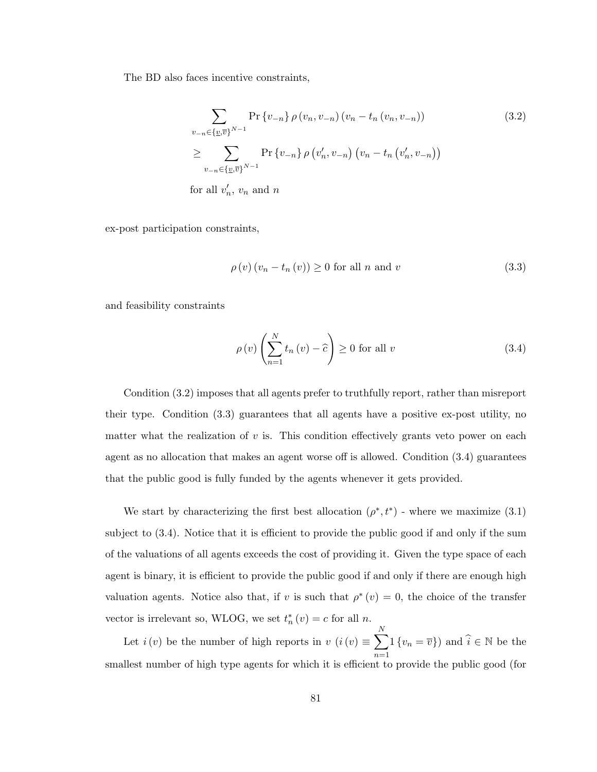The BD also faces incentive constraints,

$$
\sum_{v_{-n} \in \{\underline{v}, \overline{v}\}^{N-1}} \Pr\{v_{-n}\} \rho(v_n, v_{-n}) (v_n - t_n (v_n, v_{-n}))
$$
\n
$$
\geq \sum_{v_{-n} \in \{\underline{v}, \overline{v}\}^{N-1}} \Pr\{v_{-n}\} \rho(v'_n, v_{-n}) (v_n - t_n (v'_n, v_{-n}))
$$
\n(3.2)

for all  $v'_n$ ,  $v_n$  and n

ex-post participation constraints,

$$
\rho(v) (v_n - t_n(v)) \ge 0 \text{ for all } n \text{ and } v \tag{3.3}
$$

and feasibility constraints

$$
\rho(v) \left( \sum_{n=1}^{N} t_n(v) - \hat{c} \right) \ge 0 \text{ for all } v \tag{3.4}
$$

Condition (3.2) imposes that all agents prefer to truthfully report, rather than misreport their type. Condition (3.3) guarantees that all agents have a positive ex-post utility, no matter what the realization of  $v$  is. This condition effectively grants veto power on each agent as no allocation that makes an agent worse off is allowed. Condition (3.4) guarantees that the public good is fully funded by the agents whenever it gets provided.

We start by characterizing the first best allocation  $(\rho^*, t^*)$  - where we maximize (3.1) subject to (3.4). Notice that it is efficient to provide the public good if and only if the sum of the valuations of all agents exceeds the cost of providing it. Given the type space of each agent is binary, it is efficient to provide the public good if and only if there are enough high valuation agents. Notice also that, if v is such that  $\rho^*(v) = 0$ , the choice of the transfer vector is irrelevant so, WLOG, we set  $t_n^*(v) = c$  for all n.

Let  $i(v)$  be the number of high reports in  $v(i(v) \equiv \sum$ N  $\sum_{n=1} 1 \{v_n = \overline{v}\}\)$  and  $\widehat{i} \in \mathbb{N}$  be the smallest number of high type agents for which it is efficient to provide the public good (for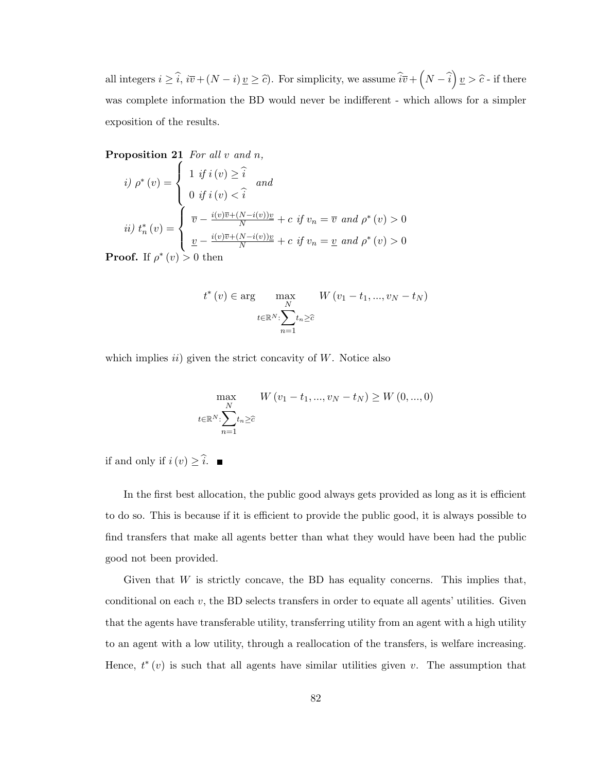all integers  $i \geq \hat{i}$ ,  $i\overline{v} + (N - i) \underline{v} \geq \hat{c}$ . For simplicity, we assume  $\hat{i}\overline{v} + (N - \hat{i}) \underline{v} > \hat{c}$  - if there was complete information the BD would never be indifferent - which allows for a simpler exposition of the results.

Proposition 21 For all  $v$  and  $n$ ,

$$
i) \rho^*(v) = \begin{cases} 1 & \text{if } i(v) \ge \hat{i} \\ 0 & \text{if } i(v) < \hat{i} \end{cases} \text{ and } \\ ii) \ t_n^*(v) = \begin{cases} \overline{v} - \frac{i(v)\overline{v} + (N - i(v))\underline{v}}{N} + c & \text{if } v_n = \overline{v} \text{ and } \rho^*(v) > 0 \\ \underline{v} - \frac{i(v)\overline{v} + (N - i(v))\underline{v}}{N} + c & \text{if } v_n = \underline{v} \text{ and } \rho^*(v) > 0 \end{cases}
$$
  
**Proof.** If  $\rho^*(v) > 0$  then

 $t^*(v) \in \arg$  max  $_{t\in \mathbb{R}^{N}}$  :  $\sum$ N  $\sum_{n=1}^{t_n\geq \widehat{c}}$  $W(v_1 - t_1, ..., v_N - t_N)$ 

which implies  $ii)$  given the strict concavity of  $W$ . Notice also

$$
\max_{\substack{N \\ t \in \mathbb{R}^N : \sum_{n=1}^N t_n \ge \hat{c}}} W(v_1 - t_1, ..., v_N - t_N) \ge W(0, ..., 0)
$$

if and only if  $i(v) \geq \hat{i}$ . ■

In the first best allocation, the public good always gets provided as long as it is efficient to do so. This is because if it is efficient to provide the public good, it is always possible to find transfers that make all agents better than what they would have been had the public good not been provided.

Given that  $W$  is strictly concave, the BD has equality concerns. This implies that, conditional on each  $v$ , the BD selects transfers in order to equate all agents' utilities. Given that the agents have transferable utility, transferring utility from an agent with a high utility to an agent with a low utility, through a reallocation of the transfers, is welfare increasing. Hence,  $t^*(v)$  is such that all agents have similar utilities given v. The assumption that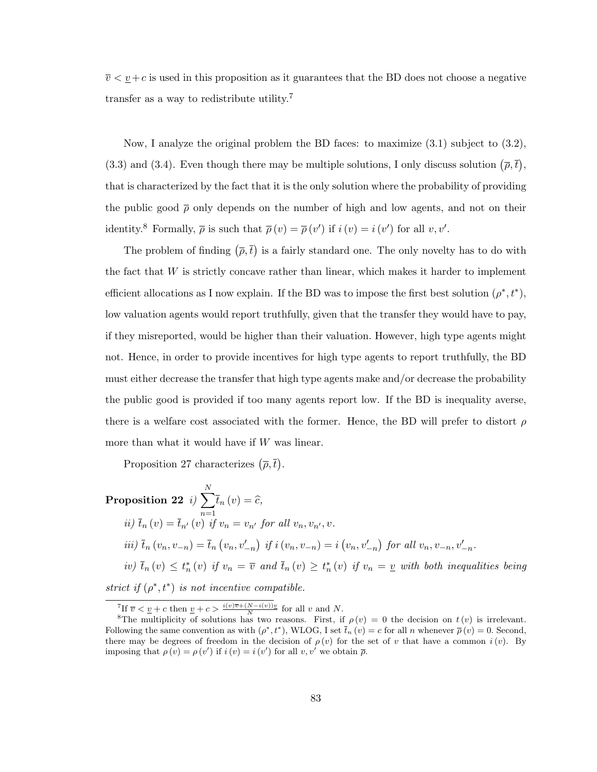$\overline{v} < \underline{v} + c$  is used in this proposition as it guarantees that the BD does not choose a negative transfer as a way to redistribute utility.<sup>7</sup>

Now, I analyze the original problem the BD faces: to maximize (3.1) subject to (3.2), (3.3) and (3.4). Even though there may be multiple solutions, I only discuss solution  $(\bar{\rho}, \bar{t})$ , that is characterized by the fact that it is the only solution where the probability of providing the public good  $\bar{\rho}$  only depends on the number of high and low agents, and not on their identity.<sup>8</sup> Formally,  $\bar{\rho}$  is such that  $\bar{\rho}(v) = \bar{\rho}(v')$  if  $i(v) = i(v')$  for all  $v, v'$ .

The problem of finding  $(\bar{\rho}, \bar{t})$  is a fairly standard one. The only novelty has to do with the fact that  $W$  is strictly concave rather than linear, which makes it harder to implement efficient allocations as I now explain. If the BD was to impose the first best solution  $(\rho^*, t^*)$ , low valuation agents would report truthfully, given that the transfer they would have to pay, if they misreported, would be higher than their valuation. However, high type agents might not. Hence, in order to provide incentives for high type agents to report truthfully, the BD must either decrease the transfer that high type agents make and/or decrease the probability the public good is provided if too many agents report low. If the BD is inequality averse, there is a welfare cost associated with the former. Hence, the BD will prefer to distort  $\rho$ more than what it would have if W was linear.

Proposition 27 characterizes  $(\bar{\rho}, \bar{t})$ .

Proposition 22 i)  $\sum$ N  $\sum_{n=1} \bar{t}_n \left(v\right) = \widehat{c},$ ii)  $\overline{t}_n(v) = \overline{t}_{n'}(v)$  if  $v_n = v_{n'}$  for all  $v_n, v_{n'}, v$ .  $iii) \bar{t}_n (v_n, v_{-n}) = \bar{t}_n (v_n, v'_{-n}) \text{ if } i (v_n, v_{-n}) = i (v_n, v'_{-n}) \text{ for all } v_n, v_{-n}, v'_{-n}.$ iv)  $\bar{t}_n(v) \leq t_n^*(v)$  if  $v_n = \bar{v}$  and  $\bar{t}_n(v) \geq t_n^*(v)$  if  $v_n = \underline{v}$  with both inequalities being

strict if  $(\rho^*, t^*)$  is not incentive compatible.

<sup>&</sup>lt;sup>7</sup>If  $\overline{v} < \underline{v} + c$  then  $\underline{v} + c > \frac{i(v)\overline{v} + (N-i(v))\underline{v}}{N}$  for all v and N.

<sup>&</sup>lt;sup>8</sup>The multiplicity of solutions has two reasons. First, if  $\rho(v) = 0$  the decision on  $t(v)$  is irrelevant. Following the same convention as with  $(\rho^*, t^*)$ , WLOG, I set  $\bar{t}_n(v) = c$  for all n whenever  $\bar{\rho}(v) = 0$ . Second, there may be degrees of freedom in the decision of  $\rho(v)$  for the set of v that have a common  $i(v)$ . By imposing that  $\rho(v) = \rho(v')$  if  $i(v) = i(v')$  for all  $v, v'$  we obtain  $\bar{\rho}$ .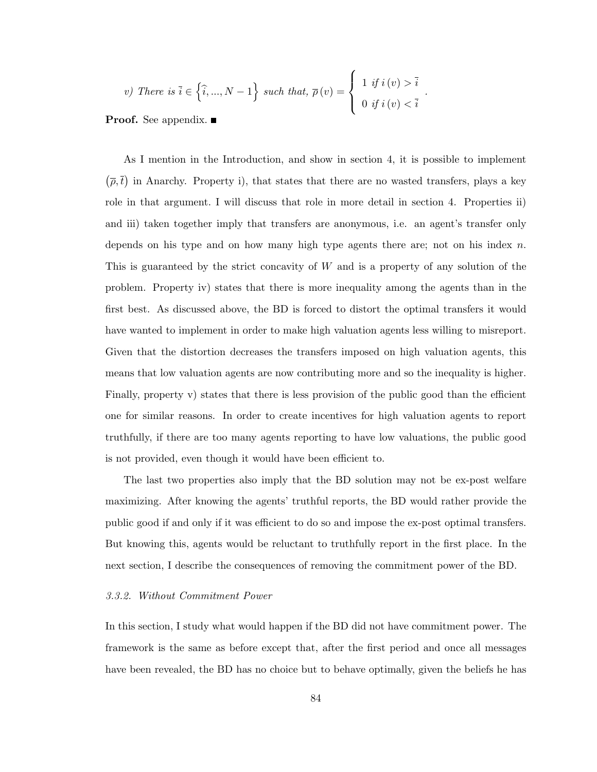v) There is 
$$
\overline{i} \in \left\{\hat{i}, ..., N-1\right\}
$$
 such that,  $\overline{\rho}(v) = \begin{cases} 1 & \text{if } i(v) > \overline{i} \\ 0 & \text{if } i(v) < \overline{i} \end{cases}$ .

**Proof.** See appendix.  $\blacksquare$ 

As I mention in the Introduction, and show in section 4, it is possible to implement  $(\bar{\rho},\bar{t})$  in Anarchy. Property i), that states that there are no wasted transfers, plays a key role in that argument. I will discuss that role in more detail in section 4. Properties ii) and iii) taken together imply that transfers are anonymous, i.e. an agent's transfer only depends on his type and on how many high type agents there are; not on his index  $n$ . This is guaranteed by the strict concavity of W and is a property of any solution of the problem. Property iv) states that there is more inequality among the agents than in the first best. As discussed above, the BD is forced to distort the optimal transfers it would have wanted to implement in order to make high valuation agents less willing to misreport. Given that the distortion decreases the transfers imposed on high valuation agents, this means that low valuation agents are now contributing more and so the inequality is higher. Finally, property v) states that there is less provision of the public good than the efficient one for similar reasons. In order to create incentives for high valuation agents to report truthfully, if there are too many agents reporting to have low valuations, the public good is not provided, even though it would have been efficient to.

The last two properties also imply that the BD solution may not be ex-post welfare maximizing. After knowing the agents' truthful reports, the BD would rather provide the public good if and only if it was efficient to do so and impose the ex-post optimal transfers. But knowing this, agents would be reluctant to truthfully report in the first place. In the next section, I describe the consequences of removing the commitment power of the BD.

#### 3.3.2. Without Commitment Power

In this section, I study what would happen if the BD did not have commitment power. The framework is the same as before except that, after the first period and once all messages have been revealed, the BD has no choice but to behave optimally, given the beliefs he has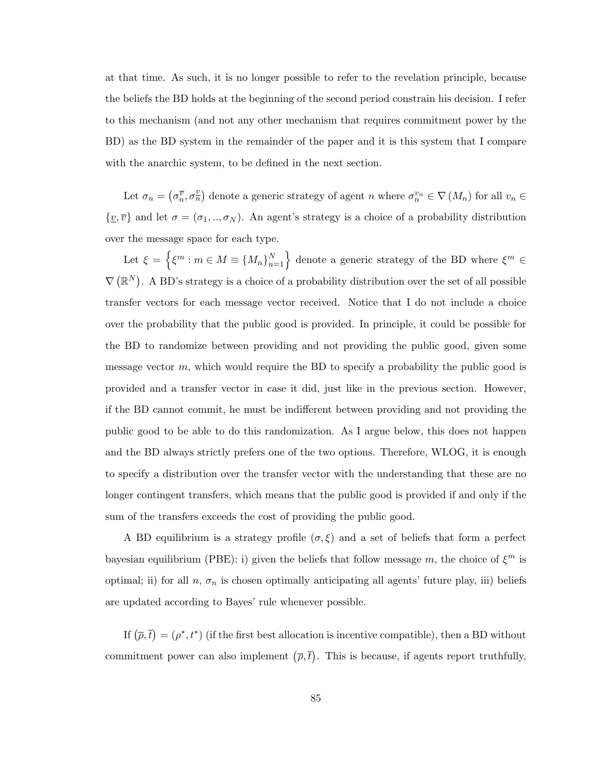at that time. As such, it is no longer possible to refer to the revelation principle, because the beliefs the BD holds at the beginning of the second period constrain his decision. I refer to this mechanism (and not any other mechanism that requires commitment power by the BD) as the BD system in the remainder of the paper and it is this system that I compare with the anarchic system, to be defined in the next section.

Let  $\sigma_n = (\sigma_n^{\overline{v}}, \sigma_n^{\overline{v}})$  denote a generic strategy of agent n where  $\sigma_n^{v_n} \in \nabla(M_n)$  for all  $v_n \in$  $\{\underline{v}, \overline{v}\}\$ and let  $\sigma = (\sigma_1, ..., \sigma_N)$ . An agent's strategy is a choice of a probability distribution over the message space for each type.

Let  $\xi = \left\{ \xi^m : m \in M \equiv \left\{ M_n \right\}_{n=1}^N \right\}$  denote a generic strategy of the BD where  $\xi^m \in$  $\nabla (\mathbb{R}^N)$ . A BD's strategy is a choice of a probability distribution over the set of all possible transfer vectors for each message vector received. Notice that I do not include a choice over the probability that the public good is provided. In principle, it could be possible for the BD to randomize between providing and not providing the public good, given some message vector  $m$ , which would require the BD to specify a probability the public good is provided and a transfer vector in case it did, just like in the previous section. However, if the BD cannot commit, he must be indifferent between providing and not providing the public good to be able to do this randomization. As I argue below, this does not happen and the BD always strictly prefers one of the two options. Therefore, WLOG, it is enough to specify a distribution over the transfer vector with the understanding that these are no longer contingent transfers, which means that the public good is provided if and only if the sum of the transfers exceeds the cost of providing the public good.

A BD equilibrium is a strategy profile  $(\sigma, \xi)$  and a set of beliefs that form a perfect bayesian equilibrium (PBE): i) given the beliefs that follow message m, the choice of  $\xi^m$  is optimal; ii) for all  $n, \sigma_n$  is chosen optimally anticipating all agents' future play, iii) beliefs are updated according to Bayes' rule whenever possible.

If  $(\bar{\rho}, \bar{t}) = (\rho^*, t^*)$  (if the first best allocation is incentive compatible), then a BD without commitment power can also implement  $(\bar{\rho}, \bar{t})$ . This is because, if agents report truthfully,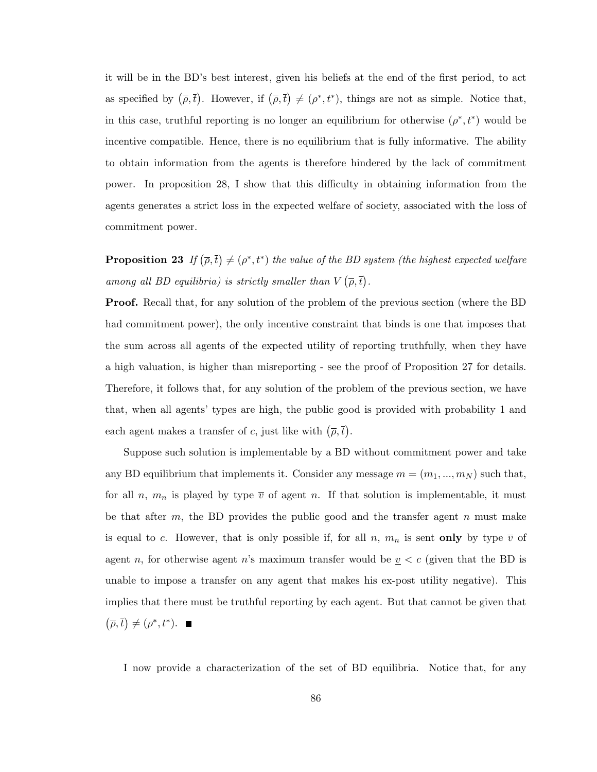it will be in the BD's best interest, given his beliefs at the end of the first period, to act as specified by  $(\bar{\rho}, \bar{t})$ . However, if  $(\bar{\rho}, \bar{t}) \neq (\rho^*, t^*)$ , things are not as simple. Notice that, in this case, truthful reporting is no longer an equilibrium for otherwise  $(\rho^*, t^*)$  would be incentive compatible. Hence, there is no equilibrium that is fully informative. The ability to obtain information from the agents is therefore hindered by the lack of commitment power. In proposition 28, I show that this difficulty in obtaining information from the agents generates a strict loss in the expected welfare of society, associated with the loss of commitment power.

# **Proposition 23** If  $(\bar{\rho}, \bar{t}) \neq (\rho^*, t^*)$  the value of the BD system (the highest expected welfare among all BD equilibria) is strictly smaller than  $V(\bar{\rho}, \bar{t})$ .

Proof. Recall that, for any solution of the problem of the previous section (where the BD had commitment power), the only incentive constraint that binds is one that imposes that the sum across all agents of the expected utility of reporting truthfully, when they have a high valuation, is higher than misreporting - see the proof of Proposition 27 for details. Therefore, it follows that, for any solution of the problem of the previous section, we have that, when all agents' types are high, the public good is provided with probability 1 and each agent makes a transfer of c, just like with  $(\bar{\rho}, \bar{t})$ .

Suppose such solution is implementable by a BD without commitment power and take any BD equilibrium that implements it. Consider any message  $m = (m_1, ..., m_N)$  such that, for all n,  $m_n$  is played by type  $\overline{v}$  of agent n. If that solution is implementable, it must be that after  $m$ , the BD provides the public good and the transfer agent  $n$  must make is equal to c. However, that is only possible if, for all n,  $m_n$  is sent only by type  $\overline{v}$  of agent n, for otherwise agent n's maximum transfer would be  $\nu < c$  (given that the BD is unable to impose a transfer on any agent that makes his ex-post utility negative). This implies that there must be truthful reporting by each agent. But that cannot be given that  $(\overline{\rho}, \overline{t}) \neq (\rho^*, t^*).$ 

I now provide a characterization of the set of BD equilibria. Notice that, for any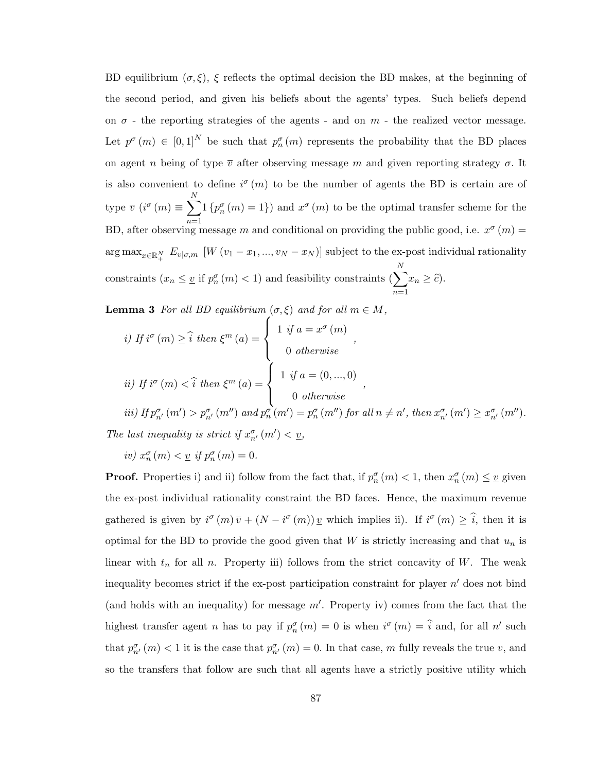BD equilibrium  $(\sigma, \xi)$ ,  $\xi$  reflects the optimal decision the BD makes, at the beginning of the second period, and given his beliefs about the agents' types. Such beliefs depend on  $\sigma$  - the reporting strategies of the agents - and on  $m$  - the realized vector message. Let  $p^{\sigma}(m) \in [0,1]^N$  be such that  $p_n^{\sigma}(m)$  represents the probability that the BD places on agent n being of type  $\overline{v}$  after observing message m and given reporting strategy  $\sigma$ . It is also convenient to define  $i^{\sigma}(m)$  to be the number of agents the BD is certain are of type  $\overline{v}$   $(i^{\sigma}(m) \equiv \sum$ N  $n=1$  $1\{p_n^{\sigma}(m)=1\}$  and  $x^{\sigma}(m)$  to be the optimal transfer scheme for the BD, after observing message m and conditional on providing the public good, i.e.  $x^{\sigma}(m)$  =  $\argmax_{x \in \mathbb{R}_+^N} E_{v|\sigma,m}$   $[W(v_1 - x_1, ..., v_N - x_N)]$  subject to the ex-post individual rationality constraints  $(x_n \leq \underline{v}$  if  $p_n^{\sigma}(m) < 1)$  and feasibility constraints  $(\sum)$ N  $\sum_{n=1} x_n \geq \widehat{c}$ .

**Lemma 3** For all BD equilibrium  $(\sigma, \xi)$  and for all  $m \in M$ ,

*i)* If 
$$
i^{\sigma}(m) \geq \hat{i}
$$
 then  $\xi^{m}(a) = \begin{cases} 1 & \text{if } a = x^{\sigma}(m) \\ 0 & \text{otherwise} \end{cases}$ ,  
\n*ii)* If  $i^{\sigma}(m) < \hat{i}$  then  $\xi^{m}(a) = \begin{cases} 1 & \text{if } a = (0, ..., 0) \\ 0 & \text{otherwise} \end{cases}$ ,

*iii*) If  $p_{n'}^{\sigma}(m') > p_{n'}^{\sigma}(m'')$  and  $p_n^{\sigma}(m') = p_n^{\sigma}(m'')$  for all  $n \neq n'$ , then  $x_{n'}^{\sigma}(m') \geq x_{n'}^{\sigma}(m'')$ . The last inequality is strict if  $x_{n'}^{\sigma}(m') < \underline{v}$ ,

iv)  $x_n^{\sigma}(m) < \underline{v}$  if  $p_n^{\sigma}(m) = 0$ .

**Proof.** Properties i) and ii) follow from the fact that, if  $p_n^{\sigma}(m) < 1$ , then  $x_n^{\sigma}(m) \leq \underline{v}$  given the ex-post individual rationality constraint the BD faces. Hence, the maximum revenue gathered is given by  $i^{\sigma}(m)\overline{v} + (N - i^{\sigma}(m))\underline{v}$  which implies ii). If  $i^{\sigma}(m) \geq \hat{i}$ , then it is optimal for the BD to provide the good given that W is strictly increasing and that  $u_n$  is linear with  $t_n$  for all n. Property iii) follows from the strict concavity of W. The weak inequality becomes strict if the ex-post participation constraint for player  $n'$  does not bind (and holds with an inequality) for message  $m'$ . Property iv) comes from the fact that the highest transfer agent *n* has to pay if  $p_n^{\sigma}(m) = 0$  is when  $i^{\sigma}(m) = \hat{i}$  and, for all *n'* such that  $p_{n'}^{\sigma}(m) < 1$  it is the case that  $p_{n'}^{\sigma}(m) = 0$ . In that case, m fully reveals the true v, and so the transfers that follow are such that all agents have a strictly positive utility which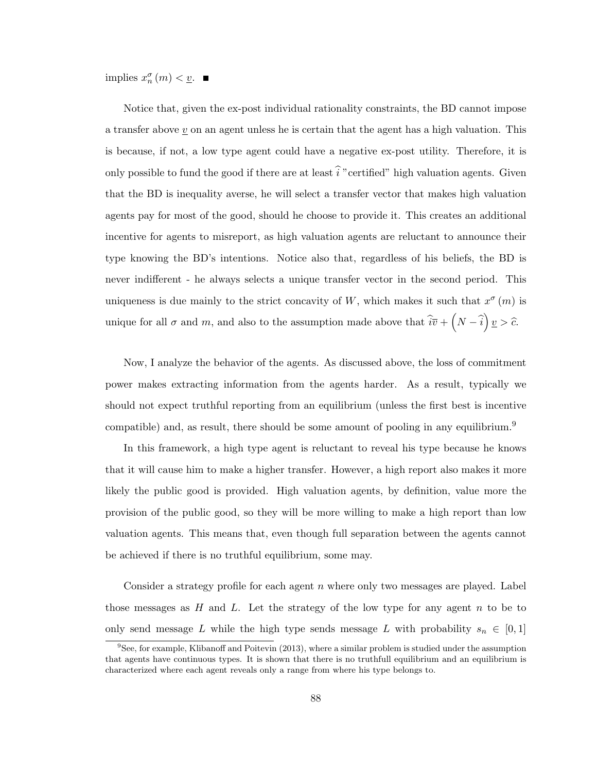implies  $x_n^{\sigma}(m) < \underline{v}$ .

Notice that, given the ex-post individual rationality constraints, the BD cannot impose a transfer above  $v$  on an agent unless he is certain that the agent has a high valuation. This is because, if not, a low type agent could have a negative ex-post utility. Therefore, it is only possible to fund the good if there are at least  $\hat{i}$  "certified" high valuation agents. Given that the BD is inequality averse, he will select a transfer vector that makes high valuation agents pay for most of the good, should he choose to provide it. This creates an additional incentive for agents to misreport, as high valuation agents are reluctant to announce their type knowing the BD's intentions. Notice also that, regardless of his beliefs, the BD is never indifferent - he always selects a unique transfer vector in the second period. This uniqueness is due mainly to the strict concavity of W, which makes it such that  $x^{\sigma}(m)$  is unique for all  $\sigma$  and  $m$ , and also to the assumption made above that  $\hat{i}\overline{v} + (N - \hat{i})\underline{v} > \hat{c}$ .

Now, I analyze the behavior of the agents. As discussed above, the loss of commitment power makes extracting information from the agents harder. As a result, typically we should not expect truthful reporting from an equilibrium (unless the first best is incentive compatible) and, as result, there should be some amount of pooling in any equilibrium.<sup>9</sup>

In this framework, a high type agent is reluctant to reveal his type because he knows that it will cause him to make a higher transfer. However, a high report also makes it more likely the public good is provided. High valuation agents, by definition, value more the provision of the public good, so they will be more willing to make a high report than low valuation agents. This means that, even though full separation between the agents cannot be achieved if there is no truthful equilibrium, some may.

Consider a strategy profile for each agent  $n$  where only two messages are played. Label those messages as  $H$  and  $L$ . Let the strategy of the low type for any agent  $n$  to be to only send message L while the high type sends message L with probability  $s_n \in [0,1]$ 

 $9$ See, for example, Klibanoff and Poitevin (2013), where a similar problem is studied under the assumption that agents have continuous types. It is shown that there is no truthfull equilibrium and an equilibrium is characterized where each agent reveals only a range from where his type belongs to.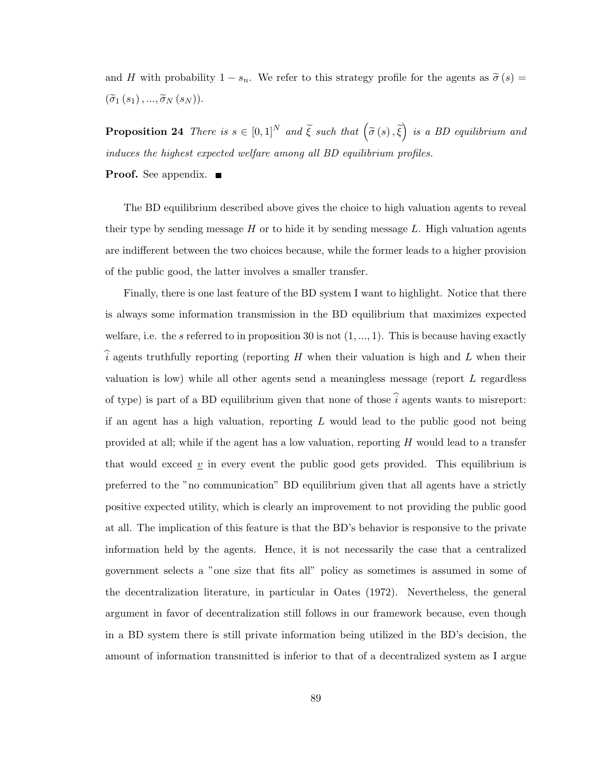and H with probability  $1 - s_n$ . We refer to this strategy profile for the agents as  $\tilde{\sigma}(s) =$  $(\widetilde{\sigma}_1(s_1), ..., \widetilde{\sigma}_N(s_N)).$ 

**Proposition 24** There is  $s \in [0,1]^N$  and  $\tilde{\xi}$  such that  $(\tilde{\sigma}(s), \tilde{\xi})$  is a BD equilibrium and induces the highest expected welfare among all BD equilibrium profiles.

**Proof.** See appendix. ■

The BD equilibrium described above gives the choice to high valuation agents to reveal their type by sending message  $H$  or to hide it by sending message  $L$ . High valuation agents are indifferent between the two choices because, while the former leads to a higher provision of the public good, the latter involves a smaller transfer.

Finally, there is one last feature of the BD system I want to highlight. Notice that there is always some information transmission in the BD equilibrium that maximizes expected welfare, i.e. the s referred to in proposition 30 is not  $(1, ..., 1)$ . This is because having exactly  $\widehat{i}$  agents truthfully reporting (reporting H when their valuation is high and L when their valuation is low) while all other agents send a meaningless message (report L regardless of type) is part of a BD equilibrium given that none of those  $\hat{i}$  agents wants to misreport: if an agent has a high valuation, reporting  $L$  would lead to the public good not being provided at all; while if the agent has a low valuation, reporting  $H$  would lead to a transfer that would exceed  $\underline{v}$  in every event the public good gets provided. This equilibrium is preferred to the "no communication" BD equilibrium given that all agents have a strictly positive expected utility, which is clearly an improvement to not providing the public good at all. The implication of this feature is that the BD's behavior is responsive to the private information held by the agents. Hence, it is not necessarily the case that a centralized government selects a "one size that fits all" policy as sometimes is assumed in some of the decentralization literature, in particular in Oates (1972). Nevertheless, the general argument in favor of decentralization still follows in our framework because, even though in a BD system there is still private information being utilized in the BD's decision, the amount of information transmitted is inferior to that of a decentralized system as I argue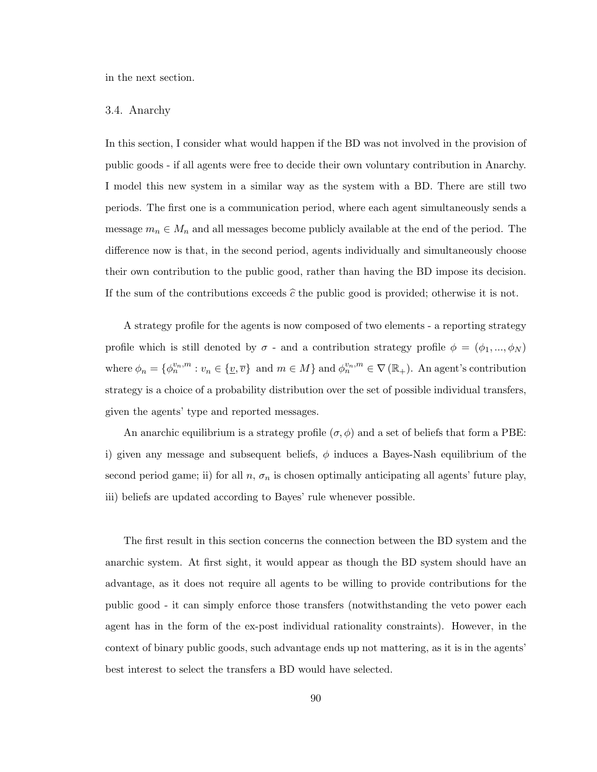in the next section.

#### 3.4. Anarchy

In this section, I consider what would happen if the BD was not involved in the provision of public goods - if all agents were free to decide their own voluntary contribution in Anarchy. I model this new system in a similar way as the system with a BD. There are still two periods. The first one is a communication period, where each agent simultaneously sends a message  $m_n \in M_n$  and all messages become publicly available at the end of the period. The difference now is that, in the second period, agents individually and simultaneously choose their own contribution to the public good, rather than having the BD impose its decision. If the sum of the contributions exceeds  $\hat{c}$  the public good is provided; otherwise it is not.

A strategy profile for the agents is now composed of two elements - a reporting strategy profile which is still denoted by  $\sigma$  - and a contribution strategy profile  $\phi = (\phi_1, ..., \phi_N)$ where  $\phi_n = \{\phi_n^{v_n,m} : v_n \in \{\underline{v},\overline{v}\}\$ and  $m \in M\}$  and  $\phi_n^{v_n,m} \in \nabla(\mathbb{R}_+)$ . An agent's contribution strategy is a choice of a probability distribution over the set of possible individual transfers, given the agents' type and reported messages.

An anarchic equilibrium is a strategy profile  $(\sigma, \phi)$  and a set of beliefs that form a PBE: i) given any message and subsequent beliefs,  $\phi$  induces a Bayes-Nash equilibrium of the second period game; ii) for all  $n, \sigma_n$  is chosen optimally anticipating all agents' future play, iii) beliefs are updated according to Bayes' rule whenever possible.

The first result in this section concerns the connection between the BD system and the anarchic system. At first sight, it would appear as though the BD system should have an advantage, as it does not require all agents to be willing to provide contributions for the public good - it can simply enforce those transfers (notwithstanding the veto power each agent has in the form of the ex-post individual rationality constraints). However, in the context of binary public goods, such advantage ends up not mattering, as it is in the agents' best interest to select the transfers a BD would have selected.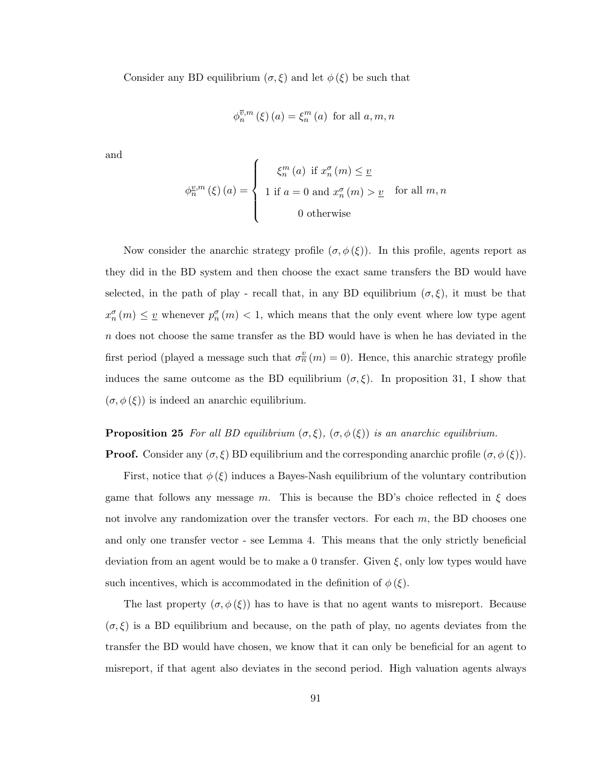Consider any BD equilibrium  $(\sigma, \xi)$  and let  $\phi(\xi)$  be such that

$$
\phi _{n}^{\overline{v},m}\left( \xi \right) \left( a\right) =\xi _{n}^{m}\left( a\right) \text{ for all }a,m,n
$$

and

$$
\phi_n^{v,m}(\xi)(a) = \begin{cases} \xi_n^m(a) & \text{if } x_n^{\sigma}(m) \leq \underline{v} \\ 1 & \text{if } a = 0 \text{ and } x_n^{\sigma}(m) > \underline{v} \quad \text{for all } m, n \\ 0 & \text{otherwise} \end{cases}
$$

Now consider the anarchic strategy profile  $(\sigma, \phi(\xi))$ . In this profile, agents report as they did in the BD system and then choose the exact same transfers the BD would have selected, in the path of play - recall that, in any BD equilibrium  $(\sigma, \xi)$ , it must be that  $x_n^{\sigma}(m) \leq \underline{v}$  whenever  $p_n^{\sigma}(m) < 1$ , which means that the only event where low type agent n does not choose the same transfer as the BD would have is when he has deviated in the first period (played a message such that  $\sigma_n^v(m) = 0$ ). Hence, this anarchic strategy profile induces the same outcome as the BD equilibrium  $(\sigma, \xi)$ . In proposition 31, I show that  $(\sigma, \phi(\xi))$  is indeed an anarchic equilibrium.

# **Proposition 25** For all BD equilibrium  $(\sigma, \xi)$ ,  $(\sigma, \phi(\xi))$  is an anarchic equilibrium.

**Proof.** Consider any  $(\sigma, \xi)$  BD equilibrium and the corresponding anarchic profile  $(\sigma, \phi(\xi))$ .

First, notice that  $\phi(\xi)$  induces a Bayes-Nash equilibrium of the voluntary contribution game that follows any message m. This is because the BD's choice reflected in  $\xi$  does not involve any randomization over the transfer vectors. For each  $m$ , the BD chooses one and only one transfer vector - see Lemma 4. This means that the only strictly beneficial deviation from an agent would be to make a 0 transfer. Given  $\xi$ , only low types would have such incentives, which is accommodated in the definition of  $\phi(\xi)$ .

The last property  $(\sigma, \phi(\xi))$  has to have is that no agent wants to misreport. Because  $(\sigma, \xi)$  is a BD equilibrium and because, on the path of play, no agents deviates from the transfer the BD would have chosen, we know that it can only be beneficial for an agent to misreport, if that agent also deviates in the second period. High valuation agents always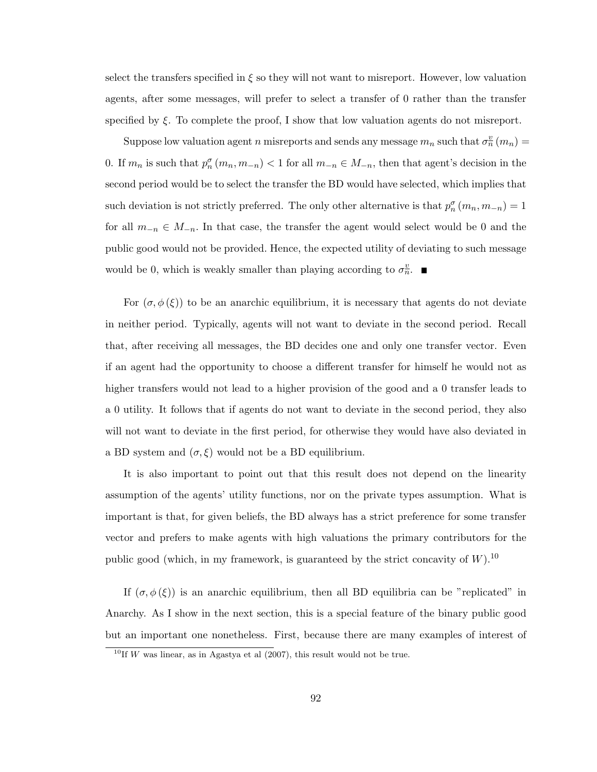select the transfers specified in  $\xi$  so they will not want to misreport. However, low valuation agents, after some messages, will prefer to select a transfer of 0 rather than the transfer specified by  $\xi$ . To complete the proof, I show that low valuation agents do not misreport.

Suppose low valuation agent n misreports and sends any message  $m_n$  such that  $\sigma_n^v(m_n) =$ 0. If  $m_n$  is such that  $p_n^{\sigma}(m_n, m_{-n}) < 1$  for all  $m_{-n} \in M_{-n}$ , then that agent's decision in the second period would be to select the transfer the BD would have selected, which implies that such deviation is not strictly preferred. The only other alternative is that  $p_n^{\sigma}(m_n, m_{-n}) = 1$ for all  $m_{-n} \in M_{-n}$ . In that case, the transfer the agent would select would be 0 and the public good would not be provided. Hence, the expected utility of deviating to such message would be 0, which is weakly smaller than playing according to  $\sigma_n^{\nu}$ .

For  $(\sigma, \phi(\xi))$  to be an anarchic equilibrium, it is necessary that agents do not deviate in neither period. Typically, agents will not want to deviate in the second period. Recall that, after receiving all messages, the BD decides one and only one transfer vector. Even if an agent had the opportunity to choose a different transfer for himself he would not as higher transfers would not lead to a higher provision of the good and a 0 transfer leads to a 0 utility. It follows that if agents do not want to deviate in the second period, they also will not want to deviate in the first period, for otherwise they would have also deviated in a BD system and  $(\sigma, \xi)$  would not be a BD equilibrium.

It is also important to point out that this result does not depend on the linearity assumption of the agents' utility functions, nor on the private types assumption. What is important is that, for given beliefs, the BD always has a strict preference for some transfer vector and prefers to make agents with high valuations the primary contributors for the public good (which, in my framework, is guaranteed by the strict concavity of  $W$ ).<sup>10</sup>

If  $(\sigma, \phi(\xi))$  is an anarchic equilibrium, then all BD equilibria can be "replicated" in Anarchy. As I show in the next section, this is a special feature of the binary public good but an important one nonetheless. First, because there are many examples of interest of

<sup>&</sup>lt;sup>10</sup>If W was linear, as in Agastya et al  $(2007)$ , this result would not be true.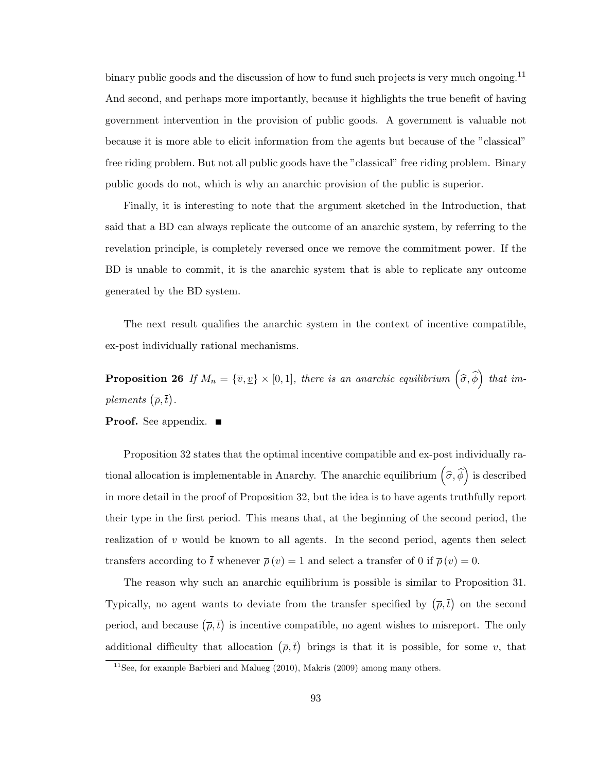binary public goods and the discussion of how to fund such projects is very much ongoing.<sup>11</sup> And second, and perhaps more importantly, because it highlights the true benefit of having government intervention in the provision of public goods. A government is valuable not because it is more able to elicit information from the agents but because of the "classical" free riding problem. But not all public goods have the "classical" free riding problem. Binary public goods do not, which is why an anarchic provision of the public is superior.

Finally, it is interesting to note that the argument sketched in the Introduction, that said that a BD can always replicate the outcome of an anarchic system, by referring to the revelation principle, is completely reversed once we remove the commitment power. If the BD is unable to commit, it is the anarchic system that is able to replicate any outcome generated by the BD system.

The next result qualifies the anarchic system in the context of incentive compatible, ex-post individually rational mechanisms.

**Proposition 26** If  $M_n = {\overline{v}, \underline{v}} \times [0,1]$ , there is an anarchic equilibrium  $(\widehat{\sigma}, \widehat{\phi})$  that implements  $(\overline{\rho}, \overline{t})$ .

# **Proof.** See appendix.  $\blacksquare$

Proposition 32 states that the optimal incentive compatible and ex-post individually rational allocation is implementable in Anarchy. The anarchic equilibrium  $(\hat{\sigma}, \hat{\phi})$  is described in more detail in the proof of Proposition 32, but the idea is to have agents truthfully report their type in the first period. This means that, at the beginning of the second period, the realization of  $v$  would be known to all agents. In the second period, agents then select transfers according to  $\bar{t}$  whenever  $\bar{\rho}(v) = 1$  and select a transfer of 0 if  $\bar{\rho}(v) = 0$ .

The reason why such an anarchic equilibrium is possible is similar to Proposition 31. Typically, no agent wants to deviate from the transfer specified by  $(\bar{\rho}, \bar{t})$  on the second period, and because  $(\bar{\rho}, \bar{t})$  is incentive compatible, no agent wishes to misreport. The only additional difficulty that allocation  $(\bar{\rho}, \bar{t})$  brings is that it is possible, for some v, that

 $11$ See, for example Barbieri and Malueg (2010), Makris (2009) among many others.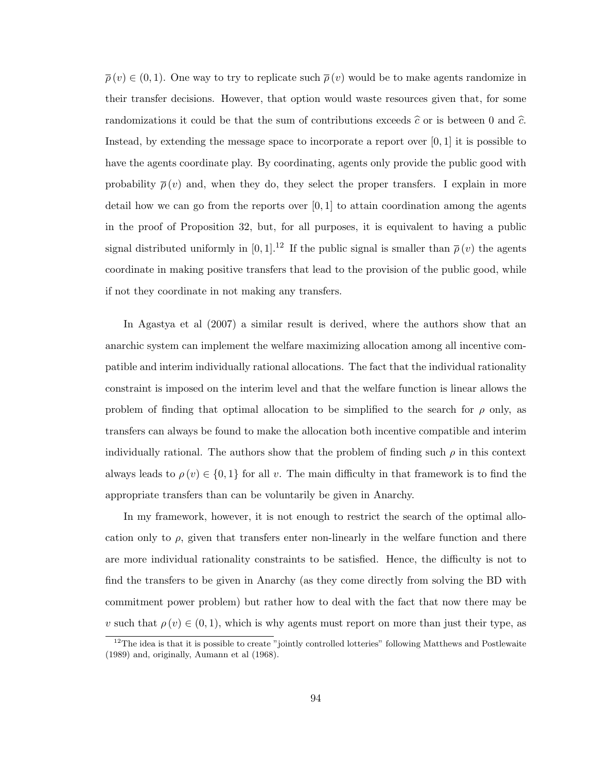$\overline{\rho}(v) \in (0,1)$ . One way to try to replicate such  $\overline{\rho}(v)$  would be to make agents randomize in their transfer decisions. However, that option would waste resources given that, for some randomizations it could be that the sum of contributions exceeds  $\hat{c}$  or is between 0 and  $\hat{c}$ . Instead, by extending the message space to incorporate a report over  $[0, 1]$  it is possible to have the agents coordinate play. By coordinating, agents only provide the public good with probability  $\bar{\rho}(v)$  and, when they do, they select the proper transfers. I explain in more detail how we can go from the reports over  $[0, 1]$  to attain coordination among the agents in the proof of Proposition 32, but, for all purposes, it is equivalent to having a public signal distributed uniformly in [0, 1].<sup>12</sup> If the public signal is smaller than  $\bar{\rho}(v)$  the agents coordinate in making positive transfers that lead to the provision of the public good, while if not they coordinate in not making any transfers.

In Agastya et al (2007) a similar result is derived, where the authors show that an anarchic system can implement the welfare maximizing allocation among all incentive compatible and interim individually rational allocations. The fact that the individual rationality constraint is imposed on the interim level and that the welfare function is linear allows the problem of finding that optimal allocation to be simplified to the search for  $\rho$  only, as transfers can always be found to make the allocation both incentive compatible and interim individually rational. The authors show that the problem of finding such  $\rho$  in this context always leads to  $\rho(v) \in \{0,1\}$  for all v. The main difficulty in that framework is to find the appropriate transfers than can be voluntarily be given in Anarchy.

In my framework, however, it is not enough to restrict the search of the optimal allocation only to  $\rho$ , given that transfers enter non-linearly in the welfare function and there are more individual rationality constraints to be satisfied. Hence, the difficulty is not to find the transfers to be given in Anarchy (as they come directly from solving the BD with commitment power problem) but rather how to deal with the fact that now there may be v such that  $\rho(v) \in (0,1)$ , which is why agents must report on more than just their type, as

<sup>&</sup>lt;sup>12</sup>The idea is that it is possible to create "jointly controlled lotteries" following Matthews and Postlewaite (1989) and, originally, Aumann et al (1968).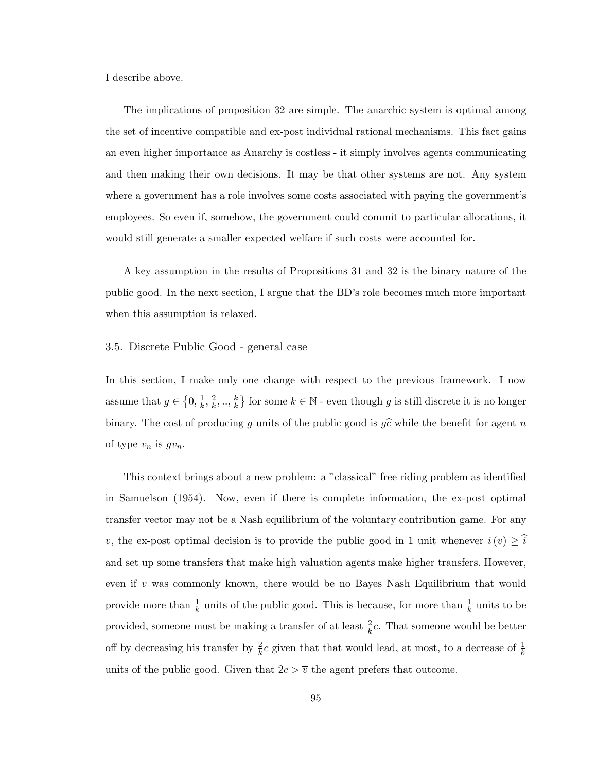I describe above.

The implications of proposition 32 are simple. The anarchic system is optimal among the set of incentive compatible and ex-post individual rational mechanisms. This fact gains an even higher importance as Anarchy is costless - it simply involves agents communicating and then making their own decisions. It may be that other systems are not. Any system where a government has a role involves some costs associated with paying the government's employees. So even if, somehow, the government could commit to particular allocations, it would still generate a smaller expected welfare if such costs were accounted for.

A key assumption in the results of Propositions 31 and 32 is the binary nature of the public good. In the next section, I argue that the BD's role becomes much more important when this assumption is relaxed.

# 3.5. Discrete Public Good - general case

In this section, I make only one change with respect to the previous framework. I now assume that  $g \in \{0, \frac{1}{k}\}$  $\frac{1}{k}, \frac{2}{k}$  $\frac{2}{k},..,\frac{k}{k}$  $\frac{k}{k}$ } for some  $k \in \mathbb{N}$  - even though  $g$  is still discrete it is no longer binary. The cost of producing g units of the public good is  $g\hat{c}$  while the benefit for agent n of type  $v_n$  is  $gv_n$ .

This context brings about a new problem: a "classical" free riding problem as identified in Samuelson (1954). Now, even if there is complete information, the ex-post optimal transfer vector may not be a Nash equilibrium of the voluntary contribution game. For any v, the ex-post optimal decision is to provide the public good in 1 unit whenever  $i(v) \geq \hat{i}$ and set up some transfers that make high valuation agents make higher transfers. However, even if  $v$  was commonly known, there would be no Bayes Nash Equilibrium that would provide more than  $\frac{1}{k}$  units of the public good. This is because, for more than  $\frac{1}{k}$  units to be provided, someone must be making a transfer of at least  $\frac{2}{k}c$ . That someone would be better off by decreasing his transfer by  $\frac{2}{k}c$  given that that would lead, at most, to a decrease of  $\frac{1}{k}$ units of the public good. Given that  $2c > \overline{v}$  the agent prefers that outcome.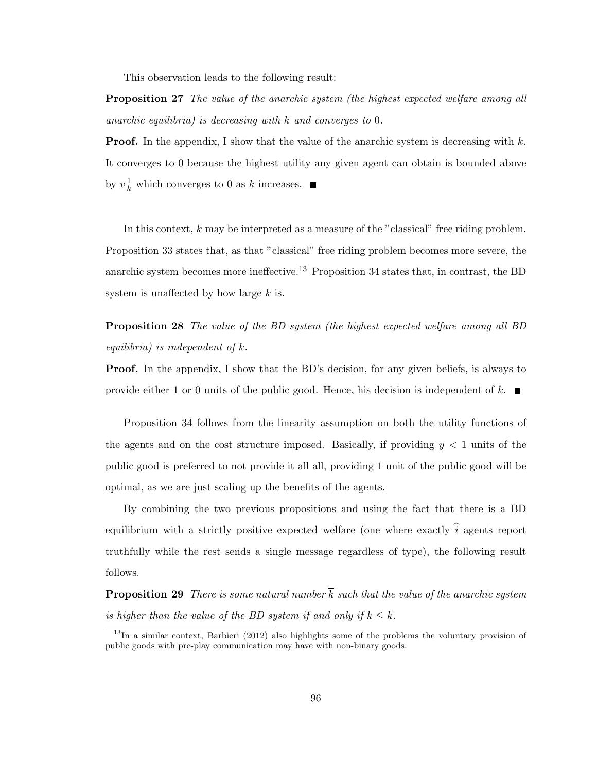This observation leads to the following result:

**Proposition 27** The value of the anarchic system (the highest expected welfare among all anarchic equilibria) is decreasing with k and converges to 0.

**Proof.** In the appendix, I show that the value of the anarchic system is decreasing with  $k$ . It converges to 0 because the highest utility any given agent can obtain is bounded above by  $\overline{v}_k^1$  which converges to 0 as k increases.

In this context, k may be interpreted as a measure of the "classical" free riding problem. Proposition 33 states that, as that "classical" free riding problem becomes more severe, the anarchic system becomes more ineffective.<sup>13</sup> Proposition 34 states that, in contrast, the BD system is unaffected by how large  $k$  is.

Proposition 28 The value of the BD system (the highest expected welfare among all BD equilibria) is independent of  $k$ .

Proof. In the appendix, I show that the BD's decision, for any given beliefs, is always to provide either 1 or 0 units of the public good. Hence, his decision is independent of k.  $\blacksquare$ 

Proposition 34 follows from the linearity assumption on both the utility functions of the agents and on the cost structure imposed. Basically, if providing  $y < 1$  units of the public good is preferred to not provide it all all, providing 1 unit of the public good will be optimal, as we are just scaling up the benefits of the agents.

By combining the two previous propositions and using the fact that there is a BD equilibrium with a strictly positive expected welfare (one where exactly  $\hat{i}$  agents report truthfully while the rest sends a single message regardless of type), the following result follows.

**Proposition 29** There is some natural number  $\overline{k}$  such that the value of the anarchic system is higher than the value of the BD system if and only if  $k \leq \overline{k}$ .

<sup>&</sup>lt;sup>13</sup>In a similar context, Barbieri (2012) also highlights some of the problems the voluntary provision of public goods with pre-play communication may have with non-binary goods.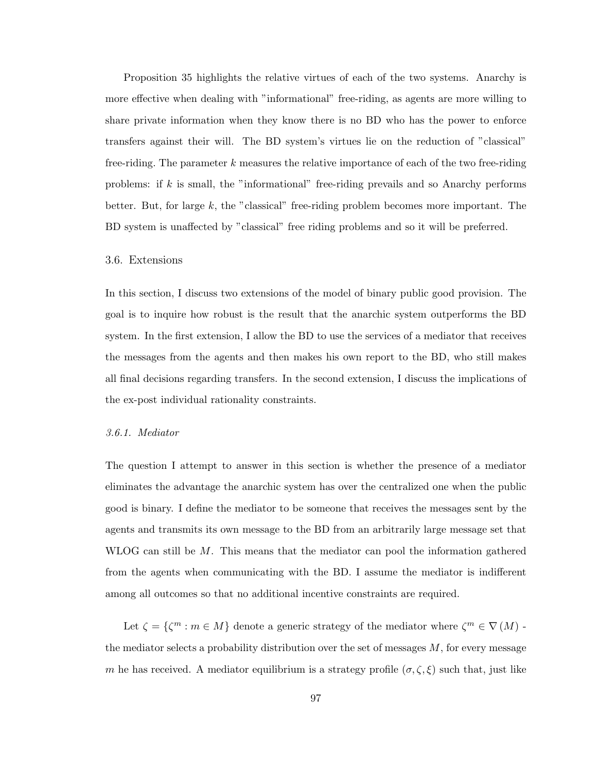Proposition 35 highlights the relative virtues of each of the two systems. Anarchy is more effective when dealing with "informational" free-riding, as agents are more willing to share private information when they know there is no BD who has the power to enforce transfers against their will. The BD system's virtues lie on the reduction of "classical" free-riding. The parameter k measures the relative importance of each of the two free-riding problems: if  $k$  is small, the "informational" free-riding prevails and so Anarchy performs better. But, for large  $k$ , the "classical" free-riding problem becomes more important. The BD system is unaffected by "classical" free riding problems and so it will be preferred.

# 3.6. Extensions

In this section, I discuss two extensions of the model of binary public good provision. The goal is to inquire how robust is the result that the anarchic system outperforms the BD system. In the first extension, I allow the BD to use the services of a mediator that receives the messages from the agents and then makes his own report to the BD, who still makes all final decisions regarding transfers. In the second extension, I discuss the implications of the ex-post individual rationality constraints.

### 3.6.1. Mediator

The question I attempt to answer in this section is whether the presence of a mediator eliminates the advantage the anarchic system has over the centralized one when the public good is binary. I define the mediator to be someone that receives the messages sent by the agents and transmits its own message to the BD from an arbitrarily large message set that WLOG can still be M. This means that the mediator can pool the information gathered from the agents when communicating with the BD. I assume the mediator is indifferent among all outcomes so that no additional incentive constraints are required.

Let  $\zeta = {\zeta^m : m \in M}$  denote a generic strategy of the mediator where  $\zeta^m \in \nabla(M)$ . the mediator selects a probability distribution over the set of messages  $M$ , for every message m he has received. A mediator equilibrium is a strategy profile  $(\sigma, \zeta, \xi)$  such that, just like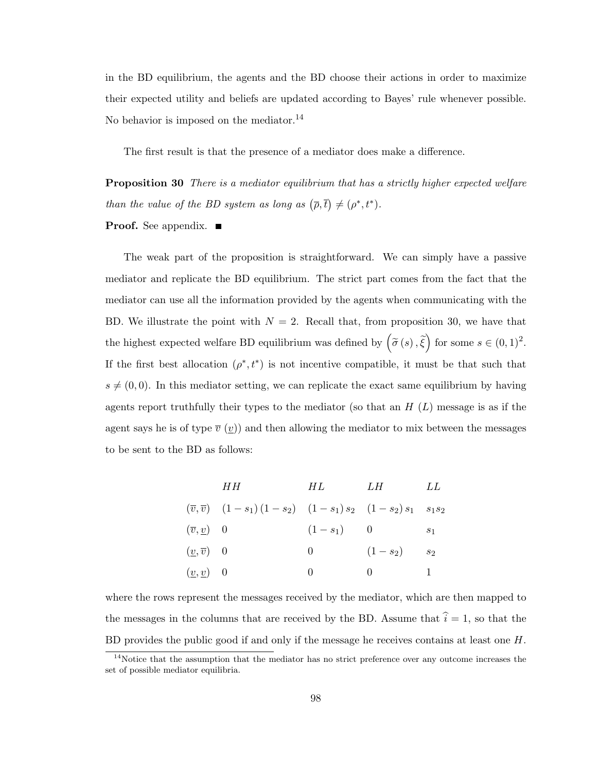in the BD equilibrium, the agents and the BD choose their actions in order to maximize their expected utility and beliefs are updated according to Bayes' rule whenever possible. No behavior is imposed on the mediator.<sup>14</sup>

The first result is that the presence of a mediator does make a difference.

**Proposition 30** There is a mediator equilibrium that has a strictly higher expected welfare than the value of the BD system as long as  $(\bar{\rho}, \bar{t}) \neq (\rho^*, t^*)$ .

**Proof.** See appendix.  $\blacksquare$ 

The weak part of the proposition is straightforward. We can simply have a passive mediator and replicate the BD equilibrium. The strict part comes from the fact that the mediator can use all the information provided by the agents when communicating with the BD. We illustrate the point with  $N = 2$ . Recall that, from proposition 30, we have that the highest expected welfare BD equilibrium was defined by  $(\tilde{\sigma}(s), \tilde{\xi})$  for some  $s \in (0, 1)^2$ . If the first best allocation  $(\rho^*, t^*)$  is not incentive compatible, it must be that such that  $s \neq (0, 0)$ . In this mediator setting, we can replicate the exact same equilibrium by having agents report truthfully their types to the mediator (so that an  $H(L)$ ) message is as if the agent says he is of type  $\overline{v}(\underline{v})$  and then allowing the mediator to mix between the messages to be sent to the BD as follows:

|                                    | HН                                                                                 | HL.              | LH        | LL             |
|------------------------------------|------------------------------------------------------------------------------------|------------------|-----------|----------------|
|                                    | $(\overline{v}, \overline{v})$ $(1-s_1)(1-s_2)$ $(1-s_1)s_2$ $(1-s_2)s_1$ $s_1s_2$ |                  |           |                |
| $(\overline{v}, \underline{v})$ 0  |                                                                                    | $(1-s_1)$ 0      |           | $s_1$          |
| $(\underline{v}, \overline{v})$ 0  |                                                                                    | O                | $(1-s_2)$ | S <sub>2</sub> |
| $(\underline{v}, \underline{v})$ 0 |                                                                                    | $\left( \right)$ | 0         |                |

where the rows represent the messages received by the mediator, which are then mapped to the messages in the columns that are received by the BD. Assume that  $\hat{i} = 1$ , so that the BD provides the public good if and only if the message he receives contains at least one H.

 $14$ Notice that the assumption that the mediator has no strict preference over any outcome increases the set of possible mediator equilibria.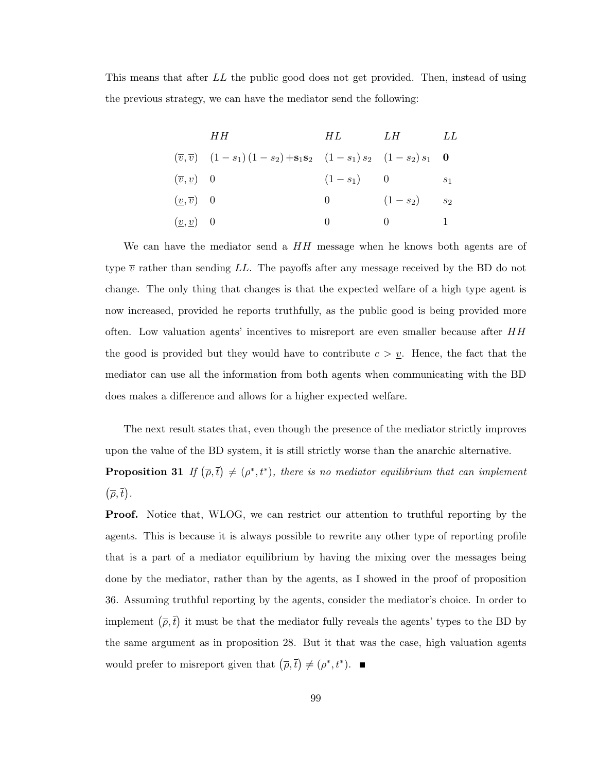This means that after LL the public good does not get provided. Then, instead of using the previous strategy, we can have the mediator send the following:

|                                    | H H                                                                                         | H L                   | LH | LL             |
|------------------------------------|---------------------------------------------------------------------------------------------|-----------------------|----|----------------|
|                                    | $(\overline{v}, \overline{v})$ $(1-s_1)(1-s_2) + s_1s_2$ $(1-s_1)s_2$ $(1-s_2)s_1$ <b>0</b> |                       |    |                |
| $(\overline{v}, \underline{v})$ 0  |                                                                                             | $(1-s_1)$ 0           |    | S <sub>1</sub> |
| $(\underline{v}, \overline{v})$ 0  |                                                                                             | $(1-s_2)$<br>$\theta$ |    | S <sub>2</sub> |
| $(\underline{v}, \underline{v})$ 0 |                                                                                             | $\mathbf{0}$          |    |                |

We can have the mediator send a  $HH$  message when he knows both agents are of type  $\overline{v}$  rather than sending LL. The payoffs after any message received by the BD do not change. The only thing that changes is that the expected welfare of a high type agent is now increased, provided he reports truthfully, as the public good is being provided more often. Low valuation agents' incentives to misreport are even smaller because after HH the good is provided but they would have to contribute  $c > v$ . Hence, the fact that the mediator can use all the information from both agents when communicating with the BD does makes a difference and allows for a higher expected welfare.

The next result states that, even though the presence of the mediator strictly improves upon the value of the BD system, it is still strictly worse than the anarchic alternative. **Proposition 31** If  $(\bar{\rho}, \bar{t}) \neq (\rho^*, t^*)$ , there is no mediator equilibrium that can implement

 $(\overline{\rho}, \overline{t})$ .

**Proof.** Notice that, WLOG, we can restrict our attention to truthful reporting by the agents. This is because it is always possible to rewrite any other type of reporting profile that is a part of a mediator equilibrium by having the mixing over the messages being done by the mediator, rather than by the agents, as I showed in the proof of proposition 36. Assuming truthful reporting by the agents, consider the mediator's choice. In order to implement  $(\bar{\rho}, \bar{t})$  it must be that the mediator fully reveals the agents' types to the BD by the same argument as in proposition 28. But it that was the case, high valuation agents would prefer to misreport given that  $(\bar{\rho}, \bar{t}) \neq (\rho^*, t^*)$ .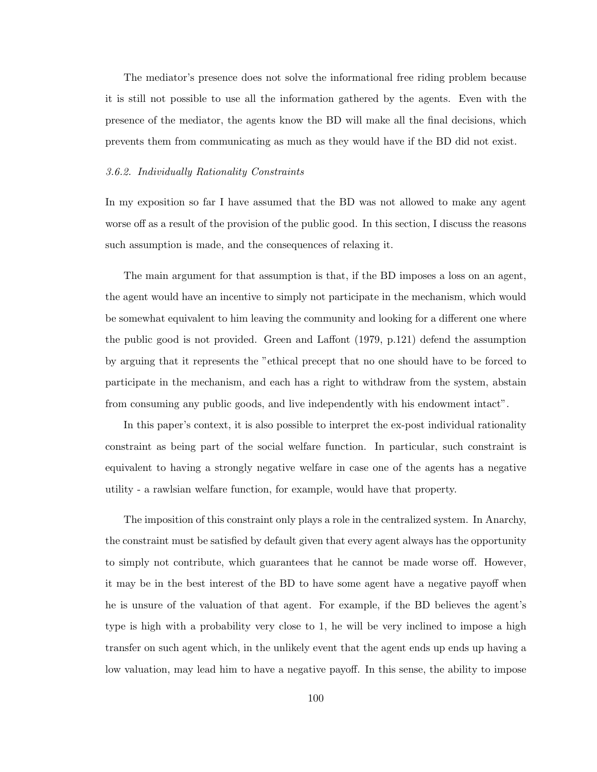The mediator's presence does not solve the informational free riding problem because it is still not possible to use all the information gathered by the agents. Even with the presence of the mediator, the agents know the BD will make all the final decisions, which prevents them from communicating as much as they would have if the BD did not exist.

#### 3.6.2. Individually Rationality Constraints

In my exposition so far I have assumed that the BD was not allowed to make any agent worse off as a result of the provision of the public good. In this section, I discuss the reasons such assumption is made, and the consequences of relaxing it.

The main argument for that assumption is that, if the BD imposes a loss on an agent, the agent would have an incentive to simply not participate in the mechanism, which would be somewhat equivalent to him leaving the community and looking for a different one where the public good is not provided. Green and Laffont (1979, p.121) defend the assumption by arguing that it represents the "ethical precept that no one should have to be forced to participate in the mechanism, and each has a right to withdraw from the system, abstain from consuming any public goods, and live independently with his endowment intact".

In this paper's context, it is also possible to interpret the ex-post individual rationality constraint as being part of the social welfare function. In particular, such constraint is equivalent to having a strongly negative welfare in case one of the agents has a negative utility - a rawlsian welfare function, for example, would have that property.

The imposition of this constraint only plays a role in the centralized system. In Anarchy, the constraint must be satisfied by default given that every agent always has the opportunity to simply not contribute, which guarantees that he cannot be made worse off. However, it may be in the best interest of the BD to have some agent have a negative payoff when he is unsure of the valuation of that agent. For example, if the BD believes the agent's type is high with a probability very close to 1, he will be very inclined to impose a high transfer on such agent which, in the unlikely event that the agent ends up ends up having a low valuation, may lead him to have a negative payoff. In this sense, the ability to impose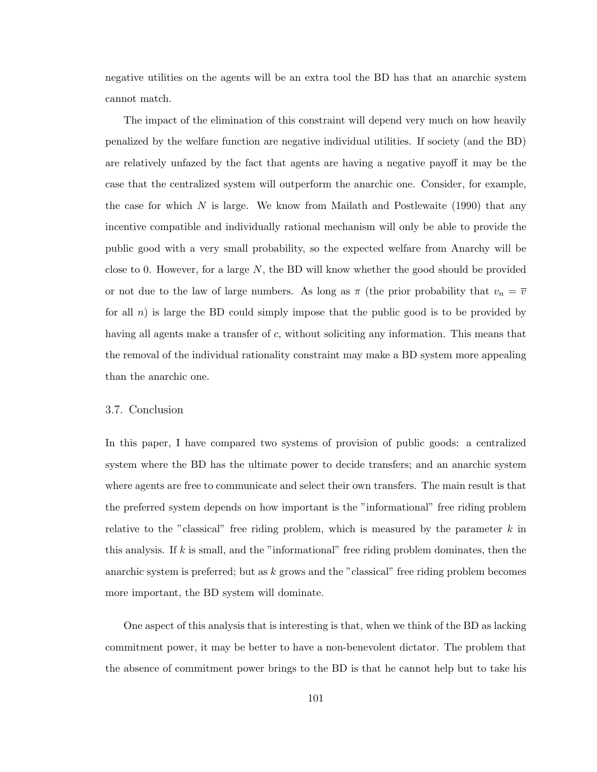negative utilities on the agents will be an extra tool the BD has that an anarchic system cannot match.

The impact of the elimination of this constraint will depend very much on how heavily penalized by the welfare function are negative individual utilities. If society (and the BD) are relatively unfazed by the fact that agents are having a negative payoff it may be the case that the centralized system will outperform the anarchic one. Consider, for example, the case for which  $N$  is large. We know from Mailath and Postlewaite (1990) that any incentive compatible and individually rational mechanism will only be able to provide the public good with a very small probability, so the expected welfare from Anarchy will be close to 0. However, for a large  $N$ , the BD will know whether the good should be provided or not due to the law of large numbers. As long as  $\pi$  (the prior probability that  $v_n = \overline{v}$ for all  $n$ ) is large the BD could simply impose that the public good is to be provided by having all agents make a transfer of c, without soliciting any information. This means that the removal of the individual rationality constraint may make a BD system more appealing than the anarchic one.

#### 3.7. Conclusion

In this paper, I have compared two systems of provision of public goods: a centralized system where the BD has the ultimate power to decide transfers; and an anarchic system where agents are free to communicate and select their own transfers. The main result is that the preferred system depends on how important is the "informational" free riding problem relative to the "classical" free riding problem, which is measured by the parameter  $k$  in this analysis. If  $k$  is small, and the "informational" free riding problem dominates, then the anarchic system is preferred; but as  $k$  grows and the "classical" free riding problem becomes more important, the BD system will dominate.

One aspect of this analysis that is interesting is that, when we think of the BD as lacking commitment power, it may be better to have a non-benevolent dictator. The problem that the absence of commitment power brings to the BD is that he cannot help but to take his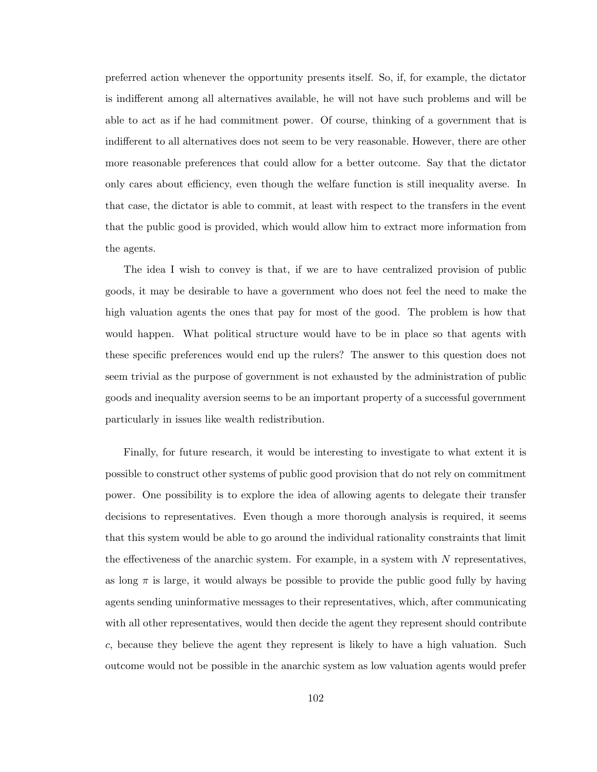preferred action whenever the opportunity presents itself. So, if, for example, the dictator is indifferent among all alternatives available, he will not have such problems and will be able to act as if he had commitment power. Of course, thinking of a government that is indifferent to all alternatives does not seem to be very reasonable. However, there are other more reasonable preferences that could allow for a better outcome. Say that the dictator only cares about efficiency, even though the welfare function is still inequality averse. In that case, the dictator is able to commit, at least with respect to the transfers in the event that the public good is provided, which would allow him to extract more information from the agents.

The idea I wish to convey is that, if we are to have centralized provision of public goods, it may be desirable to have a government who does not feel the need to make the high valuation agents the ones that pay for most of the good. The problem is how that would happen. What political structure would have to be in place so that agents with these specific preferences would end up the rulers? The answer to this question does not seem trivial as the purpose of government is not exhausted by the administration of public goods and inequality aversion seems to be an important property of a successful government particularly in issues like wealth redistribution.

Finally, for future research, it would be interesting to investigate to what extent it is possible to construct other systems of public good provision that do not rely on commitment power. One possibility is to explore the idea of allowing agents to delegate their transfer decisions to representatives. Even though a more thorough analysis is required, it seems that this system would be able to go around the individual rationality constraints that limit the effectiveness of the anarchic system. For example, in a system with  $N$  representatives, as long  $\pi$  is large, it would always be possible to provide the public good fully by having agents sending uninformative messages to their representatives, which, after communicating with all other representatives, would then decide the agent they represent should contribute c, because they believe the agent they represent is likely to have a high valuation. Such outcome would not be possible in the anarchic system as low valuation agents would prefer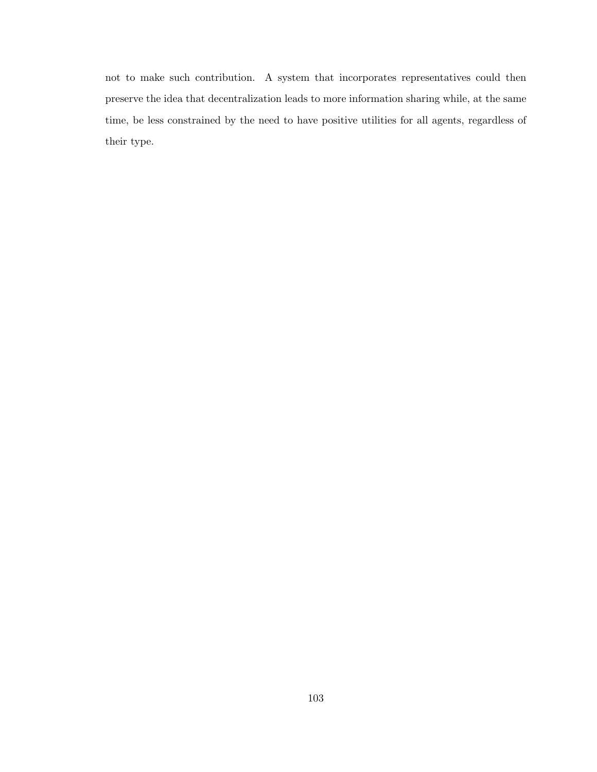not to make such contribution. A system that incorporates representatives could then preserve the idea that decentralization leads to more information sharing while, at the same time, be less constrained by the need to have positive utilities for all agents, regardless of their type.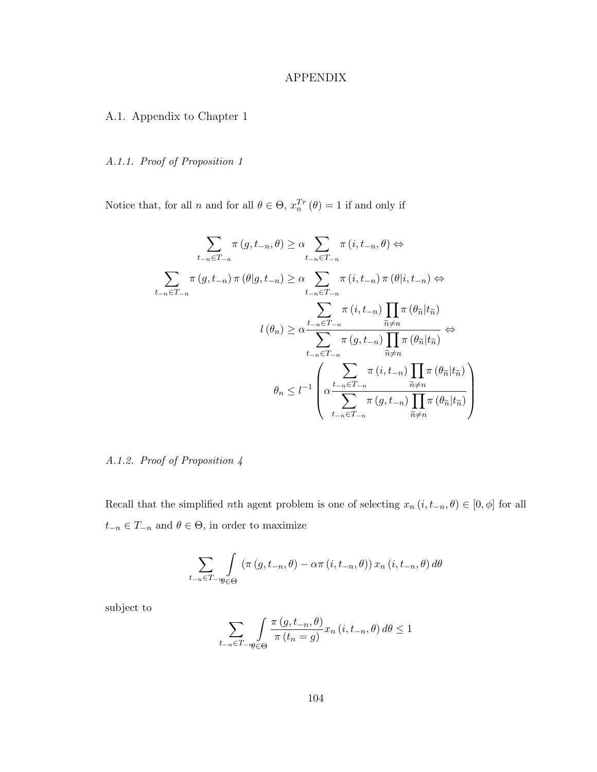# APPENDIX

# A.1. Appendix to Chapter 1

## A.1.1. Proof of Proposition 1

Notice that, for all *n* and for all  $\theta \in \Theta$ ,  $x_n^{Tr}(\theta) = 1$  if and only if

$$
\sum_{t=n \in T_{-n}} \pi(g, t_{-n}, \theta) \ge \alpha \sum_{t=n \in T_{-n}} \pi(i, t_{-n}, \theta) \Leftrightarrow
$$
\n
$$
\sum_{t=n \in T_{-n}} \pi(g, t_{-n}) \pi(\theta | g, t_{-n}) \ge \alpha \sum_{t=n \in T_{-n}} \pi(i, t_{-n}) \pi(\theta | i, t_{-n}) \Leftrightarrow
$$
\n
$$
l(\theta_n) \ge \alpha \frac{t_{-n} \in T_{-n}}{\sum_{t=n \in T_{-n}} \pi(j, t_{-n}) \prod_{\tilde{n} \neq n} \pi(\theta_{\tilde{n}} | t_{\tilde{n}})} \Leftrightarrow
$$
\n
$$
\theta_n \le l^{-1} \left( \alpha \frac{t_{-n} \in T_{-n}}{\sum_{t=n \in T_{-n}} \pi(j, t_{-n}) \prod_{\tilde{n} \neq n} \pi(\theta_{\tilde{n}} | t_{\tilde{n}})} \frac{\pi(\theta_{\tilde{n}} | t_{\tilde{n}})}{\sum_{t=n \in T_{-n}} \pi(j, t_{-n}) \prod_{\tilde{n} \neq n} \pi(\theta_{\tilde{n}} | t_{\tilde{n}})} \right)
$$

# A.1.2. Proof of Proposition 4

Recall that the simplified *n*th agent problem is one of selecting  $x_n$   $(i, t_{-n}, \theta) \in [0, \phi]$  for all  $t_{-n} ∈ T_{-n}$  and  $\theta ∈ \Theta$ , in order to maximize

$$
\sum_{t=n\in T-\eta\in\Theta} \int \left(\pi\left(g, t_{-n}, \theta\right) - \alpha \pi\left(i, t_{-n}, \theta\right)\right) x_n\left(i, t_{-n}, \theta\right) d\theta
$$

subject to

$$
\sum_{t=n\in T-\eta\in\Theta}\int\limits_{-\Theta}\frac{\pi\left(g,t_{-n},\theta\right)}{\pi\left(t_{n}=g\right)}x_{n}\left(i,t_{-n},\theta\right)d\theta\leq1
$$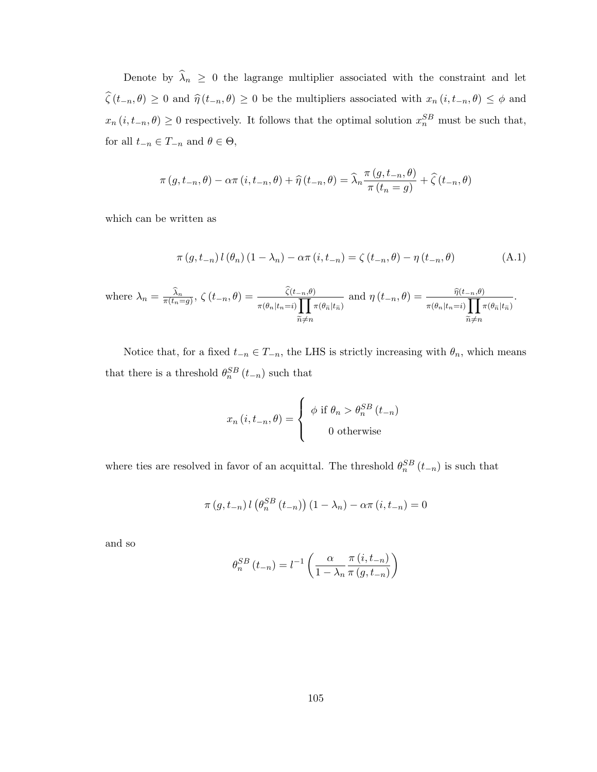Denote by  $\widehat{\lambda}_n \geq 0$  the lagrange multiplier associated with the constraint and let  $\widehat{\zeta}(t_{-n}, \theta) \geq 0$  and  $\widehat{\eta}(t_{-n}, \theta) \geq 0$  be the multipliers associated with  $x_n (i, t_{-n}, \theta) \leq \phi$  and  $x_n(i, t_{-n}, \theta) \geq 0$  respectively. It follows that the optimal solution  $x_n^{SB}$  must be such that, for all  $t_{-n} \in T_{-n}$  and  $\theta \in \Theta$ ,

$$
\pi(g, t_{-n}, \theta) - \alpha \pi(i, t_{-n}, \theta) + \widehat{\eta}(t_{-n}, \theta) = \widehat{\lambda}_n \frac{\pi(g, t_{-n}, \theta)}{\pi(t_n = g)} + \widehat{\zeta}(t_{-n}, \theta)
$$

which can be written as

$$
\pi(g, t_{-n}) l(\theta_n) (1 - \lambda_n) - \alpha \pi(i, t_{-n}) = \zeta(t_{-n}, \theta) - \eta(t_{-n}, \theta)
$$
\n(A.1)

where 
$$
\lambda_n = \frac{\widehat{\lambda}_n}{\pi(t_n=g)}, \zeta(t_{-n},\theta) = \frac{\widehat{\zeta}(t_{-n},\theta)}{\pi(\theta_n|t_n=i)} \prod_{\widetilde{n}\neq n}^{\pi(\theta_n|t_{\widetilde{n}})} \text{ and } \eta(t_{-n},\theta) = \frac{\widehat{\eta}(t_{-n},\theta)}{\pi(\theta_n|t_n=i)} \prod_{\widetilde{n}\neq n}^{\pi(\theta_n|t_{\widetilde{n}})}.
$$

Notice that, for a fixed  $t_{-n} \in T_{-n}$ , the LHS is strictly increasing with  $\theta_n$ , which means that there is a threshold  $\theta_n^{SB}(t_{-n})$  such that

$$
x_n(i, t_{-n}, \theta) = \begin{cases} \phi \text{ if } \theta_n > \theta_n^{SB}(t_{-n}) \\ 0 \text{ otherwise} \end{cases}
$$

where ties are resolved in favor of an acquittal. The threshold  $\theta_n^{SB}(t_{-n})$  is such that

$$
\pi(g, t_{-n}) l \left( \theta_n^{SB} (t_{-n}) \right) (1 - \lambda_n) - \alpha \pi (i, t_{-n}) = 0
$$

and so

$$
\theta_n^{SB}(t_{-n}) = l^{-1} \left( \frac{\alpha}{1 - \lambda_n} \frac{\pi(i, t_{-n})}{\pi(g, t_{-n})} \right)
$$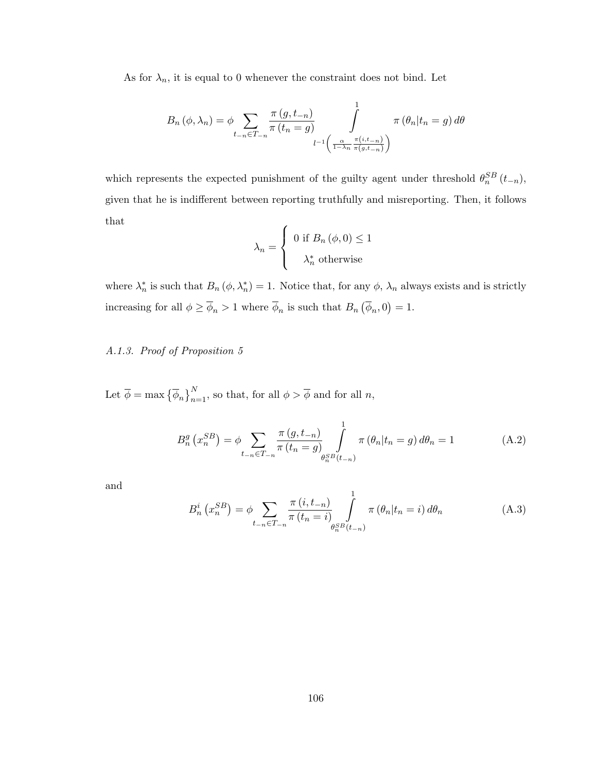As for  $\lambda_n$ , it is equal to 0 whenever the constraint does not bind. Let

$$
B_n(\phi, \lambda_n) = \phi \sum_{t_{-n} \in T_{-n}} \frac{\pi(g, t_{-n})}{\pi(t_n = g)} \int\limits_{l^{-1} \left(\frac{\alpha}{1 - \lambda_n} \frac{\pi(i, t_{-n})}{\pi(g, t_{-n})}\right)}^1 \pi(\theta_n | t_n = g) d\theta
$$

which represents the expected punishment of the guilty agent under threshold  $\theta_n^{SB}(t_{-n}),$ given that he is indifferent between reporting truthfully and misreporting. Then, it follows that

$$
\lambda_n = \begin{cases} 0 \text{ if } B_n(\phi, 0) \le 1 \\ \lambda_n^* \text{ otherwise} \end{cases}
$$

where  $\lambda_n^*$  is such that  $B_n$   $(\phi, \lambda_n^*) = 1$ . Notice that, for any  $\phi$ ,  $\lambda_n$  always exists and is strictly increasing for all  $\phi \geq \overline{\phi}_n > 1$  where  $\overline{\phi}_n$  is such that  $B_n(\overline{\phi}_n, 0) = 1$ .

A.1.3. Proof of Proposition 5

Let  $\overline{\phi} = \max \{ \overline{\phi}_n \}_{n=1}^N$ , so that, for all  $\phi > \overline{\phi}$  and for all  $n$ ,

$$
B_n^g(x_n^{SB}) = \phi \sum_{t_{-n} \in T_{-n}} \frac{\pi(g, t_{-n})}{\pi(t_n = g)} \int_{\theta_n^{SB}(t_{-n})}^1 \pi(\theta_n | t_n = g) d\theta_n = 1
$$
 (A.2)

and

$$
B_n^i(x_n^{SB}) = \phi \sum_{t_{-n} \in T_{-n}} \frac{\pi(i, t_{-n})}{\pi(t_n = i)} \int\limits_{\theta_n^{SB}(t_{-n})}^1 \pi(\theta_n | t_n = i) d\theta_n \tag{A.3}
$$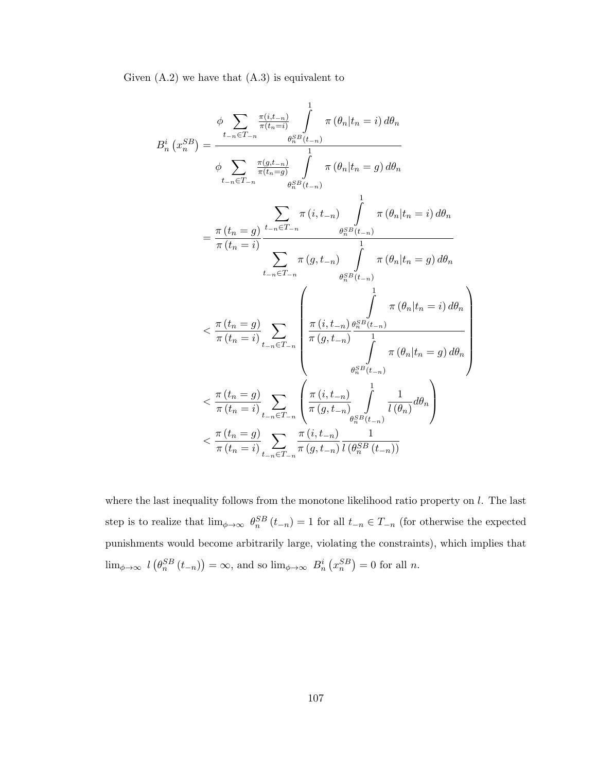Given  $(A.2)$  we have that  $(A.3)$  is equivalent to

$$
B_{n}^{i}(x_{n}^{SB}) = \frac{\phi \sum_{t_{-n} \in T_{-n}} \frac{\pi(i, t_{-n})}{\pi(t_{n} = i)}}{\phi \sum_{t_{-n} \in T_{-n}} \frac{\pi(g, t_{-n})}{\pi(t_{n} = g)}} \int_{\theta_{n}^{SB}(t_{-n})} \pi(\theta_{n}|t_{n} = g) d\theta_{n}
$$
  
\n
$$
= \frac{\pi(t_{n} = g)}{\pi(t_{n} = i)} \frac{\sum_{t_{-n} \in T_{-n}} \pi(i, t_{-n}) \int_{\theta_{n}^{SB}(t_{-n})} \pi(\theta_{n}|t_{n} = i) d\theta_{n}}{\sum_{t_{-n} \in T_{-n}} \pi(g, t_{-n}) \int_{\theta_{n}^{SB}(t_{-n})} \pi(\theta_{n}|t_{n} = g) d\theta_{n}}
$$
  
\n
$$
< \frac{\pi(t_{n} = g)}{\pi(t_{n} = i)} \sum_{t_{-n} \in T_{-n}} \left( \frac{\int_{\theta_{n}^{SB}(t_{-n})} \pi(\theta_{n}|t_{n} = g) d\theta_{n}}{\pi(g, t_{-n}) \int_{\theta_{n}^{SB}(t_{-n})} \pi(\theta_{n}|t_{n} = i) d\theta_{n}} \right)
$$
  
\n
$$
< \frac{\pi(t_{n} = g)}{\pi(t_{n} = i)} \sum_{t_{-n} \in T_{-n}} \left( \frac{\pi(i, t_{-n}) e_{n}^{SB}(t_{-n})}{\pi(g, t_{-n}) \int_{\theta_{n}^{SB}(t_{-n})} \pi(\theta_{n}|t_{n} = g) d\theta_{n}} \right)
$$
  
\n
$$
< \frac{\pi(t_{n} = g)}{\pi(t_{n} = i)} \sum_{t_{-n} \in T_{-n}} \left( \frac{\pi(i, t_{-n})}{\pi(g, t_{-n})} \int_{\theta_{n}^{SB}(t_{-n})} \frac{1}{l(\theta_{n})} d\theta_{n} \right)
$$

where the last inequality follows from the monotone likelihood ratio property on  $l$ . The last step is to realize that  $\lim_{\phi \to \infty} \theta_n^{SB}(t_{-n}) = 1$  for all  $t_{-n} \in T_{-n}$  (for otherwise the expected punishments would become arbitrarily large, violating the constraints), which implies that  $\lim_{\phi \to \infty} l\left(\theta_n^{SB}(t_{-n})\right) = \infty$ , and so  $\lim_{\phi \to \infty} B_n^i\left(x_n^{SB}\right) = 0$  for all n.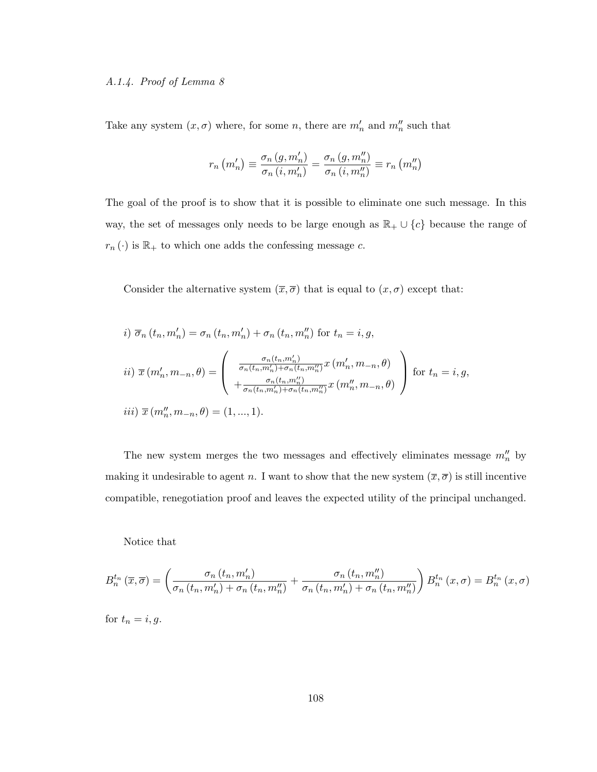## A.1.4. Proof of Lemma 8

Take any system  $(x, \sigma)$  where, for some n, there are  $m'_n$  and  $m''_n$  such that

$$
r_n\left(m'_n\right) \equiv \frac{\sigma_n\left(g, m'_n\right)}{\sigma_n\left(i, m'_n\right)} = \frac{\sigma_n\left(g, m''_n\right)}{\sigma_n\left(i, m''_n\right)} \equiv r_n\left(m''_n\right)
$$

The goal of the proof is to show that it is possible to eliminate one such message. In this way, the set of messages only needs to be large enough as  $\mathbb{R}_+ \cup \{c\}$  because the range of  $r_n\left(\cdot\right)$  is  $\mathbb{R}_+$  to which one adds the confessing message  $c.$ 

Consider the alternative system  $(\overline{x}, \overline{\sigma})$  that is equal to  $(x, \sigma)$  except that:

$$
i) \overline{\sigma}_n(t_n, m'_n) = \sigma_n(t_n, m'_n) + \sigma_n(t_n, m''_n) \text{ for } t_n = i, g,
$$
  
\n
$$
ii) \overline{x}(m'_n, m_{-n}, \theta) = \begin{pmatrix} \frac{\sigma_n(t_n, m'_n)}{\sigma_n(t_n, m'_n) + \sigma_n(t_n, m''_n)} x(m'_n, m_{-n}, \theta) \\ + \frac{\sigma_n(t_n, m''_n)}{\sigma_n(t_n, m'_n) + \sigma_n(t_n, m''_n)} x(m''_n, m_{-n}, \theta) \end{pmatrix} \text{ for } t_n = i, g,
$$
  
\n
$$
iii) \overline{x}(m''_n, m_{-n}, \theta) = (1, ..., 1).
$$

The new system merges the two messages and effectively eliminates message  $m''_n$  by making it undesirable to agent n. I want to show that the new system  $(\bar{x}, \bar{\sigma})$  is still incentive compatible, renegotiation proof and leaves the expected utility of the principal unchanged.

Notice that

$$
B_n^{t_n}(\overline{x}, \overline{\sigma}) = \left(\frac{\sigma_n(t_n, m'_n)}{\sigma_n(t_n, m'_n) + \sigma_n(t_n, m''_n)} + \frac{\sigma_n(t_n, m''_n)}{\sigma_n(t_n, m'_n) + \sigma_n(t_n, m''_n)}\right) B_n^{t_n}(x, \sigma) = B_n^{t_n}(x, \sigma)
$$

for  $t_n = i, g$ .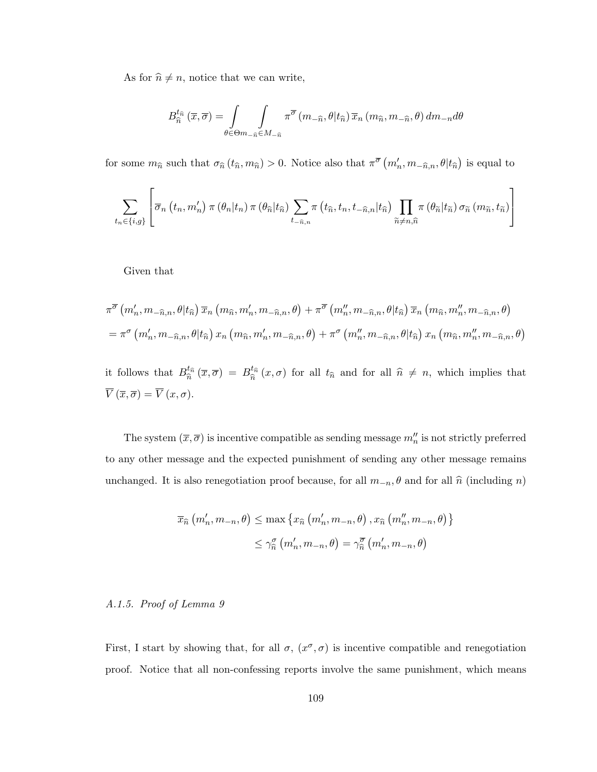As for  $\hat{n} \neq n$ , notice that we can write,

$$
B_{\widehat{n}}^{t_{\widehat{n}}}(\overline{x},\overline{\sigma}) = \int_{\theta \in \Theta m_{-\widehat{n}} \in M_{-\widehat{n}}} \pi^{\overline{\sigma}}(m_{-\widehat{n}},\theta | t_{\widehat{n}}) \, \overline{x}_n \, (m_{\widehat{n}},m_{-\widehat{n}},\theta) \, dm_{-n} d\theta
$$

for some  $m_{\hat{n}}$  such that  $\sigma_{\hat{n}}(t_{\hat{n}}, m_{\hat{n}}) > 0$ . Notice also that  $\pi^{\overline{\sigma}}(m'_n, m_{-\hat{n},n}, \theta | t_{\hat{n}})$  is equal to

$$
\sum_{t_n \in \{i,g\}} \left[ \overline{\sigma}_n \left( t_n, m_n' \right) \pi \left( \theta_n | t_n \right) \pi \left( \theta_{\widehat{n}} | t_{\widehat{n}} \right) \sum_{t_{-\widehat{n},n}} \pi \left( t_{\widehat{n}}, t_n, t_{-\widehat{n},n} | t_{\widehat{n}} \right) \prod_{\widetilde{n} \neq n, \widehat{n}} \pi \left( \theta_{\widetilde{n}} | t_{\widetilde{n}} \right) \sigma_{\widetilde{n}} \left( m_{\widetilde{n}}, t_{\widetilde{n}} \right) \right]
$$

Given that

$$
\pi^{\overline{\sigma}}\left(m'_n, m_{-\widehat{n},n}, \theta | t_{\widehat{n}}\right) \overline{x}_n \left(m_{\widehat{n}}, m'_n, m_{-\widehat{n},n}, \theta\right) + \pi^{\overline{\sigma}}\left(m''_n, m_{-\widehat{n},n}, \theta | t_{\widehat{n}}\right) \overline{x}_n \left(m_{\widehat{n}}, m''_n, m_{-\widehat{n},n}, \theta\right)
$$

$$
= \pi^{\sigma}\left(m'_n, m_{-\widehat{n},n}, \theta | t_{\widehat{n}}\right) x_n \left(m_{\widehat{n}}, m'_n, m_{-\widehat{n},n}, \theta\right) + \pi^{\sigma}\left(m''_n, m_{-\widehat{n},n}, \theta | t_{\widehat{n}}\right) x_n \left(m_{\widehat{n}}, m''_n, m_{-\widehat{n},n}, \theta\right)
$$

it follows that  $B_{\hat{n}}^{t_{\hat{n}}}$  $\frac{t_{\widehat{n}}}{\widehat{n}}(\overline{x}, \overline{\sigma}) = B_{\widehat{n}}^{t_{\widehat{n}}}$  $\hat{n}_{\hat{n}}^{t_{\hat{n}}}(x,\sigma)$  for all  $t_{\hat{n}}$  and for all  $\hat{n} \neq n$ , which implies that  $\overline{V}(\overline{x}, \overline{\sigma}) = \overline{V}(x, \sigma).$ 

The system  $(\overline{x}, \overline{\sigma})$  is incentive compatible as sending message  $m''_n$  is not strictly preferred to any other message and the expected punishment of sending any other message remains unchanged. It is also renegotiation proof because, for all  $m_{-n}$ ,  $\theta$  and for all  $\hat{n}$  (including n)

$$
\overline{x}_{\widehat{n}}\left(m'_n, m_{-n}, \theta\right) \le \max\left\{x_{\widehat{n}}\left(m'_n, m_{-n}, \theta\right), x_{\widehat{n}}\left(m''_n, m_{-n}, \theta\right)\right\}
$$

$$
\le \gamma_{\widehat{n}}^{\sigma}\left(m'_n, m_{-n}, \theta\right) = \gamma_{\widehat{n}}^{\overline{\sigma}}\left(m'_n, m_{-n}, \theta\right)
$$

#### A.1.5. Proof of Lemma 9

First, I start by showing that, for all  $\sigma$ ,  $(x^{\sigma}, \sigma)$  is incentive compatible and renegotiation proof. Notice that all non-confessing reports involve the same punishment, which means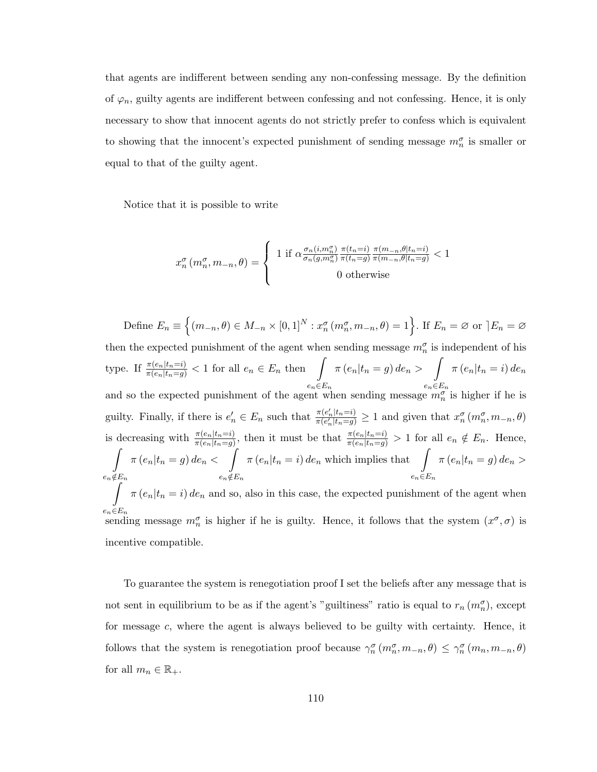that agents are indifferent between sending any non-confessing message. By the definition of  $\varphi_n$ , guilty agents are indifferent between confessing and not confessing. Hence, it is only necessary to show that innocent agents do not strictly prefer to confess which is equivalent to showing that the innocent's expected punishment of sending message  $m_n^{\sigma}$  is smaller or equal to that of the guilty agent.

Notice that it is possible to write

$$
x_n^{\sigma}(m_n^{\sigma}, m_{-n}, \theta) = \begin{cases} 1 \text{ if } \alpha \frac{\sigma_n(i, m_n^{\sigma})}{\sigma_n(g, m_n^{\sigma})} \frac{\pi(t_n = i)}{\pi(t_n = g)} \frac{\pi(m_{-n}, \theta | t_n = i)}{\pi(m_{-n}, \theta | t_n = g)} < 1\\ 0 \text{ otherwise} \end{cases}
$$

Define  $E_n \equiv \left\{ (m_{-n}, \theta) \in M_{-n} \times [0,1]^N : x_n^{\sigma} (m_n^{\sigma}, m_{-n}, \theta) = 1 \right\}$ . If  $E_n = \varnothing$  or  $\big] E_n = \varnothing$ then the expected punishment of the agent when sending message  $m_n^{\sigma}$  is independent of his type. If  $\frac{\pi(e_n|t_n=i)}{\pi(e_n|t_n=g)} < 1$  for all  $e_n \in E_n$  then  $e_n \in E_n$  $\pi(e_n|t_n = g)$  de<sub>n</sub> >  $e_n \in E_n$  $\pi(e_n|t_n=i)$  den and so the expected punishment of the agent when sending message  $m_n^{\sigma}$  is higher if he is guilty. Finally, if there is  $e'_n \in E_n$  such that  $\frac{\pi(e'_n|t_n=i)}{\pi(e'_n|t_n=g)} \geq 1$  and given that  $x_n^{\sigma}(m_n^{\sigma}, m_{-n}, \theta)$ is decreasing with  $\frac{\pi(e_n|t_n=i)}{\pi(e_n|t_n=g)}$ , then it must be that  $\frac{\pi(e_n|t_n=i)}{\pi(e_n|t_n=g)} > 1$  for all  $e_n \notin E_n$ . Hence, Z  $e_n \notin E_n$  $\pi (e_n | t_n = g) de_n <$  $e_n \notin E_n$  $\pi(e_n|t_n = i)$  de<sub>n</sub> which implies that  $e_n \in E_n$  $\pi(e_n|t_n = g)$  de<sub>n</sub> >  $\int \pi(e_n|t_n=i) de_n$  and so, also in this case, the expected punishment of the agent when

 $e_n ∈ E_n$ <br>sending message  $m_n^{\sigma}$  is higher if he is guilty. Hence, it follows that the system  $(x^{\sigma}, \sigma)$  is incentive compatible.

To guarantee the system is renegotiation proof I set the beliefs after any message that is not sent in equilibrium to be as if the agent's "guiltiness" ratio is equal to  $r_n(m_n^{\sigma})$ , except for message  $c$ , where the agent is always believed to be guilty with certainty. Hence, it follows that the system is renegotiation proof because  $\gamma_n^{\sigma}(m_n^{\sigma}, m_{-n}, \theta) \leq \gamma_n^{\sigma}(m_n, m_{-n}, \theta)$ for all  $m_n \in \mathbb{R}_+$ .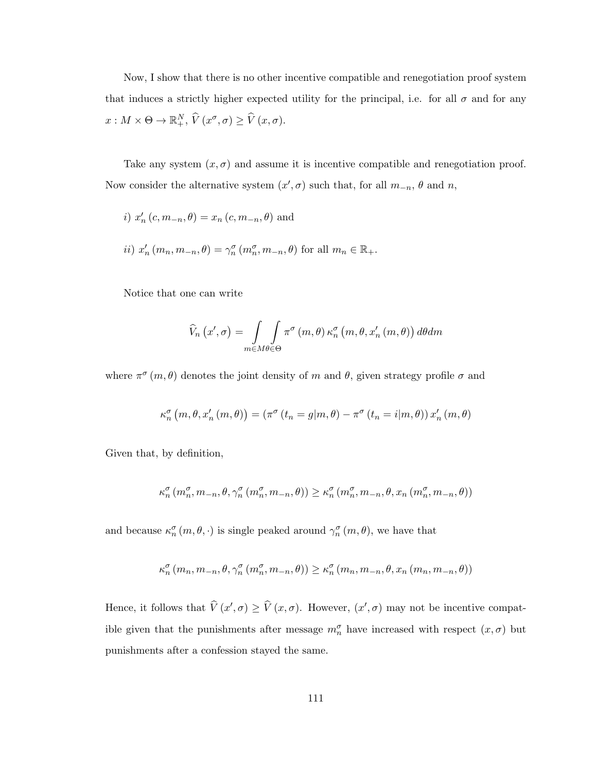Now, I show that there is no other incentive compatible and renegotiation proof system that induces a strictly higher expected utility for the principal, i.e. for all  $\sigma$  and for any  $x: M \times \Theta \to \mathbb{R}^N_+, \, \widehat{V}(x^{\sigma}, \sigma) \geq \widehat{V}(x, \sigma).$ 

Take any system  $(x, \sigma)$  and assume it is incentive compatible and renegotiation proof. Now consider the alternative system  $(x', \sigma)$  such that, for all  $m_{-n}$ ,  $\theta$  and  $n$ ,

$$
i) x'_n(c, m_{-n}, \theta) = x_n(c, m_{-n}, \theta)
$$
 and  
ii)  $x'_n(m_n, m_{-n}, \theta) = \gamma_n^{\sigma}(m_n^{\sigma}, m_{-n}, \theta)$  for all  $m_n \in \mathbb{R}_+$ .

Notice that one can write

$$
\widehat{V}_{n}(x',\sigma) = \int_{m \in M\theta \in \Theta} \int_{0}^{\sigma} \pi^{\sigma}(m,\theta) \kappa_{n}^{\sigma}(m,\theta,x_{n}'(m,\theta)) d\theta dm
$$

where  $\pi^{\sigma}(m, \theta)$  denotes the joint density of m and  $\theta$ , given strategy profile  $\sigma$  and

$$
\kappa_{n}^{\sigma}(m,\theta,x_{n}'(m,\theta)) = (\pi^{\sigma}(t_{n}-g|m,\theta) - \pi^{\sigma}(t_{n}=i|m,\theta)) x_{n}'(m,\theta)
$$

Given that, by definition,

$$
\kappa_n^\sigma\left(m_n^\sigma,m_{-n},\theta,\gamma_n^\sigma\left(m_n^\sigma,m_{-n},\theta\right)\right)\geq \kappa_n^\sigma\left(m_n^\sigma,m_{-n},\theta,x_n\left(m_n^\sigma,m_{-n},\theta\right)\right)
$$

and because  $\kappa_n^{\sigma}(m, \theta, \cdot)$  is single peaked around  $\gamma_n^{\sigma}(m, \theta)$ , we have that

$$
\kappa_n^{\sigma}(m_n, m_{-n}, \theta, \gamma_n^{\sigma}(m_n^{\sigma}, m_{-n}, \theta)) \geq \kappa_n^{\sigma}(m_n, m_{-n}, \theta, x_n(m_n, m_{-n}, \theta))
$$

Hence, it follows that  $\hat{V}(x', \sigma) \geq \hat{V}(x, \sigma)$ . However,  $(x', \sigma)$  may not be incentive compatible given that the punishments after message  $m_n^{\sigma}$  have increased with respect  $(x, \sigma)$  but punishments after a confession stayed the same.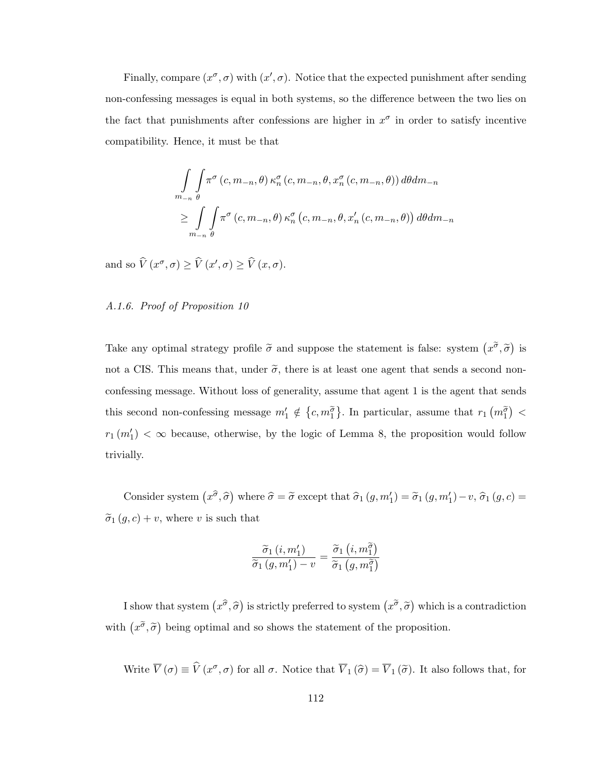Finally, compare  $(x^{\sigma}, \sigma)$  with  $(x', \sigma)$ . Notice that the expected punishment after sending non-confessing messages is equal in both systems, so the difference between the two lies on the fact that punishments after confessions are higher in  $x^{\sigma}$  in order to satisfy incentive compatibility. Hence, it must be that

$$
\int_{m_{-n}} \int_{\theta}^{\pi} \int_{\theta}^{\sigma} (c, m_{-n}, \theta) \kappa_n^{\sigma} (c, m_{-n}, \theta, x_n^{\sigma} (c, m_{-n}, \theta)) d\theta dm_{-n}
$$
  

$$
\geq \int_{m_{-n}} \int_{\theta}^{\pi} \int_{\theta}^{\sigma} (c, m_{-n}, \theta) \kappa_n^{\sigma} (c, m_{-n}, \theta, x_n^{\prime} (c, m_{-n}, \theta)) d\theta dm_{-n}
$$

and so  $\widehat{V}(x^{\sigma}, \sigma) \geq \widehat{V}(x', \sigma) \geq \widehat{V}(x, \sigma)$ .

#### A.1.6. Proof of Proposition 10

Take any optimal strategy profile  $\tilde{\sigma}$  and suppose the statement is false: system  $(x^{\tilde{\sigma}}, \tilde{\sigma})$  is not a CIS. This means that, under  $\tilde{\sigma}$ , there is at least one agent that sends a second nonconfessing message. Without loss of generality, assume that agent 1 is the agent that sends this second non-confessing message  $m'_1 \notin \{c, m_1^{\tilde{\sigma}}\}$ . In particular, assume that  $r_1(m_1^{\tilde{\sigma}})$  $r_1(m'_1) < \infty$  because, otherwise, by the logic of Lemma 8, the proposition would follow trivially.

Consider system  $(x^{\widehat{\sigma}}, \widehat{\sigma})$  where  $\widehat{\sigma} = \widetilde{\sigma}$  except that  $\widehat{\sigma}_1(g, m_1') = \widetilde{\sigma}_1(g, m_1') - v$ ,  $\widehat{\sigma}_1(g, c) =$  $\widetilde{\sigma}_1(g, c) + v$ , where v is such that

$$
\frac{\widetilde{\sigma}_1(i, m'_1)}{\widetilde{\sigma}_1(g, m'_1) - v} = \frac{\widetilde{\sigma}_1(i, m_1^{\widetilde{\sigma}})}{\widetilde{\sigma}_1(g, m_1^{\widetilde{\sigma}})}
$$

I show that system  $(x^{\hat{\sigma}}, \hat{\sigma})$  is strictly preferred to system  $(x^{\tilde{\sigma}}, \tilde{\sigma})$  which is a contradiction with  $(x^{\tilde{\sigma}}, \tilde{\sigma})$  being optimal and so shows the statement of the proposition.

Write  $\overline{V}(\sigma) \equiv \hat{V}(x^{\sigma}, \sigma)$  for all  $\sigma$ . Notice that  $\overline{V}_1(\hat{\sigma}) = \overline{V}_1(\tilde{\sigma})$ . It also follows that, for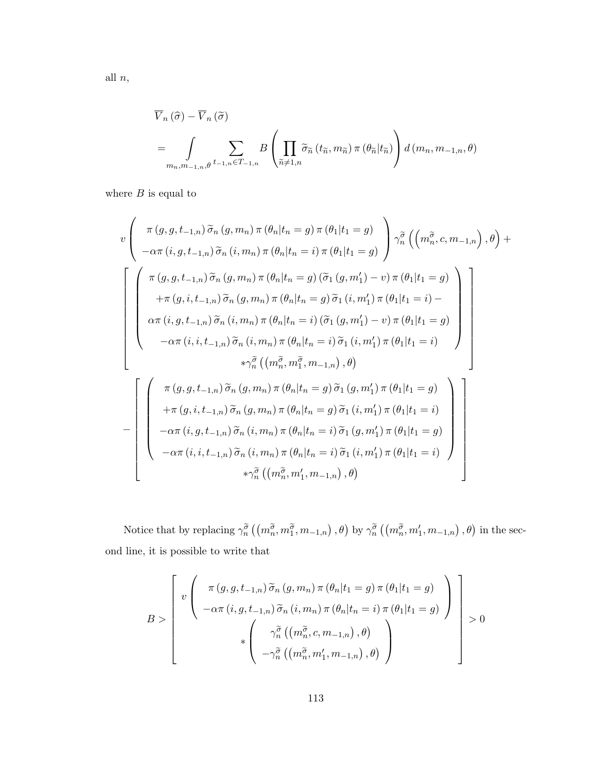all  $\boldsymbol{n},$ 

$$
\overline{V}_{n}(\widehat{\sigma}) - \overline{V}_{n}(\widetilde{\sigma})
$$
\n
$$
= \int_{m_{n}, m_{-1,n}, \theta} \sum_{t_{-1}, n \in T_{-1,n}} B\left(\prod_{\widetilde{n} \neq 1,n} \widetilde{\sigma}_{\widetilde{n}}\left(t_{\widetilde{n}}, m_{\widetilde{n}}\right) \pi\left(\theta_{\widetilde{n}}|t_{\widetilde{n}}\right)\right) d\left(m_{n}, m_{-1,n}, \theta\right)
$$

where  ${\cal B}$  is equal to

$$
v\left(\begin{array}{c}\pi\left(g,g,t_{-1,n}\right)\tilde{\sigma}_{n}\left(g,m_{n}\right)\pi\left(\theta_{n}|t_{n}=g\right)\pi\left(\theta_{1}|t_{1}=g\right)\\-\alpha\pi\left(i,g,t_{-1,n}\right)\tilde{\sigma}_{n}\left(i,m_{n}\right)\pi\left(\theta_{n}|t_{n}=i\right)\pi\left(\theta_{1}|t_{1}=g\right)\\+\alpha\pi\left(g,g,t_{-1,n}\right)\tilde{\sigma}_{n}\left(g,m_{n}\right)\pi\left(\theta_{n}|t_{n}=g\right)\left(\tilde{\sigma}_{1}\left(g,m_{1}'\right)-v\right)\pi\left(\theta_{1}|t_{1}=g\right)\\+\pi\left(g,i,t_{-1,n}\right)\tilde{\sigma}_{n}\left(g,m_{n}\right)\pi\left(\theta_{n}|t_{n}=g\right)\tilde{\sigma}_{1}\left(i,m_{1}'\right)\pi\left(\theta_{1}|t_{1}=i\right)-\\\alpha\pi\left(i,g,t_{-1,n}\right)\tilde{\sigma}_{n}\left(i,m_{n}\right)\pi\left(\theta_{n}|t_{n}=i\right)\left(\tilde{\sigma}_{1}\left(g,m_{1}'\right)-v\right)\pi\left(\theta_{1}|t_{1}=g\right)\\-\alpha\pi\left(i,i,t_{-1,n}\right)\tilde{\sigma}_{n}\left(i,m_{n}\right)\pi\left(\theta_{n}|t_{n}=i\right)\tilde{\sigma}_{1}\left(i,m_{1}'\right)\pi\left(\theta_{1}|t_{1}=i\right)\\\ast\gamma_{n}^{\tilde{\sigma}}\left(\left(m_{n}^{\tilde{\sigma}},m_{1}^{\tilde{\sigma}},m_{-1,n}\right),\theta\right)\end{array}\right]
$$
\n
$$
-\left[\begin{array}{c}\pi\left(g,g,t_{-1,n}\right)\tilde{\sigma}_{n}\left(g,m_{n}\right)\pi\left(\theta_{n}|t_{n}=g\right)\tilde{\sigma}_{1}\left(g,m_{1}'\right)\pi\left(\theta_{1}|t_{1}=g\right)\\\left+\pi\left(g,i,t_{-1,n}\right)\tilde{\sigma}_{n}\left(g,m_{n}\right)\pi\left(\theta_{n}|t_{n}=g\right)\tilde{\sigma}_{1}\left(i,m_{1}'\right)\pi\left(\theta_{1}|t_{1}=g\right)\\\left[-\alpha\pi\left(i,g,t_{-1,n}\right)\tilde{\sigma}_{n}\left(i,m_{n}\right)\pi\left(\theta_{n}|t_{n}=i\right)\tilde{\sigma}_{1}\left(g,m_{1}'\
$$

Notice that by replacing  $\gamma_n^{\tilde{\sigma}}\left(\left(m_n^{\tilde{\sigma}}, m_1^{\tilde{\sigma}}, m_{-1,n}\right), \theta\right)$  by  $\gamma_n^{\tilde{\sigma}}\left(\left(m_n^{\tilde{\sigma}}, m_1', m_{-1,n}\right), \theta\right)$  in the second line, it is possible to write that

$$
B > \left[\begin{array}{c} \begin{array}{c} \begin{array}{c} \tau \end{array} \left( g, g, t_{-1,n} \right) \widetilde{\sigma}_n \left( g, m_n \right) \pi \left( \theta_n | t_1 = g \right) \pi \left( \theta_1 | t_1 = g \right) \\ -\alpha \pi \left( i, g, t_{-1,n} \right) \widetilde{\sigma}_n \left( i, m_n \right) \pi \left( \theta_n | t_n = i \right) \pi \left( \theta_1 | t_1 = g \right) \end{array} \right) \\ \begin{array}{c} \begin{array}{c} \tau \end{array} \left( \pi \widetilde{\sigma}_n \left( \left( m_n \widetilde{\sigma}_n, c, m_{-1,n} \right), \theta \right) \\ -\gamma_n \widetilde{\sigma} \left( \left( m_n \widetilde{\sigma}_n, m_1', m_{-1,n} \right), \theta \right) \end{array} \right) \end{array}\right] \end{array}\right]
$$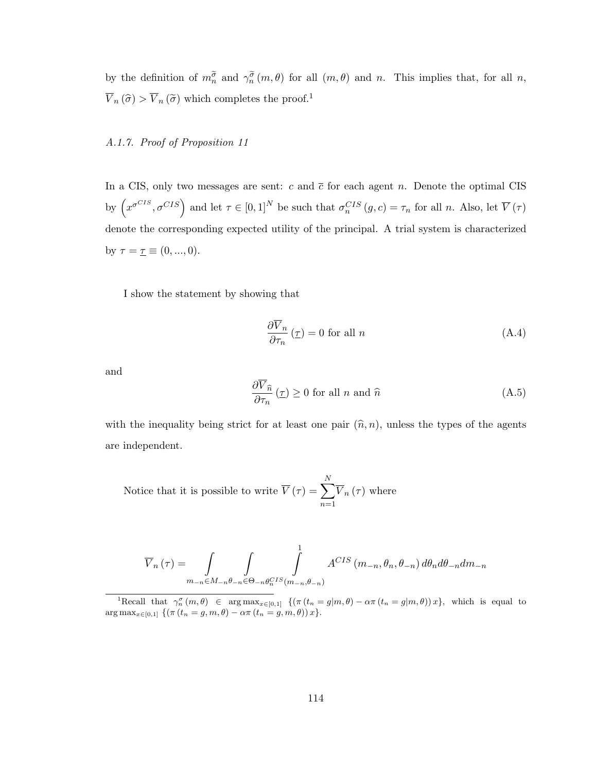by the definition of  $m_n^{\tilde{\sigma}}$  and  $\gamma_n^{\tilde{\sigma}}(m,\theta)$  for all  $(m,\theta)$  and n. This implies that, for all n,  $\overline{V}_n(\widehat{\sigma}) > \overline{V}_n(\widetilde{\sigma})$  which completes the proof.<sup>1</sup>

#### A.1.7. Proof of Proposition 11

In a CIS, only two messages are sent: c and  $\bar{c}$  for each agent n. Denote the optimal CIS by  $\left(x^{\sigma^{CIS}}, \sigma^{CIS}\right)$  and let  $\tau \in [0,1]^N$  be such that  $\sigma_n^{CIS}(g, c) = \tau_n$  for all n. Also, let  $\overline{V}(\tau)$ denote the corresponding expected utility of the principal. A trial system is characterized by  $\tau = \underline{\tau} \equiv (0, ..., 0)$ .

I show the statement by showing that

$$
\frac{\partial \overline{V}_n}{\partial \tau_n}(\underline{\tau}) = 0 \text{ for all } n \tag{A.4}
$$

and

$$
\frac{\partial \overline{V}_{\widehat{n}}}{\partial \tau_n}(\underline{\tau}) \ge 0 \text{ for all } n \text{ and } \widehat{n} \tag{A.5}
$$

with the inequality being strict for at least one pair  $(\hat{n}, n)$ , unless the types of the agents are independent.

Notice that it is possible to write  $\overline{V}(\tau) = \sum$ N  $n=1$  $V_n(\tau)$  where

$$
\overline{V}_{n}\left(\tau\right)=\int\limits_{m_{-n}\in M_{-n}}\int\limits_{\theta-n\in\Theta_{-n}\theta_{n}^{CIS}\left(m_{-n},\theta_{-n}\right)}\int\limits_{A^{CIS}\left(m_{-n},\theta_{n},\theta_{-n}\right)d\theta_{n}d\theta_{-n}dm_{-n}}
$$

<sup>&</sup>lt;sup>1</sup>Recall that  $\gamma_n^{\sigma}(m,\theta) \in \arg \max_{x \in [0,1]} \{ (\pi (t_n = g|m,\theta) - \alpha \pi (t_n = g|m,\theta)) x \},\}$  which is equal to  $\arg \max_{x \in [0,1]} \{ (\pi (t_n = g, m, \theta) - \alpha \pi (t_n = g, m, \theta)) x \}.$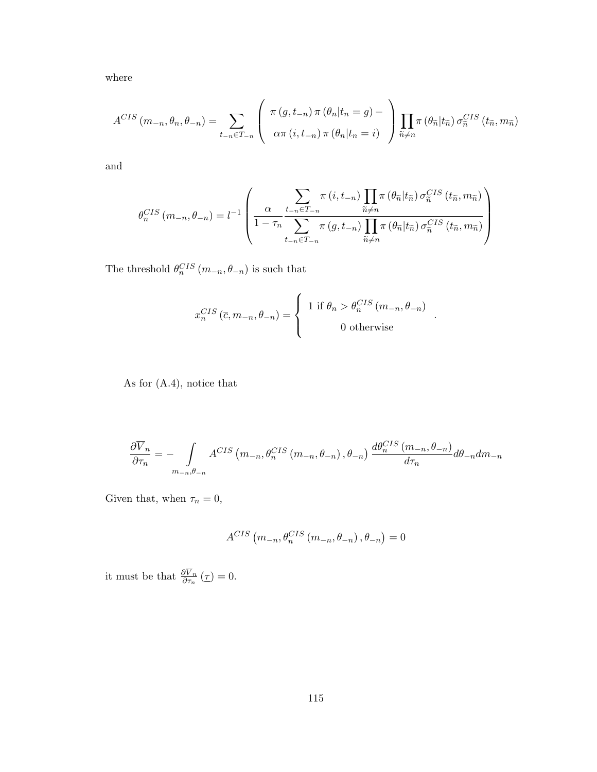where

$$
A^{CIS}(m_{-n}, \theta_n, \theta_{-n}) = \sum_{t_{-n} \in T_{-n}} \left( \begin{array}{c} \pi(g, t_{-n}) \pi(\theta_n | t_n = g) - \\ \alpha \pi(i, t_{-n}) \pi(\theta_n | t_n = i) \end{array} \right) \prod_{\tilde{n} \neq n} \pi(\theta_{\tilde{n}} | t_{\tilde{n}}) \sigma_{\tilde{n}}^{CIS}(t_{\tilde{n}}, m_{\tilde{n}})
$$

and

$$
\theta_n^{CIS}(m_{-n}, \theta_{-n}) = l^{-1} \left( \frac{\sum_{n_{-n} \in T_{-n}} \pi(i, t_{-n}) \prod_{\tilde{n} \neq n} \pi(\theta_{\tilde{n}} | t_{\tilde{n}}) \sigma_{\tilde{n}}^{CIS}(t_{\tilde{n}}, m_{\tilde{n}})}{1 - \tau_n \sum_{t_{-n} \in T_{-n}} \pi(g, t_{-n}) \prod_{\tilde{n} \neq n} \pi(\theta_{\tilde{n}} | t_{\tilde{n}}) \sigma_{\tilde{n}}^{CIS}(t_{\tilde{n}}, m_{\tilde{n}})} \right)
$$

The threshold  $\theta_n^{CIS}(m_{-n}, \theta_{-n})$  is such that

$$
x_n^{CIS}(\overline{c}, m_{-n}, \theta_{-n}) = \begin{cases} 1 & \text{if } \theta_n > \theta_n^{CIS} (m_{-n}, \theta_{-n}) \\ 0 & \text{otherwise} \end{cases}
$$

.

As for (A.4), notice that

$$
\frac{\partial \overline{V}_{n}}{\partial \tau_{n}} = -\int\limits_{m_{-n},\theta_{-n}} A^{CIS} \left(m_{-n}, \theta_{n}^{CIS}\left(m_{-n}, \theta_{-n}\right), \theta_{-n}\right) \frac{d\theta_{n}^{CIS}\left(m_{-n}, \theta_{-n}\right)}{d\tau_{n}} d\theta_{-n} dm_{-n}
$$

Given that, when  $\tau_n=0,$ 

$$
A^{CIS}\left(m_{-n}, \theta_{n}^{CIS}\left(m_{-n}, \theta_{-n}\right), \theta_{-n}\right) = 0
$$

it must be that  $\frac{\partial V_n}{\partial \tau_n}(\underline{\tau})=0.$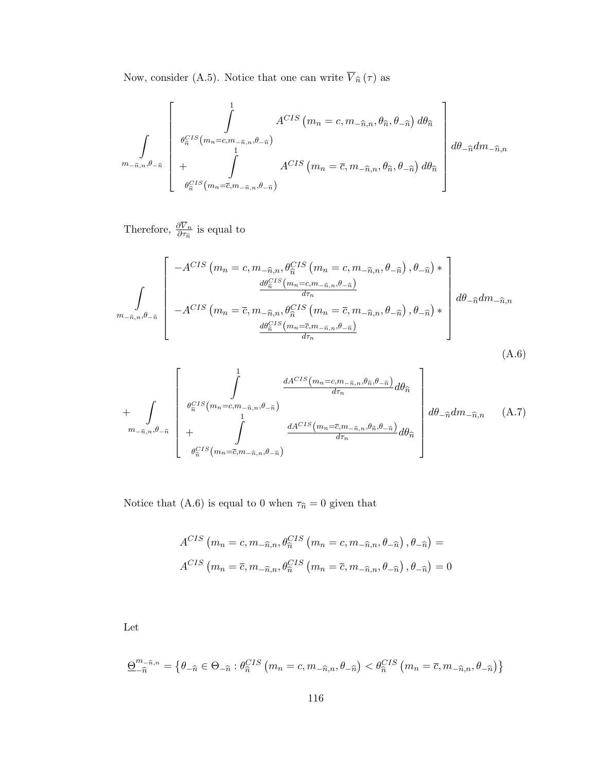Now, consider (A.5). Notice that one can write  $\overline V_{\widehat n}\,(\tau)$  as

$$
\int_{m_{-\hat{n},n},\theta_{-\hat{n}}} \left[ \begin{array}{c} 1 \\ \int_{\theta_{\hat{n}}^{CIS} \left( m_{n} = c, m_{-\hat{n},n}, \theta_{-\hat{n}} \right)} A^{CIS} \left( m_{n} = c, m_{-\hat{n},n}, \theta_{\hat{n}}, \theta_{-\hat{n}} \right) d\theta_{\hat{n}} \\ + \int_{\theta_{\hat{n}}^{CIS} \left( m_{n} = \overline{c}, m_{-\hat{n},n}, \theta_{\hat{n}}, \theta_{\hat{n}}, \theta_{-\hat{n}} \right)} A^{CIS} \left( m_{n} = \overline{c}, m_{-\hat{n},n}, \theta_{\hat{n}}, \theta_{-\hat{n}} \right) d\theta_{\hat{n}} \end{array} \right] d\theta_{-\hat{n}} d m_{-\hat{n},n}
$$

Therefore,  $\frac{\partial V_n}{\partial \tau_0}$  $\frac{\partial V_n}{\partial \tau_{\widehat{n}}}$  is equal to

$$
\int_{m_{-\hat{n},n},\theta_{-\hat{n}}} \left[ -A^{CIS} \left( m_n = c, m_{-\hat{n},n}, \theta_{\hat{n}}^{CIS} \left( m_n = c, m_{-\hat{n},n}, \theta_{-\hat{n}} \right), \theta_{-\hat{n}} \right) * \left[ -A^{CIS} \left( m_n = \bar{c}, m_{-\hat{n},n}, \theta_{\hat{n}}^{CIS} \left( m_n = \bar{c}, m_{-\hat{n},n}, \theta_{-\hat{n}} \right), \theta_{-\hat{n}} \right) * \left[ d\theta_{-\hat{n}} dm_{-\hat{n},n} \right] d\theta_{\hat{n}}^{CIS} \left( m_n = \bar{c}, m_{-\hat{n},n}, \theta_{-\hat{n}} \right) \right] d\theta_{-\hat{n}} dm_{-\hat{n},n}
$$
\n(A.6)

$$
+\int_{m_{-\hat{n},n},\theta_{-\hat{n}}} \left[ \begin{array}{ccc} \int & \frac{dA^{CIS}(m_{n}=c,m_{-\hat{n},n},\theta_{\hat{n}},\theta_{-\hat{n}})}{d\tau_{n}} d\theta_{\hat{n}} \\ \theta_{\hat{n}}^{CIS}(m_{n}=c,m_{-\hat{n},n},\theta_{-\hat{n}}) & \frac{dA^{CIS}(m_{n}=\overline{c},m_{-\hat{n},n},\theta_{\hat{n}},\theta_{-\hat{n}})}{d\tau_{n}} d\theta_{\hat{n}} \\ + \int & \frac{dA^{CIS}(m_{n}=\overline{c},m_{-\hat{n},n},\theta_{\hat{n}},\theta_{-\hat{n}})}{d\tau_{n}} d\theta_{\hat{n}} \end{array} \right] d\theta_{-\hat{n}} dm_{-\hat{n},n} \qquad (A.7)
$$

Notice that (A.6) is equal to 0 when  $\tau_{\widehat{n}} = 0$  given that

$$
A^{CIS}(m_n = c, m_{-\widehat{n},n}, \theta_{\widehat{n}}^{CIS}(m_n = c, m_{-\widehat{n},n}, \theta_{-\widehat{n}}), \theta_{-\widehat{n}}) =
$$
  

$$
A^{CIS}(m_n = \overline{c}, m_{-\widehat{n},n}, \theta_{\widehat{n}}^{CIS}(m_n = \overline{c}, m_{-\widehat{n},n}, \theta_{-\widehat{n}}), \theta_{-\widehat{n}}) = 0
$$

Let

$$
\underline{\Theta}_{-\widehat{n}}^{m_{-\widehat{n},n}} = \left\{ \theta_{-\widehat{n}} \in \Theta_{-\widehat{n}} : \theta_{\widehat{n}}^{CIS} \left( m_n = c, m_{-\widehat{n},n}, \theta_{-\widehat{n}} \right) < \theta_{\widehat{n}}^{CIS} \left( m_n = \overline{c}, m_{-\widehat{n},n}, \theta_{-\widehat{n}} \right) \right\}
$$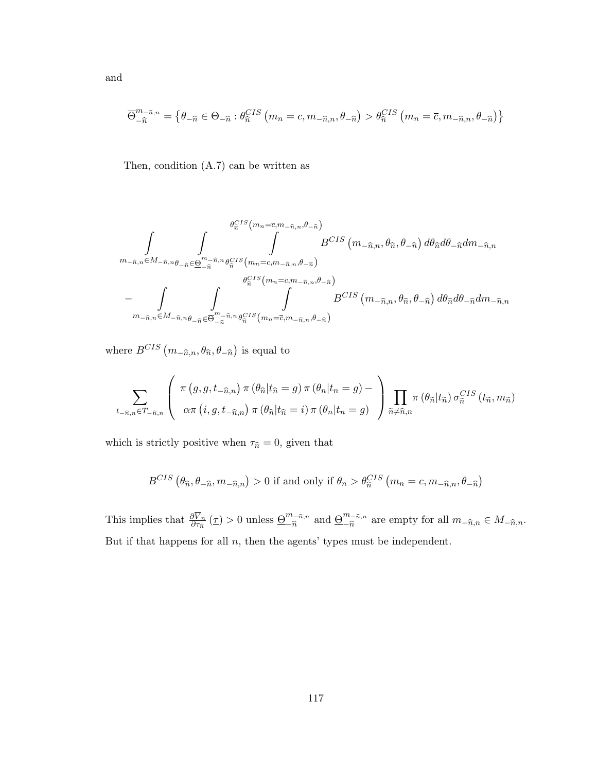$$
\overline{\Theta}_{-\widehat{n}}^{m_{-\widehat{n},n}} = \left\{ \theta_{-\widehat{n}} \in \Theta_{-\widehat{n}} : \theta_{\widehat{n}}^{CIS} \left( m_n = c, m_{-\widehat{n},n}, \theta_{-\widehat{n}} \right) > \theta_{\widehat{n}}^{CIS} \left( m_n = \overline{c}, m_{-\widehat{n},n}, \theta_{-\widehat{n}} \right) \right\}
$$

Then, condition (A.7) can be written as

$$
\int_{m_{-\widehat{n},n} \in M_{-\widehat{n},n}} \int_{m_{-\widehat{n},n} \in M_{-\widehat{n},n}} \int_{\widehat{n}^{CIS}} \int_{B^{CIS}} (m_{-\widehat{n},n}, \theta_{\widehat{n}}, \theta_{-\widehat{n}}) d\theta_{\widehat{n}} d\theta_{-\widehat{n}} dm_{-\widehat{n},n}
$$
\n
$$
= \int_{m_{-\widehat{n},n} \in M_{-\widehat{n},n}} \int_{\theta_{\widehat{n}}^{CIS}} \int_{\theta_{\widehat{n}}^{CIS}} (m_{n} = c, m_{-\widehat{n},n}, \theta_{-\widehat{n}})
$$
\n
$$
= \int_{m_{-\widehat{n},n} \in M_{-\widehat{n},n}} \int_{\theta_{\widehat{n}}^{CIS}} \int_{\theta_{\widehat{n}}^{CIS}} B^{CIS} \left( m_{-\widehat{n},n}, \theta_{\widehat{n}}, \theta_{-\widehat{n}} \right) d\theta_{\widehat{n}} d\theta_{-\widehat{n}} dm_{-\widehat{n},n}
$$

where  $B^{CIS}(m_{-\widehat{n},n}, \theta_{\widehat{n}}, \theta_{-\widehat{n}})$  is equal to

$$
\sum_{t_{-\widehat{n},n}\in T_{-\widehat{n},n}} \left( \pi\left(g,g,t_{-\widehat{n},n}\right)\pi\left(\theta_{\widehat{n}}|t_{\widehat{n}}=g\right)\pi\left(\theta_{n}|t_{n}=g\right)-\right) \prod_{\widetilde{n}\neq\widehat{n},n} \pi\left(\theta_{\widetilde{n}}|t_{\widetilde{n}}\right) \sigma_{\widetilde{n}}^{CIS}\left(t_{\widetilde{n}},m_{\widetilde{n}}\right)
$$

which is strictly positive when  $\tau_{\widehat n} = 0,$  given that

$$
B^{CIS}(\theta_{\widehat{n}}, \theta_{-\widehat{n}}, m_{-\widehat{n},n}) > 0 \text{ if and only if } \theta_n > \theta_{\widehat{n}}^{CIS}(m_n = c, m_{-\widehat{n},n}, \theta_{-\widehat{n}})
$$

This implies that  $\frac{\partial V_n}{\partial \tau_n}$  $\partial\tau_{\widehat n}$  $\left(\frac{\tau}{\tau}\right) > 0$  unless  $\underline{\Theta}^{m_{-n}}_{-\widehat{n}}$  $-\widehat{n}$ and  $\underline{\Theta}^{m_{-}\widehat{n},n}_{\widehat{n}}$  $\sum_{n=\hat{n}}^{m=\hat{n},n}$  are empty for all  $m_{-\hat{n},n} \in M_{-\hat{n},n}$ . But if that happens for all  $n$ , then the agents' types must be independent.

and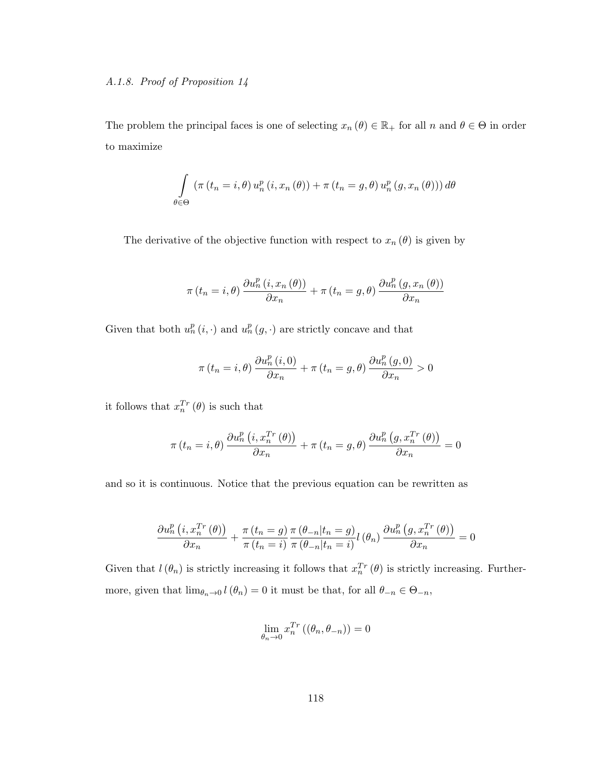### A.1.8. Proof of Proposition 14

The problem the principal faces is one of selecting  $x_n (\theta) \in \mathbb{R}_+$  for all  $n$  and  $\theta \in \Theta$  in order to maximize

$$
\int_{\theta \in \Theta} \left( \pi(t_n = i, \theta) u_n^p(i, x_n(\theta)) + \pi(t_n = g, \theta) u_n^p(g, x_n(\theta)) \right) d\theta
$$

The derivative of the objective function with respect to  $x_n(\theta)$  is given by

$$
\pi(t_n = i, \theta) \frac{\partial u_n^p(i, x_n(\theta))}{\partial x_n} + \pi(t_n = g, \theta) \frac{\partial u_n^p(g, x_n(\theta))}{\partial x_n}
$$

Given that both  $u_n^p(i, \cdot)$  and  $u_n^p(g, \cdot)$  are strictly concave and that

$$
\pi(t_n = i, \theta) \frac{\partial u_n^p(i,0)}{\partial x_n} + \pi(t_n = g, \theta) \frac{\partial u_n^p(g,0)}{\partial x_n} > 0
$$

it follows that  $x_n^{Tr}(\theta)$  is such that

$$
\pi(t_n=i,\theta)\,\frac{\partial u_n^p\left(i,x_n^{Tr}\left(\theta\right)\right)}{\partial x_n}+\pi\left(t_n=g,\theta\right)\frac{\partial u_n^p\left(g,x_n^{Tr}\left(\theta\right)\right)}{\partial x_n}=0
$$

and so it is continuous. Notice that the previous equation can be rewritten as

$$
\frac{\partial u_n^p(i, x_n^{Tr}(\theta))}{\partial x_n} + \frac{\pi (t_n = g)}{\pi (t_n = i)} \frac{\pi (\theta_{-n}|t_n = g)}{\pi (\theta_{-n}|t_n = i)} l(\theta_n) \frac{\partial u_n^p(g, x_n^{Tr}(\theta))}{\partial x_n} = 0
$$

Given that  $l(\theta_n)$  is strictly increasing it follows that  $x_n^{Tr}(\theta)$  is strictly increasing. Furthermore, given that  $\lim_{\theta_n \to 0} l(\theta_n) = 0$  it must be that, for all  $\theta_{-n} \in \Theta_{-n}$ ,

$$
\lim_{\theta_n \to 0} x_n^{Tr} \left( (\theta_n, \theta_{-n}) \right) = 0
$$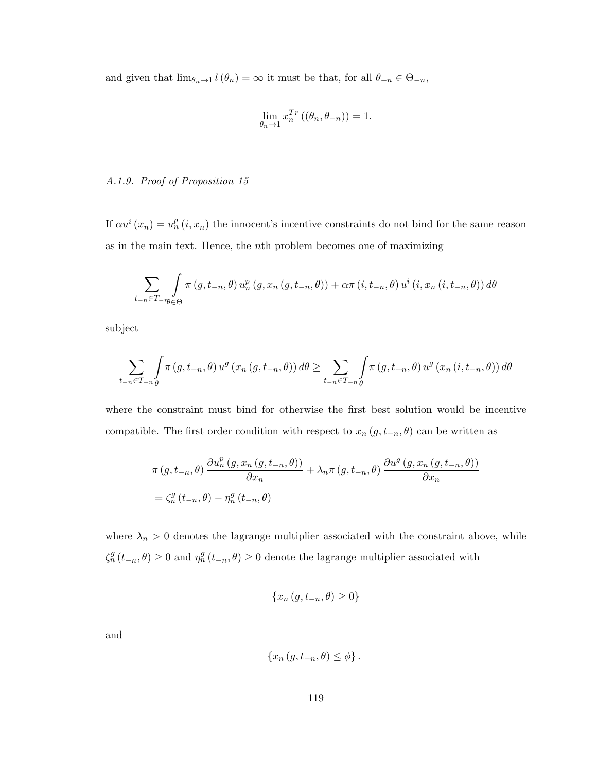and given that  $\lim_{\theta_n \to 1} l(\theta_n) = \infty$  it must be that, for all  $\theta_{-n} \in \Theta_{-n}$ ,

$$
\lim_{\theta_n \to 1} x_n^{Tr} \left( (\theta_n, \theta_{-n}) \right) = 1.
$$

### A.1.9. Proof of Proposition 15

If  $\alpha u^i(x_n) = u^p_n(i, x_n)$  the innocent's incentive constraints do not bind for the same reason as in the main text. Hence, the nth problem becomes one of maximizing

$$
\sum_{t=n\in T-\eta\in\Theta} \int \pi\left(g, t_{-n}, \theta\right) u_n^p\left(g, x_n\left(g, t_{-n}, \theta\right)\right) + \alpha \pi\left(i, t_{-n}, \theta\right) u^i\left(i, x_n\left(i, t_{-n}, \theta\right)\right) d\theta
$$

subject

$$
\sum_{t=n\in T_{-n}} \int \pi(g, t_{-n}, \theta) u^g(x_n(g, t_{-n}, \theta)) d\theta \ge \sum_{t=n\in T_{-n}} \int \pi(g, t_{-n}, \theta) u^g(x_n(i, t_{-n}, \theta)) d\theta
$$

where the constraint must bind for otherwise the first best solution would be incentive compatible. The first order condition with respect to  $x_n(g, t_{-n}, \theta)$  can be written as

$$
\pi(g, t_{-n}, \theta) \frac{\partial u_n^p(g, x_n(g, t_{-n}, \theta))}{\partial x_n} + \lambda_n \pi(g, t_{-n}, \theta) \frac{\partial u^g(g, x_n(g, t_{-n}, \theta))}{\partial x_n}
$$
  
=  $\zeta_n^g(t_{-n}, \theta) - \eta_n^g(t_{-n}, \theta)$ 

where  $\lambda_n > 0$  denotes the lagrange multiplier associated with the constraint above, while  $\zeta_n^g(t_{-n},\theta) \geq 0$  and  $\eta_n^g(t_{-n},\theta) \geq 0$  denote the lagrange multiplier associated with

$$
\{x_n(g, t_{-n}, \theta) \ge 0\}
$$

and

$$
\{x_n(g, t_{-n}, \theta) \le \phi\}.
$$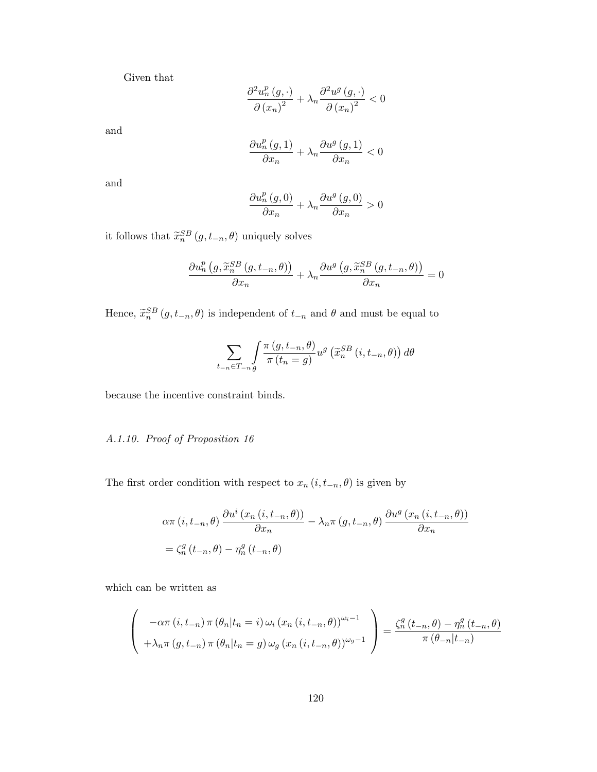Given that

$$
\frac{\partial^2 u_n^p(g,\cdot)}{\partial (x_n)^2} + \lambda_n \frac{\partial^2 u^g(g,\cdot)}{\partial (x_n)^2} < 0
$$

and

$$
\frac{\partial u_{n}^{p}\left(g,1\right)}{\partial x_{n}}+\lambda_{n}\frac{\partial u^{g}\left(g,1\right)}{\partial x_{n}}<0
$$

and

$$
\frac{\partial u_n^p(g,0)}{\partial x_n} + \lambda_n \frac{\partial u^g(g,0)}{\partial x_n} > 0
$$

it follows that  $\widetilde{x}_n^{SB}(g, t_{-n}, \theta)$  uniquely solves

$$
\frac{\partial u_n^p(g,\widetilde{x}_n^{SB}(g,t_{-n},\theta))}{\partial x_n} + \lambda_n \frac{\partial u^g(g,\widetilde{x}_n^{SB}(g,t_{-n},\theta))}{\partial x_n} = 0
$$

Hence,  $\widetilde{x}_n^{SB}(g, t_{-n}, \theta)$  is independent of  $t_{-n}$  and  $\theta$  and must be equal to

$$
\sum_{t=n\in T_{-n}} \int \frac{\pi (g, t_{-n}, \theta)}{\pi (t_n = g)} u^g \left(\widetilde{x}_n^{SB} (i, t_{-n}, \theta)\right) d\theta
$$

because the incentive constraint binds.

## A.1.10. Proof of Proposition 16

The first order condition with respect to  $x_n$   $(i, t_{-n}, \theta)$  is given by

$$
\alpha \pi (i, t_{-n}, \theta) \frac{\partial u^i (x_n (i, t_{-n}, \theta))}{\partial x_n} - \lambda_n \pi (g, t_{-n}, \theta) \frac{\partial u^g (x_n (i, t_{-n}, \theta))}{\partial x_n}
$$

$$
= \zeta_n^g (t_{-n}, \theta) - \eta_n^g (t_{-n}, \theta)
$$

which can be written as

$$
\begin{pmatrix}\n-\alpha\pi(i, t_{-n})\pi(\theta_n|t_n=i)\omega_i(x_n(i, t_{-n}, \theta))^{\omega_i-1} \\
+\lambda_n\pi(g, t_{-n})\pi(\theta_n|t_n=g)\omega_g(x_n(i, t_{-n}, \theta))^{\omega_g-1}\n\end{pmatrix} = \frac{\zeta_n^g(t_{-n}, \theta) - \eta_n^g(t_{-n}, \theta)}{\pi(\theta_{-n}|t_{-n})}
$$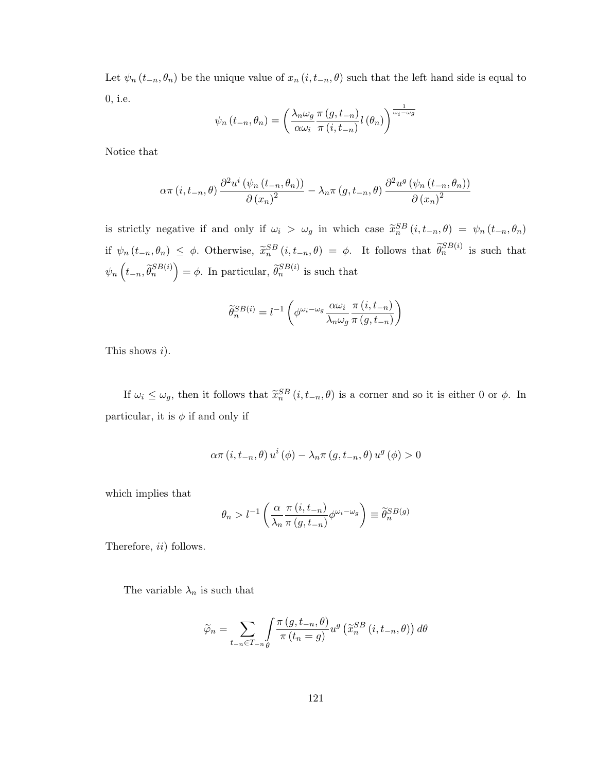Let  $\psi_n(t_{-n}, \theta_n)$  be the unique value of  $x_n(i, t_{-n}, \theta)$  such that the left hand side is equal to 0, i.e.

$$
\psi_n(t_{-n}, \theta_n) = \left(\frac{\lambda_n \omega_g}{\alpha \omega_i} \frac{\pi (g, t_{-n})}{\pi (i, t_{-n})} l(\theta_n)\right)^{\frac{1}{\omega_i - \omega_g}}
$$

Notice that

$$
\alpha \pi(i, t_{-n}, \theta) \frac{\partial^2 u^i \left(\psi_n \left(t_{-n}, \theta_n\right)\right)}{\partial \left(x_n\right)^2} - \lambda_n \pi\left(g, t_{-n}, \theta\right) \frac{\partial^2 u^g \left(\psi_n \left(t_{-n}, \theta_n\right)\right)}{\partial \left(x_n\right)^2}
$$

is strictly negative if and only if  $\omega_i > \omega_g$  in which case  $\tilde{x}_n^{SB}(i, t_{-n}, \theta) = \psi_n(t_{-n}, \theta_n)$ if  $\psi_n(t_{-n}, \theta_n) \leq \phi$ . Otherwise,  $\widetilde{x}_n^{SB}(i, t_{-n}, \theta) = \phi$ . It follows that  $\widetilde{\theta}_n^{SB}(i)$  is such that  $\psi_n\left(t_{-n}, \tilde{\theta}_n^{SB(i)}\right) = \phi$ . In particular,  $\tilde{\theta}_n^{SB(i)}$  is such that

$$
\widetilde{\theta}_n^{SB(i)} = l^{-1} \left( \phi^{\omega_i - \omega_g} \frac{\alpha \omega_i}{\lambda_n \omega_g} \frac{\pi (i, t_{-n})}{\pi (g, t_{-n})} \right)
$$

This shows i).

If  $\omega_i \leq \omega_g$ , then it follows that  $\tilde{x}_n^{SB}(i,t_{-n},\theta)$  is a corner and so it is either 0 or  $\phi$ . In particular, it is  $\phi$  if and only if

$$
\alpha \pi (i, t_{-n}, \theta) u^i (\phi) - \lambda_n \pi (g, t_{-n}, \theta) u^g (\phi) > 0
$$

which implies that

$$
\theta_n > l^{-1} \left( \frac{\alpha}{\lambda_n} \frac{\pi(i, t_{-n})}{\pi(g, t_{-n})} \phi^{\omega_i - \omega_g} \right) \equiv \widetilde{\theta}_n^{SB(g)}
$$

Therefore, *ii*) follows.

The variable  $\lambda_n$  is such that

$$
\widetilde{\varphi}_n = \sum_{t_{-n} \in T_{-n}} \int \frac{\pi (g, t_{-n}, \theta)}{\pi (t_n = g)} u^g \left( \widetilde{x}_n^{SB} (i, t_{-n}, \theta) \right) d\theta
$$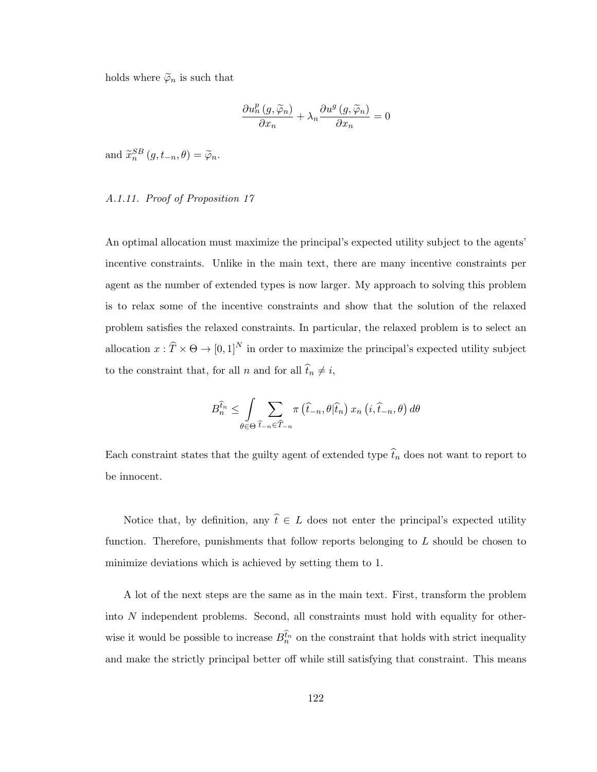holds where  $\widetilde{\varphi}_n$  is such that

$$
\frac{\partial u_{n}^{p}\left(g,\widetilde{\varphi}_{n}\right)}{\partial x_{n}}+\lambda_{n}\frac{\partial u^{g}\left(g,\widetilde{\varphi}_{n}\right)}{\partial x_{n}}=0
$$

and  $\widetilde{x}_n^{SB}(g, t_{-n}, \theta) = \widetilde{\varphi}_n$ .

### A.1.11. Proof of Proposition 17

An optimal allocation must maximize the principal's expected utility subject to the agents' incentive constraints. Unlike in the main text, there are many incentive constraints per agent as the number of extended types is now larger. My approach to solving this problem is to relax some of the incentive constraints and show that the solution of the relaxed problem satisfies the relaxed constraints. In particular, the relaxed problem is to select an allocation  $x : \hat{T} \times \Theta \to [0, 1]^N$  in order to maximize the principal's expected utility subject to the constraint that, for all  $n$  and for all  $\hat{t}_n \neq i$ ,

$$
B_n^{\hat{t}_n} \leq \int_{\theta \in \Theta} \sum_{\hat{t}_{-n} \in \hat{T}_{-n}} \pi\left(\hat{t}_{-n}, \theta | \hat{t}_n\right) x_n\left(i, \hat{t}_{-n}, \theta\right) d\theta
$$

Each constraint states that the guilty agent of extended type  $\hat{t}_n$  does not want to report to be innocent.

Notice that, by definition, any  $\hat{t} \in L$  does not enter the principal's expected utility function. Therefore, punishments that follow reports belonging to L should be chosen to minimize deviations which is achieved by setting them to 1.

A lot of the next steps are the same as in the main text. First, transform the problem into N independent problems. Second, all constraints must hold with equality for otherwise it would be possible to increase  $B_n^{t_n}$  on the constraint that holds with strict inequality and make the strictly principal better off while still satisfying that constraint. This means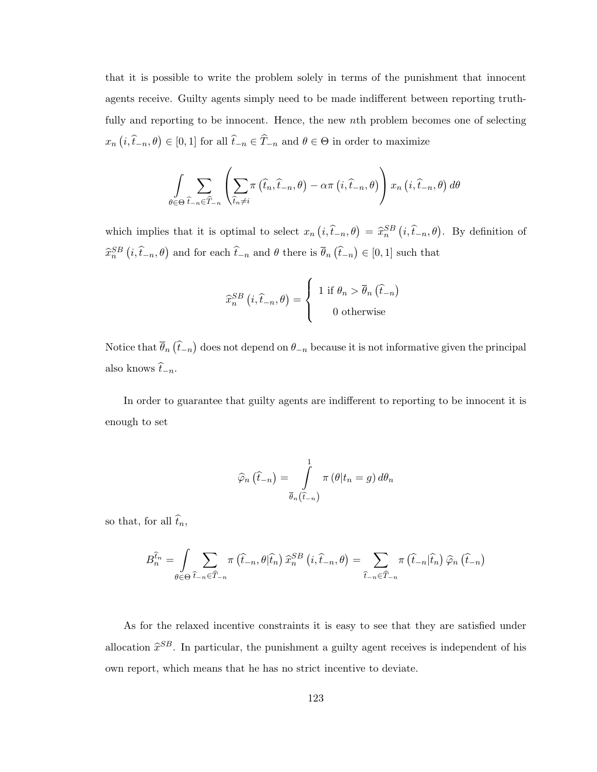that it is possible to write the problem solely in terms of the punishment that innocent agents receive. Guilty agents simply need to be made indifferent between reporting truthfully and reporting to be innocent. Hence, the new nth problem becomes one of selecting  $x_n(i, \hat{t}_{-n}, \theta) \in [0, 1]$  for all  $\hat{t}_{-n} \in \hat{T}_{-n}$  and  $\theta \in \Theta$  in order to maximize

$$
\int_{\theta \in \Theta} \sum_{\hat{t}_{-n} \in \hat{T}_{-n}} \left( \sum_{\hat{t}_n \neq i} \pi(\hat{t}_n, \hat{t}_{-n}, \theta) - \alpha \pi(i, \hat{t}_{-n}, \theta) \right) x_n(i, \hat{t}_{-n}, \theta) d\theta
$$

which implies that it is optimal to select  $x_n(i, \hat{t}_{-n}, \theta) = \hat{x}_n^{SB}(i, \hat{t}_{-n}, \theta)$ . By definition of  $\widehat{x}_n^{SB}(i,\widehat{t}_{-n},\theta)$  and for each  $\widehat{t}_{-n}$  and  $\theta$  there is  $\overline{\theta}_n(\widehat{t}_{-n}) \in [0,1]$  such that

$$
\widehat{x}_n^{SB} (i, \widehat{t}_{-n}, \theta) = \begin{cases} 1 \text{ if } \theta_n > \overline{\theta}_n (\widehat{t}_{-n}) \\ 0 \text{ otherwise} \end{cases}
$$

Notice that  $\bar{\theta}_n(\hat{t}_{-n})$  does not depend on  $\theta_{-n}$  because it is not informative given the principal also knows  $\hat{t}_{-n}$ .

In order to guarantee that guilty agents are indifferent to reporting to be innocent it is enough to set

$$
\widehat{\varphi}_n\left(\widehat{t}_{-n}\right) = \int\limits_{\overline{\theta}_n\left(\widehat{t}_{-n}\right)}^1 \pi\left(\theta|t_n = g\right)d\theta_n
$$

so that, for all  $\hat{t}_n$ ,

$$
B_n^{\hat{t}_n} = \int_{\theta \in \Theta} \sum_{\hat{t}_{-n} \in \hat{T}_{-n}} \pi\left(\hat{t}_{-n}, \theta | \hat{t}_n\right) \hat{x}_n^{SB}\left(i, \hat{t}_{-n}, \theta\right) = \sum_{\hat{t}_{-n} \in \hat{T}_{-n}} \pi\left(\hat{t}_{-n} | \hat{t}_n\right) \hat{\varphi}_n\left(\hat{t}_{-n}\right)
$$

As for the relaxed incentive constraints it is easy to see that they are satisfied under allocation  $\hat{x}^{SB}$ . In particular, the punishment a guilty agent receives is independent of his own report, which means that he has no strict incentive to deviate.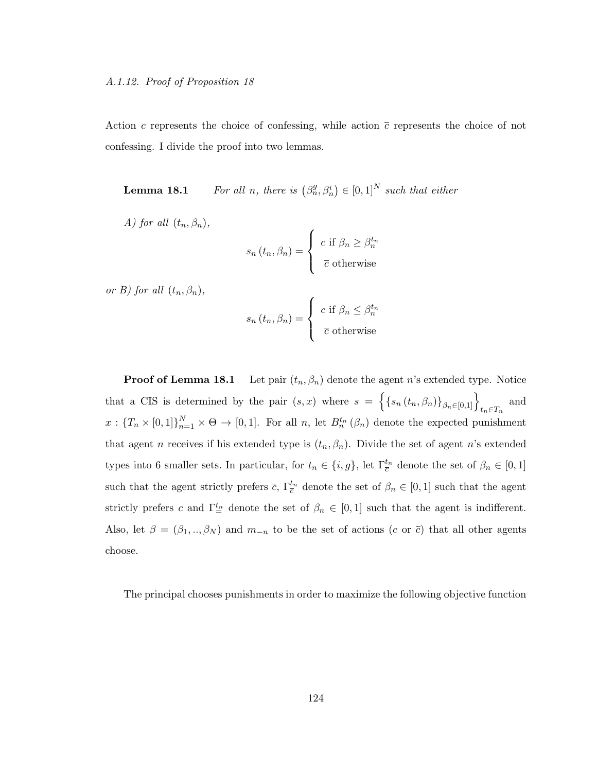Action c represents the choice of confessing, while action  $\bar{c}$  represents the choice of not confessing. I divide the proof into two lemmas.

**Lemma 18.1** For all n, there is  $(\beta_n^g, \beta_n^i) \in [0,1]^N$  such that either

A) for all  $(t_n, \beta_n)$ ,

$$
s_n(t_n, \beta_n) = \begin{cases} c \text{ if } \beta_n \ge \beta_n^{t_n} \\ \bar{c} \text{ otherwise} \end{cases}
$$

or B) for all  $(t_n, \beta_n)$ ,

$$
s_n(t_n, \beta_n) = \begin{cases} c \text{ if } \beta_n \leq \beta_n^{t_n} \\ \bar{c} \text{ otherwise} \end{cases}
$$

**Proof of Lemma 18.1** Let pair  $(t_n, \beta_n)$  denote the agent n's extended type. Notice that a CIS is determined by the pair  $(s, x)$  where  $s = \left\{ \left\{ s_n(t_n, \beta_n) \right\}_{\beta_n \in [0,1]} \right\}_{t_n \in T_n}$  and  $x: \{T_n \times [0,1]\}_{n=1}^N \times \Theta \to [0,1].$  For all n, let  $B_n^{t_n}(\beta_n)$  denote the expected punishment that agent n receives if his extended type is  $(t_n, \beta_n)$ . Divide the set of agent n's extended types into 6 smaller sets. In particular, for  $t_n \in \{i, g\}$ , let  $\Gamma_{\overline{c}}^{t_n}$  denote the set of  $\beta_n \in [0, 1]$ such that the agent strictly prefers  $\bar{c}$ ,  $\Gamma_{\bar{c}}^{t_n}$  denote the set of  $\beta_n \in [0,1]$  such that the agent strictly prefers c and  $\Gamma^{t_n}_{\equiv}$  denote the set of  $\beta_n \in [0,1]$  such that the agent is indifferent. Also, let  $\beta = (\beta_1, ..., \beta_N)$  and  $m_{-n}$  to be the set of actions (c or  $\bar{c}$ ) that all other agents choose.

The principal chooses punishments in order to maximize the following objective function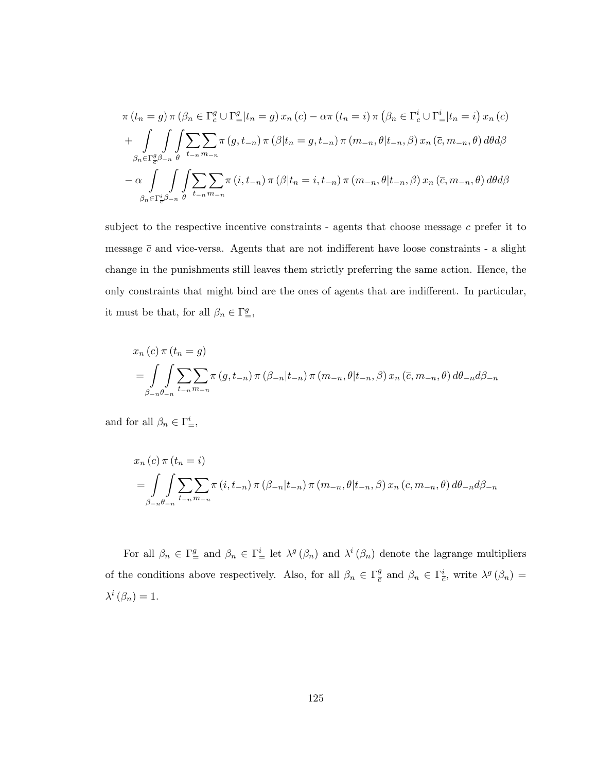$$
\pi(t_n = g) \pi(\beta_n \in \Gamma_c^g \cup \Gamma_{=}^g | t_n = g) x_n(c) - \alpha \pi(t_n = i) \pi(\beta_n \in \Gamma_c^i \cup \Gamma_{=}^i | t_n = i) x_n(c)
$$
  
+ 
$$
\int_{\beta_n \in \Gamma_c^g \beta_{-n}} \int_{\theta} \sum_{t=n} \sum_{m=n} \pi(g, t_{-n}) \pi(\beta | t_n = g, t_{-n}) \pi(m_{-n}, \theta | t_{-n}, \beta) x_n(\overline{c}, m_{-n}, \theta) d\theta d\beta
$$
  
- 
$$
\alpha \int_{\beta_n \in \Gamma_c^i \beta_{-n}} \int_{\theta} \sum_{t=n} \sum_{m=n} \pi(i, t_{-n}) \pi(\beta | t_n = i, t_{-n}) \pi(m_{-n}, \theta | t_{-n}, \beta) x_n(\overline{c}, m_{-n}, \theta) d\theta d\beta
$$

subject to the respective incentive constraints - agents that choose message  $c$  prefer it to message  $\bar{c}$  and vice-versa. Agents that are not indifferent have loose constraints - a slight change in the punishments still leaves them strictly preferring the same action. Hence, the only constraints that might bind are the ones of agents that are indifferent. In particular, it must be that, for all  $\beta_n \in \Gamma_{\equiv}^g$ ,

$$
x_n (c) \pi (t_n = g)
$$
  
= 
$$
\int_{\beta-n\theta-n} \sum_{t=n} \sum_{m=n} \pi (g, t_{-n}) \pi (\beta_{-n} | t_{-n}) \pi (m_{-n}, \theta | t_{-n}, \beta) x_n (\overline{c}, m_{-n}, \theta) d\theta_{-n} d\beta_{-n}
$$

and for all  $\beta_n \in \Gamma^i_{=}$ ,

$$
x_n (c) \pi (t_n = i)
$$
  
= 
$$
\int_{\beta_{-n}} \int_{\beta_{-n}} \sum_{m=n} \sum_{m=n} \pi (i, t_{-n}) \pi (\beta_{-n} | t_{-n}) \pi (m_{-n}, \theta | t_{-n}, \beta) x_n (\overline{c}, m_{-n}, \theta) d\theta_{-n} d\beta_{-n}
$$

For all  $\beta_n \in \Gamma^{\underline{g}}_{\equiv}$  and  $\beta_n \in \Gamma^{\underline{i}}_{\equiv}$  let  $\lambda^{\underline{g}}(\beta_n)$  and  $\lambda^{\underline{i}}(\beta_n)$  denote the lagrange multipliers of the conditions above respectively. Also, for all  $\beta_n \in \Gamma_{\overline{c}}^g$  $\frac{g}{c}$  and  $\beta_n \in \Gamma_{\overline{c}}^i$ , write  $\lambda^g(\beta_n)$  =  $\lambda^i(\beta_n)=1.$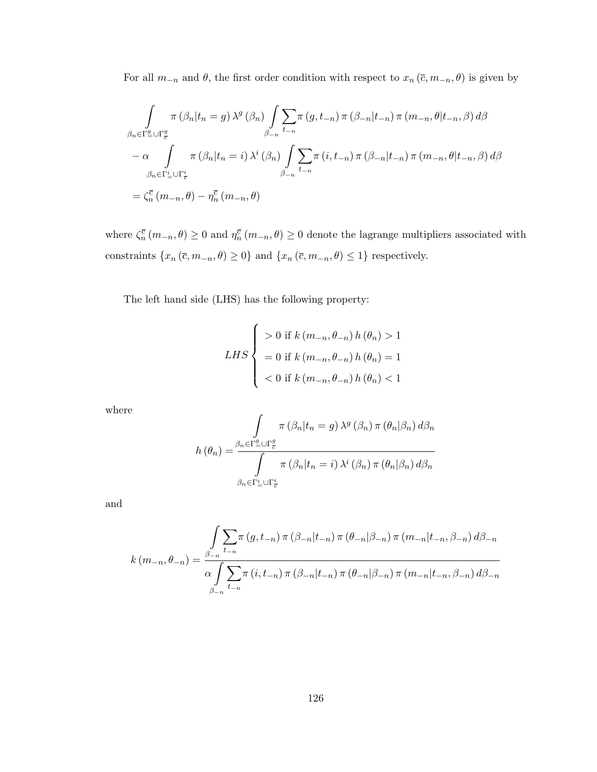For all  $m_{-n}$  and  $\theta$ , the first order condition with respect to  $x_n(\bar{c}, m_{-n}, \theta)$  is given by

$$
\int_{\beta_n \in \Gamma^{\underline{g}}_{-} \cup \Gamma^{\underline{g}}_{\overline{c}}} \pi(\beta_n | t_n = g) \lambda^g(\beta_n) \int_{\beta_{-n}} \sum_{t=n} \pi(g, t_{-n}) \pi(\beta_{-n} | t_{-n}) \pi(m_{-n}, \theta | t_{-n}, \beta) d\beta
$$

$$
- \alpha \int_{\beta_n \in \Gamma^{\underline{i}}_{-} \cup \Gamma^{\underline{i}}_{\overline{c}}} \pi(\beta_n | t_n = i) \lambda^i(\beta_n) \int_{\beta_{-n}} \sum_{t=n} \pi(i, t_{-n}) \pi(\beta_{-n} | t_{-n}) \pi(m_{-n}, \theta | t_{-n}, \beta) d\beta
$$

$$
= \zeta_n^{\overline{c}}(m_{-n}, \theta) - \eta_n^{\overline{c}}(m_{-n}, \theta)
$$

where  $\zeta_n^{\bar{c}}(m_{-n},\theta) \geq 0$  and  $\eta_n^{\bar{c}}(m_{-n},\theta) \geq 0$  denote the lagrange multipliers associated with constraints  $\{x_n(\overline{c}, m_{-n}, \theta) \ge 0\}$  and  $\{x_n(\overline{c}, m_{-n}, \theta) \le 1\}$  respectively.

The left hand side (LHS) has the following property:

$$
LHS \begin{cases} > 0 \text{ if } k \left( m_{-n}, \theta_{-n} \right) h \left( \theta_{n} \right) > 1 \\ & = 0 \text{ if } k \left( m_{-n}, \theta_{-n} \right) h \left( \theta_{n} \right) = 1 \\ & < 0 \text{ if } k \left( m_{-n}, \theta_{-n} \right) h \left( \theta_{n} \right) < 1 \end{cases}
$$

where

$$
\int_{h(\theta_n)} \pi(\beta_n | t_n = g) \lambda^g(\beta_n) \pi(\theta_n | \beta_n) d\beta_n
$$

$$
h(\theta_n) = \frac{\int_{h \in \Gamma^g_{=} \cup \Gamma^g_{\overline{c}}}{\int_{\beta_n \in \Gamma^i_{=} \cup \Gamma^i_{\overline{c}}}} \pi(\beta_n | t_n = i) \lambda^i(\beta_n) \pi(\theta_n | \beta_n) d\beta_n
$$

and

$$
k(m_{-n}, \theta_{-n}) = \frac{\int_{\beta_{-n}} \sum_{t=n} \pi(g, t_{-n}) \pi(\beta_{-n}|t_{-n}) \pi(\theta_{-n}|\beta_{-n}) \pi(m_{-n}|t_{-n}, \beta_{-n}) d\beta_{-n}}{\alpha \int_{\beta_{-n}} \sum_{t=n} \pi(i, t_{-n}) \pi(\beta_{-n}|t_{-n}) \pi(\theta_{-n}|\beta_{-n}) \pi(m_{-n}|t_{-n}, \beta_{-n}) d\beta_{-n}}
$$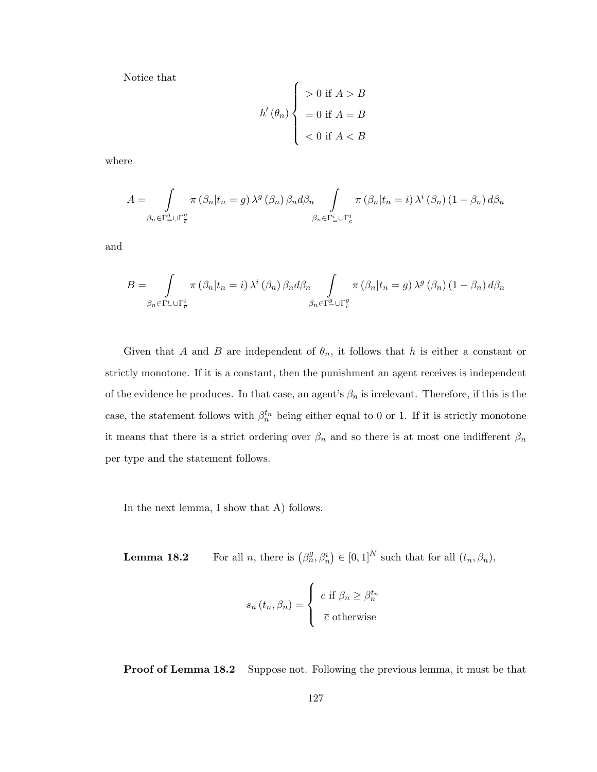Notice that

$$
h'(\theta_n) \begin{cases} > 0 \text{ if } A > B \\ & = 0 \text{ if } A = B \\ & < 0 \text{ if } A < B \end{cases}
$$

where

$$
A = \int_{\beta_n \in \Gamma^{\underline{g}}_{-} \cup \Gamma^{\underline{g}}_{\overline{c}}} \pi(\beta_n | t_n = g) \lambda^g(\beta_n) \beta_n d\beta_n \int_{\beta_n \in \Gamma^i_{-} \cup \Gamma^i_{\overline{c}}} \pi(\beta_n | t_n = i) \lambda^i(\beta_n) (1 - \beta_n) d\beta_n
$$

and

$$
B = \int_{\beta_n \in \Gamma^i_{=} \cup \Gamma^i_{\overline{c}}} \pi(\beta_n | t_n = i) \lambda^i(\beta_n) \beta_n d\beta_n \int_{\beta_n \in \Gamma^g_{=} \cup \Gamma^g_{\overline{c}}} \pi(\beta_n | t_n = g) \lambda^g(\beta_n) (1 - \beta_n) d\beta_n
$$

Given that A and B are independent of  $\theta_n$ , it follows that h is either a constant or strictly monotone. If it is a constant, then the punishment an agent receives is independent of the evidence he produces. In that case, an agent's  $\beta_n$  is irrelevant. Therefore, if this is the case, the statement follows with  $\beta_n^{t_n}$  being either equal to 0 or 1. If it is strictly monotone it means that there is a strict ordering over  $\beta_n$  and so there is at most one indifferent  $\beta_n$ per type and the statement follows.

In the next lemma, I show that A) follows.

**Lemma 18.2** For all *n*, there is  $(\beta_n^g, \beta_n^i) \in [0, 1]^N$  such that for all  $(t_n, \beta_n)$ ,

$$
s_n(t_n, \beta_n) = \begin{cases} c \text{ if } \beta_n \ge \beta_n^{t_n} \\ \bar{c} \text{ otherwise} \end{cases}
$$

Proof of Lemma 18.2 Suppose not. Following the previous lemma, it must be that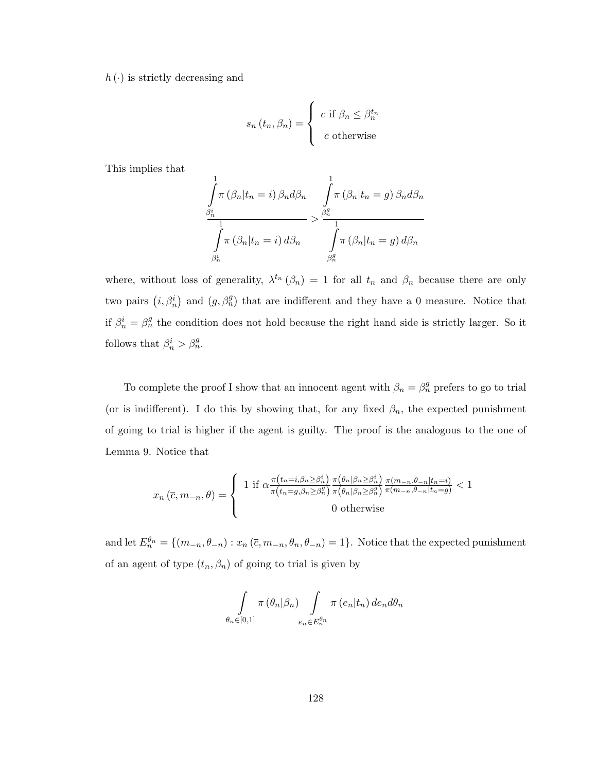$h(\cdot)$  is strictly decreasing and

$$
s_n(t_n, \beta_n) = \begin{cases} c \text{ if } \beta_n \leq \beta_n^{t_n} \\ \bar{c} \text{ otherwise} \end{cases}
$$

This implies that

$$
\frac{\int_{\beta_n^i}^1 \pi(\beta_n | t_n = i) \beta_n d\beta_n}{\int_{\beta_n^i}^1 \pi(\beta_n | t_n = i) d\beta_n} > \frac{\int_{\beta_n^g}^1 \pi(\beta_n | t_n = g) \beta_n d\beta_n}{\int_{\beta_n^g}^1 \pi(\beta_n | t_n = g) d\beta_n}
$$

where, without loss of generality,  $\lambda^{t_n}(\beta_n) = 1$  for all  $t_n$  and  $\beta_n$  because there are only two pairs  $(i, \beta_n^i)$  and  $(g, \beta_n^g)$  that are indifferent and they have a 0 measure. Notice that if  $\beta_n^i = \beta_n^g$  the condition does not hold because the right hand side is strictly larger. So it follows that  $\beta_n^i > \beta_n^g$ .

To complete the proof I show that an innocent agent with  $\beta_n = \beta_n^g$  prefers to go to trial (or is indifferent). I do this by showing that, for any fixed  $\beta_n$ , the expected punishment of going to trial is higher if the agent is guilty. The proof is the analogous to the one of Lemma 9. Notice that

$$
x_n(\overline{c}, m_{-n}, \theta) = \begin{cases} 1 \text{ if } \alpha \frac{\pi(t_n = i, \beta_n \ge \beta_n^i)}{\pi(t_n = g, \beta_n \ge \beta_n^g)} \frac{\pi(\theta_n | \beta_n \ge \beta_n^i)}{\pi(\theta_n | \beta_n \ge \beta_n^g)} \frac{\pi(m_{-n}, \theta_{-n} | t_n = i)}{\pi(m_{-n}, \theta_{-n} | t_n = g)} < 1 \\ 0 \text{ otherwise} \end{cases}
$$

and let  $E_n^{\theta_n} = \{(m_{-n}, \theta_{-n}) : x_n(\overline{c}, m_{-n}, \theta_n, \theta_{-n}) = 1\}$ . Notice that the expected punishment of an agent of type  $(t_n, \beta_n)$  of going to trial is given by

$$
\int_{\theta_n \in [0,1]} \pi(\theta_n | \beta_n) \int_{e_n \in E_n^{\theta_n}} \pi(e_n | t_n) \, de_n d\theta_n
$$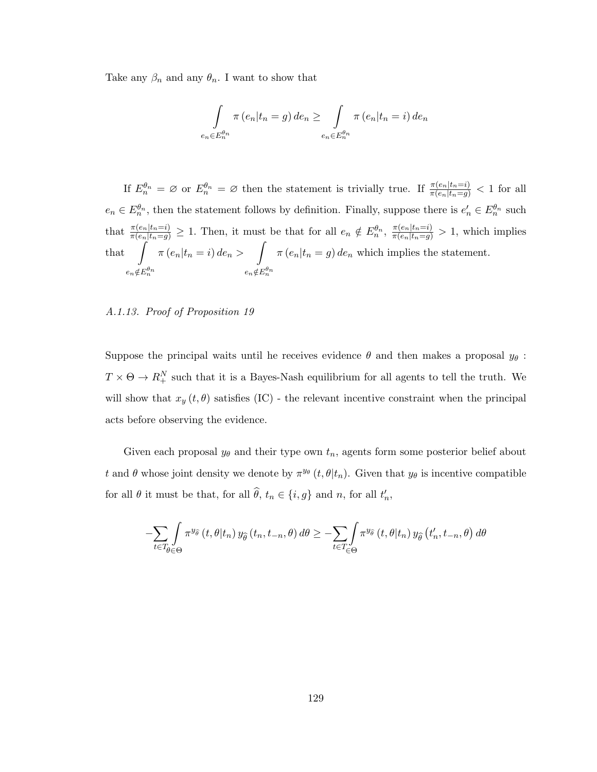Take any  $\beta_n$  and any  $\theta_n$ . I want to show that

$$
\int_{e_n \in E_n^{\theta_n}} \pi(e_n | t_n = g) \, de_n \ge \int_{e_n \in E_n^{\theta_n}} \pi(e_n | t_n = i) \, de_n
$$

If  $E_n^{\theta_n} = \varnothing$  or  $E_n^{\theta_n} = \varnothing$  then the statement is trivially true. If  $\frac{\pi(e_n|t_n=i)}{\pi(e_n|t_n=g)} < 1$  for all  $e_n \in E_n^{\theta_n}$ , then the statement follows by definition. Finally, suppose there is  $e'_n \in E_n^{\theta_n}$  such that  $\frac{\pi(e_n|t_n=i)}{\pi(e_n|t_n=g)} \geq 1$ . Then, it must be that for all  $e_n \notin E_n^{\theta_n}$ ,  $\frac{\pi(e_n|t_n=i)}{\pi(e_n|t_n=g)} > 1$ , which implies  $that$  $e_n \notin \! E_n^{\theta_n}$  $\pi(e_n|t_n=i)$  de<sub>n</sub> >  $e_n \notin \! E_n^{\theta_n}$  $\pi(e_n|t_n = g)$  de<sub>n</sub> which implies the statement.

#### A.1.13. Proof of Proposition 19

Suppose the principal waits until he receives evidence  $\theta$  and then makes a proposal  $y_{\theta}$ :  $T \times \Theta \to R_+^N$  such that it is a Bayes-Nash equilibrium for all agents to tell the truth. We will show that  $x_y(t, \theta)$  satisfies (IC) - the relevant incentive constraint when the principal acts before observing the evidence.

Given each proposal  $y_\theta$  and their type own  $t_n$ , agents form some posterior belief about t and  $\theta$  whose joint density we denote by  $\pi^{y_{\theta}}(t, \theta | t_n)$ . Given that  $y_{\theta}$  is incentive compatible for all  $\theta$  it must be that, for all  $\widehat{\theta}$ ,  $t_n \in \{i, g\}$  and n, for all  $t'_n$ ,

$$
-\sum_{t\in T_{\theta\in\Theta}} \int \pi^{y_{\widehat{\theta}}}(t,\theta|t_n) y_{\widehat{\theta}}(t_n,t_{-n},\theta) d\theta \ge -\sum_{t\in T_{\in\Theta}} \int \pi^{y_{\widehat{\theta}}}(t,\theta|t_n) y_{\widehat{\theta}}(t'_n,t_{-n},\theta) d\theta
$$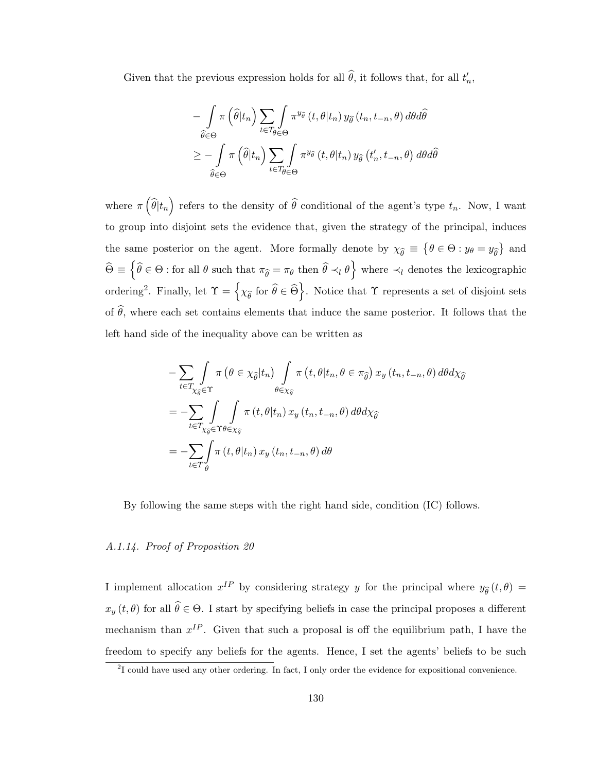Given that the previous expression holds for all  $\hat{\theta}$ , it follows that, for all  $t'_n$ ,

$$
- \int_{\widehat{\theta} \in \Theta} \pi \left( \widehat{\theta} | t_n \right) \sum_{t \in T_{\theta} \in \Theta} \int_{t_n} \pi^{y_{\widehat{\theta}}} (t, \theta | t_n) y_{\widehat{\theta}} (t_n, t_{-n}, \theta) d\theta d\widehat{\theta}
$$
  

$$
\geq - \int_{\widehat{\theta} \in \Theta} \pi \left( \widehat{\theta} | t_n \right) \sum_{t \in T_{\theta} \in \Theta} \int_{t_n} \pi^{y_{\widehat{\theta}}} (t, \theta | t_n) y_{\widehat{\theta}} (t'_n, t_{-n}, \theta) d\theta d\widehat{\theta}
$$

where  $\pi\left(\widehat{\theta}|t_n\right)$  refers to the density of  $\widehat{\theta}$  conditional of the agent's type  $t_n$ . Now, I want to group into disjoint sets the evidence that, given the strategy of the principal, induces the same posterior on the agent. More formally denote by  $\chi_{\hat{\theta}} \equiv \{\theta \in \Theta : y_{\theta} = y_{\hat{\theta}}\}\$ and  $\widehat{\Theta} \equiv \left\{\widehat{\theta} \in \Theta : \text{for all } \theta \text{ such that } \pi_{\widehat{\theta}} = \pi_{\theta} \text{ then } \widehat{\theta} \prec_l \theta \right\}$  where  $\prec_l$  denotes the lexicographic ordering<sup>2</sup>. Finally, let  $\Upsilon = \left\{ \chi_{\widehat{\theta}} \text{ for } \widehat{\theta} \in \widehat{\Theta} \right\}$ . Notice that  $\Upsilon$  represents a set of disjoint sets of  $\widehat{\theta}$ , where each set contains elements that induce the same posterior. It follows that the left hand side of the inequality above can be written as

$$
-\sum_{t \in T_{\chi_{\widehat{\theta}}} \in \Upsilon} \int_{\pi} \left( \theta \in \chi_{\widehat{\theta}} | t_n \right) \int_{\theta \in \chi_{\widehat{\theta}}} \pi \left( t, \theta | t_n, \theta \in \pi_{\widehat{\theta}} \right) x_y \left( t_n, t_{-n}, \theta \right) d\theta d\chi_{\widehat{\theta}}
$$
  
= 
$$
-\sum_{t \in T_{\chi_{\widehat{\theta}}} \in \Upsilon \theta \in \chi_{\widehat{\theta}}} \int_{\pi} \pi \left( t, \theta | t_n \right) x_y \left( t_n, t_{-n}, \theta \right) d\theta d\chi_{\widehat{\theta}}
$$
  
= 
$$
-\sum_{t \in T_{\theta}} \int_{\pi} \pi \left( t, \theta | t_n \right) x_y \left( t_n, t_{-n}, \theta \right) d\theta
$$

By following the same steps with the right hand side, condition (IC) follows.

## A.1.14. Proof of Proposition 20

I implement allocation  $x^{IP}$  by considering strategy y for the principal where  $y_{\widehat{\theta}}(t, \theta) =$  $x_y(t, \theta)$  for all  $\hat{\theta} \in \Theta$ . I start by specifying beliefs in case the principal proposes a different mechanism than  $x^{IP}$ . Given that such a proposal is off the equilibrium path, I have the freedom to specify any beliefs for the agents. Hence, I set the agents' beliefs to be such

<sup>&</sup>lt;sup>2</sup>I could have used any other ordering. In fact, I only order the evidence for expositional convenience.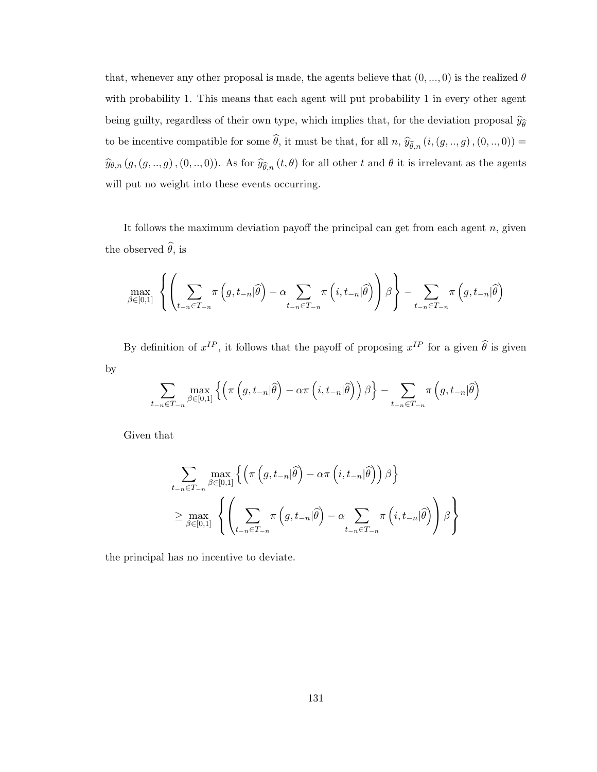that, whenever any other proposal is made, the agents believe that  $(0, ..., 0)$  is the realized  $\theta$ with probability 1. This means that each agent will put probability 1 in every other agent being guilty, regardless of their own type, which implies that, for the deviation proposal  $\hat{y}_{\hat{\theta}}$ to be incentive compatible for some  $\widehat{\theta}$ , it must be that, for all  $n$ ,  $\widehat{y}_{\widehat{\theta},n}(i,(g,..,g),(0,..,0)) =$  $\widehat{y}_{\theta,n}(g,(g, ..., g), (0, ..., 0)).$  As for  $\widehat{y}_{\widehat{\theta},n}(t, \theta)$  for all other t and  $\theta$  it is irrelevant as the agents will put no weight into these events occurring.

It follows the maximum deviation payoff the principal can get from each agent  $n$ , given the observed  $\widehat{\theta}$ , is

$$
\max_{\beta \in [0,1]} \left\{ \left( \sum_{t=n \in T_{-n}} \pi \left( g, t_{-n} | \widehat{\theta} \right) - \alpha \sum_{t=n \in T_{-n}} \pi \left( i, t_{-n} | \widehat{\theta} \right) \right) \beta \right\} - \sum_{t=n \in T_{-n}} \pi \left( g, t_{-n} | \widehat{\theta} \right)
$$

By definition of  $x^{IP}$ , it follows that the payoff of proposing  $x^{IP}$  for a given  $\hat{\theta}$  is given by

$$
\sum_{t=n\in T_{-n}} \max_{\beta\in[0,1]} \left\{ \left( \pi\left(g, t_{-n}|\widehat{\theta}\right) - \alpha \pi\left(i, t_{-n}|\widehat{\theta}\right) \right) \beta \right\} - \sum_{t=n\in T_{-n}} \pi\left(g, t_{-n}|\widehat{\theta}\right)
$$

Given that

$$
\sum_{t=n\in T_{-n}} \max_{\beta\in[0,1]} \left\{ \left( \pi\left(g, t_{-n}|\widehat{\theta}\right) - \alpha \pi\left(i, t_{-n}|\widehat{\theta}\right) \right) \beta \right\}
$$
\n
$$
\geq \max_{\beta\in[0,1]} \left\{ \left( \sum_{t=n\in T_{-n}} \pi\left(g, t_{-n}|\widehat{\theta}\right) - \alpha \sum_{t=n\in T_{-n}} \pi\left(i, t_{-n}|\widehat{\theta}\right) \right) \beta \right\}
$$

the principal has no incentive to deviate.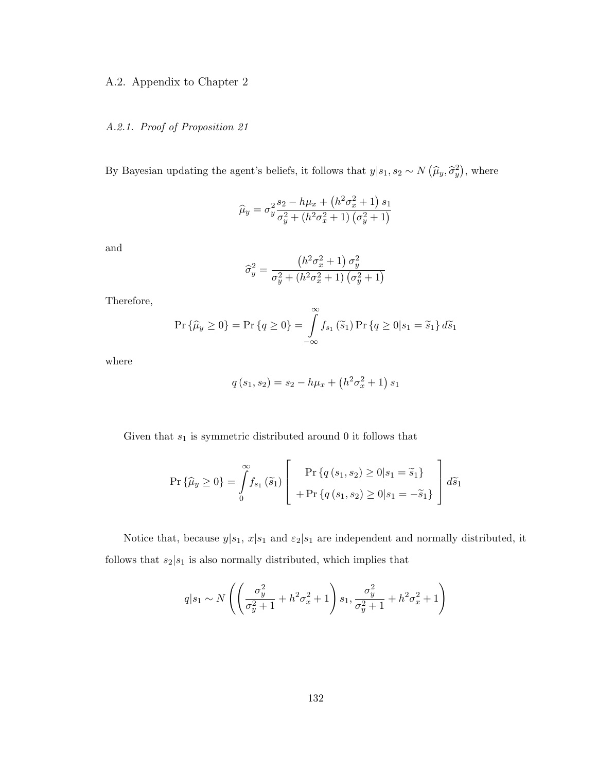# A.2. Appendix to Chapter 2

### A.2.1. Proof of Proposition 21

By Bayesian updating the agent's beliefs, it follows that  $y|s_1, s_2 \sim N(\hat{\mu}_y, \hat{\sigma}_y^2)$ , where

$$
\widehat{\mu}_y = \sigma_y^2 \frac{s_2 - h\mu_x + (h^2 \sigma_x^2 + 1) s_1}{\sigma_y^2 + (h^2 \sigma_x^2 + 1) (\sigma_y^2 + 1)}
$$

and

$$
\hat{\sigma}_y^2 = \frac{\left(h^2 \sigma_x^2 + 1\right) \sigma_y^2}{\sigma_y^2 + \left(h^2 \sigma_x^2 + 1\right) \left(\sigma_y^2 + 1\right)}
$$

Therefore,

$$
\Pr\{\widehat{\mu}_y \ge 0\} = \Pr\{q \ge 0\} = \int_{-\infty}^{\infty} f_{s_1}(\widetilde{s}_1) \Pr\{q \ge 0 | s_1 = \widetilde{s}_1\} d\widetilde{s}_1
$$

where

$$
q(s_1, s_2) = s_2 - h\mu_x + (h^2 \sigma_x^2 + 1) s_1
$$

Given that  $s_1$  is symmetric distributed around 0 it follows that

$$
\Pr\{\widehat{\mu}_y \ge 0\} = \int_0^\infty f_{s_1}(\widetilde{s}_1) \left[ \frac{\Pr\{q(s_1, s_2) \ge 0 | s_1 = \widetilde{s}_1\}}{\Pr\{q(s_1, s_2) \ge 0 | s_1 = -\widetilde{s}_1\}} \right] d\widetilde{s}_1
$$

Notice that, because  $y|s_1, x|s_1$  and  $\varepsilon_2|s_1$  are independent and normally distributed, it follows that  $s_2\vert s_1$  is also normally distributed, which implies that

$$
q|s_1 \sim N\left( \left( \frac{\sigma_y^2}{\sigma_y^2 + 1} + h^2 \sigma_x^2 + 1 \right) s_1, \frac{\sigma_y^2}{\sigma_y^2 + 1} + h^2 \sigma_x^2 + 1 \right)
$$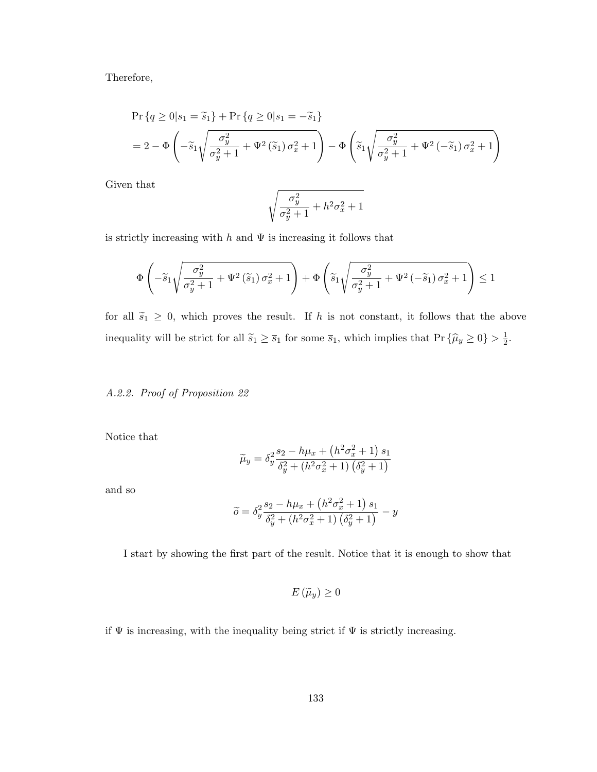Therefore,

$$
\Pr\left\{q\geq 0\middle| s_1 = \tilde{s}_1\right\} + \Pr\left\{q\geq 0\middle| s_1 = -\tilde{s}_1\right\}
$$
\n
$$
= 2 - \Phi\left(-\tilde{s}_1\sqrt{\frac{\sigma_y^2}{\sigma_y^2 + 1} + \Psi^2\left(\tilde{s}_1\right)\sigma_x^2 + 1}\right) - \Phi\left(\tilde{s}_1\sqrt{\frac{\sigma_y^2}{\sigma_y^2 + 1} + \Psi^2\left(-\tilde{s}_1\right)\sigma_x^2 + 1}\right)
$$

Given that

$$
\sqrt{\frac{\sigma_y^2}{\sigma_y^2+1}+h^2\sigma_x^2+1}
$$

is strictly increasing with h and  $\Psi$  is increasing it follows that

$$
\Phi\left(-\widetilde{s}_{1}\sqrt{\frac{\sigma_{y}^{2}}{\sigma_{y}^{2}+1}+\Psi^{2}\left(\widetilde{s}_{1}\right)\sigma_{x}^{2}+1}\right)+\Phi\left(\widetilde{s}_{1}\sqrt{\frac{\sigma_{y}^{2}}{\sigma_{y}^{2}+1}+\Psi^{2}\left(-\widetilde{s}_{1}\right)\sigma_{x}^{2}+1}\right)\leq1
$$

for all  $\tilde{s}_1 \geq 0$ , which proves the result. If h is not constant, it follows that the above inequality will be strict for all  $\tilde{s}_1 \ge \bar{s}_1$  for some  $\bar{s}_1$ , which implies that  $Pr\{\hat{\mu}_y \ge 0\} > \frac{1}{2}$  $\frac{1}{2}$ .

### A.2.2. Proof of Proposition 22

Notice that

$$
\widetilde{\mu}_y = \delta_y^2 \frac{s_2 - h\mu_x + (h^2 \sigma_x^2 + 1) s_1}{\delta_y^2 + (h^2 \sigma_x^2 + 1) (\delta_y^2 + 1)}
$$

and so

$$
\widetilde{o} = \delta_y^2 \frac{s_2 - h\mu_x + (h^2 \sigma_x^2 + 1) s_1}{\delta_y^2 + (h^2 \sigma_x^2 + 1) (\delta_y^2 + 1)} - y
$$

I start by showing the first part of the result. Notice that it is enough to show that

$$
E(\widetilde{\mu}_y) \ge 0
$$

if  $\Psi$  is increasing, with the inequality being strict if  $\Psi$  is strictly increasing.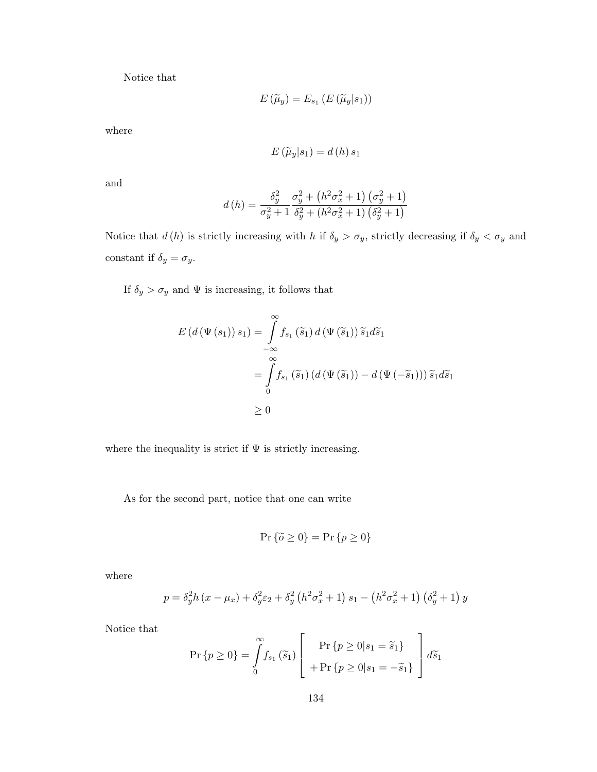Notice that

$$
E(\widetilde{\mu}_y) = E_{s_1} \left( E(\widetilde{\mu}_y|s_1) \right)
$$

where

$$
E(\widetilde{\mu}_y|s_1) = d(h) s_1
$$

and

$$
d(h) = \frac{\delta_y^2}{\sigma_y^2 + 1} \frac{\sigma_y^2 + (h^2 \sigma_x^2 + 1) (\sigma_y^2 + 1)}{\delta_y^2 + (h^2 \sigma_x^2 + 1) (\delta_y^2 + 1)}
$$

Notice that  $d(h)$  is strictly increasing with h if  $\delta_y > \sigma_y$ , strictly decreasing if  $\delta_y < \sigma_y$  and constant if  $\delta_y = \sigma_y$ .

If  $\delta_y > \sigma_y$  and  $\Psi$  is increasing, it follows that

$$
E\left(d\left(\Psi\left(s_{1}\right)\right)s_{1}\right) = \int_{-\infty}^{\infty} f_{s_{1}}\left(\tilde{s}_{1}\right) d\left(\Psi\left(\tilde{s}_{1}\right)\right) \tilde{s}_{1} d\tilde{s}_{1}
$$

$$
= \int_{0}^{\infty} f_{s_{1}}\left(\tilde{s}_{1}\right) \left(d\left(\Psi\left(\tilde{s}_{1}\right)\right) - d\left(\Psi\left(-\tilde{s}_{1}\right)\right)\right) \tilde{s}_{1} d\tilde{s}_{1}
$$

$$
\geq 0
$$

where the inequality is strict if  $\Psi$  is strictly increasing.

As for the second part, notice that one can write

$$
\Pr\{\tilde{o} \ge 0\} = \Pr\{p \ge 0\}
$$

where

$$
p = \delta_y^2 h (x - \mu_x) + \delta_y^2 \varepsilon_2 + \delta_y^2 (h^2 \sigma_x^2 + 1) s_1 - (h^2 \sigma_x^2 + 1) (\delta_y^2 + 1) y
$$

Notice that

$$
\Pr\{p \ge 0\} = \int_{0}^{\infty} f_{s_1}(\widetilde{s}_1) \left[ \Pr\{p \ge 0 | s_1 = \widetilde{s}_1\} + \Pr\{p \ge 0 | s_1 = -\widetilde{s}_1\} \right] d\widetilde{s}_1
$$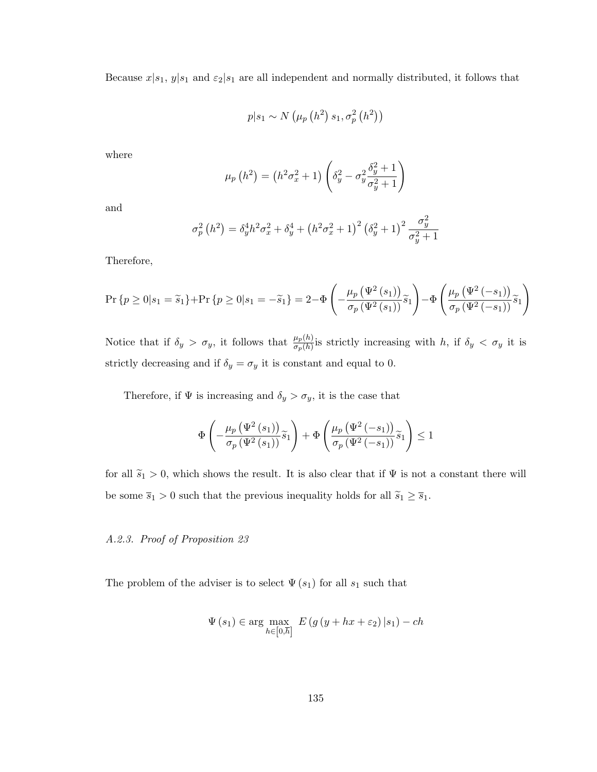Because  $x|s_1$ ,  $y|s_1$  and  $\varepsilon_2|s_1$  are all independent and normally distributed, it follows that

$$
p|s_1 \sim N\left(\mu_p\left(h^2\right)s_1, \sigma_p^2\left(h^2\right)\right)
$$

where

$$
\mu_p\left(h^2\right) = \left(h^2\sigma_x^2 + 1\right)\left(\delta_y^2 - \sigma_y^2 \frac{\delta_y^2 + 1}{\sigma_y^2 + 1}\right)
$$

and

$$
\sigma_p^2(h^2) = \delta_y^4 h^2 \sigma_x^2 + \delta_y^4 + (h^2 \sigma_x^2 + 1)^2 (\delta_y^2 + 1)^2 \frac{\sigma_y^2}{\sigma_y^2 + 1}
$$

Therefore,

$$
\Pr\left\{p\geq 0\middle| s_1=\widetilde{s}_1\right\}+\Pr\left\{p\geq 0\middle| s_1=-\widetilde{s}_1\right\}=2-\Phi\left(-\frac{\mu_p\left(\Psi^2\left(s_1\right)\right)}{\sigma_p\left(\Psi^2\left(s_1\right)\right)}\widetilde{s}_1\right)-\Phi\left(\frac{\mu_p\left(\Psi^2\left(-s_1\right)\right)}{\sigma_p\left(\Psi^2\left(-s_1\right)\right)}\widetilde{s}_1\right)
$$

Notice that if  $\delta_y > \sigma_y$ , it follows that  $\frac{\mu_p(h)}{\sigma_p(h)}$  is strictly increasing with h, if  $\delta_y < \sigma_y$  it is strictly decreasing and if  $\delta_y = \sigma_y$  it is constant and equal to 0.

Therefore, if  $\Psi$  is increasing and  $\delta_y > \sigma_y,$  it is the case that

$$
\Phi\left(-\frac{\mu_p\left(\Psi^2\left(s_1\right)\right)}{\sigma_p\left(\Psi^2\left(s_1\right)\right)}\widetilde{s}_1\right)+\Phi\left(\frac{\mu_p\left(\Psi^2\left(-s_1\right)\right)}{\sigma_p\left(\Psi^2\left(-s_1\right)\right)}\widetilde{s}_1\right)\leq 1
$$

for all  $\tilde{s}_1 > 0$ , which shows the result. It is also clear that if  $\Psi$  is not a constant there will be some  $\overline{s}_1 > 0$  such that the previous inequality holds for all  $\widetilde{s}_1 \geq \overline{s}_1$ .

## A.2.3. Proof of Proposition 23

The problem of the adviser is to select  $\Psi(s_1)$  for all  $s_1$  such that

$$
\Psi\left(s_1\right) \in \arg \max_{h \in \left[0,\overline{h}\right]} \ E\left(g\left(y + hx + \varepsilon_2\right)|s_1\right) - ch
$$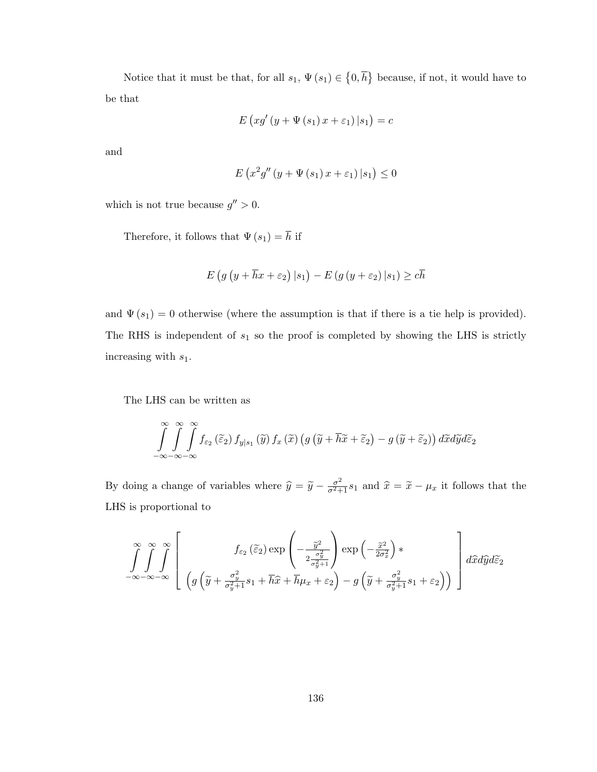Notice that it must be that, for all  $s_1, \Psi(s_1) \in \{0, \overline{h}\}\)$  because, if not, it would have to be that

$$
E\left(xg'\left(y+\Psi\left(s_{1}\right)x+\varepsilon_{1}\right)|s_{1}\right)=c
$$

and

$$
E\left(x^2g''\left(y+\Psi\left(s_1\right)x+\varepsilon_1\right)|s_1\right)\leq 0
$$

which is not true because  $g'' > 0$ .

Therefore, it follows that  $\Psi \left( s_1 \right) = \overline{h}$  if

$$
E\left(g\left(y+\overline{h}x+\varepsilon_2\right)|s_1\right)-E\left(g\left(y+\varepsilon_2\right)|s_1\right)\geq c\overline{h}
$$

and  $\Psi(s_1) = 0$  otherwise (where the assumption is that if there is a tie help is provided). The RHS is independent of  $s_1$  so the proof is completed by showing the LHS is strictly increasing with  $s_1$ .

The LHS can be written as

$$
\int_{-\infty}^{\infty} \int_{-\infty}^{\infty} \int_{\tilde{\epsilon}_2}^{\infty} f_{\epsilon_2}(\tilde{\epsilon}_2) f_{y|s_1}(\tilde{y}) f_x(\tilde{x}) \left( g\left(\tilde{y} + \overline{h}\tilde{x} + \tilde{\epsilon}_2\right) - g\left(\tilde{y} + \tilde{\epsilon}_2\right) \right) d\tilde{x} d\tilde{y} d\tilde{\epsilon}_2
$$

By doing a change of variables where  $\hat{y} = \tilde{y} - \frac{\sigma^2}{\sigma^2 + 1} s_1$  and  $\hat{x} = \tilde{x} - \mu_x$  it follows that the LHS is proportional to

$$
\int_{-\infty}^{\infty} \int_{-\infty}^{\infty} \int_{-\infty}^{\infty} \left[ f_{\varepsilon_2}(\tilde{\varepsilon}_2) \exp\left( -\frac{\tilde{y}^2}{2\sigma_y^2 + 1} \right) \exp\left( -\frac{\tilde{x}^2}{2\sigma_x^2} \right) * -\infty - \infty - \infty \right] d\tilde{x} d\tilde{y} d\tilde{\varepsilon}_2
$$
\n
$$
= \left( g \left( \tilde{y} + \frac{\sigma_y^2}{\sigma_y^2 + 1} s_1 + \overline{h}\tilde{x} + \overline{h}\mu_x + \varepsilon_2 \right) - g \left( \tilde{y} + \frac{\sigma_y^2}{\sigma_y^2 + 1} s_1 + \varepsilon_2 \right) \right)
$$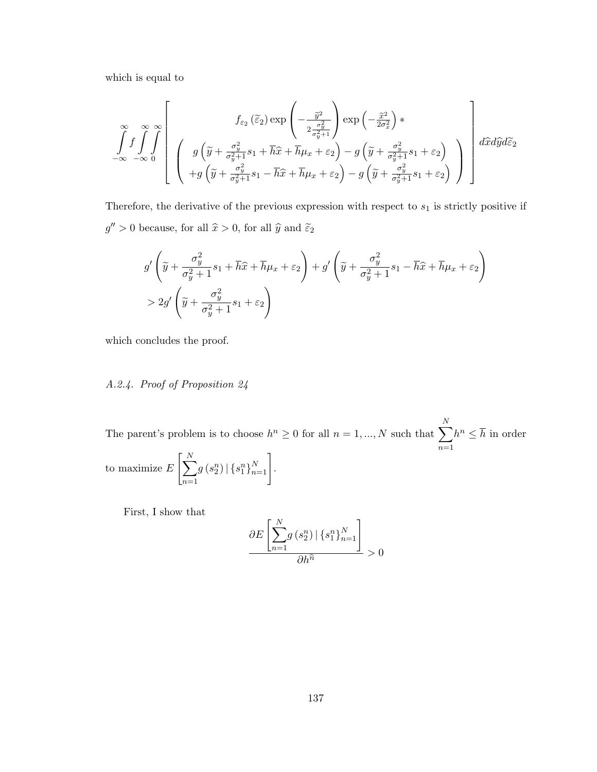which is equal to

$$
\int_{-\infty}^{\infty} \int_{-\infty}^{\infty} \int_{-\infty}^{\infty} \left[ \begin{array}{c} f_{\varepsilon_2}(\tilde{\varepsilon}_2) \exp\left(-\frac{\tilde{y}^2}{2\sigma_y^2}\right) \exp\left(-\frac{\tilde{x}^2}{2\sigma_x^2}\right) * \\ g\left(\tilde{y} + \frac{\sigma_y^2}{\sigma_y^2 + 1} s_1 + \overline{h}\hat{x} + \overline{h}\mu_x + \varepsilon_2\right) - g\left(\tilde{y} + \frac{\sigma_y^2}{\sigma_y^2 + 1} s_1 + \varepsilon_2\right) \\ + g\left(\tilde{y} + \frac{\sigma_y^2}{\sigma_y^2 + 1} s_1 - \overline{h}\hat{x} + \overline{h}\mu_x + \varepsilon_2\right) - g\left(\tilde{y} + \frac{\sigma_y^2}{\sigma_y^2 + 1} s_1 + \varepsilon_2\right) \end{array} \right] d\hat{x} d\hat{y} d\tilde{\varepsilon}_2
$$

Therefore, the derivative of the previous expression with respect to  $s_1$  is strictly positive if  $g'' > 0$  because, for all  $\widehat{x} > 0$ , for all  $\widehat{y}$  and  $\widetilde{\varepsilon}_2$ 

$$
g'\left(\widetilde{y} + \frac{\sigma_y^2}{\sigma_y^2 + 1} s_1 + \overline{h}\widehat{x} + \overline{h}\mu_x + \varepsilon_2\right) + g'\left(\widetilde{y} + \frac{\sigma_y^2}{\sigma_y^2 + 1} s_1 - \overline{h}\widehat{x} + \overline{h}\mu_x + \varepsilon_2\right)
$$
  
> 2g'\left(\widetilde{y} + \frac{\sigma\_y^2}{\sigma\_y^2 + 1} s\_1 + \varepsilon\_2\right)

which concludes the proof.

## A.2.4. Proof of Proposition 24

The parent's problem is to choose  $h^n \geq 0$  for all  $n = 1, ..., N$  such that  $\sum$ N  $n=1$  $h^n \leq \overline{h}$  in order to maximize  $E\left[\sum_{i=1}^{N}\right]$  $n=1$  $g\left( s_{2}^{n}\right) |\left\{ s_{1}^{n}\right\} _{n}^{N}$  $\left.\begin{matrix} N \\ n=1 \end{matrix}\right|.$ 

First, I show that

$$
\frac{\partial E\left[\sum_{n=1}^{N} g\left(s_{2}^{n}\right) | \left\{s_{1}^{n}\right\}_{n=1}^{N}\right]}{\partial h^{\widehat{n}}}>0
$$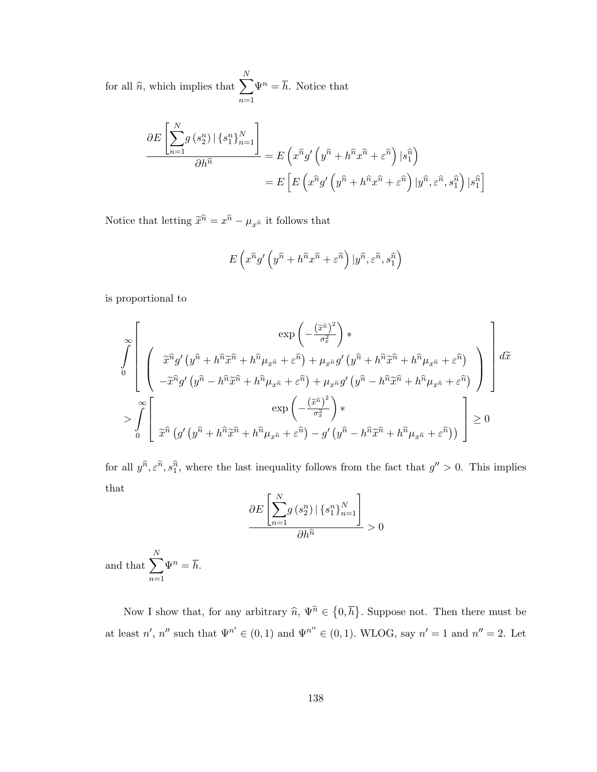for all  $\hat{n}$ , which implies that  $\sum_{n=1}$ N  $n=1$  $\Psi^n = \overline{h}$ . Notice that

$$
\frac{\partial E\left[\sum_{n=1}^{N} g\left(s_{2}^{n}\right) | \left\{s_{1}^{n}\right\}_{n=1}^{N}\right]}{\partial h^{\widehat{n}}} = E\left(x^{\widehat{n}} g'\left(y^{\widehat{n}} + h^{\widehat{n}} x^{\widehat{n}} + \varepsilon^{\widehat{n}}\right) | s_{1}^{\widehat{n}}\right)
$$
\n
$$
= E\left[E\left(x^{\widehat{n}} g'\left(y^{\widehat{n}} + h^{\widehat{n}} x^{\widehat{n}} + \varepsilon^{\widehat{n}}\right) | y^{\widehat{n}}, \varepsilon^{\widehat{n}}, s_{1}^{\widehat{n}}\right) | s_{1}^{\widehat{n}}\right]
$$

Notice that letting  $\tilde{x}^{\hat{n}} = x^{\hat{n}} - \mu_{x^{\hat{n}}}$  it follows that

$$
E\left(x^{\widehat{n}}g'\left(y^{\widehat{n}}+h^{\widehat{n}}x^{\widehat{n}}+\varepsilon^{\widehat{n}}\right)|y^{\widehat{n}},\varepsilon^{\widehat{n}},s_{1}^{\widehat{n}}\right)
$$

is proportional to

$$
\int_{0}^{\infty} \left[ \begin{array}{c} \exp\left(-\frac{\left(\tilde{x}^{\hat{n}}\right)^{2}}{\sigma_{x}^{2}}\right) * \\ \left(\tilde{x}^{\hat{n}}g'\left(y^{\hat{n}}+h^{\hat{n}}\tilde{x}^{\hat{n}}+h^{\hat{n}}\mu_{x^{\hat{n}}}+\varepsilon^{\hat{n}}\right)+\mu_{x^{\hat{n}}}g'\left(y^{\hat{n}}+h^{\hat{n}}\tilde{x}^{\hat{n}}+h^{\hat{n}}\mu_{x^{\hat{n}}}+\varepsilon^{\hat{n}}\right) \\ -\tilde{x}^{\hat{n}}g'\left(y^{\hat{n}}-h^{\hat{n}}\tilde{x}^{\hat{n}}+h^{\hat{n}}\mu_{x^{\hat{n}}}+\varepsilon^{\hat{n}}\right)+\mu_{x^{\hat{n}}}g'\left(y^{\hat{n}}-h^{\hat{n}}\tilde{x}^{\hat{n}}+h^{\hat{n}}\mu_{x^{\hat{n}}}+\varepsilon^{\hat{n}}\right) \end{array} \right] d\tilde{x}
$$
\n
$$
> \int_{0}^{\infty} \left[ \begin{array}{c} \exp\left(-\frac{\left(\tilde{x}^{\hat{n}}\right)^{2}}{\sigma_{x}^{2}}\right) * \\ \tilde{x}^{\hat{n}}\left(g'\left(y^{\hat{n}}+h^{\hat{n}}\tilde{x}^{\hat{n}}+h^{\hat{n}}\mu_{x^{\hat{n}}}+\varepsilon^{\hat{n}}\right)-g'\left(y^{\hat{n}}-h^{\hat{n}}\tilde{x}^{\hat{n}}+h^{\hat{n}}\mu_{x^{\hat{n}}}+\varepsilon^{\hat{n}}\right)\right) \end{array} \right] \geq 0
$$

for all  $y^{\hat{n}}, \varepsilon^{\hat{n}}, s_1^{\hat{n}}$ , where the last inequality follows from the fact that  $g'' > 0$ . This implies that

$$
\frac{\partial E\left[\sum_{n=1}^{N} g\left(s_{2}^{n}\right) | \left\{s_{1}^{n}\right\}_{n=1}^{N}\right]}{\partial h^{\widehat{n}}} > 0
$$

and that  $\sum$ N  $n=1$  $\Psi^n = \overline{h}.$ 

Now I show that, for any arbitrary  $\hat{n}, \Psi^{\hat{n}} \in \{0, \overline{h}\}.$  Suppose not. Then there must be at least n', n'' such that  $\Psi^{n'} \in (0,1)$  and  $\Psi^{n''} \in (0,1)$ . WLOG, say  $n' = 1$  and  $n'' = 2$ . Let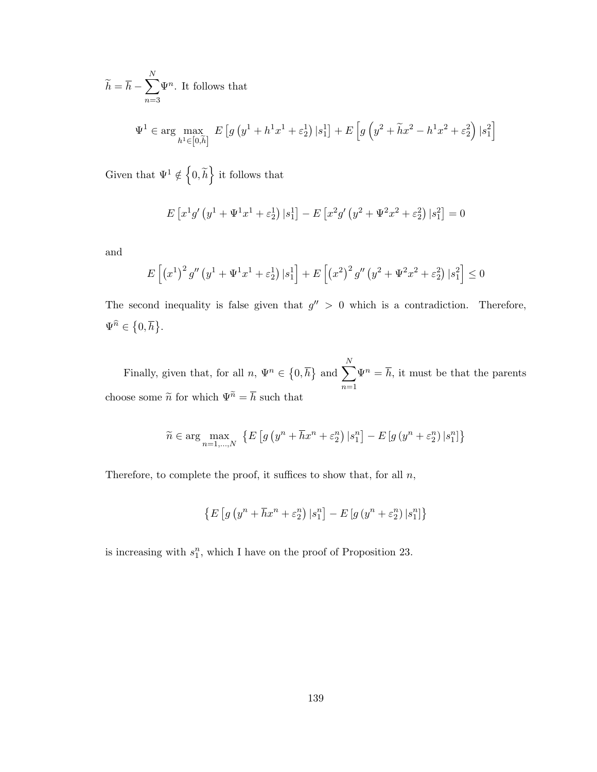$$
\widetilde{h} = \overline{h} - \sum_{n=3}^{N} \Psi^n.
$$
 It follows that  

$$
\Psi^1 \in \arg\max_{h^1 \in [0,\widetilde{h}]} E\left[g\left(y^1 + h^1 x^1 + \varepsilon_2^1\right)|s_1^1\right] + E\left[g\left(y^2 + \widetilde{h}x^2 - h^1 x^2 + \varepsilon_2^2\right)|s_1^2\right]
$$

Given that  $\Psi^1 \notin \left\{0, \widetilde{h}\right\}$  it follows that

$$
E[x^{1}g'(y^{1} + \Psi^{1}x^{1} + \varepsilon_{2}^{1})|s_{1}^{1}] - E[x^{2}g'(y^{2} + \Psi^{2}x^{2} + \varepsilon_{2}^{2})|s_{1}^{2}] = 0
$$

and

$$
E\left[\left(x^{1}\right)^{2} g''\left(y^{1} + \Psi^{1} x^{1} + \varepsilon_{2}^{1}\right) | s_{1}^{1}\right] + E\left[\left(x^{2}\right)^{2} g''\left(y^{2} + \Psi^{2} x^{2} + \varepsilon_{2}^{2}\right) | s_{1}^{2}\right] \leq 0
$$

The second inequality is false given that  $g'' > 0$  which is a contradiction. Therefore,  $\Psi^{\widehat{n}} \in \{0, \overline{h}\}.$ 

Finally, given that, for all  $n, \Psi^n \in \{0, \overline{h}\}\$ and  $\sum$ N  $n=1$  $\Psi^n = \overline{h}$ , it must be that the parents choose some  $\widetilde{n}$  for which  $\Psi^{\widetilde{n}}=\overline{h}$  such that

$$
\widetilde{n} \in \arg\max_{n=1,\dots,N} \left\{ E\left[ g\left( y^n + \overline{h}x^n + \varepsilon_2^n \right) | s_1^n \right] - E\left[ g\left( y^n + \varepsilon_2^n \right) | s_1^n \right] \right\}
$$

Therefore, to complete the proof, it suffices to show that, for all  $n$ ,

$$
\left\{E\left[g\left(y^n + \overline{h}x^n + \varepsilon_2^n\right)|s_1^n\right] - E\left[g\left(y^n + \varepsilon_2^n\right)|s_1^n\right]\right\}
$$

is increasing with  $s_1^n$ , which I have on the proof of Proposition 23.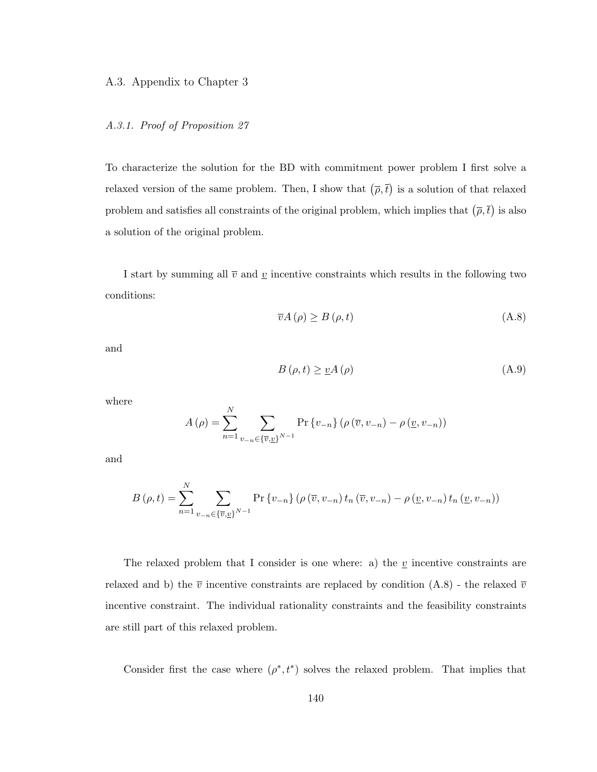## A.3.1. Proof of Proposition 27

To characterize the solution for the BD with commitment power problem I first solve a relaxed version of the same problem. Then, I show that  $(\bar{\rho}, \bar{t})$  is a solution of that relaxed problem and satisfies all constraints of the original problem, which implies that  $(\bar{\rho}, \bar{t})$  is also a solution of the original problem.

I start by summing all  $\overline{v}$  and v incentive constraints which results in the following two conditions:

$$
\overline{v}A(\rho) \ge B(\rho, t) \tag{A.8}
$$

and

$$
B\left(\rho,t\right) \geq \underline{v}A\left(\rho\right) \tag{A.9}
$$

where

$$
A(\rho) = \sum_{n=1}^{N} \sum_{v_{-n} \in {\{\overline{v}, \underline{v}\}}^{N-1}} \Pr\{v_{-n}\} (\rho(\overline{v}, v_{-n}) - \rho(\underline{v}, v_{-n}))
$$

and

$$
B(\rho, t) = \sum_{n=1}^{N} \sum_{v_{-n} \in {\{\overline{v}, \underline{v}\}}^{N-1}} \Pr\{v_{-n}\} (\rho(\overline{v}, v_{-n}) t_n(\overline{v}, v_{-n}) - \rho(\underline{v}, v_{-n}) t_n(\underline{v}, v_{-n}))
$$

The relaxed problem that I consider is one where: a) the  $\nu$  incentive constraints are relaxed and b) the  $\overline{v}$  incentive constraints are replaced by condition (A.8) - the relaxed  $\overline{v}$ incentive constraint. The individual rationality constraints and the feasibility constraints are still part of this relaxed problem.

Consider first the case where  $(\rho^*, t^*)$  solves the relaxed problem. That implies that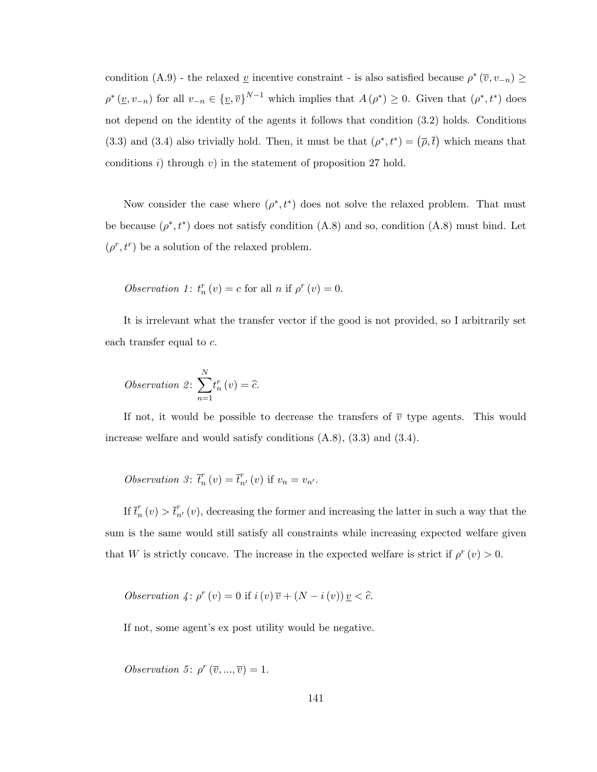condition (A.9) - the relaxed  $\underline{v}$  incentive constraint - is also satisfied because  $\rho^*(\overline{v}, v_{-n}) \geq$  $\rho^*(\underline{v}, v_{-n})$  for all  $v_{-n} \in {\{\underline{v}, \overline{v}\}}^{N-1}$  which implies that  $A(\rho^*) \geq 0$ . Given that  $(\rho^*, t^*)$  does not depend on the identity of the agents it follows that condition (3.2) holds. Conditions (3.3) and (3.4) also trivially hold. Then, it must be that  $(\rho^*, t^*) = (\overline{\rho}, \overline{t})$  which means that conditions i) through v) in the statement of proposition 27 hold.

Now consider the case where  $(\rho^*, t^*)$  does not solve the relaxed problem. That must be because  $(\rho^*, t^*)$  does not satisfy condition  $(A.8)$  and so, condition  $(A.8)$  must bind. Let  $(\rho^r, t^r)$  be a solution of the relaxed problem.

Observation 1:  $t_n^r(v) = c$  for all n if  $\rho^r(v) = 0$ .

It is irrelevant what the transfer vector if the good is not provided, so I arbitrarily set each transfer equal to c.

$$
Observation 2: \sum_{n=1}^{N} t_n^r(v) = \hat{c}.
$$

If not, it would be possible to decrease the transfers of  $\bar{v}$  type agents. This would increase welfare and would satisfy conditions (A.8), (3.3) and (3.4).

Observation 3: 
$$
\bar{t}_n^r(v) = \bar{t}_{n'}^r(v)
$$
 if  $v_n = v_{n'}$ .

If  $\bar{t}_n^r$  $\bar{t}_n^r(v) > \bar{t}_{n'}^r(v)$ , decreasing the former and increasing the latter in such a way that the sum is the same would still satisfy all constraints while increasing expected welfare given that W is strictly concave. The increase in the expected welfare is strict if  $\rho^r(v) > 0$ .

Observation 4: 
$$
\rho^r(v) = 0
$$
 if  $i(v)\overline{v} + (N - i(v))\underline{v} < \hat{c}$ .

If not, some agent's ex post utility would be negative.

Observation 5:  $\rho^r(\overline{v},...,\overline{v}) = 1.$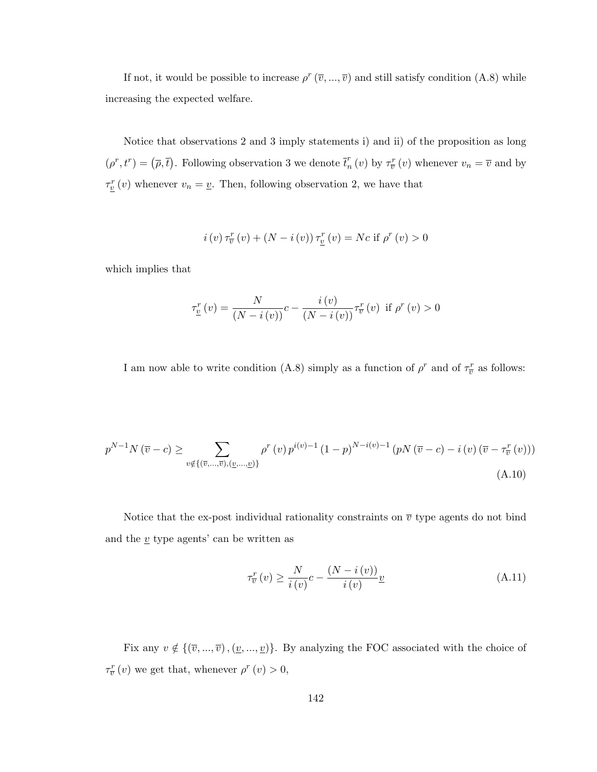If not, it would be possible to increase  $\rho^r(\overline{v},...,\overline{v})$  and still satisfy condition (A.8) while increasing the expected welfare.

Notice that observations 2 and 3 imply statements i) and ii) of the proposition as long  $(\rho^r, t^r) = (\overline{\rho}, \overline{t})$ . Following observation 3 we denote  $\overline{t}_n^r$  $\frac{r}{n}(v)$  by  $\tau_{\overline{v}}^{r}(v)$  whenever  $v_n = \overline{v}$  and by  $\tau_{\underline{v}}^{r}(v)$  whenever  $v_n = \underline{v}$ . Then, following observation 2, we have that

$$
i(v) \tau_{\overline{v}}^{r}(v) + (N - i(v)) \tau_{\underline{v}}^{r}(v) = Nc
$$
 if  $\rho^{r}(v) > 0$ 

which implies that

$$
\tau_{\underline{v}}^{r}(v) = \frac{N}{(N - i(v))}c - \frac{i(v)}{(N - i(v))}\tau_{\overline{v}}^{r}(v) \text{ if } \rho^{r}(v) > 0
$$

I am now able to write condition (A.8) simply as a function of  $\rho^r$  and of  $\tau_{\overline{v}}^r$  as follows:

$$
p^{N-1}N(\overline{v}-c) \ge \sum_{v \notin \{(\overline{v},..., \overline{v}), (v..., v)\}} \rho^r(v) p^{i(v)-1} (1-p)^{N-i(v)-1} (pN(\overline{v}-c) - i(v) (\overline{v}-\tau_{\overline{v}}^r(v)))
$$
\n(A.10)

Notice that the ex-post individual rationality constraints on  $\bar{v}$  type agents do not bind and the  $\underline{v}$  type agents' can be written as

$$
\tau_{\overline{v}}^{r}(v) \ge \frac{N}{i(v)}c - \frac{(N-i(v))}{i(v)}\underline{v}
$$
\n(A.11)

Fix any  $v \notin \{(\overline{v}, ..., \overline{v}),(\underline{v}, ..., \underline{v})\}$ . By analyzing the FOC associated with the choice of  $\tau_{\overline{v}}^r(v)$  we get that, whenever  $\rho^r(v) > 0$ ,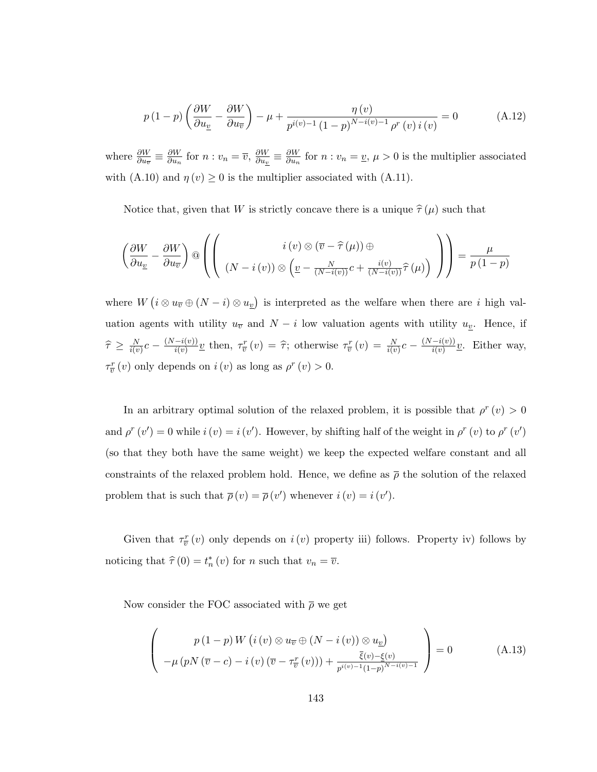$$
p(1-p)\left(\frac{\partial W}{\partial u_{\underline{v}}} - \frac{\partial W}{\partial u_{\overline{v}}}\right) - \mu + \frac{\eta(v)}{p^{i(v)-1}(1-p)^{N-i(v)-1}\rho^r(v) i(v)} = 0 \tag{A.12}
$$

where  $\frac{\partial W}{\partial u_{\overline{v}}} \equiv \frac{\partial W}{\partial u_{n}}$  $\frac{\partial W}{\partial u_n}$  for  $n: v_n = \overline{v}, \frac{\partial W}{\partial u_n}$  $\frac{\partial W}{\partial u_{\underline{v}}} \equiv \frac{\partial W}{\partial u_n}$  $\frac{\partial W}{\partial u_n}$  for  $n : v_n = \underline{v}, \mu > 0$  is the multiplier associated with (A.10) and  $\eta(v) \ge 0$  is the multiplier associated with (A.11).

Notice that, given that W is strictly concave there is a unique  $\hat{\tau}(\mu)$  such that

$$
\left(\frac{\partial W}{\partial u_{\underline{v}}} - \frac{\partial W}{\partial u_{\overline{v}}}\right) \circledcirc \left( \left( \begin{array}{c} i(v) \otimes (\overline{v} - \widehat{\tau}(\mu)) \oplus \\ (N - i(v)) \otimes \left( \underline{v} - \frac{N}{(N - i(v))} c + \frac{i(v)}{(N - i(v))} \widehat{\tau}(\mu) \right) \end{array} \right) \right) = \frac{\mu}{p(1 - p)}
$$

where  $W(i \otimes u_{\overline{v}} \oplus (N - i) \otimes u_{\underline{v}})$  is interpreted as the welfare when there are i high valuation agents with utility  $u_{\overline{v}}$  and  $N - i$  low valuation agents with utility  $u_{\underline{v}}$ . Hence, if  $\widehat{\tau} \geq \frac{N}{i(v)}$  $\frac{N}{i(v)}c-\frac{(N-i(v))}{i(v)}$  $\frac{-i(v)}{i(v)}\underline{v}$  then,  $\tau_{\overline{v}}^r(v) = \hat{\tau}$ ; otherwise  $\tau_{\overline{v}}^r(v) = \frac{N}{i(v)}c - \frac{(N-i(v))}{i(v)}$  $\frac{-i(v))}{i(v)}$  *v*. Either way,  $\tau_{\overline{v}}^r(v)$  only depends on  $i(v)$  as long as  $\rho^r(v) > 0$ .

In an arbitrary optimal solution of the relaxed problem, it is possible that  $\rho^r(v) > 0$ and  $\rho^r(v') = 0$  while  $i(v) = i(v')$ . However, by shifting half of the weight in  $\rho^r(v)$  to  $\rho^r(v')$ (so that they both have the same weight) we keep the expected welfare constant and all constraints of the relaxed problem hold. Hence, we define as  $\bar{\rho}$  the solution of the relaxed problem that is such that  $\overline{\rho}(v) = \overline{\rho}(v')$  whenever  $i(v) = i(v')$ .

Given that  $\tau_{\overline{v}}^r(v)$  only depends on  $i(v)$  property iii) follows. Property iv) follows by noticing that  $\hat{\tau}(0) = t_n^*(v)$  for n such that  $v_n = \overline{v}$ .

Now consider the FOC associated with  $\bar{\rho}$  we get

$$
\begin{pmatrix} p(1-p) W (i(v) \otimes u_{\overline{v}} \oplus (N - i(v)) \otimes u_{\underline{v}}) \\ -\mu (p N (\overline{v} - c) - i(v) (\overline{v} - \tau_{\overline{v}}^r(v))) + \frac{\overline{\xi}(v) - \underline{\xi}(v)}{p^{i(v) - 1} (1 - p)^{N - i(v) - 1}} \end{pmatrix} = 0
$$
 (A.13)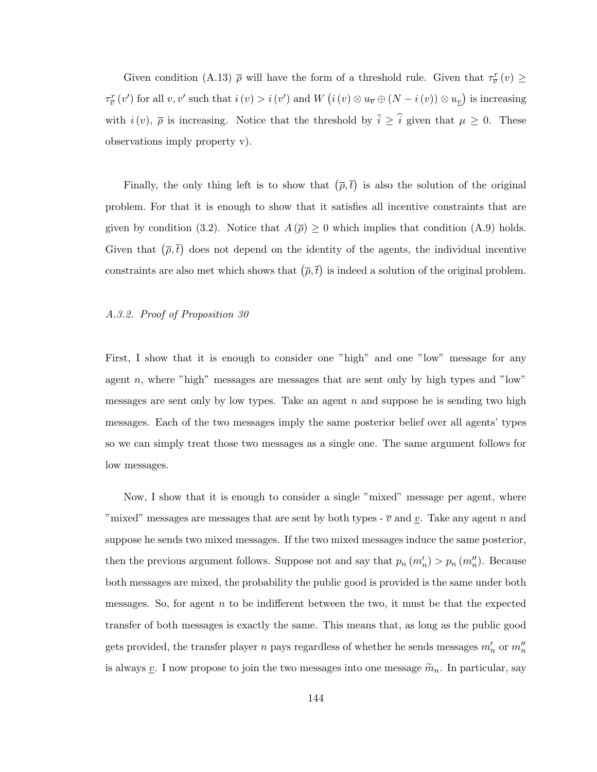Given condition (A.13)  $\bar{\rho}$  will have the form of a threshold rule. Given that  $\tau_{\bar{v}}(v) \geq$  $\tau_{\overline{v}}^r(v')$  for all  $v, v'$  such that  $i(v) > i(v')$  and  $W(i(v) \otimes u_{\overline{v}} \oplus (N - i(v)) \otimes u_{\underline{v}})$  is increasing with  $i(v)$ ,  $\bar{\rho}$  is increasing. Notice that the threshold by  $\bar{i} \geq \hat{i}$  given that  $\mu \geq 0$ . These observations imply property v).

Finally, the only thing left is to show that  $(\bar{\rho},\bar{t})$  is also the solution of the original problem. For that it is enough to show that it satisfies all incentive constraints that are given by condition (3.2). Notice that  $A(\overline{\rho}) \geq 0$  which implies that condition (A.9) holds. Given that  $(\bar{\rho}, \bar{t})$  does not depend on the identity of the agents, the individual incentive constraints are also met which shows that  $(\bar{\rho}, \bar{t})$  is indeed a solution of the original problem.

#### A.3.2. Proof of Proposition 30

First, I show that it is enough to consider one "high" and one "low" message for any agent  $n$ , where "high" messages are messages that are sent only by high types and "low" messages are sent only by low types. Take an agent  $n$  and suppose he is sending two high messages. Each of the two messages imply the same posterior belief over all agents' types so we can simply treat those two messages as a single one. The same argument follows for low messages.

Now, I show that it is enough to consider a single "mixed" message per agent, where "mixed" messages are messages that are sent by both types -  $\overline{v}$  and  $\underline{v}$ . Take any agent n and suppose he sends two mixed messages. If the two mixed messages induce the same posterior, then the previous argument follows. Suppose not and say that  $p_n (m'_n) > p_n (m''_n)$ . Because both messages are mixed, the probability the public good is provided is the same under both messages. So, for agent  $n$  to be indifferent between the two, it must be that the expected transfer of both messages is exactly the same. This means that, as long as the public good gets provided, the transfer player n pays regardless of whether he sends messages  $m'_n$  or  $m''_n$ is always  $\underline{v}$ . I now propose to join the two messages into one message  $\widetilde{m}_n$ . In particular, say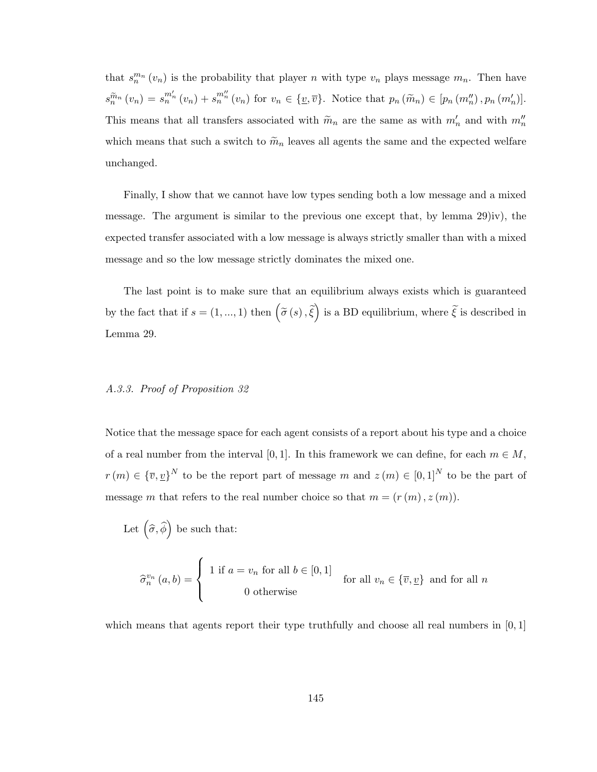that  $s_n^{m_n}(v_n)$  is the probability that player n with type  $v_n$  plays message  $m_n$ . Then have  $s_n^{\widetilde{m}_n}(v_n) = s_n^{m'_n}(v_n) + s_n^{m''_n}(v_n)$  for  $v_n \in {\lbrace \underline{v}, \overline{v} \rbrace}$ . Notice that  $p_n(\widetilde{m}_n) \in [p_n(m''_n), p_n(m'_n)]$ . This means that all transfers associated with  $\tilde{m}_n$  are the same as with  $m'_n$  and with  $m''_n$ which means that such a switch to  $\widetilde{m}_n$  leaves all agents the same and the expected welfare unchanged.

Finally, I show that we cannot have low types sending both a low message and a mixed message. The argument is similar to the previous one except that, by lemma 29)iv), the expected transfer associated with a low message is always strictly smaller than with a mixed message and so the low message strictly dominates the mixed one.

The last point is to make sure that an equilibrium always exists which is guaranteed by the fact that if  $s = (1, ..., 1)$  then  $(\tilde{\sigma}(s), \tilde{\xi})$  is a BD equilibrium, where  $\tilde{\xi}$  is described in Lemma 29.

# A.3.3. Proof of Proposition 32

Notice that the message space for each agent consists of a report about his type and a choice of a real number from the interval [0, 1]. In this framework we can define, for each  $m \in M$ ,  $r(m) \in {\overline{v}, v}^N$  to be the report part of message m and  $z(m) \in [0, 1]^N$  to be the part of message m that refers to the real number choice so that  $m = (r (m), z (m)).$ 

Let  $(\widehat{\sigma}, \widehat{\phi})$  be such that:

$$
\widehat{\sigma}_{n}^{v_{n}}(a,b) = \begin{cases} 1 \text{ if } a = v_{n} \text{ for all } b \in [0,1] \\ 0 \text{ otherwise} \end{cases} \text{ for all } v_{n} \in \{\overline{v}, \underline{v}\} \text{ and for all } n
$$

which means that agents report their type truthfully and choose all real numbers in  $[0,1]$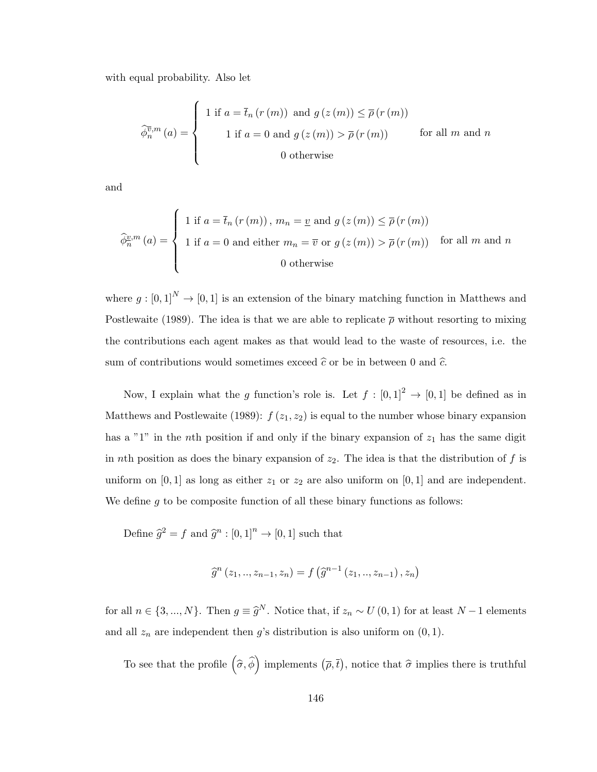with equal probability. Also let

$$
\widetilde{\phi_n^v}^m(a) = \begin{cases}\n1 \text{ if } a = \overline{t}_n(r(m)) \text{ and } g(z(m)) \le \overline{\rho}(r(m)) \\
1 \text{ if } a = 0 \text{ and } g(z(m)) > \overline{\rho}(r(m)) \text{ for all } m \text{ and } n \\
0 \text{ otherwise}\n\end{cases}
$$

and

$$
\widehat{\phi}_n^{v,m}(a) = \begin{cases}\n1 \text{ if } a = \overline{t}_n(r(m)), m_n = \underline{v} \text{ and } g(z(m)) \le \overline{\rho}(r(m)) \\
1 \text{ if } a = 0 \text{ and either } m_n = \overline{v} \text{ or } g(z(m)) > \overline{\rho}(r(m)) \text{ for all } m \text{ and } n \\
0 \text{ otherwise}\n\end{cases}
$$

where  $g: [0,1]^N \to [0,1]$  is an extension of the binary matching function in Matthews and Postlewaite (1989). The idea is that we are able to replicate  $\bar{\rho}$  without resorting to mixing the contributions each agent makes as that would lead to the waste of resources, i.e. the sum of contributions would sometimes exceed  $\hat{c}$  or be in between 0 and  $\hat{c}$ .

Now, I explain what the g function's role is. Let  $f : [0,1]^2 \to [0,1]$  be defined as in Matthews and Postlewaite (1989):  $f(z_1, z_2)$  is equal to the number whose binary expansion has a "1" in the nth position if and only if the binary expansion of  $z_1$  has the same digit in nth position as does the binary expansion of  $z_2$ . The idea is that the distribution of f is uniform on [0, 1] as long as either  $z_1$  or  $z_2$  are also uniform on [0, 1] and are independent. We define  $q$  to be composite function of all these binary functions as follows:

Define  $\hat{g}^2 = f$  and  $\hat{g}^n : [0, 1]^n \to [0, 1]$  such that

$$
\widehat{g}^{n}(z_{1},..,z_{n-1},z_{n})=f(\widehat{g}^{n-1}(z_{1},..,z_{n-1}),z_{n})
$$

for all  $n \in \{3, ..., N\}$ . Then  $g \equiv \hat{g}^N$ . Notice that, if  $z_n \sim U(0, 1)$  for at least  $N - 1$  elements and all  $z_n$  are independent then  $g$ 's distribution is also uniform on  $(0, 1)$ .

To see that the profile  $(\hat{\sigma}, \hat{\phi})$  implements  $(\bar{\rho}, \bar{t})$ , notice that  $\hat{\sigma}$  implies there is truthful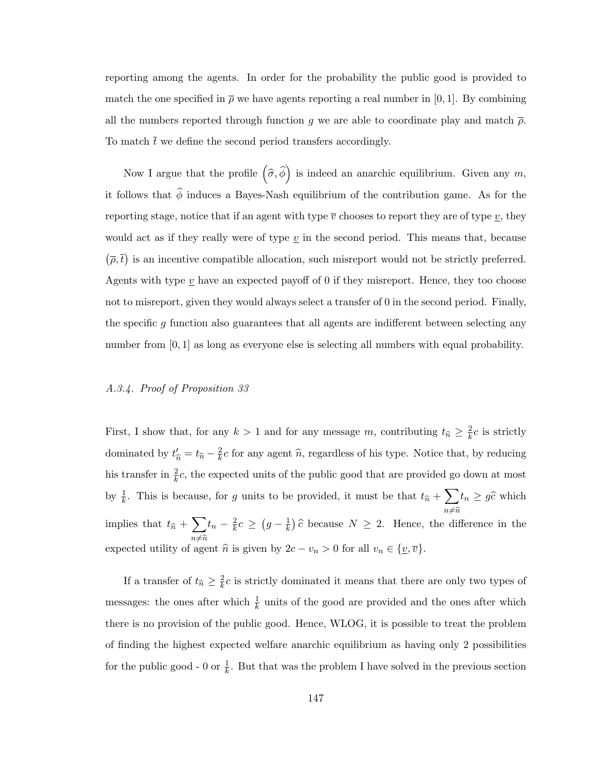reporting among the agents. In order for the probability the public good is provided to match the one specified in  $\bar{\rho}$  we have agents reporting a real number in [0, 1]. By combining all the numbers reported through function q we are able to coordinate play and match  $\bar{\rho}$ . To match  $\bar{t}$  we define the second period transfers accordingly.

Now I argue that the profile  $(\hat{\sigma}, \hat{\phi})$  is indeed an anarchic equilibrium. Given any m, it follows that  $\widehat{\phi}$  induces a Bayes-Nash equilibrium of the contribution game. As for the reporting stage, notice that if an agent with type  $\overline{v}$  chooses to report they are of type v, they would act as if they really were of type  $\underline{v}$  in the second period. This means that, because  $(\bar{\rho},\bar{t})$  is an incentive compatible allocation, such misreport would not be strictly preferred. Agents with type  $v$  have an expected payoff of 0 if they misreport. Hence, they too choose not to misreport, given they would always select a transfer of 0 in the second period. Finally, the specific  $q$  function also guarantees that all agents are indifferent between selecting any number from [0, 1] as long as everyone else is selecting all numbers with equal probability.

# A.3.4. Proof of Proposition 33

First, I show that, for any  $k > 1$  and for any message m, contributing  $t_{\widehat{n}} \geq \frac{2}{k}$  $\frac{2}{k}c$  is strictly dominated by  $t'_{\widehat{n}} = t_{\widehat{n}} - \frac{2}{k}$  $\frac{2}{k}c$  for any agent  $\widehat{n}$ , regardless of his type. Notice that, by reducing his transfer in  $\frac{2}{k}c$ , the expected units of the public good that are provided go down at most by  $\frac{1}{k}$ . This is because, for g units to be provided, it must be that  $t_{\hat{n}} + \sum_{i=1}^{k} t_i$  $n \neq \widehat{n}$  $t_n \geq g\widehat{c}$  which implies that  $t_{\widehat{n}} + \sum_{i} t_n - \frac{2}{k}$  $n \neq \widehat{n}$  $\frac{2}{k}c \geq (g - \frac{1}{k})$  $\frac{1}{k}$ )  $\hat{c}$  because  $N \geq 2$ . Hence, the difference in the expected utility of agent  $\hat{n}$  is given by  $2c - v_n > 0$  for all  $v_n \in {\lbrace \underline{v}, \overline{v} \rbrace}$ .

If a transfer of  $t_{\widehat{n}} \geq \frac{2}{k}$  $\frac{2}{k}c$  is strictly dominated it means that there are only two types of messages: the ones after which  $\frac{1}{k}$  units of the good are provided and the ones after which there is no provision of the public good. Hence, WLOG, it is possible to treat the problem of finding the highest expected welfare anarchic equilibrium as having only 2 possibilities for the public good - 0 or  $\frac{1}{k}$ . But that was the problem I have solved in the previous section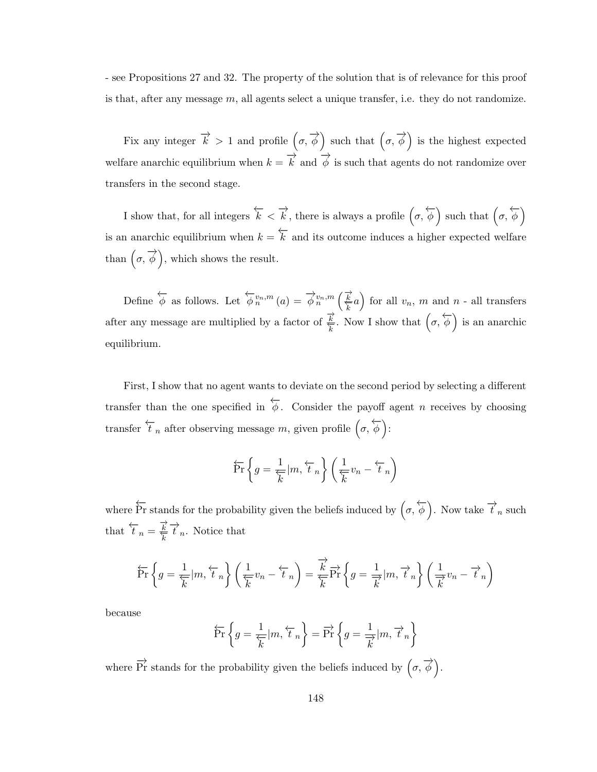- see Propositions 27 and 32. The property of the solution that is of relevance for this proof is that, after any message  $m$ , all agents select a unique transfer, i.e. they do not randomize.

Fix any integer  $\overrightarrow{k} > 1$  and profile  $(\sigma, \overrightarrow{\phi})$  such that  $(\sigma, \overrightarrow{\phi})$  is the highest expected welfare anarchic equilibrium when  $k = \overrightarrow{k}$  and  $\overrightarrow{\phi}$  is such that agents do not randomize over transfers in the second stage.

I show that, for all integers  $\overleftarrow{k} < \overrightarrow{k}$ , there is always a profile  $(\sigma, \overleftarrow{\phi})$  such that  $(\sigma, \overleftarrow{\phi})$ is an anarchic equilibrium when  $k = \overleftarrow{k}$  and its outcome induces a higher expected welfare than  $(\sigma, \overrightarrow{\phi})$ , which shows the result.

Define  $\overleftarrow{\phi}$  as follows. Let  $\overleftarrow{\phi}^{v_n,m}_n(a) = \overrightarrow{\phi}^{v_n,m}_n\left(\frac{\overrightarrow{k}}{\overleftarrow{k}}a\right)$  for all  $v_n$ , m and n - all transfers after any message are multiplied by a factor of  $\frac{\vec{k}}{k}$ . Now I show that  $(\sigma, \phi)$  is an anarchic equilibrium.

First, I show that no agent wants to deviate on the second period by selecting a different transfer than the one specified in  $\overleftarrow{\phi}$ . Consider the payoff agent *n* receives by choosing transfer  $\overleftarrow{t}_n$  after observing message m, given profile  $(\sigma, \overleftarrow{\phi})$ :

$$
\overleftarrow{\mathrm{Pr}}\left\{g=\frac{1}{\overleftarrow{k}}|m,\overleftarrow{t}_n\right\}\left(\frac{1}{\overleftarrow{k}}v_n-\overleftarrow{t}_n\right)\right.\right.
$$

where  $\overleftarrow{Pr}$  stands for the probability given the beliefs induced by  $(\sigma, \overleftarrow{\phi})$ . Now take  $\overrightarrow{t}_n$  such that  $\overleftarrow{t}_n = \frac{\overrightarrow{k}}{\overleftarrow{k}} \overrightarrow{t}_n$ . Notice that

$$
\overleftarrow{\Pr}\left\{g=\frac{1}{\overleftarrow{k}}|m,\overleftarrow{t}_n\right\}\left(\frac{1}{\overleftarrow{k}}v_n-\overleftarrow{t}_n\right)=\frac{\overrightarrow{k}}{\overleftarrow{k}}\overrightarrow{\Pr}\left\{g=\frac{1}{\overrightarrow{k}}|m,\overrightarrow{t}_n\right\}\left(\frac{1}{\overrightarrow{k}}v_n-\overrightarrow{t}_n\right)\right\}
$$

because

$$
\overleftarrow{\Pr}\left\{g=\frac{1}{\overleftarrow{k}}|m,\overleftarrow{t}_n\right\}=\overrightarrow{\Pr}\left\{g=\frac{1}{\overrightarrow{k}}|m,\overrightarrow{t}_n\right\}
$$

where  $\overrightarrow{Pr}$  stands for the probability given the beliefs induced by  $(\sigma, \overrightarrow{\phi})$ .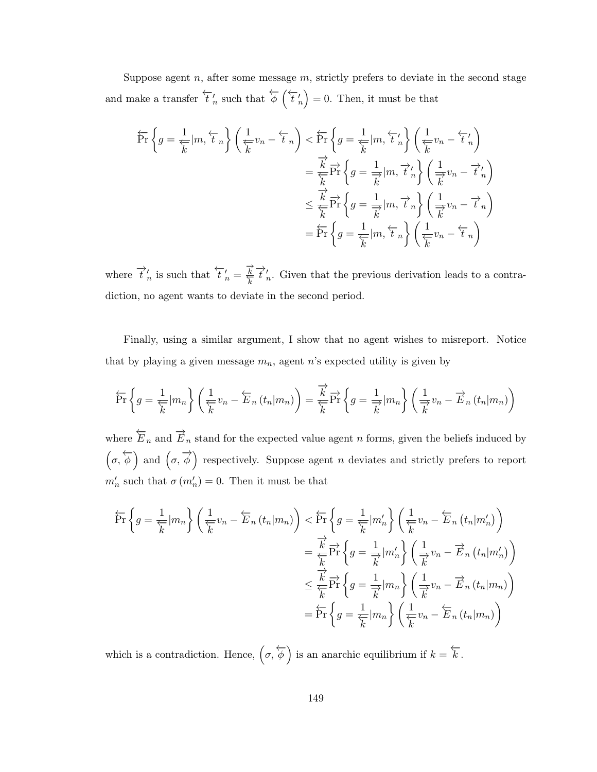Suppose agent  $n$ , after some message  $m$ , strictly prefers to deviate in the second stage and make a transfer  $\overleftarrow{t}_n$  such that  $\overleftarrow{\phi}$   $(\overleftarrow{t}_n) = 0$ . Then, it must be that

$$
\overleftarrow{Pr}\left\{g = \frac{1}{\overleftarrow{k}}|m,\overleftarrow{t}_n\right\}\left(\frac{1}{\overleftarrow{k}}v_n - \overleftarrow{t}_n\right) < \overleftarrow{Pr}\left\{g = \frac{1}{\overleftarrow{k}}|m,\overleftarrow{t}_n'\right\}\left(\frac{1}{\overleftarrow{k}}v_n - \overleftarrow{t}_n'\right) \right) \right\}
$$
\n
$$
= \frac{\overrightarrow{k}}{\overleftarrow{k}}\overrightarrow{Pr}\left\{g = \frac{1}{\overrightarrow{k}}|m,\overrightarrow{t}_n'\right\}\left(\frac{1}{\overrightarrow{k}}v_n - \overrightarrow{t}_n'\right) \right\}
$$
\n
$$
\leq \frac{\overrightarrow{k}}{\overleftarrow{k}}\overrightarrow{Pr}\left\{g = \frac{1}{\overrightarrow{k}}|m,\overrightarrow{t}_n\right\}\left(\frac{1}{\overrightarrow{k}}v_n - \overrightarrow{t}_n\right)
$$
\n
$$
= \overleftarrow{Pr}\left\{g = \frac{1}{\overleftarrow{k}}|m,\overleftarrow{t}_n\right\}\left(\frac{1}{\overleftarrow{k}}v_n - \overleftarrow{t}_n\right)\right)
$$

where  $\overrightarrow{t}'_n$  is such that  $\overleftarrow{t}'_n = \frac{\overrightarrow{k}}{\overleftarrow{k}} \overrightarrow{t}'_n$ . Given that the previous derivation leads to a contradiction, no agent wants to deviate in the second period.

Finally, using a similar argument, I show that no agent wishes to misreport. Notice that by playing a given message  $m_n$ , agent n's expected utility is given by

$$
\overleftarrow{\Pr}\left\{g=\frac{1}{\overleftarrow{k}}|m_n\right\}\left(\frac{1}{\overleftarrow{k}}v_n-\overleftarrow{E}_n\left(t_n|m_n\right)\right)=\frac{\overrightarrow{k}}{\overleftarrow{k}}\overrightarrow{\Pr}\left\{g=\frac{1}{\overrightarrow{k}}|m_n\right\}\left(\frac{1}{\overrightarrow{k}}v_n-\overrightarrow{E}_n\left(t_n|m_n\right)\right)\right\}
$$

where  $\overleftarrow{E}_n$  and  $\overrightarrow{E}_n$  stand for the expected value agent n forms, given the beliefs induced by  $(\sigma, \overleftarrow{\phi})$  and  $(\sigma, \overrightarrow{\phi})$  respectively. Suppose agent *n* deviates and strictly prefers to report  $m'_n$  such that  $\sigma(m'_n) = 0$ . Then it must be that

$$
\overleftarrow{\mathrm{Pr}}\left\{g=\frac{1}{\overleftarrow{k}}|m_n\right\}\left(\frac{1}{\overleftarrow{k}}v_n-\overleftarrow{E}_n\left(t_n|m_n\right)\right)<\overleftarrow{\mathrm{Pr}}\left\{g=\frac{1}{\overleftarrow{k}}|m_n'\right\}\left(\frac{1}{\overleftarrow{k}}v_n-\overleftarrow{E}_n\left(t_n|m_n'\right)\right)\right.\right.\n=\frac{\overrightarrow{k}}{\overleftarrow{k}}\overrightarrow{\mathrm{Pr}}\left\{g=\frac{1}{\overrightarrow{k}}|m_n'\right\}\left(\frac{1}{\overrightarrow{k}}v_n-\overrightarrow{E}_n\left(t_n|m_n'\right)\right)\right.\n\leq\frac{\overrightarrow{k}}{\overleftarrow{k}}\overrightarrow{\mathrm{Pr}}\left\{g=\frac{1}{\overrightarrow{k}}|m_n\right\}\left(\frac{1}{\overrightarrow{k}}v_n-\overrightarrow{E}_n\left(t_n|m_n\right)\right)\n=\frac{\overleftarrow{\mathrm{Pr}}}{\overleftarrow{k}}\left\{g=\frac{1}{\overleftarrow{k}}|m_n\right\}\left(\frac{1}{\overleftarrow{k}}v_n-\overleftarrow{E}_n\left(t_n|m_n\right)\right)\right.\right.
$$

which is a contradiction. Hence,  $(\sigma, \overleftarrow{\phi})$  is an anarchic equilibrium if  $k = \overleftarrow{k}$ .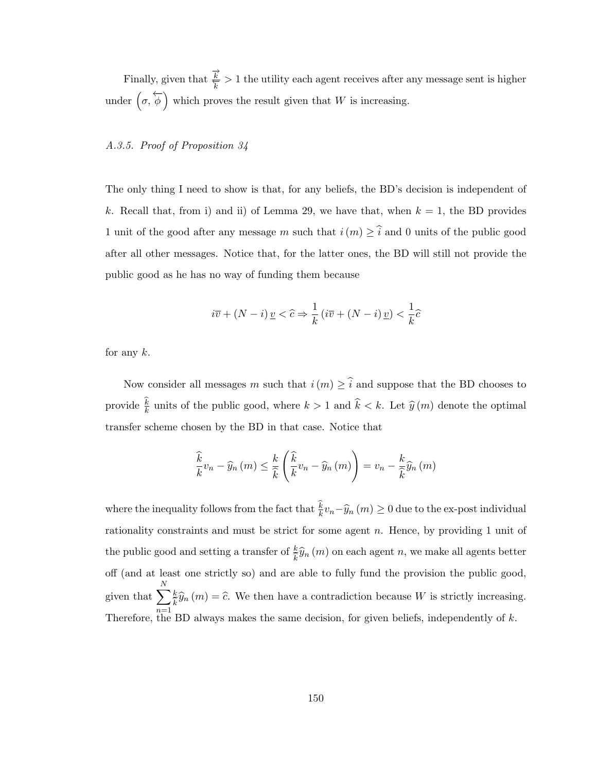Finally, given that  $\frac{\vec{k}}{k} > 1$  the utility each agent receives after any message sent is higher under  $(\sigma, \overleftarrow{\phi})$  which proves the result given that W is increasing.

# A.3.5. Proof of Proposition 34

The only thing I need to show is that, for any beliefs, the BD's decision is independent of k. Recall that, from i) and ii) of Lemma 29, we have that, when  $k = 1$ , the BD provides 1 unit of the good after any message m such that  $i(m) \geq \hat{i}$  and 0 units of the public good after all other messages. Notice that, for the latter ones, the BD will still not provide the public good as he has no way of funding them because

$$
i\overline{v} + (N - i) \underline{v} < \widehat{c} \Rightarrow \frac{1}{k} \left( i\overline{v} + (N - i) \underline{v} \right) < \frac{1}{k} \widehat{c}
$$

for any  $k$ .

Now consider all messages m such that  $i(m) \geq \hat{i}$  and suppose that the BD chooses to provide  $\frac{k}{k}$  units of the public good, where  $k > 1$  and  $\hat{k} < k$ . Let  $\hat{y}(m)$  denote the optimal transfer scheme chosen by the BD in that case. Notice that

$$
\frac{\widehat{k}}{k}v_n - \widehat{y}_n(m) \le \frac{k}{\widehat{k}} \left( \frac{\widehat{k}}{k}v_n - \widehat{y}_n(m) \right) = v_n - \frac{k}{\widehat{k}} \widehat{y}_n(m)
$$

where the inequality follows from the fact that  $\frac{k}{k}v_n-\hat{y}_n(m) \geq 0$  due to the ex-post individual rationality constraints and must be strict for some agent n. Hence, by providing 1 unit of the public good and setting a transfer of  $\frac{k}{2}$  $\frac{k}{k} \widehat{y}_n(m)$  on each agent n, we make all agents better off (and at least one strictly so) and are able to fully fund the provision the public good, given that  $\sum$ N  $n=1$ k  $\frac{k}{k}\widehat{y}_n(m) = \widehat{c}$ . We then have a contradiction because W is strictly increasing. Therefore, the BD always makes the same decision, for given beliefs, independently of  $k$ .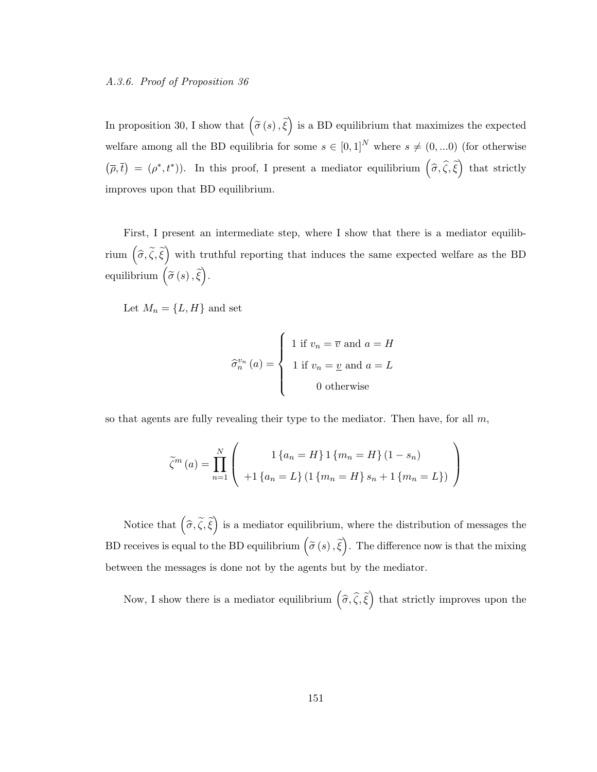In proposition 30, I show that  $(\tilde{\sigma}(s), \tilde{\xi})$  is a BD equilibrium that maximizes the expected welfare among all the BD equilibria for some  $s \in [0,1]^N$  where  $s \neq (0,...0)$  (for otherwise  $(\overline{\rho}, \overline{t}) = (\rho^*, t^*)$ ). In this proof, I present a mediator equilibrium  $(\widehat{\sigma}, \widehat{\zeta}, \widehat{\xi})$  that strictly improves upon that BD equilibrium.

First, I present an intermediate step, where I show that there is a mediator equilibrium  $(\widehat{\sigma}, \widetilde{\zeta}, \widetilde{\xi})$  with truthful reporting that induces the same expected welfare as the BD equilibrium  $(\widetilde{\sigma}(s), \widetilde{\xi})$ .

Let  $M_n = \{L, H\}$  and set

$$
\widehat{\sigma}_{n}^{v_{n}}\left(a\right) = \left\{\begin{array}{l} 1 \text{ if } v_{n} = \overline{v} \text{ and } a = H \\ 1 \text{ if } v_{n} = \underline{v} \text{ and } a = L \\ 0 \text{ otherwise} \end{array}\right.
$$

so that agents are fully revealing their type to the mediator. Then have, for all  $m$ ,

$$
\widetilde{\zeta}^m (a) = \prod_{n=1}^N \left( 1 \{ a_n = H \} 1 \{ m_n = H \} (1 - s_n) \right)
$$
  
+1{a\_n = L}{(1 {m\_n = H} s\_n + 1 {m\_n = L})}\right)

Notice that  $(\widehat{\sigma}, \widetilde{\zeta}, \widehat{\xi})$  is a mediator equilibrium, where the distribution of messages the BD receives is equal to the BD equilibrium  $(\tilde{\sigma}(s), \tilde{\xi})$ . The difference now is that the mixing between the messages is done not by the agents but by the mediator.

Now, I show there is a mediator equilibrium  $(\hat{\sigma}, \hat{\zeta}, \hat{\xi})$  that strictly improves upon the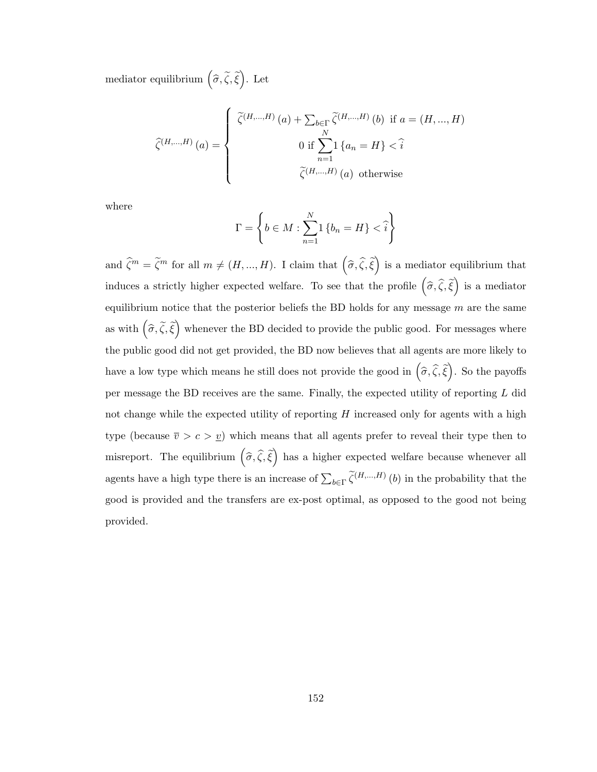mediator equilibrium  $(\widehat{\sigma}, \widetilde{\zeta}, \widetilde{\xi})$ . Let

$$
\hat{\zeta}^{(H,\ldots,H)}(a) = \begin{cases}\n\tilde{\zeta}^{(H,\ldots,H)}(a) + \sum_{b \in \Gamma} \tilde{\zeta}^{(H,\ldots,H)}(b) & \text{if } a = (H,\ldots,H) \\
0 & \text{if } \sum_{n=1}^{N} 1 \{a_n = H\} < \hat{i} \\
\tilde{\zeta}^{(H,\ldots,H)}(a) & \text{otherwise}\n\end{cases}
$$

where

$$
\Gamma = \left\{ b \in M : \sum_{n=1}^{N} \mathbb{1} \left\{ b_n = H \right\} < \widehat{i} \right\}
$$

and  $\hat{\zeta}^m = \tilde{\zeta}^m$  for all  $m \neq (H, ..., H)$ . I claim that  $(\hat{\sigma}, \hat{\zeta}, \hat{\xi})$  is a mediator equilibrium that induces a strictly higher expected welfare. To see that the profile  $(\hat{\sigma}, \hat{\zeta}, \hat{\xi})$  is a mediator equilibrium notice that the posterior beliefs the BD holds for any message  $m$  are the same as with  $(\hat{\sigma}, \tilde{\zeta}, \tilde{\xi})$  whenever the BD decided to provide the public good. For messages where the public good did not get provided, the BD now believes that all agents are more likely to have a low type which means he still does not provide the good in  $(\hat{\sigma}, \hat{\zeta}, \hat{\xi})$ . So the payoffs per message the BD receives are the same. Finally, the expected utility of reporting L did not change while the expected utility of reporting H increased only for agents with a high type (because  $\overline{v} > c > \underline{v}$ ) which means that all agents prefer to reveal their type then to misreport. The equilibrium  $(\widehat{\sigma}, \widehat{\zeta}, \widehat{\xi})$  has a higher expected welfare because whenever all agents have a high type there is an increase of  $\sum_{b \in \Gamma} \tilde{\zeta}^{(H,...,H)}(b)$  in the probability that the good is provided and the transfers are ex-post optimal, as opposed to the good not being provided.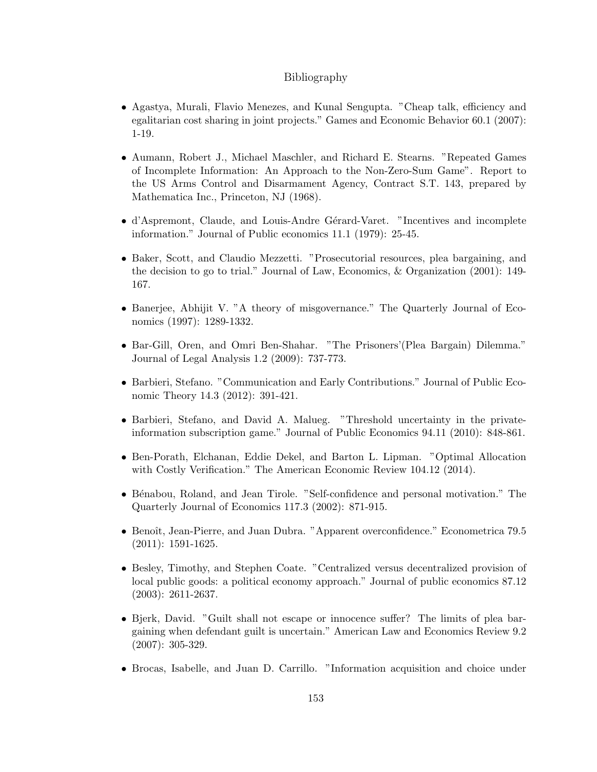# Bibliography

- Agastya, Murali, Flavio Menezes, and Kunal Sengupta. "Cheap talk, efficiency and egalitarian cost sharing in joint projects." Games and Economic Behavior 60.1 (2007): 1-19.
- Aumann, Robert J., Michael Maschler, and Richard E. Stearns. "Repeated Games of Incomplete Information: An Approach to the Non-Zero-Sum Game". Report to the US Arms Control and Disarmament Agency, Contract S.T. 143, prepared by Mathematica Inc., Princeton, NJ (1968).
- d'Aspremont, Claude, and Louis-Andre Gérard-Varet. "Incentives and incomplete information." Journal of Public economics 11.1 (1979): 25-45.
- Baker, Scott, and Claudio Mezzetti. "Prosecutorial resources, plea bargaining, and the decision to go to trial." Journal of Law, Economics, & Organization (2001): 149- 167.
- Banerjee, Abhijit V. "A theory of misgovernance." The Quarterly Journal of Economics (1997): 1289-1332.
- Bar-Gill, Oren, and Omri Ben-Shahar. "The Prisoners'(Plea Bargain) Dilemma." Journal of Legal Analysis 1.2 (2009): 737-773.
- Barbieri, Stefano. "Communication and Early Contributions." Journal of Public Economic Theory 14.3 (2012): 391-421.
- Barbieri, Stefano, and David A. Malueg. "Threshold uncertainty in the privateinformation subscription game." Journal of Public Economics 94.11 (2010): 848-861.
- Ben-Porath, Elchanan, Eddie Dekel, and Barton L. Lipman. "Optimal Allocation with Costly Verification." The American Economic Review 104.12 (2014).
- Bénabou, Roland, and Jean Tirole. "Self-confidence and personal motivation." The Quarterly Journal of Economics 117.3 (2002): 871-915.
- Benoît, Jean-Pierre, and Juan Dubra. "Apparent overconfidence." Econometrica 79.5 (2011): 1591-1625.
- Besley, Timothy, and Stephen Coate. "Centralized versus decentralized provision of local public goods: a political economy approach." Journal of public economics 87.12 (2003): 2611-2637.
- Bjerk, David. "Guilt shall not escape or innocence suffer? The limits of plea bargaining when defendant guilt is uncertain." American Law and Economics Review 9.2 (2007): 305-329.
- Brocas, Isabelle, and Juan D. Carrillo. "Information acquisition and choice under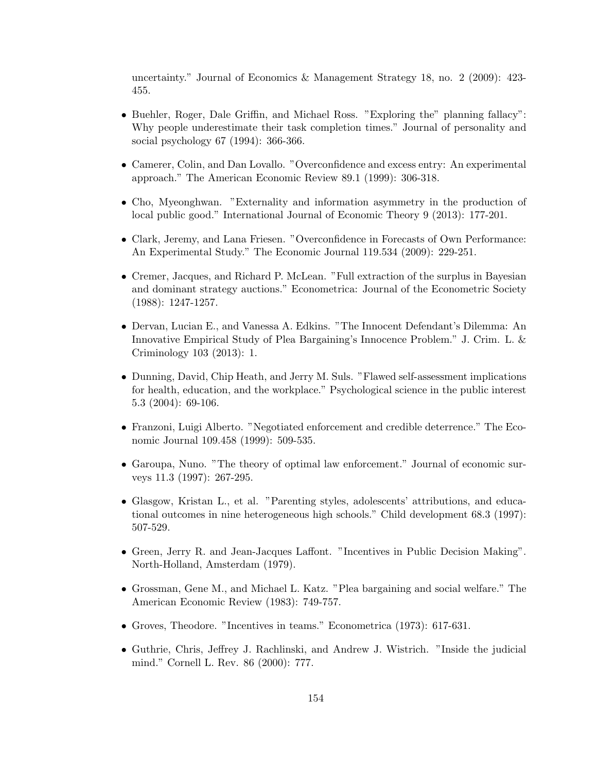uncertainty." Journal of Economics & Management Strategy 18, no. 2 (2009): 423- 455.

- Buehler, Roger, Dale Griffin, and Michael Ross. "Exploring the" planning fallacy": Why people underestimate their task completion times." Journal of personality and social psychology 67 (1994): 366-366.
- Camerer, Colin, and Dan Lovallo. "Overconfidence and excess entry: An experimental approach." The American Economic Review 89.1 (1999): 306-318.
- Cho, Myeonghwan. "Externality and information asymmetry in the production of local public good." International Journal of Economic Theory 9 (2013): 177-201.
- Clark, Jeremy, and Lana Friesen. "Overconfidence in Forecasts of Own Performance: An Experimental Study." The Economic Journal 119.534 (2009): 229-251.
- Cremer, Jacques, and Richard P. McLean. "Full extraction of the surplus in Bayesian and dominant strategy auctions." Econometrica: Journal of the Econometric Society (1988): 1247-1257.
- Dervan, Lucian E., and Vanessa A. Edkins. "The Innocent Defendant's Dilemma: An Innovative Empirical Study of Plea Bargaining's Innocence Problem." J. Crim. L. & Criminology 103 (2013): 1.
- Dunning, David, Chip Heath, and Jerry M. Suls. "Flawed self-assessment implications for health, education, and the workplace." Psychological science in the public interest 5.3 (2004): 69-106.
- Franzoni, Luigi Alberto. "Negotiated enforcement and credible deterrence." The Economic Journal 109.458 (1999): 509-535.
- Garoupa, Nuno. "The theory of optimal law enforcement." Journal of economic surveys 11.3 (1997): 267-295.
- Glasgow, Kristan L., et al. "Parenting styles, adolescents' attributions, and educational outcomes in nine heterogeneous high schools." Child development 68.3 (1997): 507-529.
- Green, Jerry R. and Jean-Jacques Laffont. "Incentives in Public Decision Making". North-Holland, Amsterdam (1979).
- Grossman, Gene M., and Michael L. Katz. "Plea bargaining and social welfare." The American Economic Review (1983): 749-757.
- Groves, Theodore. "Incentives in teams." Econometrica (1973): 617-631.
- Guthrie, Chris, Jeffrey J. Rachlinski, and Andrew J. Wistrich. "Inside the judicial mind." Cornell L. Rev. 86 (2000): 777.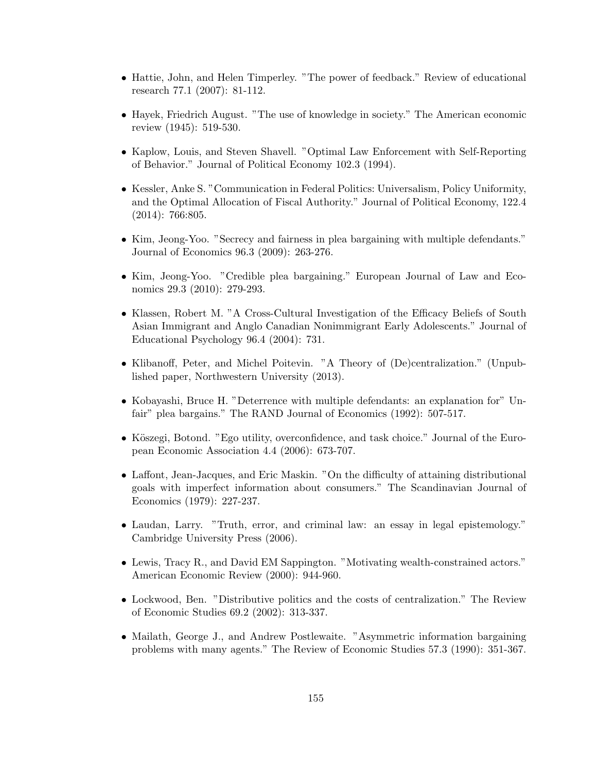- Hattie, John, and Helen Timperley. "The power of feedback." Review of educational research 77.1 (2007): 81-112.
- Hayek, Friedrich August. "The use of knowledge in society." The American economic review (1945): 519-530.
- Kaplow, Louis, and Steven Shavell. "Optimal Law Enforcement with Self-Reporting of Behavior." Journal of Political Economy 102.3 (1994).
- Kessler, Anke S. "Communication in Federal Politics: Universalism, Policy Uniformity, and the Optimal Allocation of Fiscal Authority." Journal of Political Economy, 122.4 (2014): 766:805.
- Kim, Jeong-Yoo. "Secrecy and fairness in plea bargaining with multiple defendants." Journal of Economics 96.3 (2009): 263-276.
- Kim, Jeong-Yoo. "Credible plea bargaining." European Journal of Law and Economics 29.3 (2010): 279-293.
- Klassen, Robert M. "A Cross-Cultural Investigation of the Efficacy Beliefs of South Asian Immigrant and Anglo Canadian Nonimmigrant Early Adolescents." Journal of Educational Psychology 96.4 (2004): 731.
- Klibanoff, Peter, and Michel Poitevin. "A Theory of (De)centralization." (Unpublished paper, Northwestern University (2013).
- Kobayashi, Bruce H. "Deterrence with multiple defendants: an explanation for" Unfair" plea bargains." The RAND Journal of Economics (1992): 507-517.
- Köszegi, Botond. "Ego utility, overconfidence, and task choice." Journal of the European Economic Association 4.4 (2006): 673-707.
- Laffont, Jean-Jacques, and Eric Maskin. "On the difficulty of attaining distributional goals with imperfect information about consumers." The Scandinavian Journal of Economics (1979): 227-237.
- Laudan, Larry. "Truth, error, and criminal law: an essay in legal epistemology." Cambridge University Press (2006).
- Lewis, Tracy R., and David EM Sappington. "Motivating wealth-constrained actors." American Economic Review (2000): 944-960.
- Lockwood, Ben. "Distributive politics and the costs of centralization." The Review of Economic Studies 69.2 (2002): 313-337.
- Mailath, George J., and Andrew Postlewaite. "Asymmetric information bargaining problems with many agents." The Review of Economic Studies 57.3 (1990): 351-367.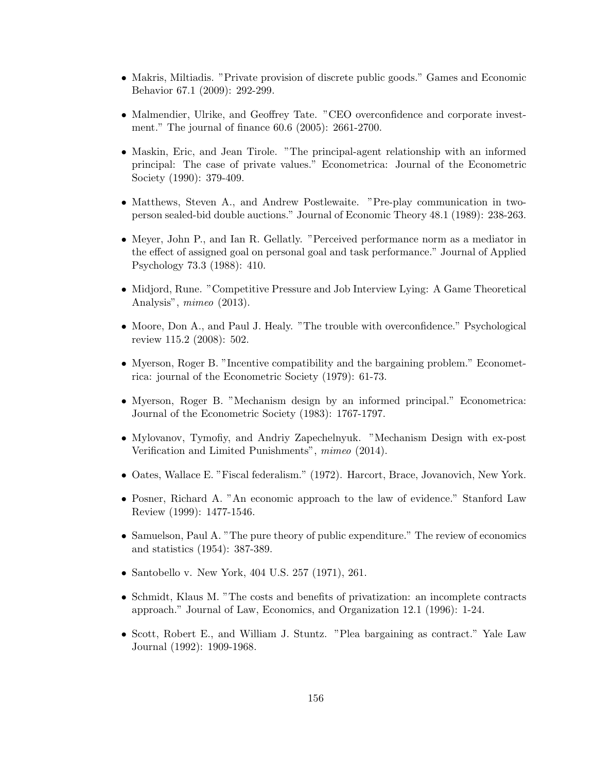- Makris, Miltiadis. "Private provision of discrete public goods." Games and Economic Behavior 67.1 (2009): 292-299.
- Malmendier, Ulrike, and Geoffrey Tate. "CEO overconfidence and corporate investment." The journal of finance 60.6 (2005): 2661-2700.
- Maskin, Eric, and Jean Tirole. "The principal-agent relationship with an informed principal: The case of private values." Econometrica: Journal of the Econometric Society (1990): 379-409.
- Matthews, Steven A., and Andrew Postlewaite. "Pre-play communication in twoperson sealed-bid double auctions." Journal of Economic Theory 48.1 (1989): 238-263.
- Meyer, John P., and Ian R. Gellatly. "Perceived performance norm as a mediator in the effect of assigned goal on personal goal and task performance." Journal of Applied Psychology 73.3 (1988): 410.
- Midjord, Rune. "Competitive Pressure and Job Interview Lying: A Game Theoretical Analysis", mimeo (2013).
- Moore, Don A., and Paul J. Healy. "The trouble with overconfidence." Psychological review 115.2 (2008): 502.
- Myerson, Roger B. "Incentive compatibility and the bargaining problem." Econometrica: journal of the Econometric Society (1979): 61-73.
- Myerson, Roger B. "Mechanism design by an informed principal." Econometrica: Journal of the Econometric Society (1983): 1767-1797.
- Mylovanov, Tymofiy, and Andriy Zapechelnyuk. "Mechanism Design with ex-post Verification and Limited Punishments", mimeo (2014).
- Oates, Wallace E. "Fiscal federalism." (1972). Harcort, Brace, Jovanovich, New York.
- Posner, Richard A. "An economic approach to the law of evidence." Stanford Law Review (1999): 1477-1546.
- Samuelson, Paul A. "The pure theory of public expenditure." The review of economics and statistics (1954): 387-389.
- Santobello v. New York, 404 U.S. 257 (1971), 261.
- Schmidt, Klaus M. "The costs and benefits of privatization: an incomplete contracts approach." Journal of Law, Economics, and Organization 12.1 (1996): 1-24.
- Scott, Robert E., and William J. Stuntz. "Plea bargaining as contract." Yale Law Journal (1992): 1909-1968.